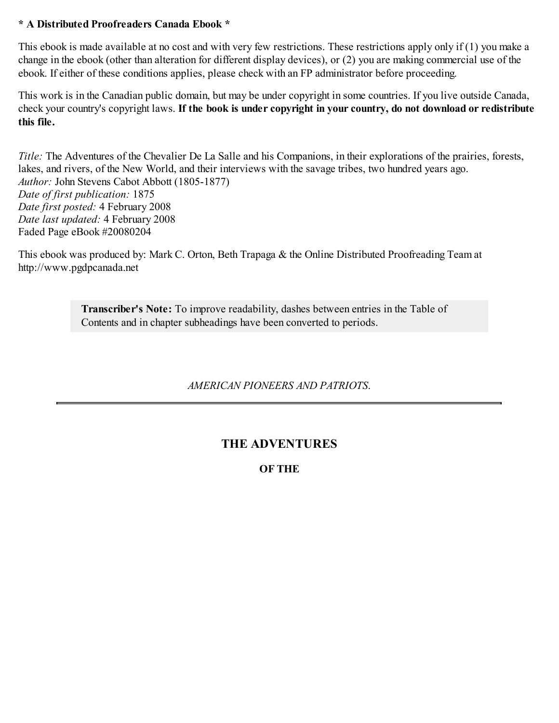# **\* A Distributed Proofreaders Canada Ebook \***

This ebook is made available at no cost and with very few restrictions. These restrictions apply only if (1) you make a change in the ebook (other than alteration for different display devices), or (2) you are making commercial use of the ebook. If either of these conditions applies, please check with an FP administrator before proceeding.

This work is in the Canadian public domain, but may be under copyright in some countries. If you live outside Canada, check your country's copyright laws. **If the book is under copyright in your country, do not download or redistribute this file.**

*Title:* The Adventures of the Chevalier De La Salle and his Companions, in their explorations of the prairies, forests, lakes, and rivers, of the New World, and their interviews with the savage tribes, two hundred years ago. *Author:* John Stevens Cabot Abbott (1805-1877) *Date of first publication:* 1875 *Date first posted:* 4 February 2008 *Date last updated:* 4 February 2008 Faded Page eBook #20080204

This ebook was produced by: Mark C. Orton, Beth Trapaga & the Online Distributed Proofreading Team at http://www.pgdpcanada.net

> **Transcriber's Note:** To improve readability, dashes between entries in the Table of Contents and in chapter subheadings have been converted to periods.

# *AMERICAN PIONEERS AND PATRIOTS*.

# **THE ADVENTURES**

**OF THE**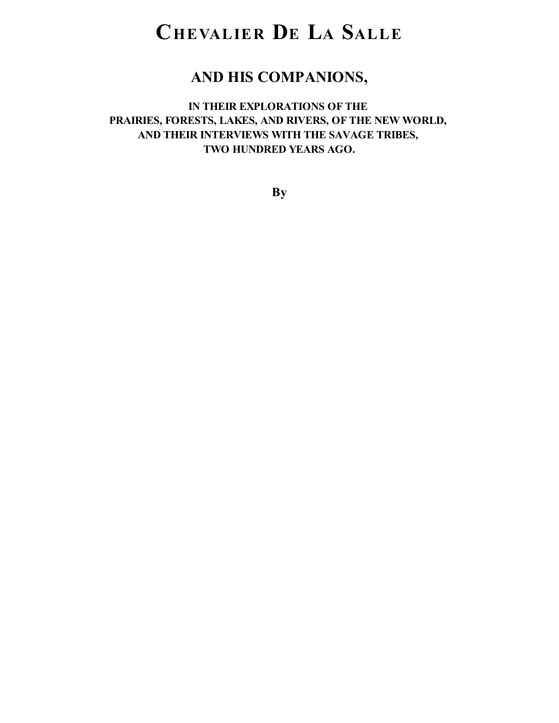# **CHEVALIER D<sup>E</sup> L<sup>A</sup> SALLE**

# **AND HIS COMPANIONS,**

# **IN THEIR EXPLORATIONS OF THE PRAIRIES, FORESTS, LAKES, AND RIVERS, OF THE NEW WORLD, AND THEIR INTERVIEWS WITH THE SAVAGE TRIBES, TWO HUNDRED YEARS AGO.**

**By**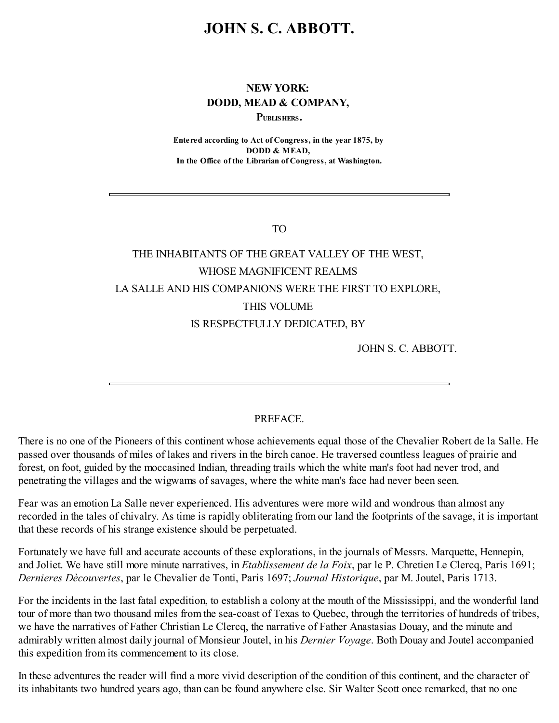# **JOHN S. C. ABBOTT.**

# **NEW YORK: DODD, MEAD & COMPANY,**

**PUBLISHERS.**

**Entered according to Act of Congress, in the year 1875, by DODD & MEAD, In the Office of the Librarian of Congress, at Washington.**

TO

# THE INHABITANTS OF THE GREAT VALLEY OF THE WEST, WHOSE MAGNIFICENT REALMS LA SALLE AND HIS COMPANIONS WERE THE FIRST TO EXPLORE, THIS VOLUME IS RESPECTFULLY DEDICATED, BY

JOHN S. C. ABBOTT.

### **PREFACE**

There is no one of the Pioneers of this continent whose achievements equal those of the Chevalier Robert de la Salle. He passed over thousands of miles of lakes and rivers in the birch canoe. He traversed countless leagues of prairie and forest, on foot, guided by the moccasined Indian, threading trails which the white man's foot had never trod, and penetrating the villages and the wigwams of savages, where the white man's face had never been seen.

Fear was an emotion La Salle never experienced. His adventures were more wild and wondrous than almost any recorded in the tales of chivalry. As time is rapidly obliterating from our land the footprints of the savage, it is important that these records of his strange existence should be perpetuated.

Fortunately we have full and accurate accounts of these explorations, in the journals of Messrs. Marquette, Hennepin, and Joliet. We have still more minute narratives, in *Etablissement de la Foix*, par le P. Chretien Le Clercq, Paris 1691; *Dernieres Dècouvertes*, par le Chevalier de Tonti, Paris 1697; *Journal Historique*, par M. Joutel, Paris 1713.

For the incidents in the last fatal expedition, to establish a colony at the mouth of the Mississippi, and the wonderful land tour of more than two thousand miles from the sea-coast of Texas to Quebec, through the territories of hundreds of tribes, we have the narratives of Father Christian Le Clercq, the narrative of Father Anastasias Douay, and the minute and admirably written almost daily journal of Monsieur Joutel, in his *Dernier Voyage*. Both Douay and Joutel accompanied this expedition from its commencement to its close.

In these adventures the reader will find a more vivid description of the condition of this continent, and the character of its inhabitants two hundred years ago, than can be found anywhere else. Sir Walter Scott once remarked, that no one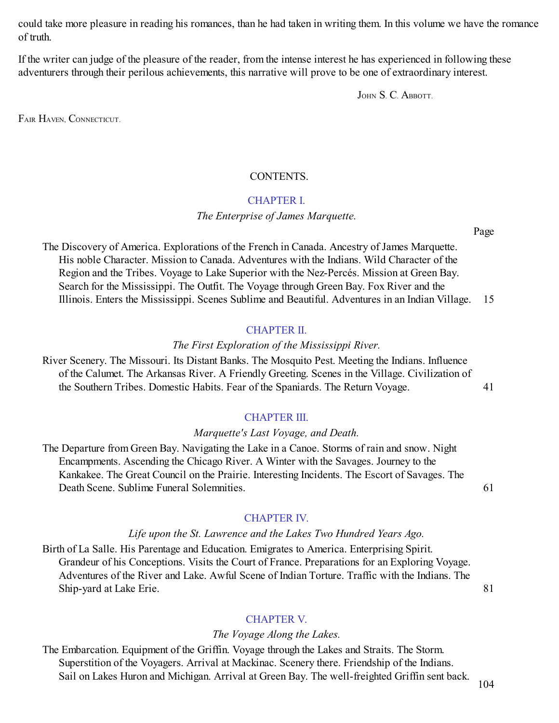could take more pleasure in reading his romances, than he had taken in writing them. In this volume we have the romance of truth.

If the writer can judge of the pleasure of the reader, from the intense interest he has experienced in following these adventurers through their perilous achievements, this narrative will prove to be one of extraordinary interest.

JOHN S. C. ABBOTT.

FAIR HAVEN, CONNECTICUT.

### CONTENTS.

#### [CHAPTER](#page-6-0) I.

### *The Enterprise of James Marquette.*

Page

The Discovery of America. Explorations of the French in Canada. Ancestry of James Marquette. His noble Character. Mission to Canada. Adventures with the Indians. Wild Character of the Region and the Tribes. Voyage to Lake Superior with the Nez-Percés. Mission at Green Bay. Search for the Mississippi. The Outfit. The Voyage through Green Bay. Fox River and the Illinois. Enters the Mississippi. Scenes Sublime and Beautiful. Adventures in an Indian Village. 15

### [CHAPTER](#page-13-0) II.

#### *The First Exploration of the Mississippi River.*

River Scenery. The Missouri. Its Distant Banks. The Mosquito Pest. Meeting the Indians. Influence of the Calumet. The Arkansas River. A Friendly Greeting. Scenes in the Village. Civilization of the Southern Tribes. Domestic Habits. Fear of the Spaniards. The Return Voyage. 41

## [CHAPTER](#page-18-0) III.

#### *Marquette's Last Voyage, and Death.*

The Departure from Green Bay. Navigating the Lake in a Canoe. Storms of rain and snow. Night Encampments. Ascending the Chicago River. A Winter with the Savages. Journey to the Kankakee. The Great Council on the Prairie. Interesting Incidents. The Escort of Savages. The Death Scene. Sublime Funeral Solemnities. 61

# [CHAPTER](#page-24-0) IV.

### *Life upon the St. Lawrence and the Lakes Two Hundred Years Ago.*

Birth of La Salle. His Parentage and Education. Emigrates to America. Enterprising Spirit. Grandeur of his Conceptions. Visits the Court of France. Preparations for an Exploring Voyage. Adventures of the River and Lake. Awful Scene of Indian Torture. Traffic with the Indians. The Ship-yard at Lake Erie. 81

## [CHAPTER](#page-30-0) V.

## *The Voyage Along the Lakes.*

The Embarcation. Equipment of the Griffin. Voyage through the Lakes and Straits. The Storm. Superstition of the Voyagers. Arrival at Mackinac. Scenery there. Friendship of the Indians. Sail on Lakes Huron and Michigan. Arrival at Green Bay. The well-freighted Griffin sent back.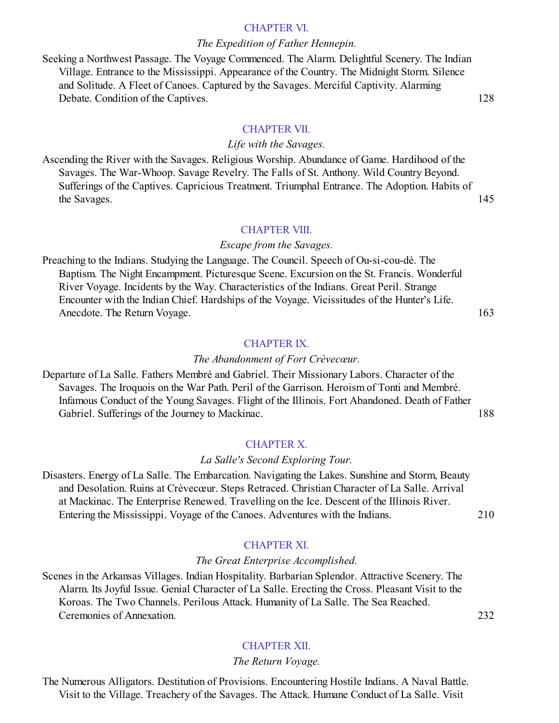#### [CHAPTER](#page-37-0) VI.

#### *The Expedition of Father Hennepin.*

Seeking a Northwest Passage. The Voyage Commenced. The Alarm. Delightful Scenery. The Indian Village. Entrance to the Mississippi. Appearance of the Country. The Midnight Storm. Silence and Solitude. A Fleet of Canoes. Captured by the Savages. Merciful Captivity. Alarming Debate. Condition of the Captives. 128

#### [CHAPTER](#page-41-0) VII.

#### *Life with the Savages.*

Ascending the River with the Savages. Religious Worship. Abundance of Game. Hardihood of the Savages. The War-Whoop. Savage Revelry. The Falls of St. Anthony. Wild Country Beyond. Sufferings of the Captives. Capricious Treatment. Triumphal Entrance. The Adoption. Habits of the Savages. 145

#### [CHAPTER](#page-46-0) VIII.

#### *Escape from the Savages.*

Preaching to the Indians. Studying the Language. The Council. Speech of Ou-si-cou-dè. The Baptism. The Night Encampment. Picturesque Scene. Excursion on the St. Francis. Wonderful River Voyage. Incidents by the Way. Characteristics of the Indians. Great Peril. Strange Encounter with the Indian Chief. Hardships of the Voyage. Vicissitudes of the Hunter's Life. Anecdote. The Return Voyage. 163

#### [CHAPTER](#page-53-0) IX.

#### *The Abandonment of Fort Crèvecœur.*

Departure of La Salle. Fathers Membré and Gabriel. Their Missionary Labors. Character of the Savages. The Iroquois on the War Path. Peril of the Garrison. Heroism of Tonti and Membré. Infamous Conduct of the Young Savages. Flight of the Illinois. Fort Abandoned. Death of Father Gabriel. Sufferings of the Journey to Mackinac. 188

#### [CHAPTER](#page-59-0) X.

#### *La Salle's Second Exploring Tour.*

Disasters. Energy of La Salle. The Embarcation. Navigating the Lakes. Sunshine and Storm, Beauty and Desolation. Ruins at Crèvecœur. Steps Retraced. Christian Character of La Salle. Arrival at Mackinac. The Enterprise Renewed. Travelling on the Ice. Descent of the Illinois River. Entering the Mississippi. Voyage of the Canoes. Adventures with the Indians. 210

[CHAPTER](#page-64-0) XI.

#### *The Great Enterprise Accomplished.*

Scenes in the Arkansas Villages. Indian Hospitality. Barbarian Splendor. Attractive Scenery. The Alarm. Its Joyful Issue. Genial Character of La Salle. Erecting the Cross. Pleasant Visit to the Koroas. The Two Channels. Perilous Attack. Humanity of La Salle. The Sea Reached. Ceremonies of Annexation. 232

[CHAPTER](#page-69-0) XII.

#### *The Return Voyage.*

The Numerous Alligators. Destitution of Provisions. Encountering Hostile Indians. A Naval Battle. Visit to the Village. Treachery of the Savages. The Attack. Humane Conduct of La Salle. Visit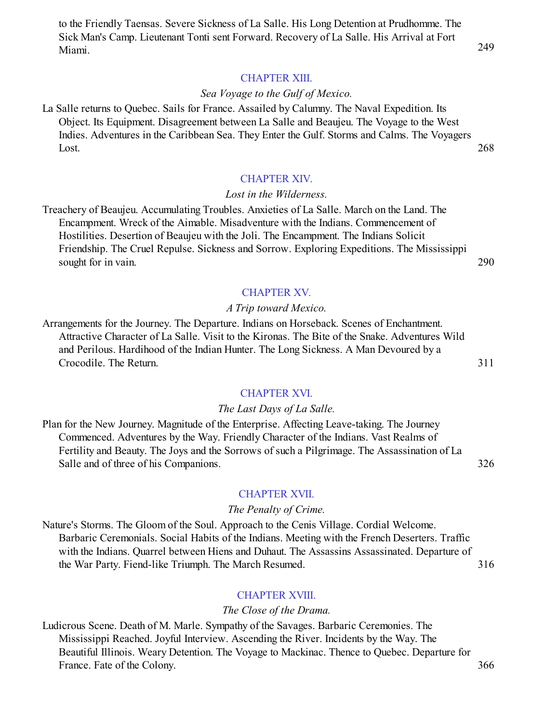to the Friendly Taensas. Severe Sickness of La Salle. His Long Detention at Prudhomme. The Sick Man's Camp. Lieutenant Tonti sent Forward. Recovery of La Salle. His Arrival at Fort Miami. 249

#### [CHAPTER](#page-74-0) XIII.

#### *Sea Voyage to the Gulf of Mexico.*

La Salle returns to Quebec. Sails for France. Assailed by Calumny. The Naval Expedition. Its Object. Its Equipment. Disagreement between La Salle and Beaujeu. The Voyage to the West Indies. Adventures in the Caribbean Sea. They Enter the Gulf. Storms and Calms. The Voyagers Lost. 268

#### [CHAPTER](#page-80-0) XIV.

#### *Lost in the Wilderness.*

Treachery of Beaujeu. Accumulating Troubles. Anxieties of La Salle. March on the Land. The Encampment. Wreck of the Aimable. Misadventure with the Indians. Commencement of Hostilities. Desertion of Beaujeu with the Joli. The Encampment. The Indians Solicit Friendship. The Cruel Repulse. Sickness and Sorrow. Exploring Expeditions. The Mississippi sought for in vain. 290

#### [CHAPTER](#page-86-0) XV.

#### *A Trip toward Mexico.*

Arrangements for the Journey. The Departure. Indians on Horseback. Scenes of Enchantment. Attractive Character of La Salle. Visit to the Kironas. The Bite of the Snake. Adventures Wild and Perilous. Hardihood of the Indian Hunter. The Long Sickness. A Man Devoured by a Crocodile. The Return. 311

#### [CHAPTER](#page-90-0) XVI.

#### *The Last Days of La Salle.*

Plan for the New Journey. Magnitude of the Enterprise. Affecting Leave-taking. The Journey Commenced. Adventures by the Way. Friendly Character of the Indians. Vast Realms of Fertility and Beauty. The Joys and the Sorrows of such a Pilgrimage. The Assassination of La Salle and of three of his Companions. 326

#### [CHAPTER](#page-96-0) XVII.

#### *The Penalty of Crime.*

Nature's Storms. The Gloom of the Soul. Approach to the Cenis Village. Cordial Welcome. Barbaric Ceremonials. Social Habits of the Indians. Meeting with the French Deserters. Traffic with the Indians. Quarrel between Hiens and Duhaut. The Assassins Assassinated. Departure of the War Party. Fiend-like Triumph. The March Resumed. 316

#### [CHAPTER](#page-101-0) XVIII.

#### *The Close of the Drama.*

Ludicrous Scene. Death of M. Marle. Sympathy of the Savages. Barbaric Ceremonies. The Mississippi Reached. Joyful Interview. Ascending the River. Incidents by the Way. The Beautiful Illinois. Weary Detention. The Voyage to Mackinac. Thence to Quebec. Departure for France. Fate of the Colony. 366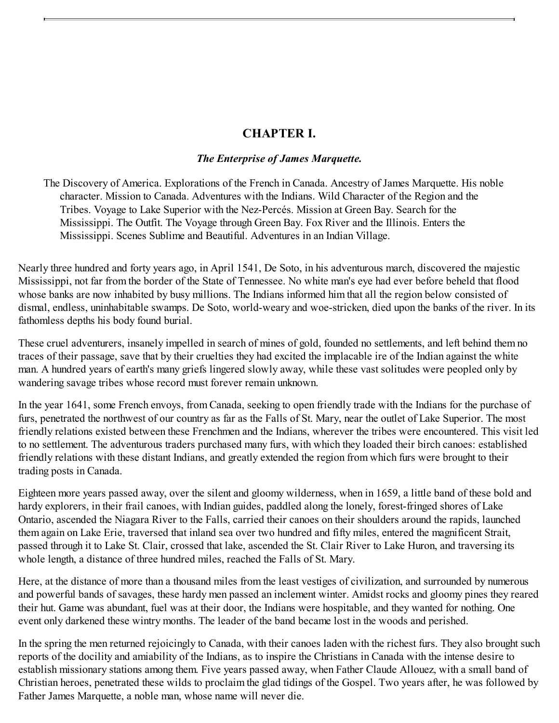# **CHAPTER I.**

### *The Enterprise of James Marquette.*

<span id="page-6-0"></span>The Discovery of America. Explorations of the French in Canada. Ancestry of James Marquette. His noble character. Mission to Canada. Adventures with the Indians. Wild Character of the Region and the Tribes. Voyage to Lake Superior with the Nez-Percés. Mission at Green Bay. Search for the Mississippi. The Outfit. The Voyage through Green Bay. Fox River and the Illinois. Enters the Mississippi. Scenes Sublime and Beautiful. Adventures in an Indian Village.

Nearly three hundred and forty years ago, in April 1541, De Soto, in his adventurous march, discovered the majestic Mississippi, not far from the border of the State of Tennessee. No white man's eye had ever before beheld that flood whose banks are now inhabited by busy millions. The Indians informed him that all the region below consisted of dismal, endless, uninhabitable swamps. De Soto, world-weary and woe-stricken, died upon the banks of the river. In its fathomless depths his body found burial.

These cruel adventurers, insanely impelled in search of mines of gold, founded no settlements, and left behind them no traces of their passage, save that by their cruelties they had excited the implacable ire of the Indian against the white man. A hundred years of earth's many griefs lingered slowly away, while these vast solitudes were peopled only by wandering savage tribes whose record must forever remain unknown.

In the year 1641, some French envoys, from Canada, seeking to open friendly trade with the Indians for the purchase of furs, penetrated the northwest of our country as far as the Falls of St. Mary, near the outlet of Lake Superior. The most friendly relations existed between these Frenchmen and the Indians, wherever the tribes were encountered. This visit led to no settlement. The adventurous traders purchased many furs, with which they loaded their birch canoes: established friendly relations with these distant Indians, and greatly extended the region from which furs were brought to their trading posts in Canada.

Eighteen more years passed away, over the silent and gloomy wilderness, when in 1659, a little band of these bold and hardy explorers, in their frail canoes, with Indian guides, paddled along the lonely, forest-fringed shores of Lake Ontario, ascended the Niagara River to the Falls, carried their canoes on their shoulders around the rapids, launched them again on Lake Erie, traversed that inland sea over two hundred and fifty miles, entered the magnificent Strait, passed through it to Lake St. Clair, crossed that lake, ascended the St. Clair River to Lake Huron, and traversing its whole length, a distance of three hundred miles, reached the Falls of St. Mary.

Here, at the distance of more than a thousand miles from the least vestiges of civilization, and surrounded by numerous and powerful bands of savages, these hardy men passed an inclement winter. Amidst rocks and gloomy pines they reared their hut. Game was abundant, fuel was at their door, the Indians were hospitable, and they wanted for nothing. One event only darkened these wintry months. The leader of the band became lost in the woods and perished.

In the spring the men returned rejoicingly to Canada, with their canoes laden with the richest furs. They also brought such reports of the docility and amiability of the Indians, as to inspire the Christians in Canada with the intense desire to establish missionary stations among them. Five years passed away, when Father Claude Allouez, with a small band of Christian heroes, penetrated these wilds to proclaim the glad tidings of the Gospel. Two years after, he was followed by Father James Marquette, a noble man, whose name will never die.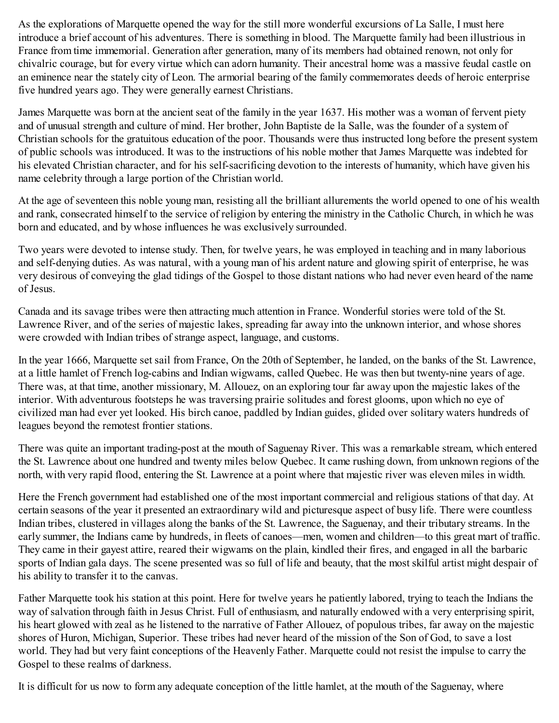As the explorations of Marquette opened the way for the still more wonderful excursions of La Salle, I must here introduce a brief account of his adventures. There is something in blood. The Marquette family had been illustrious in France from time immemorial. Generation after generation, many of its members had obtained renown, not only for chivalric courage, but for every virtue which can adorn humanity. Their ancestral home was a massive feudal castle on an eminence near the stately city of Leon. The armorial bearing of the family commemorates deeds of heroic enterprise five hundred years ago. They were generally earnest Christians.

James Marquette was born at the ancient seat of the family in the year 1637. His mother was a woman of fervent piety and of unusual strength and culture of mind. Her brother, John Baptiste de la Salle, was the founder of a system of Christian schools for the gratuitous education of the poor. Thousands were thus instructed long before the present system of public schools was introduced. It was to the instructions of his noble mother that James Marquette was indebted for his elevated Christian character, and for his self-sacrificing devotion to the interests of humanity, which have given his name celebrity through a large portion of the Christian world.

At the age of seventeen this noble young man, resisting all the brilliant allurements the world opened to one of his wealth and rank, consecrated himself to the service of religion by entering the ministry in the Catholic Church, in which he was born and educated, and by whose influences he was exclusively surrounded.

Two years were devoted to intense study. Then, for twelve years, he was employed in teaching and in many laborious and self-denying duties. As was natural, with a young man of his ardent nature and glowing spirit of enterprise, he was very desirous of conveying the glad tidings of the Gospel to those distant nations who had never even heard of the name of Jesus.

Canada and its savage tribes were then attracting much attention in France. Wonderful stories were told of the St. Lawrence River, and of the series of majestic lakes, spreading far away into the unknown interior, and whose shores were crowded with Indian tribes of strange aspect, language, and customs.

In the year 1666, Marquette set sail from France, On the 20th of September, he landed, on the banks of the St. Lawrence, at a little hamlet of French log-cabins and Indian wigwams, called Quebec. He was then but twenty-nine years of age. There was, at that time, another missionary, M. Allouez, on an exploring tour far away upon the majestic lakes of the interior. With adventurous footsteps he was traversing prairie solitudes and forest glooms, upon which no eye of civilized man had ever yet looked. His birch canoe, paddled by Indian guides, glided over solitary waters hundreds of leagues beyond the remotest frontier stations.

There was quite an important trading-post at the mouth of Saguenay River. This was a remarkable stream, which entered the St. Lawrence about one hundred and twenty miles below Quebec. It came rushing down, from unknown regions of the north, with very rapid flood, entering the St. Lawrence at a point where that majestic river was eleven miles in width.

Here the French government had established one of the most important commercial and religious stations of that day. At certain seasons of the year it presented an extraordinary wild and picturesque aspect of busy life. There were countless Indian tribes, clustered in villages along the banks of the St. Lawrence, the Saguenay, and their tributary streams. In the early summer, the Indians came by hundreds, in fleets of canoes—men, women and children—to this great mart of traffic. They came in their gayest attire, reared their wigwams on the plain, kindled their fires, and engaged in all the barbaric sports of Indian gala days. The scene presented was so full of life and beauty, that the most skilful artist might despair of his ability to transfer it to the canvas.

Father Marquette took his station at this point. Here for twelve years he patiently labored, trying to teach the Indians the way of salvation through faith in Jesus Christ. Full of enthusiasm, and naturally endowed with a very enterprising spirit, his heart glowed with zeal as he listened to the narrative of Father Allouez, of populous tribes, far away on the majestic shores of Huron, Michigan, Superior. These tribes had never heard of the mission of the Son of God, to save a lost world. They had but very faint conceptions of the Heavenly Father. Marquette could not resist the impulse to carry the Gospel to these realms of darkness.

It is difficult for us now to form any adequate conception of the little hamlet, at the mouth of the Saguenay, where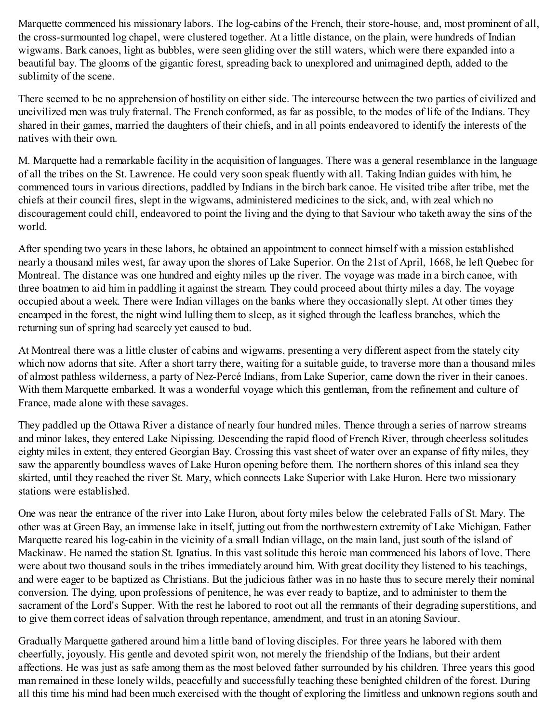Marquette commenced his missionary labors. The log-cabins of the French, their store-house, and, most prominent of all, the cross-surmounted log chapel, were clustered together. At a little distance, on the plain, were hundreds of Indian wigwams. Bark canoes, light as bubbles, were seen gliding over the still waters, which were there expanded into a beautiful bay. The glooms of the gigantic forest, spreading back to unexplored and unimagined depth, added to the sublimity of the scene.

There seemed to be no apprehension of hostility on either side. The intercourse between the two parties of civilized and uncivilized men was truly fraternal. The French conformed, as far as possible, to the modes of life of the Indians. They shared in their games, married the daughters of their chiefs, and in all points endeavored to identify the interests of the natives with their own.

M. Marquette had a remarkable facility in the acquisition of languages. There was a general resemblance in the language of all the tribes on the St. Lawrence. He could very soon speak fluently with all. Taking Indian guides with him, he commenced tours in various directions, paddled by Indians in the birch bark canoe. He visited tribe after tribe, met the chiefs at their council fires, slept in the wigwams, administered medicines to the sick, and, with zeal which no discouragement could chill, endeavored to point the living and the dying to that Saviour who taketh away the sins of the world.

After spending two years in these labors, he obtained an appointment to connect himself with a mission established nearly a thousand miles west, far away upon the shores of Lake Superior. On the 21st of April, 1668, he left Quebec for Montreal. The distance was one hundred and eighty miles up the river. The voyage was made in a birch canoe, with three boatmen to aid him in paddling it against the stream. They could proceed about thirty miles a day. The voyage occupied about a week. There were Indian villages on the banks where they occasionally slept. At other times they encamped in the forest, the night wind lulling them to sleep, as it sighed through the leafless branches, which the returning sun of spring had scarcely yet caused to bud.

At Montreal there was a little cluster of cabins and wigwams, presenting a very different aspect from the stately city which now adorns that site. After a short tarry there, waiting for a suitable guide, to traverse more than a thousand miles of almost pathless wilderness, a party of Nez-Percé Indians, from Lake Superior, came down the river in their canoes. With them Marquette embarked. It was a wonderful voyage which this gentleman, from the refinement and culture of France, made alone with these savages.

They paddled up the Ottawa River a distance of nearly four hundred miles. Thence through a series of narrow streams and minor lakes, they entered Lake Nipissing. Descending the rapid flood of French River, through cheerless solitudes eighty miles in extent, they entered Georgian Bay. Crossing this vast sheet of water over an expanse of fifty miles, they saw the apparently boundless waves of Lake Huron opening before them. The northern shores of this inland sea they skirted, until they reached the river St. Mary, which connects Lake Superior with Lake Huron. Here two missionary stations were established.

One was near the entrance of the river into Lake Huron, about forty miles below the celebrated Falls of St. Mary. The other was at Green Bay, an immense lake in itself, jutting out from the northwestern extremity of Lake Michigan. Father Marquette reared his log-cabin in the vicinity of a small Indian village, on the main land, just south of the island of Mackinaw. He named the station St. Ignatius. In this vast solitude this heroic man commenced his labors of love. There were about two thousand souls in the tribes immediately around him. With great docility they listened to his teachings, and were eager to be baptized as Christians. But the judicious father was in no haste thus to secure merely their nominal conversion. The dying, upon professions of penitence, he was ever ready to baptize, and to administer to them the sacrament of the Lord's Supper. With the rest he labored to root out all the remnants of their degrading superstitions, and to give them correct ideas of salvation through repentance, amendment, and trust in an atoning Saviour.

Gradually Marquette gathered around him a little band of loving disciples. For three years he labored with them cheerfully, joyously. His gentle and devoted spirit won, not merely the friendship of the Indians, but their ardent affections. He was just as safe among them as the most beloved father surrounded by his children. Three years this good man remained in these lonely wilds, peacefully and successfully teaching these benighted children of the forest. During all this time his mind had been much exercised with the thought of exploring the limitless and unknown regions south and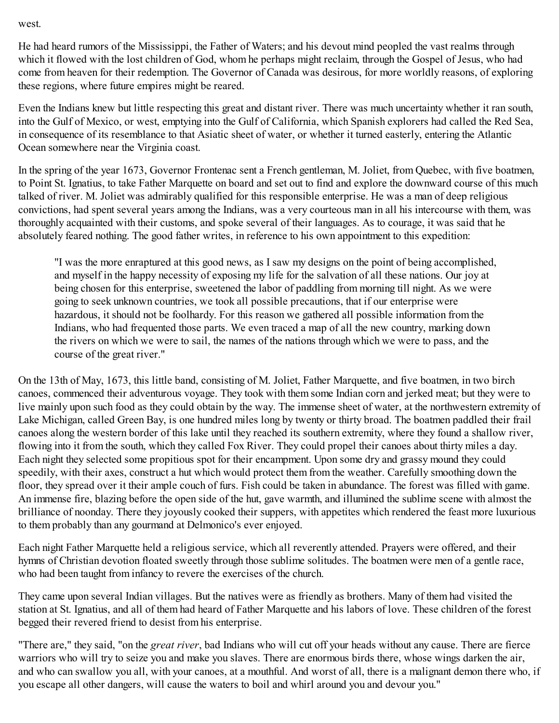west.

He had heard rumors of the Mississippi, the Father of Waters; and his devout mind peopled the vast realms through which it flowed with the lost children of God, whom he perhaps might reclaim, through the Gospel of Jesus, who had come from heaven for their redemption. The Governor of Canada was desirous, for more worldly reasons, of exploring these regions, where future empires might be reared.

Even the Indians knew but little respecting this great and distant river. There was much uncertainty whether it ran south, into the Gulf of Mexico, or west, emptying into the Gulf of California, which Spanish explorers had called the Red Sea, in consequence of its resemblance to that Asiatic sheet of water, or whether it turned easterly, entering the Atlantic Ocean somewhere near the Virginia coast.

In the spring of the year 1673, Governor Frontenac sent a French gentleman, M. Joliet, from Quebec, with five boatmen, to Point St. Ignatius, to take Father Marquette on board and set out to find and explore the downward course of this much talked of river. M. Joliet was admirably qualified for this responsible enterprise. He was a man of deep religious convictions, had spent several years among the Indians, was a very courteous man in all his intercourse with them, was thoroughly acquainted with their customs, and spoke several of their languages. As to courage, it was said that he absolutely feared nothing. The good father writes, in reference to his own appointment to this expedition:

"I was the more enraptured at this good news, as I saw my designs on the point of being accomplished, and myself in the happy necessity of exposing my life for the salvation of all these nations. Our joy at being chosen for this enterprise, sweetened the labor of paddling from morning till night. As we were going to seek unknown countries, we took all possible precautions, that if our enterprise were hazardous, it should not be foolhardy. For this reason we gathered all possible information from the Indians, who had frequented those parts. We even traced a map of all the new country, marking down the rivers on which we were to sail, the names of the nations through which we were to pass, and the course of the great river."

On the 13th of May, 1673, this little band, consisting of M. Joliet, Father Marquette, and five boatmen, in two birch canoes, commenced their adventurous voyage. They took with them some Indian corn and jerked meat; but they were to live mainly upon such food as they could obtain by the way. The immense sheet of water, at the northwestern extremity of Lake Michigan, called Green Bay, is one hundred miles long by twenty or thirty broad. The boatmen paddled their frail canoes along the western border of this lake until they reached its southern extremity, where they found a shallow river, flowing into it from the south, which they called Fox River. They could propel their canoes about thirty miles a day. Each night they selected some propitious spot for their encampment. Upon some dry and grassy mound they could speedily, with their axes, construct a hut which would protect them from the weather. Carefully smoothing down the floor, they spread over it their ample couch of furs. Fish could be taken in abundance. The forest was filled with game. An immense fire, blazing before the open side of the hut, gave warmth, and illumined the sublime scene with almost the brilliance of noonday. There they joyously cooked their suppers, with appetites which rendered the feast more luxurious to them probably than any gourmand at Delmonico's ever enjoyed.

Each night Father Marquette held a religious service, which all reverently attended. Prayers were offered, and their hymns of Christian devotion floated sweetly through those sublime solitudes. The boatmen were men of a gentle race, who had been taught from infancy to revere the exercises of the church.

They came upon several Indian villages. But the natives were as friendly as brothers. Many of them had visited the station at St. Ignatius, and all of them had heard of Father Marquette and his labors of love. These children of the forest begged their revered friend to desist from his enterprise.

"There are," they said, "on the *great river*, bad Indians who will cut off your heads without any cause. There are fierce warriors who will try to seize you and make you slaves. There are enormous birds there, whose wings darken the air, and who can swallow you all, with your canoes, at a mouthful. And worst of all, there is a malignant demon there who, if you escape all other dangers, will cause the waters to boil and whirl around you and devour you."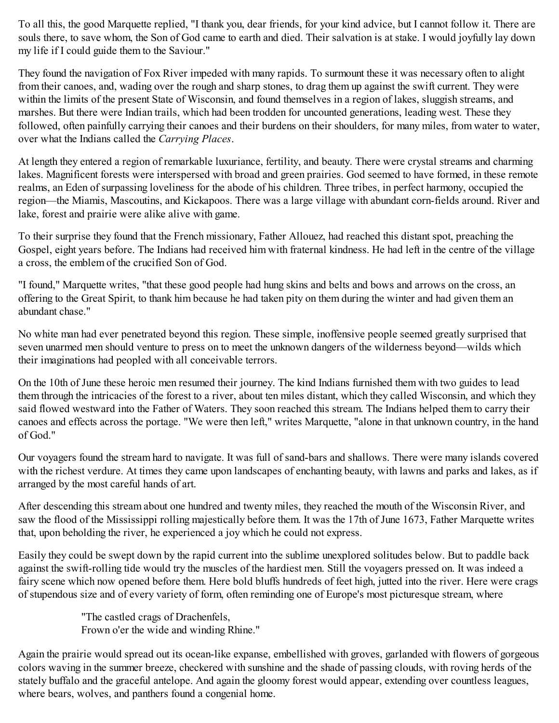To all this, the good Marquette replied, "I thank you, dear friends, for your kind advice, but I cannot follow it. There are souls there, to save whom, the Son of God came to earth and died. Their salvation is at stake. I would joyfully lay down my life if I could guide them to the Saviour."

They found the navigation of Fox River impeded with many rapids. To surmount these it was necessary often to alight from their canoes, and, wading over the rough and sharp stones, to drag them up against the swift current. They were within the limits of the present State of Wisconsin, and found themselves in a region of lakes, sluggish streams, and marshes. But there were Indian trails, which had been trodden for uncounted generations, leading west. These they followed, often painfully carrying their canoes and their burdens on their shoulders, for many miles, from water to water, over what the Indians called the *Carrying Places*.

At length they entered a region of remarkable luxuriance, fertility, and beauty. There were crystal streams and charming lakes. Magnificent forests were interspersed with broad and green prairies. God seemed to have formed, in these remote realms, an Eden of surpassing loveliness for the abode of his children. Three tribes, in perfect harmony, occupied the region—the Miamis, Mascoutins, and Kickapoos. There was a large village with abundant corn-fields around. River and lake, forest and prairie were alike alive with game.

To their surprise they found that the French missionary, Father Allouez, had reached this distant spot, preaching the Gospel, eight years before. The Indians had received him with fraternal kindness. He had left in the centre of the village a cross, the emblem of the crucified Son of God.

"I found," Marquette writes, "that these good people had hung skins and belts and bows and arrows on the cross, an offering to the Great Spirit, to thank him because he had taken pity on them during the winter and had given them an abundant chase."

No white man had ever penetrated beyond this region. These simple, inoffensive people seemed greatly surprised that seven unarmed men should venture to press on to meet the unknown dangers of the wilderness beyond—wilds which their imaginations had peopled with all conceivable terrors.

On the 10th of June these heroic men resumed their journey. The kind Indians furnished them with two guides to lead them through the intricacies of the forest to a river, about ten miles distant, which they called Wisconsin, and which they said flowed westward into the Father of Waters. They soon reached this stream. The Indians helped them to carry their canoes and effects across the portage. "We were then left," writes Marquette, "alone in that unknown country, in the hand of God."

Our voyagers found the stream hard to navigate. It was full of sand-bars and shallows. There were many islands covered with the richest verdure. At times they came upon landscapes of enchanting beauty, with lawns and parks and lakes, as if arranged by the most careful hands of art.

After descending this stream about one hundred and twenty miles, they reached the mouth of the Wisconsin River, and saw the flood of the Mississippi rolling majestically before them. It was the 17th of June 1673, Father Marquette writes that, upon beholding the river, he experienced a joy which he could not express.

Easily they could be swept down by the rapid current into the sublime unexplored solitudes below. But to paddle back against the swift-rolling tide would try the muscles of the hardiest men. Still the voyagers pressed on. It was indeed a fairy scene which now opened before them. Here bold bluffs hundreds of feet high, jutted into the river. Here were crags of stupendous size and of every variety of form, often reminding one of Europe's most picturesque stream, where

> "The castled crags of Drachenfels, Frown o'er the wide and winding Rhine."

Again the prairie would spread out its ocean-like expanse, embellished with groves, garlanded with flowers of gorgeous colors waving in the summer breeze, checkered with sunshine and the shade of passing clouds, with roving herds of the stately buffalo and the graceful antelope. And again the gloomy forest would appear, extending over countless leagues, where bears, wolves, and panthers found a congenial home.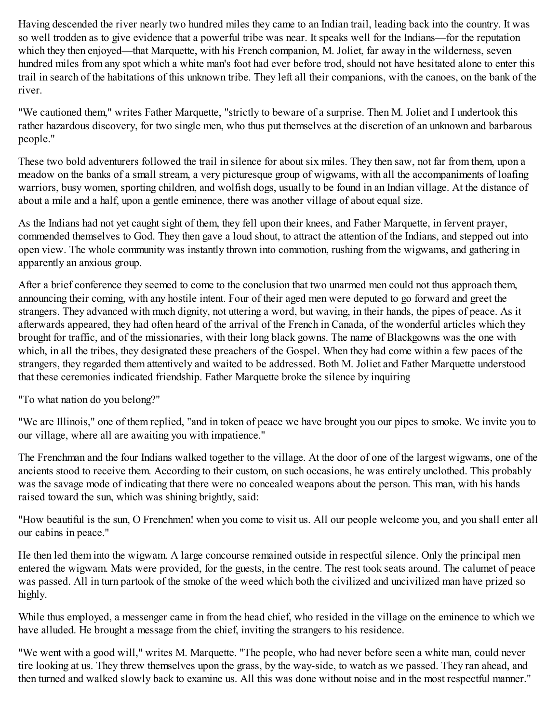Having descended the river nearly two hundred miles they came to an Indian trail, leading back into the country. It was so well trodden as to give evidence that a powerful tribe was near. It speaks well for the Indians—for the reputation which they then enjoyed—that Marquette, with his French companion, M. Joliet, far away in the wilderness, seven hundred miles from any spot which a white man's foot had ever before trod, should not have hesitated alone to enter this trail in search of the habitations of this unknown tribe. They left all their companions, with the canoes, on the bank of the river.

"We cautioned them," writes Father Marquette, "strictly to beware of a surprise. Then M. Joliet and I undertook this rather hazardous discovery, for two single men, who thus put themselves at the discretion of an unknown and barbarous people."

These two bold adventurers followed the trail in silence for about six miles. They then saw, not far from them, upon a meadow on the banks of a small stream, a very picturesque group of wigwams, with all the accompaniments of loafing warriors, busy women, sporting children, and wolfish dogs, usually to be found in an Indian village. At the distance of about a mile and a half, upon a gentle eminence, there was another village of about equal size.

As the Indians had not yet caught sight of them, they fell upon their knees, and Father Marquette, in fervent prayer, commended themselves to God. They then gave a loud shout, to attract the attention of the Indians, and stepped out into open view. The whole community was instantly thrown into commotion, rushing from the wigwams, and gathering in apparently an anxious group.

After a brief conference they seemed to come to the conclusion that two unarmed men could not thus approach them, announcing their coming, with any hostile intent. Four of their aged men were deputed to go forward and greet the strangers. They advanced with much dignity, not uttering a word, but waving, in their hands, the pipes of peace. As it afterwards appeared, they had often heard of the arrival of the French in Canada, of the wonderful articles which they brought for traffic, and of the missionaries, with their long black gowns. The name of Blackgowns was the one with which, in all the tribes, they designated these preachers of the Gospel. When they had come within a few paces of the strangers, they regarded them attentively and waited to be addressed. Both M. Joliet and Father Marquette understood that these ceremonies indicated friendship. Father Marquette broke the silence by inquiring

"To what nation do you belong?"

"We are Illinois," one of them replied, "and in token of peace we have brought you our pipes to smoke. We invite you to our village, where all are awaiting you with impatience."

The Frenchman and the four Indians walked together to the village. At the door of one of the largest wigwams, one of the ancients stood to receive them. According to their custom, on such occasions, he was entirely unclothed. This probably was the savage mode of indicating that there were no concealed weapons about the person. This man, with his hands raised toward the sun, which was shining brightly, said:

"How beautiful is the sun, O Frenchmen! when you come to visit us. All our people welcome you, and you shall enter all our cabins in peace."

He then led them into the wigwam. A large concourse remained outside in respectful silence. Only the principal men entered the wigwam. Mats were provided, for the guests, in the centre. The rest took seats around. The calumet of peace was passed. All in turn partook of the smoke of the weed which both the civilized and uncivilized man have prized so highly.

While thus employed, a messenger came in from the head chief, who resided in the village on the eminence to which we have alluded. He brought a message from the chief, inviting the strangers to his residence.

"We went with a good will," writes M. Marquette. "The people, who had never before seen a white man, could never tire looking at us. They threw themselves upon the grass, by the way-side, to watch as we passed. They ran ahead, and then turned and walked slowly back to examine us. All this was done without noise and in the most respectful manner."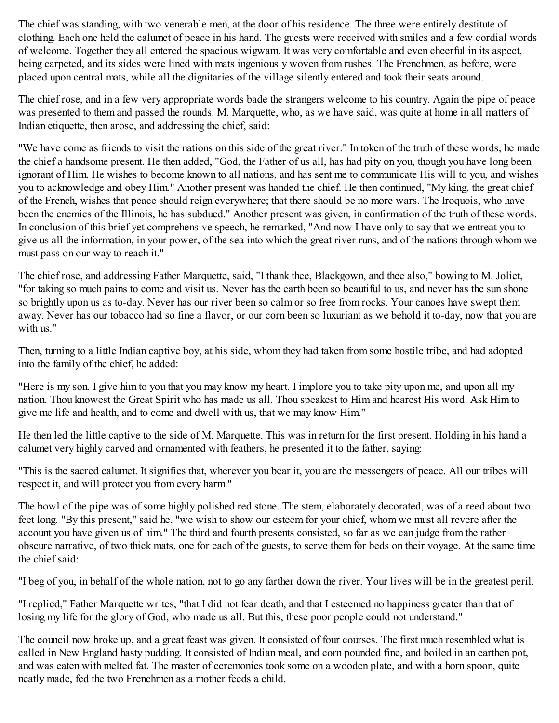The chief was standing, with two venerable men, at the door of his residence. The three were entirely destitute of clothing. Each one held the calumet of peace in his hand. The guests were received with smiles and a few cordial words of welcome. Together they all entered the spacious wigwam. It was very comfortable and even cheerful in its aspect, being carpeted, and its sides were lined with mats ingeniously woven from rushes. The Frenchmen, as before, were placed upon central mats, while all the dignitaries of the village silently entered and took their seats around.

The chief rose, and in a few very appropriate words bade the strangers welcome to his country. Again the pipe of peace was presented to them and passed the rounds. M. Marquette, who, as we have said, was quite at home in all matters of Indian etiquette, then arose, and addressing the chief, said:

"We have come as friends to visit the nations on this side of the great river." In token of the truth of these words, he made the chief a handsome present. He then added, "God, the Father of us all, has had pity on you, though you have long been ignorant of Him. He wishes to become known to all nations, and has sent me to communicate His will to you, and wishes you to acknowledge and obey Him." Another present was handed the chief. He then continued, "My king, the great chief of the French, wishes that peace should reign everywhere; that there should be no more wars. The Iroquois, who have been the enemies of the Illinois, he has subdued." Another present was given, in confirmation of the truth of these words. In conclusion of this brief yet comprehensive speech, he remarked, "And now I have only to say that we entreat you to give us all the information, in your power, of the sea into which the great river runs, and of the nations through whom we must pass on our way to reach it."

The chief rose, and addressing Father Marquette, said, "I thank thee, Blackgown, and thee also," bowing to M. Joliet, "for taking so much pains to come and visit us. Never has the earth been so beautiful to us, and never has the sun shone so brightly upon us as to-day. Never has our river been so calm or so free from rocks. Your canoes have swept them away. Never has our tobacco had so fine a flavor, or our corn been so luxuriant as we behold it to-day, now that you are with us."

Then, turning to a little Indian captive boy, at his side, whom they had taken from some hostile tribe, and had adopted into the family of the chief, he added:

"Here is my son. I give him to you that you may know my heart. I implore you to take pity upon me, and upon all my nation. Thou knowest the Great Spirit who has made us all. Thou speakest to Him and hearest His word. Ask Him to give me life and health, and to come and dwell with us, that we may know Him."

He then led the little captive to the side of M. Marquette. This was in return for the first present. Holding in his hand a calumet very highly carved and ornamented with feathers, he presented it to the father, saying:

"This is the sacred calumet. It signifies that, wherever you bear it, you are the messengers of peace. All our tribes will respect it, and will protect you from every harm."

The bowl of the pipe was of some highly polished red stone. The stem, elaborately decorated, was of a reed about two feet long. "By this present," said he, "we wish to show our esteem for your chief, whom we must all revere after the account you have given us of him." The third and fourth presents consisted, so far as we can judge from the rather obscure narrative, of two thick mats, one for each of the guests, to serve them for beds on their voyage. At the same time the chief said:

"I beg of you, in behalf of the whole nation, not to go any farther down the river. Your lives will be in the greatest peril.

"I replied," Father Marquette writes, "that I did not fear death, and that I esteemed no happiness greater than that of losing my life for the glory of God, who made us all. But this, these poor people could not understand."

The council now broke up, and a great feast was given. It consisted of four courses. The first much resembled what is called in New England hasty pudding. It consisted of Indian meal, and corn pounded fine, and boiled in an earthen pot, and was eaten with melted fat. The master of ceremonies took some on a wooden plate, and with a horn spoon, quite neatly made, fed the two Frenchmen as a mother feeds a child.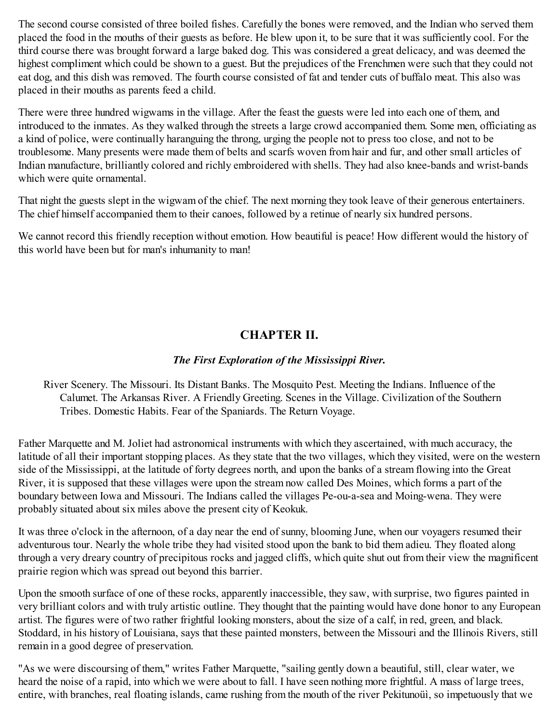The second course consisted of three boiled fishes. Carefully the bones were removed, and the Indian who served them placed the food in the mouths of their guests as before. He blew upon it, to be sure that it was sufficiently cool. For the third course there was brought forward a large baked dog. This was considered a great delicacy, and was deemed the highest compliment which could be shown to a guest. But the prejudices of the Frenchmen were such that they could not eat dog, and this dish was removed. The fourth course consisted of fat and tender cuts of buffalo meat. This also was placed in their mouths as parents feed a child.

There were three hundred wigwams in the village. After the feast the guests were led into each one of them, and introduced to the inmates. As they walked through the streets a large crowd accompanied them. Some men, officiating as a kind of police, were continually haranguing the throng, urging the people not to press too close, and not to be troublesome. Many presents were made them of belts and scarfs woven from hair and fur, and other small articles of Indian manufacture, brilliantly colored and richly embroidered with shells. They had also knee-bands and wrist-bands which were quite ornamental.

That night the guests slept in the wigwam of the chief. The next morning they took leave of their generous entertainers. The chief himself accompanied them to their canoes, followed by a retinue of nearly six hundred persons.

<span id="page-13-0"></span>We cannot record this friendly reception without emotion. How beautiful is peace! How different would the history of this world have been but for man's inhumanity to man!

# **CHAPTER II.**

# *The First Exploration of the Mississippi River.*

River Scenery. The Missouri. Its Distant Banks. The Mosquito Pest. Meeting the Indians. Influence of the Calumet. The Arkansas River. A Friendly Greeting. Scenes in the Village. Civilization of the Southern Tribes. Domestic Habits. Fear of the Spaniards. The Return Voyage.

Father Marquette and M. Joliet had astronomical instruments with which they ascertained, with much accuracy, the latitude of all their important stopping places. As they state that the two villages, which they visited, were on the western side of the Mississippi, at the latitude of forty degrees north, and upon the banks of a stream flowing into the Great River, it is supposed that these villages were upon the stream now called Des Moines, which forms a part of the boundary between Iowa and Missouri. The Indians called the villages Pe-ou-a-sea and Moing-wena. They were probably situated about six miles above the present city of Keokuk.

It was three o'clock in the afternoon, of a day near the end of sunny, blooming June, when our voyagers resumed their adventurous tour. Nearly the whole tribe they had visited stood upon the bank to bid them adieu. They floated along through a very dreary country of precipitous rocks and jagged cliffs, which quite shut out from their view the magnificent prairie region which was spread out beyond this barrier.

Upon the smooth surface of one of these rocks, apparently inaccessible, they saw, with surprise, two figures painted in very brilliant colors and with truly artistic outline. They thought that the painting would have done honor to any European artist. The figures were of two rather frightful looking monsters, about the size of a calf, in red, green, and black. Stoddard, in his history of Louisiana, says that these painted monsters, between the Missouri and the Illinois Rivers, still remain in a good degree of preservation.

"As we were discoursing of them," writes Father Marquette, "sailing gently down a beautiful, still, clear water, we heard the noise of a rapid, into which we were about to fall. I have seen nothing more frightful. A mass of large trees, entire, with branches, real floating islands, came rushing from the mouth of the river Pekitunoüì, so impetuously that we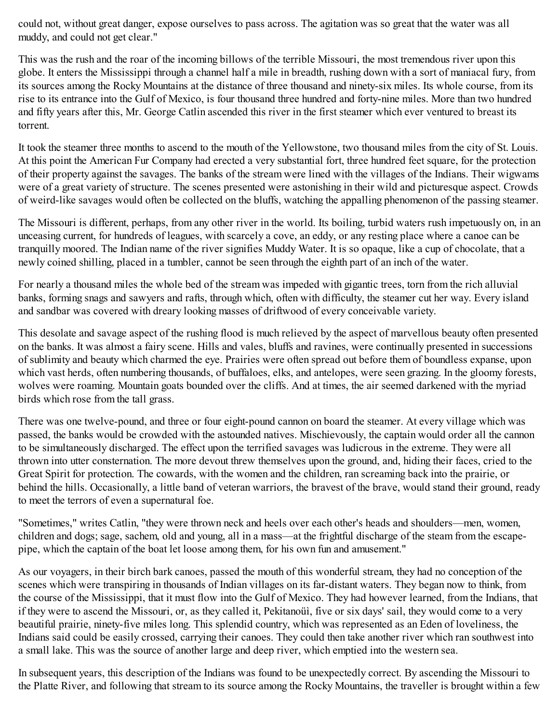could not, without great danger, expose ourselves to pass across. The agitation was so great that the water was all muddy, and could not get clear."

This was the rush and the roar of the incoming billows of the terrible Missouri, the most tremendous river upon this globe. It enters the Mississippi through a channel half a mile in breadth, rushing down with a sort of maniacal fury, from its sources among the Rocky Mountains at the distance of three thousand and ninety-six miles. Its whole course, from its rise to its entrance into the Gulf of Mexico, is four thousand three hundred and forty-nine miles. More than two hundred and fifty years after this, Mr. George Catlin ascended this river in the first steamer which ever ventured to breast its torrent.

It took the steamer three months to ascend to the mouth of the Yellowstone, two thousand miles from the city of St. Louis. At this point the American Fur Company had erected a very substantial fort, three hundred feet square, for the protection of their property against the savages. The banks of the stream were lined with the villages of the Indians. Their wigwams were of a great variety of structure. The scenes presented were astonishing in their wild and picturesque aspect. Crowds of weird-like savages would often be collected on the bluffs, watching the appalling phenomenon of the passing steamer.

The Missouri is different, perhaps, from any other river in the world. Its boiling, turbid waters rush impetuously on, in an unceasing current, for hundreds of leagues, with scarcely a cove, an eddy, or any resting place where a canoe can be tranquilly moored. The Indian name of the river signifies Muddy Water. It is so opaque, like a cup of chocolate, that a newly coined shilling, placed in a tumbler, cannot be seen through the eighth part of an inch of the water.

For nearly a thousand miles the whole bed of the stream was impeded with gigantic trees, torn from the rich alluvial banks, forming snags and sawyers and rafts, through which, often with difficulty, the steamer cut her way. Every island and sandbar was covered with dreary looking masses of driftwood of every conceivable variety.

This desolate and savage aspect of the rushing flood is much relieved by the aspect of marvellous beauty often presented on the banks. It was almost a fairy scene. Hills and vales, bluffs and ravines, were continually presented in successions of sublimity and beauty which charmed the eye. Prairies were often spread out before them of boundless expanse, upon which vast herds, often numbering thousands, of buffaloes, elks, and antelopes, were seen grazing. In the gloomy forests, wolves were roaming. Mountain goats bounded over the cliffs. And at times, the air seemed darkened with the myriad birds which rose from the tall grass.

There was one twelve-pound, and three or four eight-pound cannon on board the steamer. At every village which was passed, the banks would be crowded with the astounded natives. Mischievously, the captain would order all the cannon to be simultaneously discharged. The effect upon the terrified savages was ludicrous in the extreme. They were all thrown into utter consternation. The more devout threw themselves upon the ground, and, hiding their faces, cried to the Great Spirit for protection. The cowards, with the women and the children, ran screaming back into the prairie, or behind the hills. Occasionally, a little band of veteran warriors, the bravest of the brave, would stand their ground, ready to meet the terrors of even a supernatural foe.

"Sometimes," writes Catlin, "they were thrown neck and heels over each other's heads and shoulders—men, women, children and dogs; sage, sachem, old and young, all in a mass—at the frightful discharge of the steam from the escapepipe, which the captain of the boat let loose among them, for his own fun and amusement."

As our voyagers, in their birch bark canoes, passed the mouth of this wonderful stream, they had no conception of the scenes which were transpiring in thousands of Indian villages on its far-distant waters. They began now to think, from the course of the Mississippi, that it must flow into the Gulf of Mexico. They had however learned, from the Indians, that if they were to ascend the Missouri, or, as they called it, Pekitanoüì, five or six days' sail, they would come to a very beautiful prairie, ninety-five miles long. This splendid country, which was represented as an Eden of loveliness, the Indians said could be easily crossed, carrying their canoes. They could then take another river which ran southwest into a small lake. This was the source of another large and deep river, which emptied into the western sea.

In subsequent years, this description of the Indians was found to be unexpectedly correct. By ascending the Missouri to the Platte River, and following that stream to its source among the Rocky Mountains, the traveller is brought within a few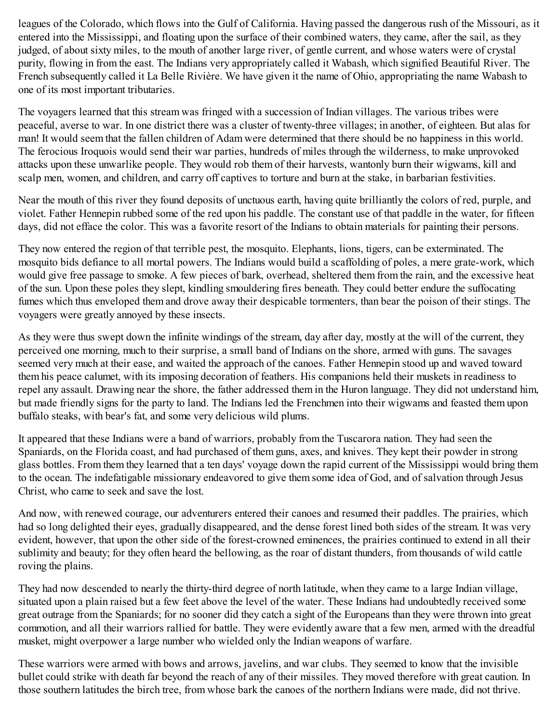leagues of the Colorado, which flows into the Gulf of California. Having passed the dangerous rush of the Missouri, as it entered into the Mississippi, and floating upon the surface of their combined waters, they came, after the sail, as they judged, of about sixty miles, to the mouth of another large river, of gentle current, and whose waters were of crystal purity, flowing in from the east. The Indians very appropriately called it Wabash, which signified Beautiful River. The French subsequently called it La Belle Rivière. We have given it the name of Ohio, appropriating the name Wabash to one of its most important tributaries.

The voyagers learned that this stream was fringed with a succession of Indian villages. The various tribes were peaceful, averse to war. In one district there was a cluster of twenty-three villages; in another, of eighteen. But alas for man! It would seem that the fallen children of Adam were determined that there should be no happiness in this world. The ferocious Iroquois would send their war parties, hundreds of miles through the wilderness, to make unprovoked attacks upon these unwarlike people. They would rob them of their harvests, wantonly burn their wigwams, kill and scalp men, women, and children, and carry off captives to torture and burn at the stake, in barbarian festivities.

Near the mouth of this river they found deposits of unctuous earth, having quite brilliantly the colors of red, purple, and violet. Father Hennepin rubbed some of the red upon his paddle. The constant use of that paddle in the water, for fifteen days, did not efface the color. This was a favorite resort of the Indians to obtain materials for painting their persons.

They now entered the region of that terrible pest, the mosquito. Elephants, lions, tigers, can be exterminated. The mosquito bids defiance to all mortal powers. The Indians would build a scaffolding of poles, a mere grate-work, which would give free passage to smoke. A few pieces of bark, overhead, sheltered them from the rain, and the excessive heat of the sun. Upon these poles they slept, kindling smouldering fires beneath. They could better endure the suffocating fumes which thus enveloped them and drove away their despicable tormenters, than bear the poison of their stings. The voyagers were greatly annoyed by these insects.

As they were thus swept down the infinite windings of the stream, day after day, mostly at the will of the current, they perceived one morning, much to their surprise, a small band of Indians on the shore, armed with guns. The savages seemed very much at their ease, and waited the approach of the canoes. Father Hennepin stood up and waved toward them his peace calumet, with its imposing decoration of feathers. His companions held their muskets in readiness to repel any assault. Drawing near the shore, the father addressed them in the Huron language. They did not understand him, but made friendly signs for the party to land. The Indians led the Frenchmen into their wigwams and feasted them upon buffalo steaks, with bear's fat, and some very delicious wild plums.

It appeared that these Indians were a band of warriors, probably from the Tuscarora nation. They had seen the Spaniards, on the Florida coast, and had purchased of them guns, axes, and knives. They kept their powder in strong glass bottles. From them they learned that a ten days' voyage down the rapid current of the Mississippi would bring them to the ocean. The indefatigable missionary endeavored to give them some idea of God, and of salvation through Jesus Christ, who came to seek and save the lost.

And now, with renewed courage, our adventurers entered their canoes and resumed their paddles. The prairies, which had so long delighted their eyes, gradually disappeared, and the dense forest lined both sides of the stream. It was very evident, however, that upon the other side of the forest-crowned eminences, the prairies continued to extend in all their sublimity and beauty; for they often heard the bellowing, as the roar of distant thunders, from thousands of wild cattle roving the plains.

They had now descended to nearly the thirty-third degree of north latitude, when they came to a large Indian village, situated upon a plain raised but a few feet above the level of the water. These Indians had undoubtedly received some great outrage from the Spaniards; for no sooner did they catch a sight of the Europeans than they were thrown into great commotion, and all their warriors rallied for battle. They were evidently aware that a few men, armed with the dreadful musket, might overpower a large number who wielded only the Indian weapons of warfare.

These warriors were armed with bows and arrows, javelins, and war clubs. They seemed to know that the invisible bullet could strike with death far beyond the reach of any of their missiles. They moved therefore with great caution. In those southern latitudes the birch tree, from whose bark the canoes of the northern Indians were made, did not thrive.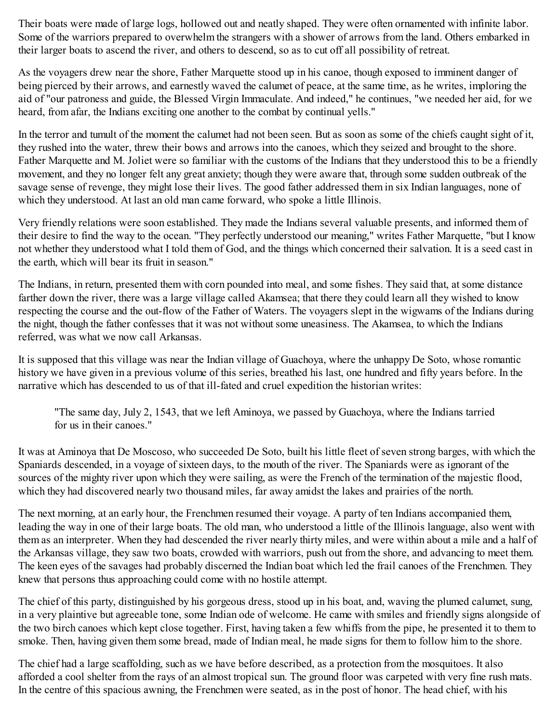Their boats were made of large logs, hollowed out and neatly shaped. They were often ornamented with infinite labor. Some of the warriors prepared to overwhelm the strangers with a shower of arrows from the land. Others embarked in their larger boats to ascend the river, and others to descend, so as to cut off all possibility of retreat.

As the voyagers drew near the shore, Father Marquette stood up in his canoe, though exposed to imminent danger of being pierced by their arrows, and earnestly waved the calumet of peace, at the same time, as he writes, imploring the aid of "our patroness and guide, the Blessed Virgin Immaculate. And indeed," he continues, "we needed her aid, for we heard, from afar, the Indians exciting one another to the combat by continual yells."

In the terror and tumult of the moment the calumet had not been seen. But as soon as some of the chiefs caught sight of it, they rushed into the water, threw their bows and arrows into the canoes, which they seized and brought to the shore. Father Marquette and M. Joliet were so familiar with the customs of the Indians that they understood this to be a friendly movement, and they no longer felt any great anxiety; though they were aware that, through some sudden outbreak of the savage sense of revenge, they might lose their lives. The good father addressed them in six Indian languages, none of which they understood. At last an old man came forward, who spoke a little Illinois.

Very friendly relations were soon established. They made the Indians several valuable presents, and informed them of their desire to find the way to the ocean. "They perfectly understood our meaning," writes Father Marquette, "but I know not whether they understood what I told them of God, and the things which concerned their salvation. It is a seed cast in the earth, which will bear its fruit in season."

The Indians, in return, presented them with corn pounded into meal, and some fishes. They said that, at some distance farther down the river, there was a large village called Akamsea; that there they could learn all they wished to know respecting the course and the out-flow of the Father of Waters. The voyagers slept in the wigwams of the Indians during the night, though the father confesses that it was not without some uneasiness. The Akamsea, to which the Indians referred, was what we now call Arkansas.

It is supposed that this village was near the Indian village of Guachoya, where the unhappy De Soto, whose romantic history we have given in a previous volume of this series, breathed his last, one hundred and fifty years before. In the narrative which has descended to us of that ill-fated and cruel expedition the historian writes:

"The same day, July 2, 1543, that we left Aminoya, we passed by Guachoya, where the Indians tarried for us in their canoes."

It was at Aminoya that De Moscoso, who succeeded De Soto, built his little fleet of seven strong barges, with which the Spaniards descended, in a voyage of sixteen days, to the mouth of the river. The Spaniards were as ignorant of the sources of the mighty river upon which they were sailing, as were the French of the termination of the majestic flood, which they had discovered nearly two thousand miles, far away amidst the lakes and prairies of the north.

The next morning, at an early hour, the Frenchmen resumed their voyage. A party of ten Indians accompanied them, leading the way in one of their large boats. The old man, who understood a little of the Illinois language, also went with them as an interpreter. When they had descended the river nearly thirty miles, and were within about a mile and a half of the Arkansas village, they saw two boats, crowded with warriors, push out from the shore, and advancing to meet them. The keen eyes of the savages had probably discerned the Indian boat which led the frail canoes of the Frenchmen. They knew that persons thus approaching could come with no hostile attempt.

The chief of this party, distinguished by his gorgeous dress, stood up in his boat, and, waving the plumed calumet, sung, in a very plaintive but agreeable tone, some Indian ode of welcome. He came with smiles and friendly signs alongside of the two birch canoes which kept close together. First, having taken a few whiffs from the pipe, he presented it to them to smoke. Then, having given them some bread, made of Indian meal, he made signs for them to follow him to the shore.

The chief had a large scaffolding, such as we have before described, as a protection from the mosquitoes. It also afforded a cool shelter from the rays of an almost tropical sun. The ground floor was carpeted with very fine rush mats. In the centre of this spacious awning, the Frenchmen were seated, as in the post of honor. The head chief, with his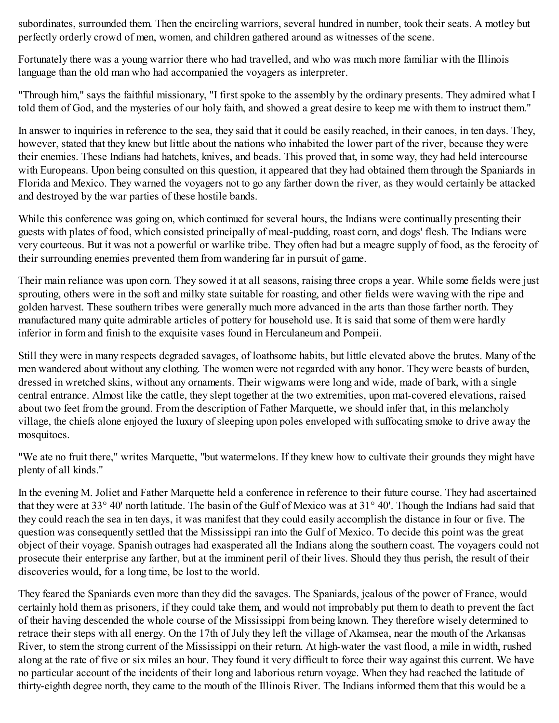subordinates, surrounded them. Then the encircling warriors, several hundred in number, took their seats. A motley but perfectly orderly crowd of men, women, and children gathered around as witnesses of the scene.

Fortunately there was a young warrior there who had travelled, and who was much more familiar with the Illinois language than the old man who had accompanied the voyagers as interpreter.

"Through him," says the faithful missionary, "I first spoke to the assembly by the ordinary presents. They admired what I told them of God, and the mysteries of our holy faith, and showed a great desire to keep me with them to instruct them."

In answer to inquiries in reference to the sea, they said that it could be easily reached, in their canoes, in ten days. They, however, stated that they knew but little about the nations who inhabited the lower part of the river, because they were their enemies. These Indians had hatchets, knives, and beads. This proved that, in some way, they had held intercourse with Europeans. Upon being consulted on this question, it appeared that they had obtained them through the Spaniards in Florida and Mexico. They warned the voyagers not to go any farther down the river, as they would certainly be attacked and destroyed by the war parties of these hostile bands.

While this conference was going on, which continued for several hours, the Indians were continually presenting their guests with plates of food, which consisted principally of meal-pudding, roast corn, and dogs' flesh. The Indians were very courteous. But it was not a powerful or warlike tribe. They often had but a meagre supply of food, as the ferocity of their surrounding enemies prevented them from wandering far in pursuit of game.

Their main reliance was upon corn. They sowed it at all seasons, raising three crops a year. While some fields were just sprouting, others were in the soft and milky state suitable for roasting, and other fields were waving with the ripe and golden harvest. These southern tribes were generally much more advanced in the arts than those farther north. They manufactured many quite admirable articles of pottery for household use. It is said that some of them were hardly inferior in form and finish to the exquisite vases found in Herculaneum and Pompeii.

Still they were in many respects degraded savages, of loathsome habits, but little elevated above the brutes. Many of the men wandered about without any clothing. The women were not regarded with any honor. They were beasts of burden, dressed in wretched skins, without any ornaments. Their wigwams were long and wide, made of bark, with a single central entrance. Almost like the cattle, they slept together at the two extremities, upon mat-covered elevations, raised about two feet from the ground. From the description of Father Marquette, we should infer that, in this melancholy village, the chiefs alone enjoyed the luxury of sleeping upon poles enveloped with suffocating smoke to drive away the mosquitoes.

"We ate no fruit there," writes Marquette, "but watermelons. If they knew how to cultivate their grounds they might have plenty of all kinds."

In the evening M. Joliet and Father Marquette held a conference in reference to their future course. They had ascertained that they were at 33° 40' north latitude. The basin of the Gulf of Mexico was at 31° 40'. Though the Indians had said that they could reach the sea in ten days, it was manifest that they could easily accomplish the distance in four or five. The question was consequently settled that the Mississippi ran into the Gulf of Mexico. To decide this point was the great object of their voyage. Spanish outrages had exasperated all the Indians along the southern coast. The voyagers could not prosecute their enterprise any farther, but at the imminent peril of their lives. Should they thus perish, the result of their discoveries would, for a long time, be lost to the world.

They feared the Spaniards even more than they did the savages. The Spaniards, jealous of the power of France, would certainly hold them as prisoners, if they could take them, and would not improbably put them to death to prevent the fact of their having descended the whole course of the Mississippi from being known. They therefore wisely determined to retrace their steps with all energy. On the 17th of July they left the village of Akamsea, near the mouth of the Arkansas River, to stem the strong current of the Mississippi on their return. At high-water the vast flood, a mile in width, rushed along at the rate of five or six miles an hour. They found it very difficult to force their way against this current. We have no particular account of the incidents of their long and laborious return voyage. When they had reached the latitude of thirty-eighth degree north, they came to the mouth of the Illinois River. The Indians informed them that this would be a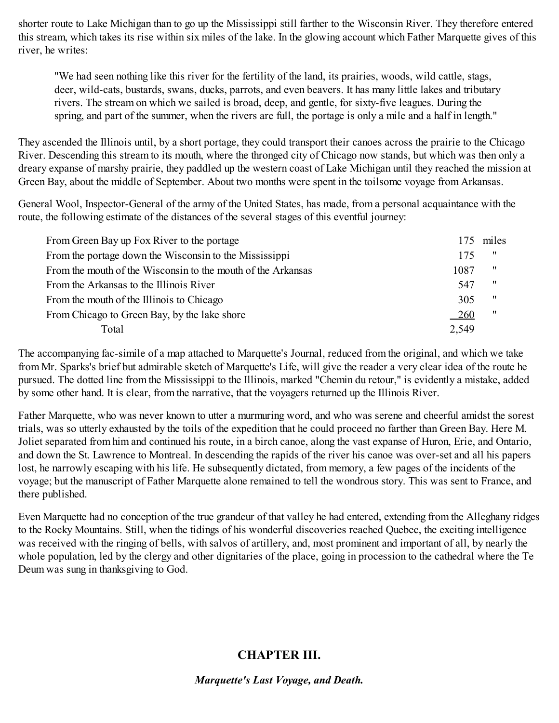shorter route to Lake Michigan than to go up the Mississippi still farther to the Wisconsin River. They therefore entered this stream, which takes its rise within six miles of the lake. In the glowing account which Father Marquette gives of this river, he writes:

"We had seen nothing like this river for the fertility of the land, its prairies, woods, wild cattle, stags, deer, wild-cats, bustards, swans, ducks, parrots, and even beavers. It has many little lakes and tributary rivers. The stream on which we sailed is broad, deep, and gentle, for sixty-five leagues. During the spring, and part of the summer, when the rivers are full, the portage is only a mile and a half in length."

They ascended the Illinois until, by a short portage, they could transport their canoes across the prairie to the Chicago River. Descending this stream to its mouth, where the thronged city of Chicago now stands, but which was then only a dreary expanse of marshy prairie, they paddled up the western coast of Lake Michigan until they reached the mission at Green Bay, about the middle of September. About two months were spent in the toilsome voyage from Arkansas.

General Wool, Inspector-General of the army of the United States, has made, from a personal acquaintance with the route, the following estimate of the distances of the several stages of this eventful journey:

| From Green Bay up Fox River to the portage                   | 175        | miles             |
|--------------------------------------------------------------|------------|-------------------|
| From the portage down the Wisconsin to the Mississippi       | 175        | -11               |
| From the mouth of the Wisconsin to the mouth of the Arkansas | 1087       | 11                |
| From the Arkansas to the Illinois River                      | 547        | $^{\prime\prime}$ |
| From the mouth of the Illinois to Chicago                    | 305        | $^{\prime\prime}$ |
| From Chicago to Green Bay, by the lake shore                 | <u>260</u> | 11                |
| Total                                                        | 2,549      |                   |

The accompanying fac-simile of a map attached to Marquette's Journal, reduced from the original, and which we take from Mr. Sparks's brief but admirable sketch of Marquette's Life, will give the reader a very clear idea of the route he pursued. The dotted line from the Mississippi to the Illinois, marked "Chemin du retour," is evidently a mistake, added by some other hand. It is clear, from the narrative, that the voyagers returned up the Illinois River.

Father Marquette, who was never known to utter a murmuring word, and who was serene and cheerful amidst the sorest trials, was so utterly exhausted by the toils of the expedition that he could proceed no farther than Green Bay. Here M. Joliet separated from him and continued his route, in a birch canoe, along the vast expanse of Huron, Erie, and Ontario, and down the St. Lawrence to Montreal. In descending the rapids of the river his canoe was over-set and all his papers lost, he narrowly escaping with his life. He subsequently dictated, from memory, a few pages of the incidents of the voyage; but the manuscript of Father Marquette alone remained to tell the wondrous story. This was sent to France, and there published.

<span id="page-18-0"></span>Even Marquette had no conception of the true grandeur of that valley he had entered, extending from the Alleghany ridges to the Rocky Mountains. Still, when the tidings of his wonderful discoveries reached Quebec, the exciting intelligence was received with the ringing of bells, with salvos of artillery, and, most prominent and important of all, by nearly the whole population, led by the clergy and other dignitaries of the place, going in procession to the cathedral where the Te Deum was sung in thanksgiving to God.

# **CHAPTER III.**

*Marquette's Last Voyage, and Death.*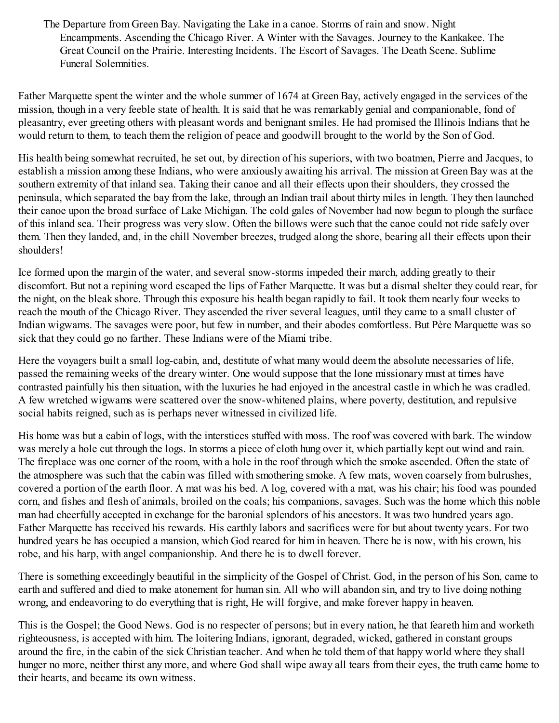The Departure from Green Bay. Navigating the Lake in a canoe. Storms of rain and snow. Night Encampments. Ascending the Chicago River. A Winter with the Savages. Journey to the Kankakee. The Great Council on the Prairie. Interesting Incidents. The Escort of Savages. The Death Scene. Sublime Funeral Solemnities.

Father Marquette spent the winter and the whole summer of 1674 at Green Bay, actively engaged in the services of the mission, though in a very feeble state of health. It is said that he was remarkably genial and companionable, fond of pleasantry, ever greeting others with pleasant words and benignant smiles. He had promised the Illinois Indians that he would return to them, to teach them the religion of peace and goodwill brought to the world by the Son of God.

His health being somewhat recruited, he set out, by direction of his superiors, with two boatmen, Pierre and Jacques, to establish a mission among these Indians, who were anxiously awaiting his arrival. The mission at Green Bay was at the southern extremity of that inland sea. Taking their canoe and all their effects upon their shoulders, they crossed the peninsula, which separated the bay from the lake, through an Indian trail about thirty miles in length. They then launched their canoe upon the broad surface of Lake Michigan. The cold gales of November had now begun to plough the surface of this inland sea. Their progress was very slow. Often the billows were such that the canoe could not ride safely over them. Then they landed, and, in the chill November breezes, trudged along the shore, bearing all their effects upon their shoulders!

Ice formed upon the margin of the water, and several snow-storms impeded their march, adding greatly to their discomfort. But not a repining word escaped the lips of Father Marquette. It was but a dismal shelter they could rear, for the night, on the bleak shore. Through this exposure his health began rapidly to fail. It took them nearly four weeks to reach the mouth of the Chicago River. They ascended the river several leagues, until they came to a small cluster of Indian wigwams. The savages were poor, but few in number, and their abodes comfortless. But Père Marquette was so sick that they could go no farther. These Indians were of the Miami tribe.

Here the voyagers built a small log-cabin, and, destitute of what many would deem the absolute necessaries of life, passed the remaining weeks of the dreary winter. One would suppose that the lone missionary must at times have contrasted painfully his then situation, with the luxuries he had enjoyed in the ancestral castle in which he was cradled. A few wretched wigwams were scattered over the snow-whitened plains, where poverty, destitution, and repulsive social habits reigned, such as is perhaps never witnessed in civilized life.

His home was but a cabin of logs, with the interstices stuffed with moss. The roof was covered with bark. The window was merely a hole cut through the logs. In storms a piece of cloth hung over it, which partially kept out wind and rain. The fireplace was one corner of the room, with a hole in the roof through which the smoke ascended. Often the state of the atmosphere was such that the cabin was filled with smothering smoke. A few mats, woven coarsely from bulrushes, covered a portion of the earth floor. A mat was his bed. A log, covered with a mat, was his chair; his food was pounded corn, and fishes and flesh of animals, broiled on the coals; his companions, savages. Such was the home which this noble man had cheerfully accepted in exchange for the baronial splendors of his ancestors. It was two hundred years ago. Father Marquette has received his rewards. His earthly labors and sacrifices were for but about twenty years. For two hundred years he has occupied a mansion, which God reared for him in heaven. There he is now, with his crown, his robe, and his harp, with angel companionship. And there he is to dwell forever.

There is something exceedingly beautiful in the simplicity of the Gospel of Christ. God, in the person of his Son, came to earth and suffered and died to make atonement for human sin. All who will abandon sin, and try to live doing nothing wrong, and endeavoring to do everything that is right, He will forgive, and make forever happy in heaven.

This is the Gospel; the Good News. God is no respecter of persons; but in every nation, he that feareth him and worketh righteousness, is accepted with him. The loitering Indians, ignorant, degraded, wicked, gathered in constant groups around the fire, in the cabin of the sick Christian teacher. And when he told them of that happy world where they shall hunger no more, neither thirst any more, and where God shall wipe away all tears from their eyes, the truth came home to their hearts, and became its own witness.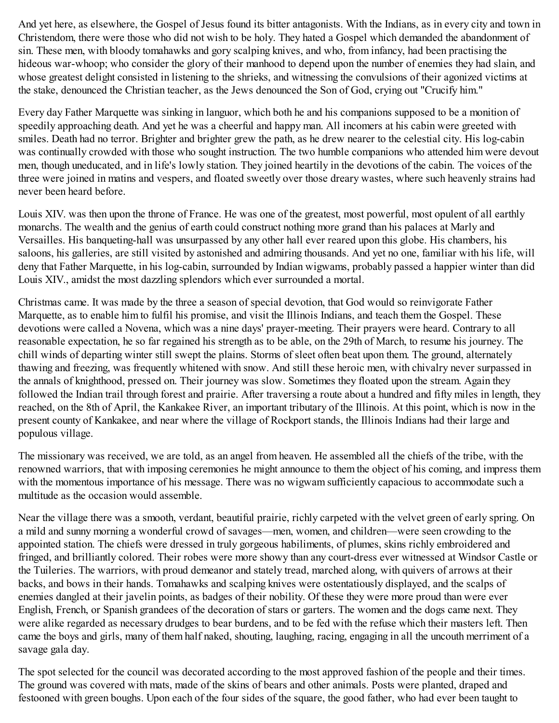And yet here, as elsewhere, the Gospel of Jesus found its bitter antagonists. With the Indians, as in every city and town in Christendom, there were those who did not wish to be holy. They hated a Gospel which demanded the abandonment of sin. These men, with bloody tomahawks and gory scalping knives, and who, from infancy, had been practising the hideous war-whoop; who consider the glory of their manhood to depend upon the number of enemies they had slain, and whose greatest delight consisted in listening to the shrieks, and witnessing the convulsions of their agonized victims at the stake, denounced the Christian teacher, as the Jews denounced the Son of God, crying out "Crucify him."

Every day Father Marquette was sinking in languor, which both he and his companions supposed to be a monition of speedily approaching death. And yet he was a cheerful and happy man. All incomers at his cabin were greeted with smiles. Death had no terror. Brighter and brighter grew the path, as he drew nearer to the celestial city. His log-cabin was continually crowded with those who sought instruction. The two humble companions who attended him were devout men, though uneducated, and in life's lowly station. They joined heartily in the devotions of the cabin. The voices of the three were joined in matins and vespers, and floated sweetly over those dreary wastes, where such heavenly strains had never been heard before.

Louis XIV. was then upon the throne of France. He was one of the greatest, most powerful, most opulent of all earthly monarchs. The wealth and the genius of earth could construct nothing more grand than his palaces at Marly and Versailles. His banqueting-hall was unsurpassed by any other hall ever reared upon this globe. His chambers, his saloons, his galleries, are still visited by astonished and admiring thousands. And yet no one, familiar with his life, will deny that Father Marquette, in his log-cabin, surrounded by Indian wigwams, probably passed a happier winter than did Louis XIV., amidst the most dazzling splendors which ever surrounded a mortal.

Christmas came. It was made by the three a season of special devotion, that God would so reinvigorate Father Marquette, as to enable him to fulfil his promise, and visit the Illinois Indians, and teach them the Gospel. These devotions were called a Novena, which was a nine days' prayer-meeting. Their prayers were heard. Contrary to all reasonable expectation, he so far regained his strength as to be able, on the 29th of March, to resume his journey. The chill winds of departing winter still swept the plains. Storms of sleet often beat upon them. The ground, alternately thawing and freezing, was frequently whitened with snow. And still these heroic men, with chivalry never surpassed in the annals of knighthood, pressed on. Their journey was slow. Sometimes they floated upon the stream. Again they followed the Indian trail through forest and prairie. After traversing a route about a hundred and fifty miles in length, they reached, on the 8th of April, the Kankakee River, an important tributary of the Illinois. At this point, which is now in the present county of Kankakee, and near where the village of Rockport stands, the Illinois Indians had their large and populous village.

The missionary was received, we are told, as an angel from heaven. He assembled all the chiefs of the tribe, with the renowned warriors, that with imposing ceremonies he might announce to them the object of his coming, and impress them with the momentous importance of his message. There was no wigwam sufficiently capacious to accommodate such a multitude as the occasion would assemble.

Near the village there was a smooth, verdant, beautiful prairie, richly carpeted with the velvet green of early spring. On a mild and sunny morning a wonderful crowd of savages—men, women, and children—were seen crowding to the appointed station. The chiefs were dressed in truly gorgeous habiliments, of plumes, skins richly embroidered and fringed, and brilliantly colored. Their robes were more showy than any court-dress ever witnessed at Windsor Castle or the Tuileries. The warriors, with proud demeanor and stately tread, marched along, with quivers of arrows at their backs, and bows in their hands. Tomahawks and scalping knives were ostentatiously displayed, and the scalps of enemies dangled at their javelin points, as badges of their nobility. Of these they were more proud than were ever English, French, or Spanish grandees of the decoration of stars or garters. The women and the dogs came next. They were alike regarded as necessary drudges to bear burdens, and to be fed with the refuse which their masters left. Then came the boys and girls, many of them half naked, shouting, laughing, racing, engaging in all the uncouth merriment of a savage gala day.

The spot selected for the council was decorated according to the most approved fashion of the people and their times. The ground was covered with mats, made of the skins of bears and other animals. Posts were planted, draped and festooned with green boughs. Upon each of the four sides of the square, the good father, who had ever been taught to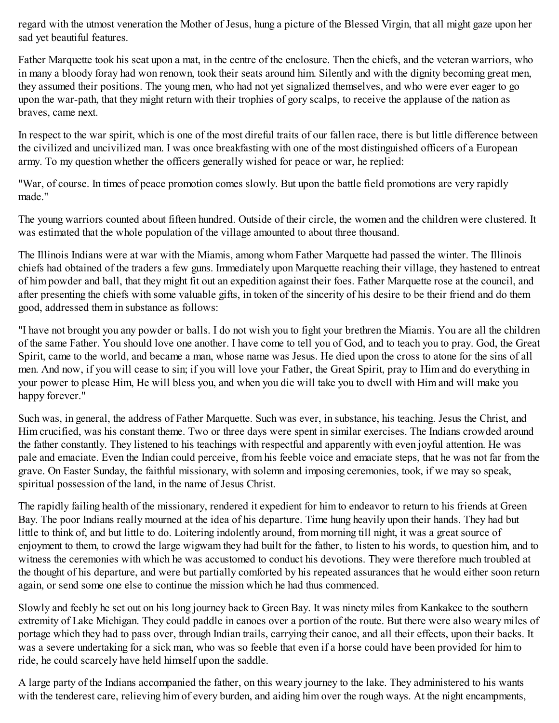regard with the utmost veneration the Mother of Jesus, hung a picture of the Blessed Virgin, that all might gaze upon her sad yet beautiful features.

Father Marquette took his seat upon a mat, in the centre of the enclosure. Then the chiefs, and the veteran warriors, who in many a bloody foray had won renown, took their seats around him. Silently and with the dignity becoming great men, they assumed their positions. The young men, who had not yet signalized themselves, and who were ever eager to go upon the war-path, that they might return with their trophies of gory scalps, to receive the applause of the nation as braves, came next.

In respect to the war spirit, which is one of the most direful traits of our fallen race, there is but little difference between the civilized and uncivilized man. I was once breakfasting with one of the most distinguished officers of a European army. To my question whether the officers generally wished for peace or war, he replied:

"War, of course. In times of peace promotion comes slowly. But upon the battle field promotions are very rapidly made."

The young warriors counted about fifteen hundred. Outside of their circle, the women and the children were clustered. It was estimated that the whole population of the village amounted to about three thousand.

The Illinois Indians were at war with the Miamis, among whom Father Marquette had passed the winter. The Illinois chiefs had obtained of the traders a few guns. Immediately upon Marquette reaching their village, they hastened to entreat of him powder and ball, that they might fit out an expedition against their foes. Father Marquette rose at the council, and after presenting the chiefs with some valuable gifts, in token of the sincerity of his desire to be their friend and do them good, addressed them in substance as follows:

"I have not brought you any powder or balls. I do not wish you to fight your brethren the Miamis. You are all the children of the same Father. You should love one another. I have come to tell you of God, and to teach you to pray. God, the Great Spirit, came to the world, and became a man, whose name was Jesus. He died upon the cross to atone for the sins of all men. And now, if you will cease to sin; if you will love your Father, the Great Spirit, pray to Him and do everything in your power to please Him, He will bless you, and when you die will take you to dwell with Him and will make you happy forever."

Such was, in general, the address of Father Marquette. Such was ever, in substance, his teaching. Jesus the Christ, and Him crucified, was his constant theme. Two or three days were spent in similar exercises. The Indians crowded around the father constantly. They listened to his teachings with respectful and apparently with even joyful attention. He was pale and emaciate. Even the Indian could perceive, from his feeble voice and emaciate steps, that he was not far from the grave. On Easter Sunday, the faithful missionary, with solemn and imposing ceremonies, took, if we may so speak, spiritual possession of the land, in the name of Jesus Christ.

The rapidly failing health of the missionary, rendered it expedient for him to endeavor to return to his friends at Green Bay. The poor Indians really mourned at the idea of his departure. Time hung heavily upon their hands. They had but little to think of, and but little to do. Loitering indolently around, from morning till night, it was a great source of enjoyment to them, to crowd the large wigwam they had built for the father, to listen to his words, to question him, and to witness the ceremonies with which he was accustomed to conduct his devotions. They were therefore much troubled at the thought of his departure, and were but partially comforted by his repeated assurances that he would either soon return again, or send some one else to continue the mission which he had thus commenced.

Slowly and feebly he set out on his long journey back to Green Bay. It was ninety miles from Kankakee to the southern extremity of Lake Michigan. They could paddle in canoes over a portion of the route. But there were also weary miles of portage which they had to pass over, through Indian trails, carrying their canoe, and all their effects, upon their backs. It was a severe undertaking for a sick man, who was so feeble that even if a horse could have been provided for him to ride, he could scarcely have held himself upon the saddle.

A large party of the Indians accompanied the father, on this weary journey to the lake. They administered to his wants with the tenderest care, relieving him of every burden, and aiding him over the rough ways. At the night encampments,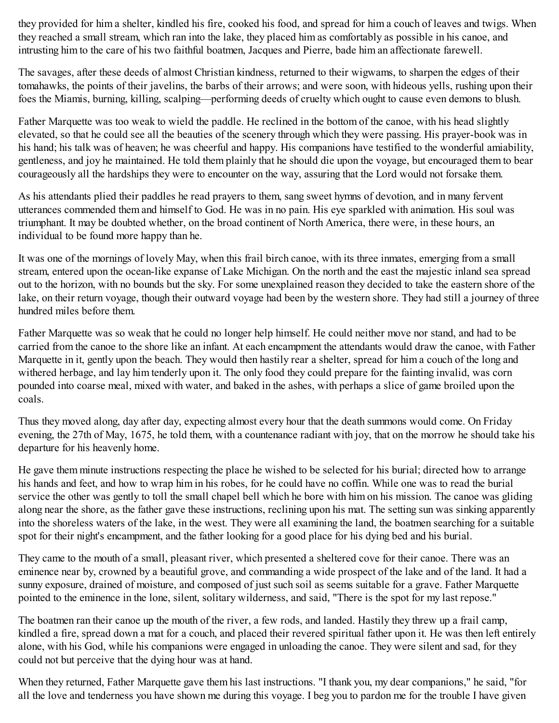they provided for him a shelter, kindled his fire, cooked his food, and spread for him a couch of leaves and twigs. When they reached a small stream, which ran into the lake, they placed him as comfortably as possible in his canoe, and intrusting him to the care of his two faithful boatmen, Jacques and Pierre, bade him an affectionate farewell.

The savages, after these deeds of almost Christian kindness, returned to their wigwams, to sharpen the edges of their tomahawks, the points of their javelins, the barbs of their arrows; and were soon, with hideous yells, rushing upon their foes the Miamis, burning, killing, scalping—performing deeds of cruelty which ought to cause even demons to blush.

Father Marquette was too weak to wield the paddle. He reclined in the bottom of the canoe, with his head slightly elevated, so that he could see all the beauties of the scenery through which they were passing. His prayer-book was in his hand; his talk was of heaven; he was cheerful and happy. His companions have testified to the wonderful amiability, gentleness, and joy he maintained. He told them plainly that he should die upon the voyage, but encouraged them to bear courageously all the hardships they were to encounter on the way, assuring that the Lord would not forsake them.

As his attendants plied their paddles he read prayers to them, sang sweet hymns of devotion, and in many fervent utterances commended them and himself to God. He was in no pain. His eye sparkled with animation. His soul was triumphant. It may be doubted whether, on the broad continent of North America, there were, in these hours, an individual to be found more happy than he.

It was one of the mornings of lovely May, when this frail birch canoe, with its three inmates, emerging from a small stream, entered upon the ocean-like expanse of Lake Michigan. On the north and the east the majestic inland sea spread out to the horizon, with no bounds but the sky. For some unexplained reason they decided to take the eastern shore of the lake, on their return voyage, though their outward voyage had been by the western shore. They had still a journey of three hundred miles before them.

Father Marquette was so weak that he could no longer help himself. He could neither move nor stand, and had to be carried from the canoe to the shore like an infant. At each encampment the attendants would draw the canoe, with Father Marquette in it, gently upon the beach. They would then hastily rear a shelter, spread for him a couch of the long and withered herbage, and lay him tenderly upon it. The only food they could prepare for the fainting invalid, was corn pounded into coarse meal, mixed with water, and baked in the ashes, with perhaps a slice of game broiled upon the coals.

Thus they moved along, day after day, expecting almost every hour that the death summons would come. On Friday evening, the 27th of May, 1675, he told them, with a countenance radiant with joy, that on the morrow he should take his departure for his heavenly home.

He gave them minute instructions respecting the place he wished to be selected for his burial; directed how to arrange his hands and feet, and how to wrap him in his robes, for he could have no coffin. While one was to read the burial service the other was gently to toll the small chapel bell which he bore with him on his mission. The canoe was gliding along near the shore, as the father gave these instructions, reclining upon his mat. The setting sun was sinking apparently into the shoreless waters of the lake, in the west. They were all examining the land, the boatmen searching for a suitable spot for their night's encampment, and the father looking for a good place for his dying bed and his burial.

They came to the mouth of a small, pleasant river, which presented a sheltered cove for their canoe. There was an eminence near by, crowned by a beautiful grove, and commanding a wide prospect of the lake and of the land. It had a sunny exposure, drained of moisture, and composed of just such soil as seems suitable for a grave. Father Marquette pointed to the eminence in the lone, silent, solitary wilderness, and said, "There is the spot for my last repose."

The boatmen ran their canoe up the mouth of the river, a few rods, and landed. Hastily they threw up a frail camp, kindled a fire, spread down a mat for a couch, and placed their revered spiritual father upon it. He was then left entirely alone, with his God, while his companions were engaged in unloading the canoe. They were silent and sad, for they could not but perceive that the dying hour was at hand.

When they returned, Father Marquette gave them his last instructions. "I thank you, my dear companions," he said, "for all the love and tenderness you have shown me during this voyage. I beg you to pardon me for the trouble I have given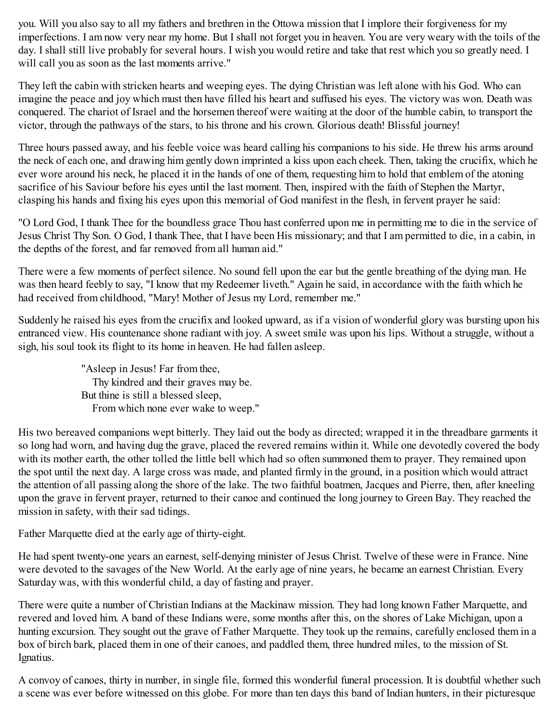you. Will you also say to all my fathers and brethren in the Ottowa mission that I implore their forgiveness for my imperfections. I am now very near my home. But I shall not forget you in heaven. You are very weary with the toils of the day. I shall still live probably for several hours. I wish you would retire and take that rest which you so greatly need. I will call you as soon as the last moments arrive."

They left the cabin with stricken hearts and weeping eyes. The dying Christian was left alone with his God. Who can imagine the peace and joy which must then have filled his heart and suffused his eyes. The victory was won. Death was conquered. The chariot of Israel and the horsemen thereof were waiting at the door of the humble cabin, to transport the victor, through the pathways of the stars, to his throne and his crown. Glorious death! Blissful journey!

Three hours passed away, and his feeble voice was heard calling his companions to his side. He threw his arms around the neck of each one, and drawing him gently down imprinted a kiss upon each cheek. Then, taking the crucifix, which he ever wore around his neck, he placed it in the hands of one of them, requesting him to hold that emblem of the atoning sacrifice of his Saviour before his eyes until the last moment. Then, inspired with the faith of Stephen the Martyr, clasping his hands and fixing his eyes upon this memorial of God manifest in the flesh, in fervent prayer he said:

"O Lord God, I thank Thee for the boundless grace Thou hast conferred upon me in permitting me to die in the service of Jesus Christ Thy Son. O God, I thank Thee, that I have been His missionary; and that I am permitted to die, in a cabin, in the depths of the forest, and far removed from all human aid."

There were a few moments of perfect silence. No sound fell upon the ear but the gentle breathing of the dying man. He was then heard feebly to say, "I know that my Redeemer liveth." Again he said, in accordance with the faith which he had received from childhood, "Mary! Mother of Jesus my Lord, remember me."

Suddenly he raised his eyes from the crucifix and looked upward, as if a vision of wonderful glory was bursting upon his entranced view. His countenance shone radiant with joy. A sweet smile was upon his lips. Without a struggle, without a sigh, his soul took its flight to its home in heaven. He had fallen asleep.

> "Asleep in Jesus! Far from thee, Thy kindred and their graves may be. But thine is still a blessed sleep, From which none ever wake to weep."

His two bereaved companions wept bitterly. They laid out the body as directed; wrapped it in the threadbare garments it so long had worn, and having dug the grave, placed the revered remains within it. While one devotedly covered the body with its mother earth, the other tolled the little bell which had so often summoned them to prayer. They remained upon the spot until the next day. A large cross was made, and planted firmly in the ground, in a position which would attract the attention of all passing along the shore of the lake. The two faithful boatmen, Jacques and Pierre, then, after kneeling upon the grave in fervent prayer, returned to their canoe and continued the long journey to Green Bay. They reached the mission in safety, with their sad tidings.

Father Marquette died at the early age of thirty-eight.

He had spent twenty-one years an earnest, self-denying minister of Jesus Christ. Twelve of these were in France. Nine were devoted to the savages of the New World. At the early age of nine years, he became an earnest Christian. Every Saturday was, with this wonderful child, a day of fasting and prayer.

There were quite a number of Christian Indians at the Mackinaw mission. They had long known Father Marquette, and revered and loved him. A band of these Indians were, some months after this, on the shores of Lake Michigan, upon a hunting excursion. They sought out the grave of Father Marquette. They took up the remains, carefully enclosed them in a box of birch bark, placed them in one of their canoes, and paddled them, three hundred miles, to the mission of St. Ignatius.

A convoy of canoes, thirty in number, in single file, formed this wonderful funeral procession. It is doubtful whether such a scene was ever before witnessed on this globe. For more than ten days this band of Indian hunters, in their picturesque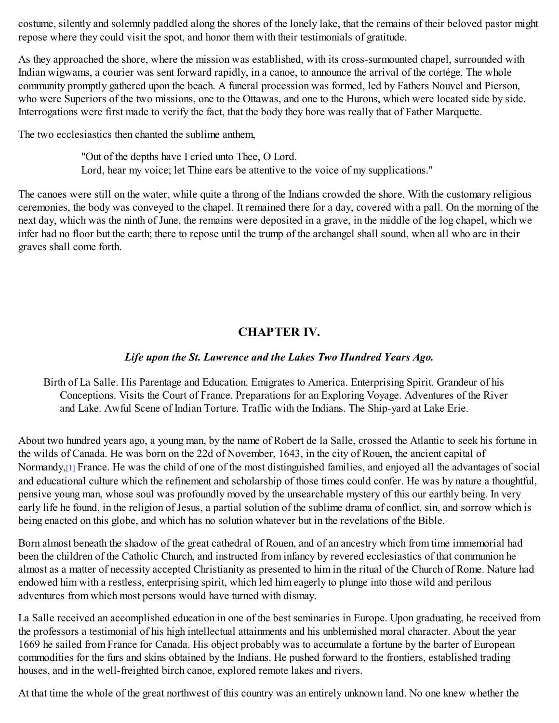costume, silently and solemnly paddled along the shores of the lonely lake, that the remains of their beloved pastor might repose where they could visit the spot, and honor them with their testimonials of gratitude.

As they approached the shore, where the mission was established, with its cross-surmounted chapel, surrounded with Indian wigwams, a courier was sent forward rapidly, in a canoe, to announce the arrival of the cortége. The whole community promptly gathered upon the beach. A funeral procession was formed, led by Fathers Nouvel and Pierson, who were Superiors of the two missions, one to the Ottawas, and one to the Hurons, which were located side by side. Interrogations were first made to verify the fact, that the body they bore was really that of Father Marquette.

The two ecclesiastics then chanted the sublime anthem,

"Out of the depths have I cried unto Thee, O Lord. Lord, hear my voice; let Thine ears be attentive to the voice of my supplications."

<span id="page-24-0"></span>The canoes were still on the water, while quite a throng of the Indians crowded the shore. With the customary religious ceremonies, the body was conveyed to the chapel. It remained there for a day, covered with a pall. On the morning of the next day, which was the ninth of June, the remains were deposited in a grave, in the middle of the log chapel, which we infer had no floor but the earth; there to repose until the trump of the archangel shall sound, when all who are in their graves shall come forth.

# **CHAPTER IV.**

# *Life upon the St. Lawrence and the Lakes Two Hundred Years Ago.*

Birth of La Salle. His Parentage and Education. Emigrates to America. Enterprising Spirit. Grandeur of his Conceptions. Visits the Court of France. Preparations for an Exploring Voyage. Adventures of the River and Lake. Awful Scene of Indian Torture. Traffic with the Indians. The Ship-yard at Lake Erie.

<span id="page-24-1"></span>About two hundred years ago, a young man, by the name of Robert de la Salle, crossed the Atlantic to seek his fortune in the wilds of Canada. He was born on the 22d of November, 1643, in the city of Rouen, the ancient capital of Normandy,<sup>[\[1\]](#page-30-1)</sup> France. He was the child of one of the most distinguished families, and enjoyed all the advantages of social and educational culture which the refinement and scholarship of those times could confer. He was by nature a thoughtful, pensive young man, whose soul was profoundly moved by the unsearchable mystery of this our earthly being. In very early life he found, in the religion of Jesus, a partial solution of the sublime drama of conflict, sin, and sorrow which is being enacted on this globe, and which has no solution whatever but in the revelations of the Bible.

Born almost beneath the shadow of the great cathedral of Rouen, and of an ancestry which from time immemorial had been the children of the Catholic Church, and instructed from infancy by revered ecclesiastics of that communion he almost as a matter of necessity accepted Christianity as presented to him in the ritual of the Church of Rome. Nature had endowed him with a restless, enterprising spirit, which led him eagerly to plunge into those wild and perilous adventures from which most persons would have turned with dismay.

La Salle received an accomplished education in one of the best seminaries in Europe. Upon graduating, he received from the professors a testimonial of his high intellectual attainments and his unblemished moral character. About the year 1669 he sailed from France for Canada. His object probably was to accumulate a fortune by the barter of European commodities for the furs and skins obtained by the Indians. He pushed forward to the frontiers, established trading houses, and in the well-freighted birch canoe, explored remote lakes and rivers.

At that time the whole of the great northwest of this country was an entirely unknown land. No one knew whether the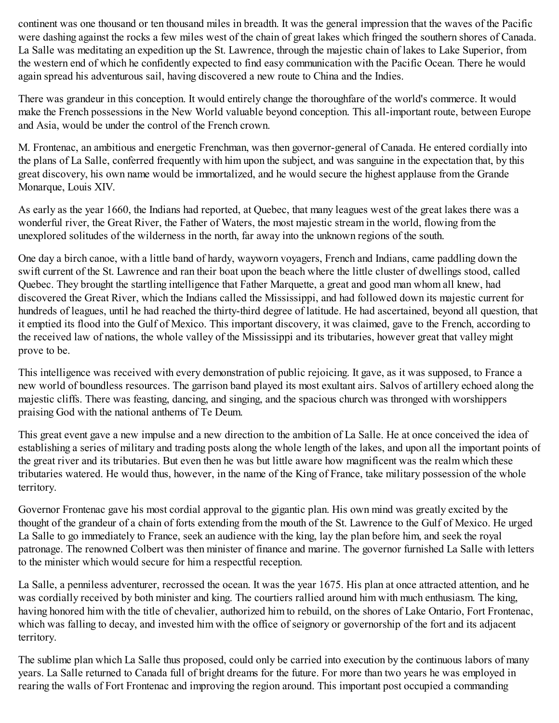continent was one thousand or ten thousand miles in breadth. It was the general impression that the waves of the Pacific were dashing against the rocks a few miles west of the chain of great lakes which fringed the southern shores of Canada. La Salle was meditating an expedition up the St. Lawrence, through the majestic chain of lakes to Lake Superior, from the western end of which he confidently expected to find easy communication with the Pacific Ocean. There he would again spread his adventurous sail, having discovered a new route to China and the Indies.

There was grandeur in this conception. It would entirely change the thoroughfare of the world's commerce. It would make the French possessions in the New World valuable beyond conception. This all-important route, between Europe and Asia, would be under the control of the French crown.

M. Frontenac, an ambitious and energetic Frenchman, was then governor-general of Canada. He entered cordially into the plans of La Salle, conferred frequently with him upon the subject, and was sanguine in the expectation that, by this great discovery, his own name would be immortalized, and he would secure the highest applause from the Grande Monarque, Louis XIV.

As early as the year 1660, the Indians had reported, at Quebec, that many leagues west of the great lakes there was a wonderful river, the Great River, the Father of Waters, the most majestic stream in the world, flowing from the unexplored solitudes of the wilderness in the north, far away into the unknown regions of the south.

One day a birch canoe, with a little band of hardy, wayworn voyagers, French and Indians, came paddling down the swift current of the St. Lawrence and ran their boat upon the beach where the little cluster of dwellings stood, called Quebec. They brought the startling intelligence that Father Marquette, a great and good man whom all knew, had discovered the Great River, which the Indians called the Mississippi, and had followed down its majestic current for hundreds of leagues, until he had reached the thirty-third degree of latitude. He had ascertained, beyond all question, that it emptied its flood into the Gulf of Mexico. This important discovery, it was claimed, gave to the French, according to the received law of nations, the whole valley of the Mississippi and its tributaries, however great that valley might prove to be.

This intelligence was received with every demonstration of public rejoicing. It gave, as it was supposed, to France a new world of boundless resources. The garrison band played its most exultant airs. Salvos of artillery echoed along the majestic cliffs. There was feasting, dancing, and singing, and the spacious church was thronged with worshippers praising God with the national anthems of Te Deum.

This great event gave a new impulse and a new direction to the ambition of La Salle. He at once conceived the idea of establishing a series of military and trading posts along the whole length of the lakes, and upon all the important points of the great river and its tributaries. But even then he was but little aware how magnificent was the realm which these tributaries watered. He would thus, however, in the name of the King of France, take military possession of the whole territory.

Governor Frontenac gave his most cordial approval to the gigantic plan. His own mind was greatly excited by the thought of the grandeur of a chain of forts extending from the mouth of the St. Lawrence to the Gulf of Mexico. He urged La Salle to go immediately to France, seek an audience with the king, lay the plan before him, and seek the royal patronage. The renowned Colbert was then minister of finance and marine. The governor furnished La Salle with letters to the minister which would secure for him a respectful reception.

La Salle, a penniless adventurer, recrossed the ocean. It was the year 1675. His plan at once attracted attention, and he was cordially received by both minister and king. The courtiers rallied around him with much enthusiasm. The king, having honored him with the title of chevalier, authorized him to rebuild, on the shores of Lake Ontario, Fort Frontenac, which was falling to decay, and invested him with the office of seignory or governorship of the fort and its adjacent territory.

The sublime plan which La Salle thus proposed, could only be carried into execution by the continuous labors of many years. La Salle returned to Canada full of bright dreams for the future. For more than two years he was employed in rearing the walls of Fort Frontenac and improving the region around. This important post occupied a commanding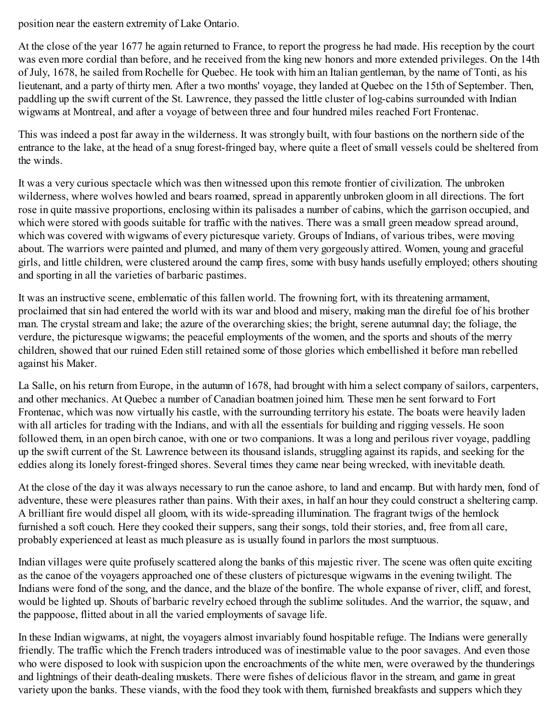position near the eastern extremity of Lake Ontario.

At the close of the year 1677 he again returned to France, to report the progress he had made. His reception by the court was even more cordial than before, and he received from the king new honors and more extended privileges. On the 14th of July, 1678, he sailed from Rochelle for Quebec. He took with him an Italian gentleman, by the name of Tonti, as his lieutenant, and a party of thirty men. After a two months' voyage, they landed at Quebec on the 15th of September. Then, paddling up the swift current of the St. Lawrence, they passed the little cluster of log-cabins surrounded with Indian wigwams at Montreal, and after a voyage of between three and four hundred miles reached Fort Frontenac.

This was indeed a post far away in the wilderness. It was strongly built, with four bastions on the northern side of the entrance to the lake, at the head of a snug forest-fringed bay, where quite a fleet of small vessels could be sheltered from the winds.

It was a very curious spectacle which was then witnessed upon this remote frontier of civilization. The unbroken wilderness, where wolves howled and bears roamed, spread in apparently unbroken gloom in all directions. The fort rose in quite massive proportions, enclosing within its palisades a number of cabins, which the garrison occupied, and which were stored with goods suitable for traffic with the natives. There was a small green meadow spread around, which was covered with wigwams of every picturesque variety. Groups of Indians, of various tribes, were moving about. The warriors were painted and plumed, and many of them very gorgeously attired. Women, young and graceful girls, and little children, were clustered around the camp fires, some with busy hands usefully employed; others shouting and sporting in all the varieties of barbaric pastimes.

It was an instructive scene, emblematic of this fallen world. The frowning fort, with its threatening armament, proclaimed that sin had entered the world with its war and blood and misery, making man the direful foe of his brother man. The crystal stream and lake; the azure of the overarching skies; the bright, serene autumnal day; the foliage, the verdure, the picturesque wigwams; the peaceful employments of the women, and the sports and shouts of the merry children, showed that our ruined Eden still retained some of those glories which embellished it before man rebelled against his Maker.

La Salle, on his return from Europe, in the autumn of 1678, had brought with him a select company of sailors, carpenters, and other mechanics. At Quebec a number of Canadian boatmen joined him. These men he sent forward to Fort Frontenac, which was now virtually his castle, with the surrounding territory his estate. The boats were heavily laden with all articles for trading with the Indians, and with all the essentials for building and rigging vessels. He soon followed them, in an open birch canoe, with one or two companions. It was a long and perilous river voyage, paddling up the swift current of the St. Lawrence between its thousand islands, struggling against its rapids, and seeking for the eddies along its lonely forest-fringed shores. Several times they came near being wrecked, with inevitable death.

At the close of the day it was always necessary to run the canoe ashore, to land and encamp. But with hardy men, fond of adventure, these were pleasures rather than pains. With their axes, in half an hour they could construct a sheltering camp. A brilliant fire would dispel all gloom, with its wide-spreading illumination. The fragrant twigs of the hemlock furnished a soft couch. Here they cooked their suppers, sang their songs, told their stories, and, free from all care, probably experienced at least as much pleasure as is usually found in parlors the most sumptuous.

Indian villages were quite profusely scattered along the banks of this majestic river. The scene was often quite exciting as the canoe of the voyagers approached one of these clusters of picturesque wigwams in the evening twilight. The Indians were fond of the song, and the dance, and the blaze of the bonfire. The whole expanse of river, cliff, and forest, would be lighted up. Shouts of barbaric revelry echoed through the sublime solitudes. And the warrior, the squaw, and the pappoose, flitted about in all the varied employments of savage life.

In these Indian wigwams, at night, the voyagers almost invariably found hospitable refuge. The Indians were generally friendly. The traffic which the French traders introduced was of inestimable value to the poor savages. And even those who were disposed to look with suspicion upon the encroachments of the white men, were overawed by the thunderings and lightnings of their death-dealing muskets. There were fishes of delicious flavor in the stream, and game in great variety upon the banks. These viands, with the food they took with them, furnished breakfasts and suppers which they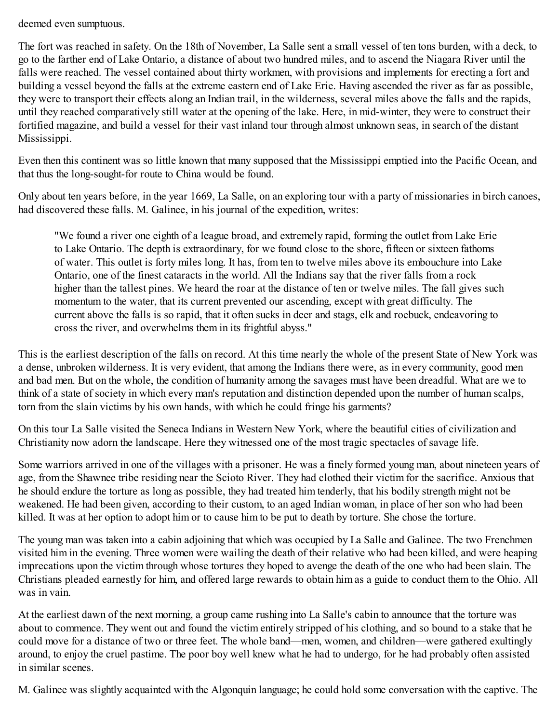deemed even sumptuous.

The fort was reached in safety. On the 18th of November, La Salle sent a small vessel of ten tons burden, with a deck, to go to the farther end of Lake Ontario, a distance of about two hundred miles, and to ascend the Niagara River until the falls were reached. The vessel contained about thirty workmen, with provisions and implements for erecting a fort and building a vessel beyond the falls at the extreme eastern end of Lake Erie. Having ascended the river as far as possible, they were to transport their effects along an Indian trail, in the wilderness, several miles above the falls and the rapids, until they reached comparatively still water at the opening of the lake. Here, in mid-winter, they were to construct their fortified magazine, and build a vessel for their vast inland tour through almost unknown seas, in search of the distant Mississippi.

Even then this continent was so little known that many supposed that the Mississippi emptied into the Pacific Ocean, and that thus the long-sought-for route to China would be found.

Only about ten years before, in the year 1669, La Salle, on an exploring tour with a party of missionaries in birch canoes, had discovered these falls. M. Galinee, in his journal of the expedition, writes:

"We found a river one eighth of a league broad, and extremely rapid, forming the outlet from Lake Erie to Lake Ontario. The depth is extraordinary, for we found close to the shore, fifteen or sixteen fathoms of water. This outlet is forty miles long. It has, from ten to twelve miles above its embouchure into Lake Ontario, one of the finest cataracts in the world. All the Indians say that the river falls from a rock higher than the tallest pines. We heard the roar at the distance of ten or twelve miles. The fall gives such momentum to the water, that its current prevented our ascending, except with great difficulty. The current above the falls is so rapid, that it often sucks in deer and stags, elk and roebuck, endeavoring to cross the river, and overwhelms them in its frightful abyss."

This is the earliest description of the falls on record. At this time nearly the whole of the present State of New York was a dense, unbroken wilderness. It is very evident, that among the Indians there were, as in every community, good men and bad men. But on the whole, the condition of humanity among the savages must have been dreadful. What are we to think of a state of society in which every man's reputation and distinction depended upon the number of human scalps, torn from the slain victims by his own hands, with which he could fringe his garments?

On this tour La Salle visited the Seneca Indians in Western New York, where the beautiful cities of civilization and Christianity now adorn the landscape. Here they witnessed one of the most tragic spectacles of savage life.

Some warriors arrived in one of the villages with a prisoner. He was a finely formed young man, about nineteen years of age, from the Shawnee tribe residing near the Scioto River. They had clothed their victim for the sacrifice. Anxious that he should endure the torture as long as possible, they had treated him tenderly, that his bodily strength might not be weakened. He had been given, according to their custom, to an aged Indian woman, in place of her son who had been killed. It was at her option to adopt him or to cause him to be put to death by torture. She chose the torture.

The young man was taken into a cabin adjoining that which was occupied by La Salle and Galinee. The two Frenchmen visited him in the evening. Three women were wailing the death of their relative who had been killed, and were heaping imprecations upon the victim through whose tortures they hoped to avenge the death of the one who had been slain. The Christians pleaded earnestly for him, and offered large rewards to obtain him as a guide to conduct them to the Ohio. All was in vain.

At the earliest dawn of the next morning, a group came rushing into La Salle's cabin to announce that the torture was about to commence. They went out and found the victim entirely stripped of his clothing, and so bound to a stake that he could move for a distance of two or three feet. The whole band—men, women, and children—were gathered exultingly around, to enjoy the cruel pastime. The poor boy well knew what he had to undergo, for he had probably often assisted in similar scenes.

M. Galinee was slightly acquainted with the Algonquin language; he could hold some conversation with the captive. The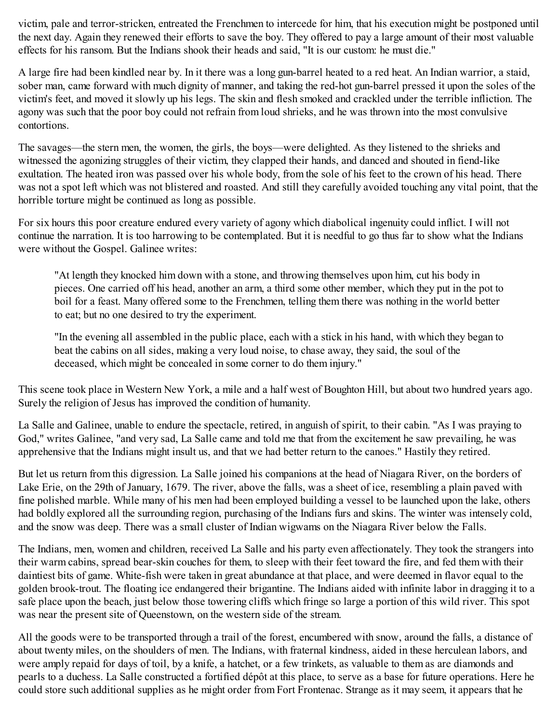victim, pale and terror-stricken, entreated the Frenchmen to intercede for him, that his execution might be postponed until the next day. Again they renewed their efforts to save the boy. They offered to pay a large amount of their most valuable effects for his ransom. But the Indians shook their heads and said, "It is our custom: he must die."

A large fire had been kindled near by. In it there was a long gun-barrel heated to a red heat. An Indian warrior, a staid, sober man, came forward with much dignity of manner, and taking the red-hot gun-barrel pressed it upon the soles of the victim's feet, and moved it slowly up his legs. The skin and flesh smoked and crackled under the terrible infliction. The agony was such that the poor boy could not refrain from loud shrieks, and he was thrown into the most convulsive contortions.

The savages—the stern men, the women, the girls, the boys—were delighted. As they listened to the shrieks and witnessed the agonizing struggles of their victim, they clapped their hands, and danced and shouted in fiend-like exultation. The heated iron was passed over his whole body, from the sole of his feet to the crown of his head. There was not a spot left which was not blistered and roasted. And still they carefully avoided touching any vital point, that the horrible torture might be continued as long as possible.

For six hours this poor creature endured every variety of agony which diabolical ingenuity could inflict. I will not continue the narration. It is too harrowing to be contemplated. But it is needful to go thus far to show what the Indians were without the Gospel. Galinee writes:

"At length they knocked him down with a stone, and throwing themselves upon him, cut his body in pieces. One carried off his head, another an arm, a third some other member, which they put in the pot to boil for a feast. Many offered some to the Frenchmen, telling them there was nothing in the world better to eat; but no one desired to try the experiment.

"In the evening all assembled in the public place, each with a stick in his hand, with which they began to beat the cabins on all sides, making a very loud noise, to chase away, they said, the soul of the deceased, which might be concealed in some corner to do them injury."

This scene took place in Western New York, a mile and a half west of Boughton Hill, but about two hundred years ago. Surely the religion of Jesus has improved the condition of humanity.

La Salle and Galinee, unable to endure the spectacle, retired, in anguish of spirit, to their cabin. "As I was praying to God," writes Galinee, "and very sad, La Salle came and told me that from the excitement he saw prevailing, he was apprehensive that the Indians might insult us, and that we had better return to the canoes." Hastily they retired.

But let us return from this digression. La Salle joined his companions at the head of Niagara River, on the borders of Lake Erie, on the 29th of January, 1679. The river, above the falls, was a sheet of ice, resembling a plain paved with fine polished marble. While many of his men had been employed building a vessel to be launched upon the lake, others had boldly explored all the surrounding region, purchasing of the Indians furs and skins. The winter was intensely cold, and the snow was deep. There was a small cluster of Indian wigwams on the Niagara River below the Falls.

The Indians, men, women and children, received La Salle and his party even affectionately. They took the strangers into their warm cabins, spread bear-skin couches for them, to sleep with their feet toward the fire, and fed them with their daintiest bits of game. White-fish were taken in great abundance at that place, and were deemed in flavor equal to the golden brook-trout. The floating ice endangered their brigantine. The Indians aided with infinite labor in dragging it to a safe place upon the beach, just below those towering cliffs which fringe so large a portion of this wild river. This spot was near the present site of Queenstown, on the western side of the stream.

All the goods were to be transported through a trail of the forest, encumbered with snow, around the falls, a distance of about twenty miles, on the shoulders of men. The Indians, with fraternal kindness, aided in these herculean labors, and were amply repaid for days of toil, by a knife, a hatchet, or a few trinkets, as valuable to them as are diamonds and pearls to a duchess. La Salle constructed a fortified dépôt at this place, to serve as a base for future operations. Here he could store such additional supplies as he might order from Fort Frontenac. Strange as it may seem, it appears that he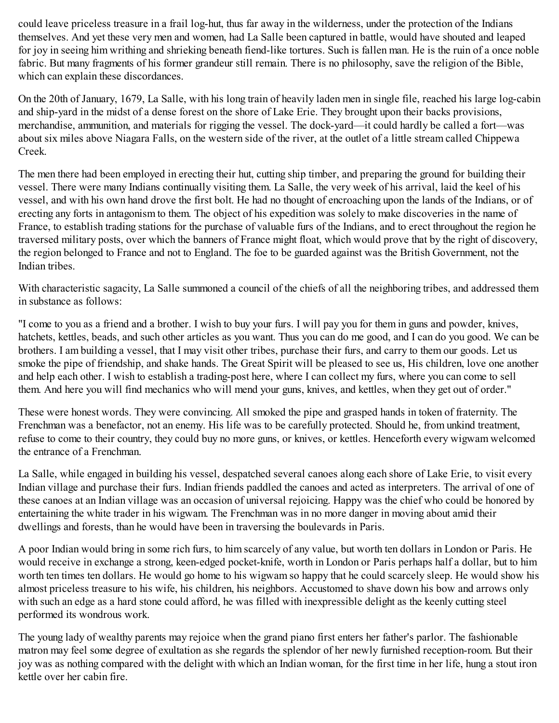could leave priceless treasure in a frail log-hut, thus far away in the wilderness, under the protection of the Indians themselves. And yet these very men and women, had La Salle been captured in battle, would have shouted and leaped for joy in seeing him writhing and shrieking beneath fiend-like tortures. Such is fallen man. He is the ruin of a once noble fabric. But many fragments of his former grandeur still remain. There is no philosophy, save the religion of the Bible, which can explain these discordances.

On the 20th of January, 1679, La Salle, with his long train of heavily laden men in single file, reached his large log-cabin and ship-yard in the midst of a dense forest on the shore of Lake Erie. They brought upon their backs provisions, merchandise, ammunition, and materials for rigging the vessel. The dock-yard—it could hardly be called a fort—was about six miles above Niagara Falls, on the western side of the river, at the outlet of a little stream called Chippewa Creek.

The men there had been employed in erecting their hut, cutting ship timber, and preparing the ground for building their vessel. There were many Indians continually visiting them. La Salle, the very week of his arrival, laid the keel of his vessel, and with his own hand drove the first bolt. He had no thought of encroaching upon the lands of the Indians, or of erecting any forts in antagonism to them. The object of his expedition was solely to make discoveries in the name of France, to establish trading stations for the purchase of valuable furs of the Indians, and to erect throughout the region he traversed military posts, over which the banners of France might float, which would prove that by the right of discovery, the region belonged to France and not to England. The foe to be guarded against was the British Government, not the Indian tribes.

With characteristic sagacity, La Salle summoned a council of the chiefs of all the neighboring tribes, and addressed them in substance as follows:

"I come to you as a friend and a brother. I wish to buy your furs. I will pay you for them in guns and powder, knives, hatchets, kettles, beads, and such other articles as you want. Thus you can do me good, and I can do you good. We can be brothers. I am building a vessel, that I may visit other tribes, purchase their furs, and carry to them our goods. Let us smoke the pipe of friendship, and shake hands. The Great Spirit will be pleased to see us, His children, love one another and help each other. I wish to establish a trading-post here, where I can collect my furs, where you can come to sell them. And here you will find mechanics who will mend your guns, knives, and kettles, when they get out of order."

These were honest words. They were convincing. All smoked the pipe and grasped hands in token of fraternity. The Frenchman was a benefactor, not an enemy. His life was to be carefully protected. Should he, from unkind treatment, refuse to come to their country, they could buy no more guns, or knives, or kettles. Henceforth every wigwam welcomed the entrance of a Frenchman.

La Salle, while engaged in building his vessel, despatched several canoes along each shore of Lake Erie, to visit every Indian village and purchase their furs. Indian friends paddled the canoes and acted as interpreters. The arrival of one of these canoes at an Indian village was an occasion of universal rejoicing. Happy was the chief who could be honored by entertaining the white trader in his wigwam. The Frenchman was in no more danger in moving about amid their dwellings and forests, than he would have been in traversing the boulevards in Paris.

A poor Indian would bring in some rich furs, to him scarcely of any value, but worth ten dollars in London or Paris. He would receive in exchange a strong, keen-edged pocket-knife, worth in London or Paris perhaps half a dollar, but to him worth ten times ten dollars. He would go home to his wigwam so happy that he could scarcely sleep. He would show his almost priceless treasure to his wife, his children, his neighbors. Accustomed to shave down his bow and arrows only with such an edge as a hard stone could afford, he was filled with inexpressible delight as the keenly cutting steel performed its wondrous work.

The young lady of wealthy parents may rejoice when the grand piano first enters her father's parlor. The fashionable matron may feel some degree of exultation as she regards the splendor of her newly furnished reception-room. But their joy was as nothing compared with the delight with which an Indian woman, for the first time in her life, hung a stout iron kettle over her cabin fire.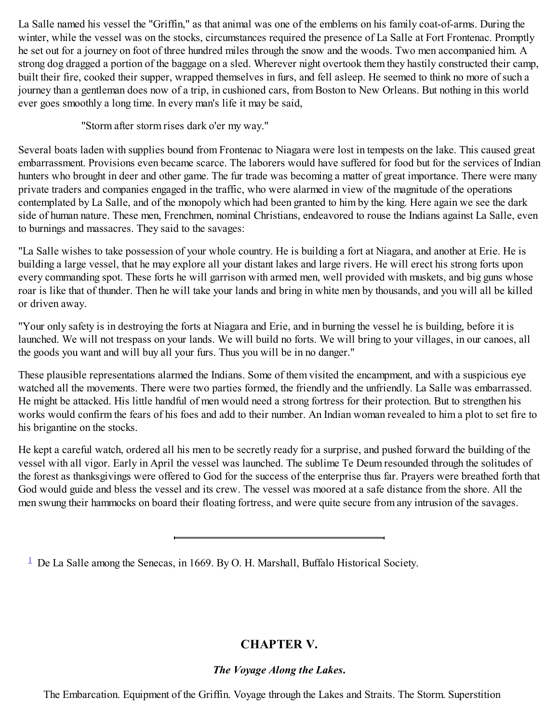La Salle named his vessel the "Griffin," as that animal was one of the emblems on his family coat-of-arms. During the winter, while the vessel was on the stocks, circumstances required the presence of La Salle at Fort Frontenac. Promptly he set out for a journey on foot of three hundred miles through the snow and the woods. Two men accompanied him. A strong dog dragged a portion of the baggage on a sled. Wherever night overtook them they hastily constructed their camp, built their fire, cooked their supper, wrapped themselves in furs, and fell asleep. He seemed to think no more of such a journey than a gentleman does now of a trip, in cushioned cars, from Boston to New Orleans. But nothing in this world ever goes smoothly a long time. In every man's life it may be said,

"Storm after storm rises dark o'er my way."

Several boats laden with supplies bound from Frontenac to Niagara were lost in tempests on the lake. This caused great embarrassment. Provisions even became scarce. The laborers would have suffered for food but for the services of Indian hunters who brought in deer and other game. The fur trade was becoming a matter of great importance. There were many private traders and companies engaged in the traffic, who were alarmed in view of the magnitude of the operations contemplated by La Salle, and of the monopoly which had been granted to him by the king. Here again we see the dark side of human nature. These men, Frenchmen, nominal Christians, endeavored to rouse the Indians against La Salle, even to burnings and massacres. They said to the savages:

"La Salle wishes to take possession of your whole country. He is building a fort at Niagara, and another at Erie. He is building a large vessel, that he may explore all your distant lakes and large rivers. He will erect his strong forts upon every commanding spot. These forts he will garrison with armed men, well provided with muskets, and big guns whose roar is like that of thunder. Then he will take your lands and bring in white men by thousands, and you will all be killed or driven away.

"Your only safety is in destroying the forts at Niagara and Erie, and in burning the vessel he is building, before it is launched. We will not trespass on your lands. We will build no forts. We will bring to your villages, in our canoes, all the goods you want and will buy all your furs. Thus you will be in no danger."

These plausible representations alarmed the Indians. Some of them visited the encampment, and with a suspicious eye watched all the movements. There were two parties formed, the friendly and the unfriendly. La Salle was embarrassed. He might be attacked. His little handful of men would need a strong fortress for their protection. But to strengthen his works would confirm the fears of his foes and add to their number. An Indian woman revealed to him a plot to set fire to his brigantine on the stocks.

He kept a careful watch, ordered all his men to be secretly ready for a surprise, and pushed forward the building of the vessel with all vigor. Early in April the vessel was launched. The sublime Te Deum resounded through the solitudes of the forest as thanksgivings were offered to God for the success of the enterprise thus far. Prayers were breathed forth that God would guide and bless the vessel and its crew. The vessel was moored at a safe distance from the shore. All the men swung their hammocks on board their floating fortress, and were quite secure from any intrusion of the savages.

<span id="page-30-1"></span><span id="page-30-0"></span> $\frac{1}{2}$  $\frac{1}{2}$  $\frac{1}{2}$  De La Salle among the Senecas, in 1669. By O. H. Marshall, Buffalo Historical Society.

# **CHAPTER V.**

# *The Voyage Along the Lakes***.**

The Embarcation. Equipment of the Griffin. Voyage through the Lakes and Straits. The Storm. Superstition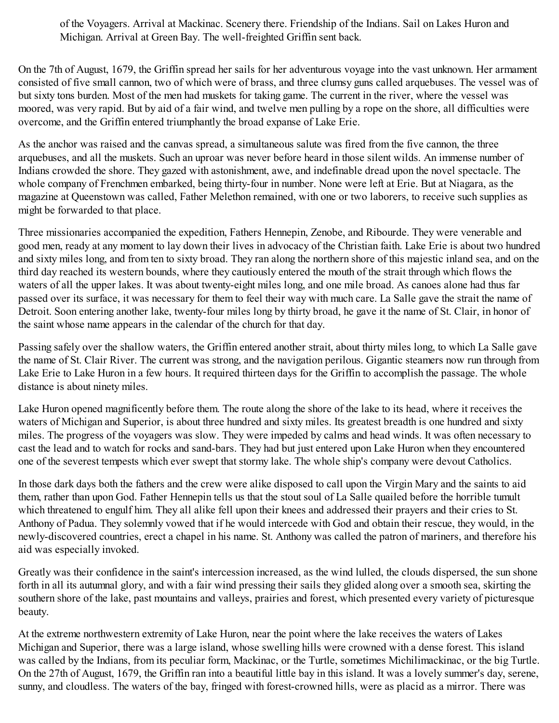of the Voyagers. Arrival at Mackinac. Scenery there. Friendship of the Indians. Sail on Lakes Huron and Michigan. Arrival at Green Bay. The well-freighted Griffin sent back.

On the 7th of August, 1679, the Griffin spread her sails for her adventurous voyage into the vast unknown. Her armament consisted of five small cannon, two of which were of brass, and three clumsy guns called arquebuses. The vessel was of but sixty tons burden. Most of the men had muskets for taking game. The current in the river, where the vessel was moored, was very rapid. But by aid of a fair wind, and twelve men pulling by a rope on the shore, all difficulties were overcome, and the Griffin entered triumphantly the broad expanse of Lake Erie.

As the anchor was raised and the canvas spread, a simultaneous salute was fired from the five cannon, the three arquebuses, and all the muskets. Such an uproar was never before heard in those silent wilds. An immense number of Indians crowded the shore. They gazed with astonishment, awe, and indefinable dread upon the novel spectacle. The whole company of Frenchmen embarked, being thirty-four in number. None were left at Erie. But at Niagara, as the magazine at Queenstown was called, Father Melethon remained, with one or two laborers, to receive such supplies as might be forwarded to that place.

Three missionaries accompanied the expedition, Fathers Hennepin, Zenobe, and Ribourde. They were venerable and good men, ready at any moment to lay down their lives in advocacy of the Christian faith. Lake Erie is about two hundred and sixty miles long, and from ten to sixty broad. They ran along the northern shore of this majestic inland sea, and on the third day reached its western bounds, where they cautiously entered the mouth of the strait through which flows the waters of all the upper lakes. It was about twenty-eight miles long, and one mile broad. As canoes alone had thus far passed over its surface, it was necessary for them to feel their way with much care. La Salle gave the strait the name of Detroit. Soon entering another lake, twenty-four miles long by thirty broad, he gave it the name of St. Clair, in honor of the saint whose name appears in the calendar of the church for that day.

Passing safely over the shallow waters, the Griffin entered another strait, about thirty miles long, to which La Salle gave the name of St. Clair River. The current was strong, and the navigation perilous. Gigantic steamers now run through from Lake Erie to Lake Huron in a few hours. It required thirteen days for the Griffin to accomplish the passage. The whole distance is about ninety miles.

Lake Huron opened magnificently before them. The route along the shore of the lake to its head, where it receives the waters of Michigan and Superior, is about three hundred and sixty miles. Its greatest breadth is one hundred and sixty miles. The progress of the voyagers was slow. They were impeded by calms and head winds. It was often necessary to cast the lead and to watch for rocks and sand-bars. They had but just entered upon Lake Huron when they encountered one of the severest tempests which ever swept that stormy lake. The whole ship's company were devout Catholics.

In those dark days both the fathers and the crew were alike disposed to call upon the Virgin Mary and the saints to aid them, rather than upon God. Father Hennepin tells us that the stout soul of La Salle quailed before the horrible tumult which threatened to engulf him. They all alike fell upon their knees and addressed their prayers and their cries to St. Anthony of Padua. They solemnly vowed that if he would intercede with God and obtain their rescue, they would, in the newly-discovered countries, erect a chapel in his name. St. Anthony was called the patron of mariners, and therefore his aid was especially invoked.

Greatly was their confidence in the saint's intercession increased, as the wind lulled, the clouds dispersed, the sun shone forth in all its autumnal glory, and with a fair wind pressing their sails they glided along over a smooth sea, skirting the southern shore of the lake, past mountains and valleys, prairies and forest, which presented every variety of picturesque beauty.

At the extreme northwestern extremity of Lake Huron, near the point where the lake receives the waters of Lakes Michigan and Superior, there was a large island, whose swelling hills were crowned with a dense forest. This island was called by the Indians, from its peculiar form, Mackinac, or the Turtle, sometimes Michilimackinac, or the big Turtle. On the 27th of August, 1679, the Griffin ran into a beautiful little bay in this island. It was a lovely summer's day, serene, sunny, and cloudless. The waters of the bay, fringed with forest-crowned hills, were as placid as a mirror. There was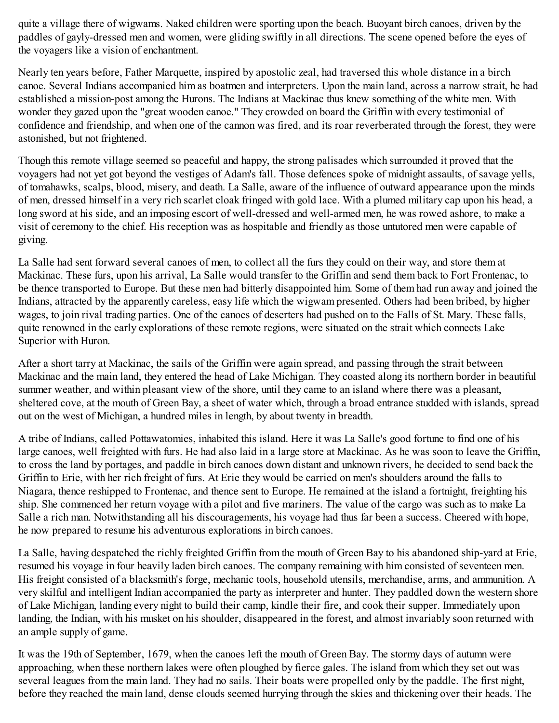quite a village there of wigwams. Naked children were sporting upon the beach. Buoyant birch canoes, driven by the paddles of gayly-dressed men and women, were gliding swiftly in all directions. The scene opened before the eyes of the voyagers like a vision of enchantment.

Nearly ten years before, Father Marquette, inspired by apostolic zeal, had traversed this whole distance in a birch canoe. Several Indians accompanied him as boatmen and interpreters. Upon the main land, across a narrow strait, he had established a mission-post among the Hurons. The Indians at Mackinac thus knew something of the white men. With wonder they gazed upon the "great wooden canoe." They crowded on board the Griffin with every testimonial of confidence and friendship, and when one of the cannon was fired, and its roar reverberated through the forest, they were astonished, but not frightened.

Though this remote village seemed so peaceful and happy, the strong palisades which surrounded it proved that the voyagers had not yet got beyond the vestiges of Adam's fall. Those defences spoke of midnight assaults, of savage yells, of tomahawks, scalps, blood, misery, and death. La Salle, aware of the influence of outward appearance upon the minds of men, dressed himself in a very rich scarlet cloak fringed with gold lace. With a plumed military cap upon his head, a long sword at his side, and an imposing escort of well-dressed and well-armed men, he was rowed ashore, to make a visit of ceremony to the chief. His reception was as hospitable and friendly as those untutored men were capable of giving.

La Salle had sent forward several canoes of men, to collect all the furs they could on their way, and store them at Mackinac. These furs, upon his arrival, La Salle would transfer to the Griffin and send them back to Fort Frontenac, to be thence transported to Europe. But these men had bitterly disappointed him. Some of them had run away and joined the Indians, attracted by the apparently careless, easy life which the wigwam presented. Others had been bribed, by higher wages, to join rival trading parties. One of the canoes of deserters had pushed on to the Falls of St. Mary. These falls, quite renowned in the early explorations of these remote regions, were situated on the strait which connects Lake Superior with Huron.

After a short tarry at Mackinac, the sails of the Griffin were again spread, and passing through the strait between Mackinac and the main land, they entered the head of Lake Michigan. They coasted along its northern border in beautiful summer weather, and within pleasant view of the shore, until they came to an island where there was a pleasant, sheltered cove, at the mouth of Green Bay, a sheet of water which, through a broad entrance studded with islands, spread out on the west of Michigan, a hundred miles in length, by about twenty in breadth.

A tribe of Indians, called Pottawatomies, inhabited this island. Here it was La Salle's good fortune to find one of his large canoes, well freighted with furs. He had also laid in a large store at Mackinac. As he was soon to leave the Griffin, to cross the land by portages, and paddle in birch canoes down distant and unknown rivers, he decided to send back the Griffin to Erie, with her rich freight of furs. At Erie they would be carried on men's shoulders around the falls to Niagara, thence reshipped to Frontenac, and thence sent to Europe. He remained at the island a fortnight, freighting his ship. She commenced her return voyage with a pilot and five mariners. The value of the cargo was such as to make La Salle a rich man. Notwithstanding all his discouragements, his voyage had thus far been a success. Cheered with hope, he now prepared to resume his adventurous explorations in birch canoes.

La Salle, having despatched the richly freighted Griffin from the mouth of Green Bay to his abandoned ship-yard at Erie, resumed his voyage in four heavily laden birch canoes. The company remaining with him consisted of seventeen men. His freight consisted of a blacksmith's forge, mechanic tools, household utensils, merchandise, arms, and ammunition. A very skilful and intelligent Indian accompanied the party as interpreter and hunter. They paddled down the western shore of Lake Michigan, landing every night to build their camp, kindle their fire, and cook their supper. Immediately upon landing, the Indian, with his musket on his shoulder, disappeared in the forest, and almost invariably soon returned with an ample supply of game.

It was the 19th of September, 1679, when the canoes left the mouth of Green Bay. The stormy days of autumn were approaching, when these northern lakes were often ploughed by fierce gales. The island from which they set out was several leagues from the main land. They had no sails. Their boats were propelled only by the paddle. The first night, before they reached the main land, dense clouds seemed hurrying through the skies and thickening over their heads. The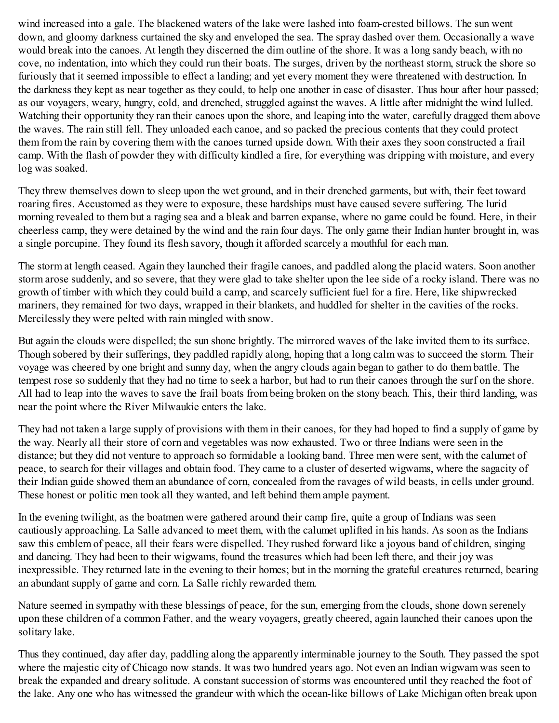wind increased into a gale. The blackened waters of the lake were lashed into foam-crested billows. The sun went down, and gloomy darkness curtained the sky and enveloped the sea. The spray dashed over them. Occasionally a wave would break into the canoes. At length they discerned the dim outline of the shore. It was a long sandy beach, with no cove, no indentation, into which they could run their boats. The surges, driven by the northeast storm, struck the shore so furiously that it seemed impossible to effect a landing; and yet every moment they were threatened with destruction. In the darkness they kept as near together as they could, to help one another in case of disaster. Thus hour after hour passed; as our voyagers, weary, hungry, cold, and drenched, struggled against the waves. A little after midnight the wind lulled. Watching their opportunity they ran their canoes upon the shore, and leaping into the water, carefully dragged them above the waves. The rain still fell. They unloaded each canoe, and so packed the precious contents that they could protect them from the rain by covering them with the canoes turned upside down. With their axes they soon constructed a frail camp. With the flash of powder they with difficulty kindled a fire, for everything was dripping with moisture, and every log was soaked.

They threw themselves down to sleep upon the wet ground, and in their drenched garments, but with, their feet toward roaring fires. Accustomed as they were to exposure, these hardships must have caused severe suffering. The lurid morning revealed to them but a raging sea and a bleak and barren expanse, where no game could be found. Here, in their cheerless camp, they were detained by the wind and the rain four days. The only game their Indian hunter brought in, was a single porcupine. They found its flesh savory, though it afforded scarcely a mouthful for each man.

The storm at length ceased. Again they launched their fragile canoes, and paddled along the placid waters. Soon another storm arose suddenly, and so severe, that they were glad to take shelter upon the lee side of a rocky island. There was no growth of timber with which they could build a camp, and scarcely sufficient fuel for a fire. Here, like shipwrecked mariners, they remained for two days, wrapped in their blankets, and huddled for shelter in the cavities of the rocks. Mercilessly they were pelted with rain mingled with snow.

But again the clouds were dispelled; the sun shone brightly. The mirrored waves of the lake invited them to its surface. Though sobered by their sufferings, they paddled rapidly along, hoping that a long calm was to succeed the storm. Their voyage was cheered by one bright and sunny day, when the angry clouds again began to gather to do them battle. The tempest rose so suddenly that they had no time to seek a harbor, but had to run their canoes through the surf on the shore. All had to leap into the waves to save the frail boats from being broken on the stony beach. This, their third landing, was near the point where the River Milwaukie enters the lake.

They had not taken a large supply of provisions with them in their canoes, for they had hoped to find a supply of game by the way. Nearly all their store of corn and vegetables was now exhausted. Two or three Indians were seen in the distance; but they did not venture to approach so formidable a looking band. Three men were sent, with the calumet of peace, to search for their villages and obtain food. They came to a cluster of deserted wigwams, where the sagacity of their Indian guide showed them an abundance of corn, concealed from the ravages of wild beasts, in cells under ground. These honest or politic men took all they wanted, and left behind them ample payment.

In the evening twilight, as the boatmen were gathered around their camp fire, quite a group of Indians was seen cautiously approaching. La Salle advanced to meet them, with the calumet uplifted in his hands. As soon as the Indians saw this emblem of peace, all their fears were dispelled. They rushed forward like a joyous band of children, singing and dancing. They had been to their wigwams, found the treasures which had been left there, and their joy was inexpressible. They returned late in the evening to their homes; but in the morning the grateful creatures returned, bearing an abundant supply of game and corn. La Salle richly rewarded them.

Nature seemed in sympathy with these blessings of peace, for the sun, emerging from the clouds, shone down serenely upon these children of a common Father, and the weary voyagers, greatly cheered, again launched their canoes upon the solitary lake.

Thus they continued, day after day, paddling along the apparently interminable journey to the South. They passed the spot where the majestic city of Chicago now stands. It was two hundred years ago. Not even an Indian wigwam was seen to break the expanded and dreary solitude. A constant succession of storms was encountered until they reached the foot of the lake. Any one who has witnessed the grandeur with which the ocean-like billows of Lake Michigan often break upon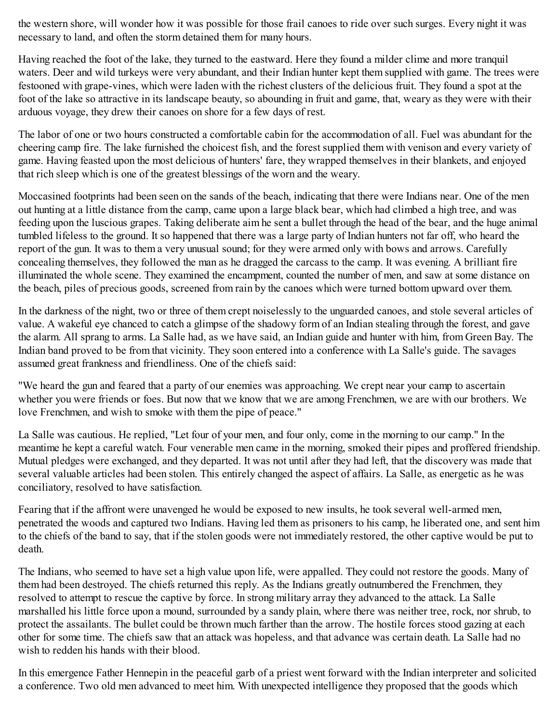the western shore, will wonder how it was possible for those frail canoes to ride over such surges. Every night it was necessary to land, and often the storm detained them for many hours.

Having reached the foot of the lake, they turned to the eastward. Here they found a milder clime and more tranquil waters. Deer and wild turkeys were very abundant, and their Indian hunter kept them supplied with game. The trees were festooned with grape-vines, which were laden with the richest clusters of the delicious fruit. They found a spot at the foot of the lake so attractive in its landscape beauty, so abounding in fruit and game, that, weary as they were with their arduous voyage, they drew their canoes on shore for a few days of rest.

The labor of one or two hours constructed a comfortable cabin for the accommodation of all. Fuel was abundant for the cheering camp fire. The lake furnished the choicest fish, and the forest supplied them with venison and every variety of game. Having feasted upon the most delicious of hunters' fare, they wrapped themselves in their blankets, and enjoyed that rich sleep which is one of the greatest blessings of the worn and the weary.

Moccasined footprints had been seen on the sands of the beach, indicating that there were Indians near. One of the men out hunting at a little distance from the camp, came upon a large black bear, which had climbed a high tree, and was feeding upon the luscious grapes. Taking deliberate aim he sent a bullet through the head of the bear, and the huge animal tumbled lifeless to the ground. It so happened that there was a large party of Indian hunters not far off, who heard the report of the gun. It was to them a very unusual sound; for they were armed only with bows and arrows. Carefully concealing themselves, they followed the man as he dragged the carcass to the camp. It was evening. A brilliant fire illuminated the whole scene. They examined the encampment, counted the number of men, and saw at some distance on the beach, piles of precious goods, screened from rain by the canoes which were turned bottom upward over them.

In the darkness of the night, two or three of them crept noiselessly to the unguarded canoes, and stole several articles of value. A wakeful eye chanced to catch a glimpse of the shadowy form of an Indian stealing through the forest, and gave the alarm. All sprang to arms. La Salle had, as we have said, an Indian guide and hunter with him, from Green Bay. The Indian band proved to be from that vicinity. They soon entered into a conference with La Salle's guide. The savages assumed great frankness and friendliness. One of the chiefs said:

"We heard the gun and feared that a party of our enemies was approaching. We crept near your camp to ascertain whether you were friends or foes. But now that we know that we are among Frenchmen, we are with our brothers. We love Frenchmen, and wish to smoke with them the pipe of peace."

La Salle was cautious. He replied, "Let four of your men, and four only, come in the morning to our camp." In the meantime he kept a careful watch. Four venerable men came in the morning, smoked their pipes and proffered friendship. Mutual pledges were exchanged, and they departed. It was not until after they had left, that the discovery was made that several valuable articles had been stolen. This entirely changed the aspect of affairs. La Salle, as energetic as he was conciliatory, resolved to have satisfaction.

Fearing that if the affront were unavenged he would be exposed to new insults, he took several well-armed men, penetrated the woods and captured two Indians. Having led them as prisoners to his camp, he liberated one, and sent him to the chiefs of the band to say, that if the stolen goods were not immediately restored, the other captive would be put to death.

The Indians, who seemed to have set a high value upon life, were appalled. They could not restore the goods. Many of them had been destroyed. The chiefs returned this reply. As the Indians greatly outnumbered the Frenchmen, they resolved to attempt to rescue the captive by force. In strong military array they advanced to the attack. La Salle marshalled his little force upon a mound, surrounded by a sandy plain, where there was neither tree, rock, nor shrub, to protect the assailants. The bullet could be thrown much farther than the arrow. The hostile forces stood gazing at each other for some time. The chiefs saw that an attack was hopeless, and that advance was certain death. La Salle had no wish to redden his hands with their blood.

In this emergence Father Hennepin in the peaceful garb of a priest went forward with the Indian interpreter and solicited a conference. Two old men advanced to meet him. With unexpected intelligence they proposed that the goods which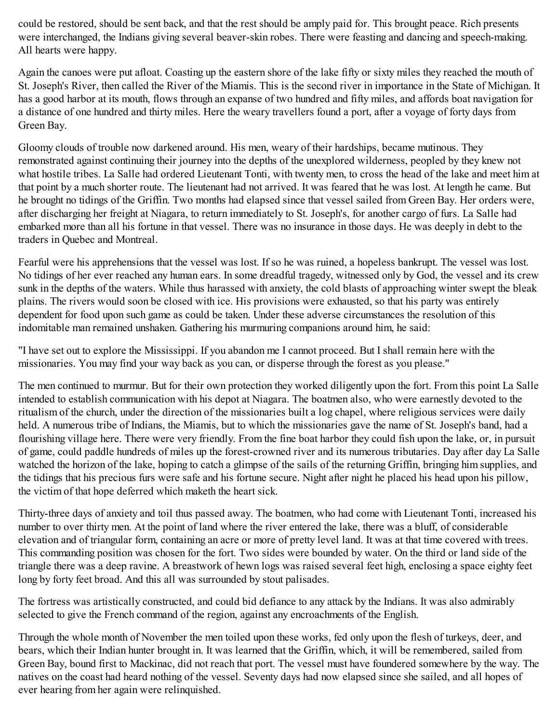could be restored, should be sent back, and that the rest should be amply paid for. This brought peace. Rich presents were interchanged, the Indians giving several beaver-skin robes. There were feasting and dancing and speech-making. All hearts were happy.

Again the canoes were put afloat. Coasting up the eastern shore of the lake fifty or sixty miles they reached the mouth of St. Joseph's River, then called the River of the Miamis. This is the second river in importance in the State of Michigan. It has a good harbor at its mouth, flows through an expanse of two hundred and fifty miles, and affords boat navigation for a distance of one hundred and thirty miles. Here the weary travellers found a port, after a voyage of forty days from Green Bay.

Gloomy clouds of trouble now darkened around. His men, weary of their hardships, became mutinous. They remonstrated against continuing their journey into the depths of the unexplored wilderness, peopled by they knew not what hostile tribes. La Salle had ordered Lieutenant Tonti, with twenty men, to cross the head of the lake and meet him at that point by a much shorter route. The lieutenant had not arrived. It was feared that he was lost. At length he came. But he brought no tidings of the Griffin. Two months had elapsed since that vessel sailed from Green Bay. Her orders were, after discharging her freight at Niagara, to return immediately to St. Joseph's, for another cargo of furs. La Salle had embarked more than all his fortune in that vessel. There was no insurance in those days. He was deeply in debt to the traders in Quebec and Montreal.

Fearful were his apprehensions that the vessel was lost. If so he was ruined, a hopeless bankrupt. The vessel was lost. No tidings of her ever reached any human ears. In some dreadful tragedy, witnessed only by God, the vessel and its crew sunk in the depths of the waters. While thus harassed with anxiety, the cold blasts of approaching winter swept the bleak plains. The rivers would soon be closed with ice. His provisions were exhausted, so that his party was entirely dependent for food upon such game as could be taken. Under these adverse circumstances the resolution of this indomitable man remained unshaken. Gathering his murmuring companions around him, he said:

"I have set out to explore the Mississippi. If you abandon me I cannot proceed. But I shall remain here with the missionaries. You may find your way back as you can, or disperse through the forest as you please."

The men continued to murmur. But for their own protection they worked diligently upon the fort. From this point La Salle intended to establish communication with his depot at Niagara. The boatmen also, who were earnestly devoted to the ritualism of the church, under the direction of the missionaries built a log chapel, where religious services were daily held. A numerous tribe of Indians, the Miamis, but to which the missionaries gave the name of St. Joseph's band, had a flourishing village here. There were very friendly. From the fine boat harbor they could fish upon the lake, or, in pursuit of game, could paddle hundreds of miles up the forest-crowned river and its numerous tributaries. Day after day La Salle watched the horizon of the lake, hoping to catch a glimpse of the sails of the returning Griffin, bringing him supplies, and the tidings that his precious furs were safe and his fortune secure. Night after night he placed his head upon his pillow, the victim of that hope deferred which maketh the heart sick.

Thirty-three days of anxiety and toil thus passed away. The boatmen, who had come with Lieutenant Tonti, increased his number to over thirty men. At the point of land where the river entered the lake, there was a bluff, of considerable elevation and of triangular form, containing an acre or more of pretty level land. It was at that time covered with trees. This commanding position was chosen for the fort. Two sides were bounded by water. On the third or land side of the triangle there was a deep ravine. A breastwork of hewn logs was raised several feet high, enclosing a space eighty feet long by forty feet broad. And this all was surrounded by stout palisades.

The fortress was artistically constructed, and could bid defiance to any attack by the Indians. It was also admirably selected to give the French command of the region, against any encroachments of the English.

Through the whole month of November the men toiled upon these works, fed only upon the flesh of turkeys, deer, and bears, which their Indian hunter brought in. It was learned that the Griffin, which, it will be remembered, sailed from Green Bay, bound first to Mackinac, did not reach that port. The vessel must have foundered somewhere by the way. The natives on the coast had heard nothing of the vessel. Seventy days had now elapsed since she sailed, and all hopes of ever hearing from her again were relinquished.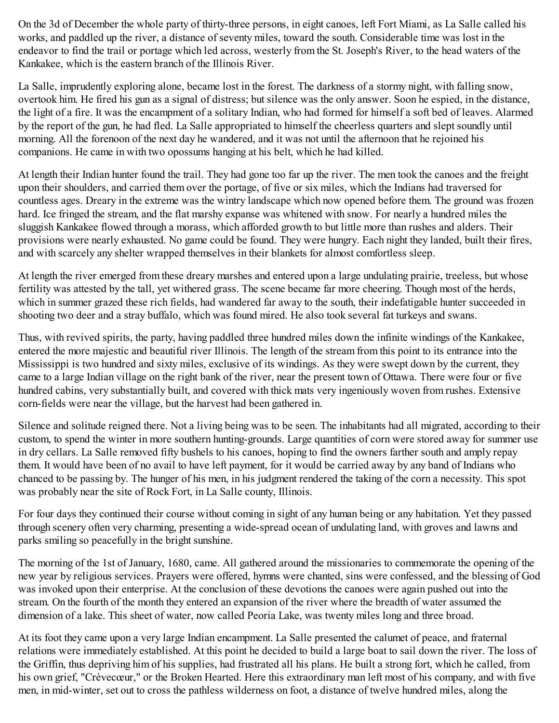On the 3d of December the whole party of thirty-three persons, in eight canoes, left Fort Miami, as La Salle called his works, and paddled up the river, a distance of seventy miles, toward the south. Considerable time was lost in the endeavor to find the trail or portage which led across, westerly from the St. Joseph's River, to the head waters of the Kankakee, which is the eastern branch of the Illinois River.

La Salle, imprudently exploring alone, became lost in the forest. The darkness of a stormy night, with falling snow, overtook him. He fired his gun as a signal of distress; but silence was the only answer. Soon he espied, in the distance, the light of a fire. It was the encampment of a solitary Indian, who had formed for himself a soft bed of leaves. Alarmed by the report of the gun, he had fled. La Salle appropriated to himself the cheerless quarters and slept soundly until morning. All the forenoon of the next day he wandered, and it was not until the afternoon that he rejoined his companions. He came in with two opossums hanging at his belt, which he had killed.

At length their Indian hunter found the trail. They had gone too far up the river. The men took the canoes and the freight upon their shoulders, and carried them over the portage, of five or six miles, which the Indians had traversed for countless ages. Dreary in the extreme was the wintry landscape which now opened before them. The ground was frozen hard. Ice fringed the stream, and the flat marshy expanse was whitened with snow. For nearly a hundred miles the sluggish Kankakee flowed through a morass, which afforded growth to but little more than rushes and alders. Their provisions were nearly exhausted. No game could be found. They were hungry. Each night they landed, built their fires, and with scarcely any shelter wrapped themselves in their blankets for almost comfortless sleep.

At length the river emerged from these dreary marshes and entered upon a large undulating prairie, treeless, but whose fertility was attested by the tall, yet withered grass. The scene became far more cheering. Though most of the herds, which in summer grazed these rich fields, had wandered far away to the south, their indefatigable hunter succeeded in shooting two deer and a stray buffalo, which was found mired. He also took several fat turkeys and swans.

Thus, with revived spirits, the party, having paddled three hundred miles down the infinite windings of the Kankakee, entered the more majestic and beautiful river Illinois. The length of the stream from this point to its entrance into the Mississippi is two hundred and sixty miles, exclusive of its windings. As they were swept down by the current, they came to a large Indian village on the right bank of the river, near the present town of Ottawa. There were four or five hundred cabins, very substantially built, and covered with thick mats very ingeniously woven from rushes. Extensive corn-fields were near the village, but the harvest had been gathered in.

Silence and solitude reigned there. Not a living being was to be seen. The inhabitants had all migrated, according to their custom, to spend the winter in more southern hunting-grounds. Large quantities of corn were stored away for summer use in dry cellars. La Salle removed fifty bushels to his canoes, hoping to find the owners farther south and amply repay them. It would have been of no avail to have left payment, for it would be carried away by any band of Indians who chanced to be passing by. The hunger of his men, in his judgment rendered the taking of the corn a necessity. This spot was probably near the site of Rock Fort, in La Salle county, Illinois.

For four days they continued their course without coming in sight of any human being or any habitation. Yet they passed through scenery often very charming, presenting a wide-spread ocean of undulating land, with groves and lawns and parks smiling so peacefully in the bright sunshine.

The morning of the 1st of January, 1680, came. All gathered around the missionaries to commemorate the opening of the new year by religious services. Prayers were offered, hymns were chanted, sins were confessed, and the blessing of God was invoked upon their enterprise. At the conclusion of these devotions the canoes were again pushed out into the stream. On the fourth of the month they entered an expansion of the river where the breadth of water assumed the dimension of a lake. This sheet of water, now called Peoria Lake, was twenty miles long and three broad.

At its foot they came upon a very large Indian encampment. La Salle presented the calumet of peace, and fraternal relations were immediately established. At this point he decided to build a large boat to sail down the river. The loss of the Griffin, thus depriving him of his supplies, had frustrated all his plans. He built a strong fort, which he called, from his own grief, "Crèvecœur," or the Broken Hearted. Here this extraordinary man left most of his company, and with five men, in mid-winter, set out to cross the pathless wilderness on foot, a distance of twelve hundred miles, along the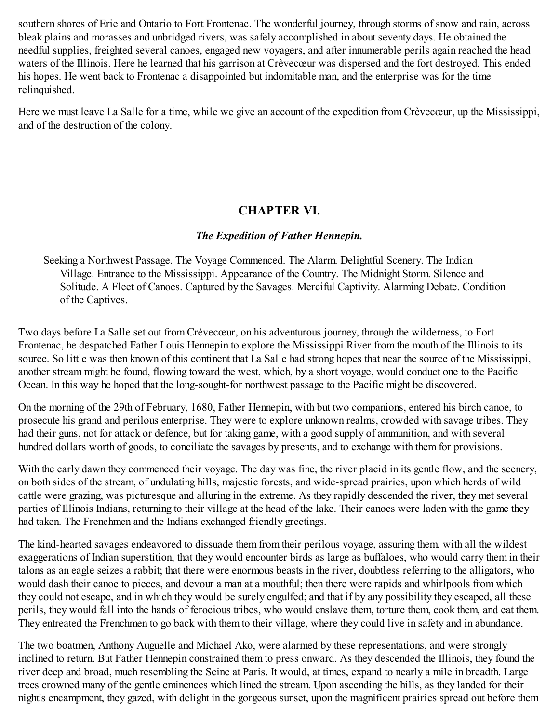southern shores of Erie and Ontario to Fort Frontenac. The wonderful journey, through storms of snow and rain, across bleak plains and morasses and unbridged rivers, was safely accomplished in about seventy days. He obtained the needful supplies, freighted several canoes, engaged new voyagers, and after innumerable perils again reached the head waters of the Illinois. Here he learned that his garrison at Crèvecœur was dispersed and the fort destroyed. This ended his hopes. He went back to Frontenac a disappointed but indomitable man, and the enterprise was for the time relinquished.

Here we must leave La Salle for a time, while we give an account of the expedition from Crèvecœur, up the Mississippi, and of the destruction of the colony.

## **CHAPTER VI.**

### *The Expedition of Father Hennepin.*

Seeking a Northwest Passage. The Voyage Commenced. The Alarm. Delightful Scenery. The Indian Village. Entrance to the Mississippi. Appearance of the Country. The Midnight Storm. Silence and Solitude. A Fleet of Canoes. Captured by the Savages. Merciful Captivity. Alarming Debate. Condition of the Captives.

Two days before La Salle set out from Crèvecœur, on his adventurous journey, through the wilderness, to Fort Frontenac, he despatched Father Louis Hennepin to explore the Mississippi River from the mouth of the Illinois to its source. So little was then known of this continent that La Salle had strong hopes that near the source of the Mississippi, another stream might be found, flowing toward the west, which, by a short voyage, would conduct one to the Pacific Ocean. In this way he hoped that the long-sought-for northwest passage to the Pacific might be discovered.

On the morning of the 29th of February, 1680, Father Hennepin, with but two companions, entered his birch canoe, to prosecute his grand and perilous enterprise. They were to explore unknown realms, crowded with savage tribes. They had their guns, not for attack or defence, but for taking game, with a good supply of ammunition, and with several hundred dollars worth of goods, to conciliate the savages by presents, and to exchange with them for provisions.

With the early dawn they commenced their voyage. The day was fine, the river placid in its gentle flow, and the scenery, on both sides of the stream, of undulating hills, majestic forests, and wide-spread prairies, upon which herds of wild cattle were grazing, was picturesque and alluring in the extreme. As they rapidly descended the river, they met several parties of Illinois Indians, returning to their village at the head of the lake. Their canoes were laden with the game they had taken. The Frenchmen and the Indians exchanged friendly greetings.

The kind-hearted savages endeavored to dissuade them from their perilous voyage, assuring them, with all the wildest exaggerations of Indian superstition, that they would encounter birds as large as buffaloes, who would carry them in their talons as an eagle seizes a rabbit; that there were enormous beasts in the river, doubtless referring to the alligators, who would dash their canoe to pieces, and devour a man at a mouthful; then there were rapids and whirlpools from which they could not escape, and in which they would be surely engulfed; and that if by any possibility they escaped, all these perils, they would fall into the hands of ferocious tribes, who would enslave them, torture them, cook them, and eat them. They entreated the Frenchmen to go back with them to their village, where they could live in safety and in abundance.

The two boatmen, Anthony Auguelle and Michael Ako, were alarmed by these representations, and were strongly inclined to return. But Father Hennepin constrained them to press onward. As they descended the Illinois, they found the river deep and broad, much resembling the Seine at Paris. It would, at times, expand to nearly a mile in breadth. Large trees crowned many of the gentle eminences which lined the stream. Upon ascending the hills, as they landed for their night's encampment, they gazed, with delight in the gorgeous sunset, upon the magnificent prairies spread out before them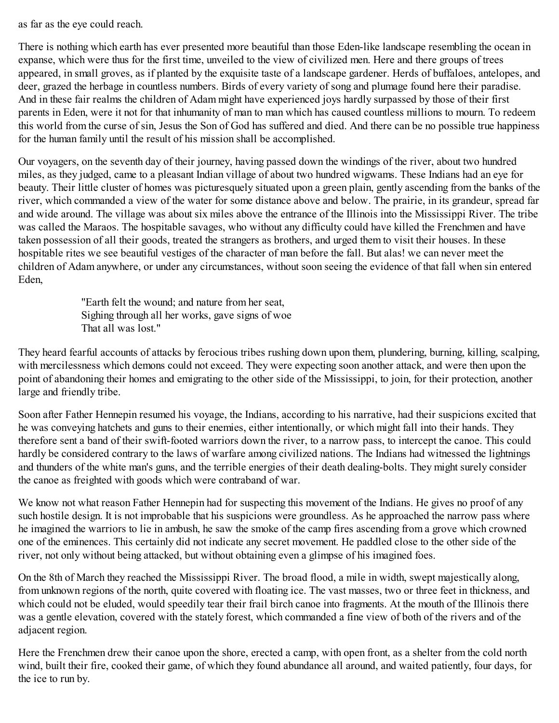as far as the eye could reach.

There is nothing which earth has ever presented more beautiful than those Eden-like landscape resembling the ocean in expanse, which were thus for the first time, unveiled to the view of civilized men. Here and there groups of trees appeared, in small groves, as if planted by the exquisite taste of a landscape gardener. Herds of buffaloes, antelopes, and deer, grazed the herbage in countless numbers. Birds of every variety of song and plumage found here their paradise. And in these fair realms the children of Adam might have experienced joys hardly surpassed by those of their first parents in Eden, were it not for that inhumanity of man to man which has caused countless millions to mourn. To redeem this world from the curse of sin, Jesus the Son of God has suffered and died. And there can be no possible true happiness for the human family until the result of his mission shall be accomplished.

Our voyagers, on the seventh day of their journey, having passed down the windings of the river, about two hundred miles, as they judged, came to a pleasant Indian village of about two hundred wigwams. These Indians had an eye for beauty. Their little cluster of homes was picturesquely situated upon a green plain, gently ascending from the banks of the river, which commanded a view of the water for some distance above and below. The prairie, in its grandeur, spread far and wide around. The village was about six miles above the entrance of the Illinois into the Mississippi River. The tribe was called the Maraos. The hospitable savages, who without any difficulty could have killed the Frenchmen and have taken possession of all their goods, treated the strangers as brothers, and urged them to visit their houses. In these hospitable rites we see beautiful vestiges of the character of man before the fall. But alas! we can never meet the children of Adam anywhere, or under any circumstances, without soon seeing the evidence of that fall when sin entered Eden,

> "Earth felt the wound; and nature from her seat, Sighing through all her works, gave signs of woe That all was lost."

They heard fearful accounts of attacks by ferocious tribes rushing down upon them, plundering, burning, killing, scalping, with mercilessness which demons could not exceed. They were expecting soon another attack, and were then upon the point of abandoning their homes and emigrating to the other side of the Mississippi, to join, for their protection, another large and friendly tribe.

Soon after Father Hennepin resumed his voyage, the Indians, according to his narrative, had their suspicions excited that he was conveying hatchets and guns to their enemies, either intentionally, or which might fall into their hands. They therefore sent a band of their swift-footed warriors down the river, to a narrow pass, to intercept the canoe. This could hardly be considered contrary to the laws of warfare among civilized nations. The Indians had witnessed the lightnings and thunders of the white man's guns, and the terrible energies of their death dealing-bolts. They might surely consider the canoe as freighted with goods which were contraband of war.

We know not what reason Father Hennepin had for suspecting this movement of the Indians. He gives no proof of any such hostile design. It is not improbable that his suspicions were groundless. As he approached the narrow pass where he imagined the warriors to lie in ambush, he saw the smoke of the camp fires ascending from a grove which crowned one of the eminences. This certainly did not indicate any secret movement. He paddled close to the other side of the river, not only without being attacked, but without obtaining even a glimpse of his imagined foes.

On the 8th of March they reached the Mississippi River. The broad flood, a mile in width, swept majestically along, from unknown regions of the north, quite covered with floating ice. The vast masses, two or three feet in thickness, and which could not be eluded, would speedily tear their frail birch canoe into fragments. At the mouth of the Illinois there was a gentle elevation, covered with the stately forest, which commanded a fine view of both of the rivers and of the adjacent region.

Here the Frenchmen drew their canoe upon the shore, erected a camp, with open front, as a shelter from the cold north wind, built their fire, cooked their game, of which they found abundance all around, and waited patiently, four days, for the ice to run by.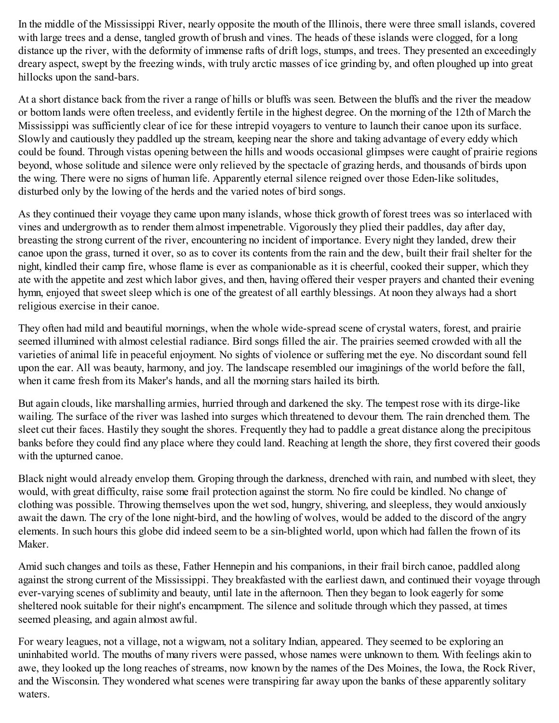In the middle of the Mississippi River, nearly opposite the mouth of the Illinois, there were three small islands, covered with large trees and a dense, tangled growth of brush and vines. The heads of these islands were clogged, for a long distance up the river, with the deformity of immense rafts of drift logs, stumps, and trees. They presented an exceedingly dreary aspect, swept by the freezing winds, with truly arctic masses of ice grinding by, and often ploughed up into great hillocks upon the sand-bars.

At a short distance back from the river a range of hills or bluffs was seen. Between the bluffs and the river the meadow or bottom lands were often treeless, and evidently fertile in the highest degree. On the morning of the 12th of March the Mississippi was sufficiently clear of ice for these intrepid voyagers to venture to launch their canoe upon its surface. Slowly and cautiously they paddled up the stream, keeping near the shore and taking advantage of every eddy which could be found. Through vistas opening between the hills and woods occasional glimpses were caught of prairie regions beyond, whose solitude and silence were only relieved by the spectacle of grazing herds, and thousands of birds upon the wing. There were no signs of human life. Apparently eternal silence reigned over those Eden-like solitudes, disturbed only by the lowing of the herds and the varied notes of bird songs.

As they continued their voyage they came upon many islands, whose thick growth of forest trees was so interlaced with vines and undergrowth as to render them almost impenetrable. Vigorously they plied their paddles, day after day, breasting the strong current of the river, encountering no incident of importance. Every night they landed, drew their canoe upon the grass, turned it over, so as to cover its contents from the rain and the dew, built their frail shelter for the night, kindled their camp fire, whose flame is ever as companionable as it is cheerful, cooked their supper, which they ate with the appetite and zest which labor gives, and then, having offered their vesper prayers and chanted their evening hymn, enjoyed that sweet sleep which is one of the greatest of all earthly blessings. At noon they always had a short religious exercise in their canoe.

They often had mild and beautiful mornings, when the whole wide-spread scene of crystal waters, forest, and prairie seemed illumined with almost celestial radiance. Bird songs filled the air. The prairies seemed crowded with all the varieties of animal life in peaceful enjoyment. No sights of violence or suffering met the eye. No discordant sound fell upon the ear. All was beauty, harmony, and joy. The landscape resembled our imaginings of the world before the fall, when it came fresh from its Maker's hands, and all the morning stars hailed its birth.

But again clouds, like marshalling armies, hurried through and darkened the sky. The tempest rose with its dirge-like wailing. The surface of the river was lashed into surges which threatened to devour them. The rain drenched them. The sleet cut their faces. Hastily they sought the shores. Frequently they had to paddle a great distance along the precipitous banks before they could find any place where they could land. Reaching at length the shore, they first covered their goods with the upturned canoe.

Black night would already envelop them. Groping through the darkness, drenched with rain, and numbed with sleet, they would, with great difficulty, raise some frail protection against the storm. No fire could be kindled. No change of clothing was possible. Throwing themselves upon the wet sod, hungry, shivering, and sleepless, they would anxiously await the dawn. The cry of the lone night-bird, and the howling of wolves, would be added to the discord of the angry elements. In such hours this globe did indeed seem to be a sin-blighted world, upon which had fallen the frown of its Maker.

Amid such changes and toils as these, Father Hennepin and his companions, in their frail birch canoe, paddled along against the strong current of the Mississippi. They breakfasted with the earliest dawn, and continued their voyage through ever-varying scenes of sublimity and beauty, until late in the afternoon. Then they began to look eagerly for some sheltered nook suitable for their night's encampment. The silence and solitude through which they passed, at times seemed pleasing, and again almost awful.

For weary leagues, not a village, not a wigwam, not a solitary Indian, appeared. They seemed to be exploring an uninhabited world. The mouths of many rivers were passed, whose names were unknown to them. With feelings akin to awe, they looked up the long reaches of streams, now known by the names of the Des Moines, the Iowa, the Rock River, and the Wisconsin. They wondered what scenes were transpiring far away upon the banks of these apparently solitary waters.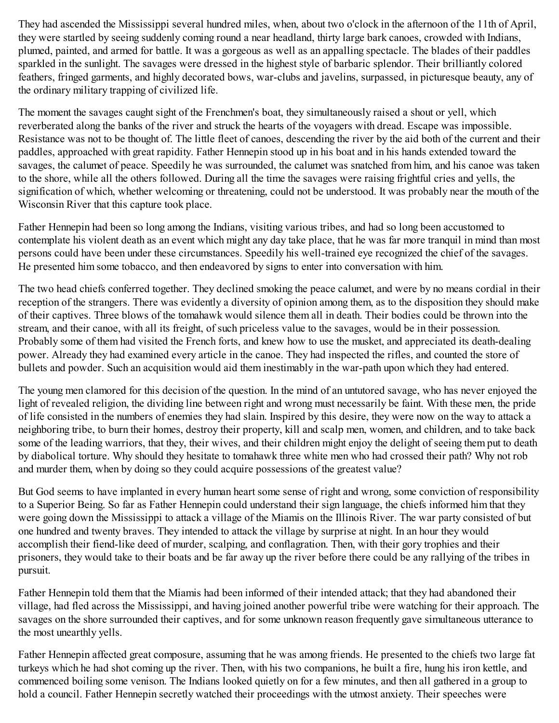They had ascended the Mississippi several hundred miles, when, about two o'clock in the afternoon of the 11th of April, they were startled by seeing suddenly coming round a near headland, thirty large bark canoes, crowded with Indians, plumed, painted, and armed for battle. It was a gorgeous as well as an appalling spectacle. The blades of their paddles sparkled in the sunlight. The savages were dressed in the highest style of barbaric splendor. Their brilliantly colored feathers, fringed garments, and highly decorated bows, war-clubs and javelins, surpassed, in picturesque beauty, any of the ordinary military trapping of civilized life.

The moment the savages caught sight of the Frenchmen's boat, they simultaneously raised a shout or yell, which reverberated along the banks of the river and struck the hearts of the voyagers with dread. Escape was impossible. Resistance was not to be thought of. The little fleet of canoes, descending the river by the aid both of the current and their paddles, approached with great rapidity. Father Hennepin stood up in his boat and in his hands extended toward the savages, the calumet of peace. Speedily he was surrounded, the calumet was snatched from him, and his canoe was taken to the shore, while all the others followed. During all the time the savages were raising frightful cries and yells, the signification of which, whether welcoming or threatening, could not be understood. It was probably near the mouth of the Wisconsin River that this capture took place.

Father Hennepin had been so long among the Indians, visiting various tribes, and had so long been accustomed to contemplate his violent death as an event which might any day take place, that he was far more tranquil in mind than most persons could have been under these circumstances. Speedily his well-trained eye recognized the chief of the savages. He presented him some tobacco, and then endeavored by signs to enter into conversation with him.

The two head chiefs conferred together. They declined smoking the peace calumet, and were by no means cordial in their reception of the strangers. There was evidently a diversity of opinion among them, as to the disposition they should make of their captives. Three blows of the tomahawk would silence them all in death. Their bodies could be thrown into the stream, and their canoe, with all its freight, of such priceless value to the savages, would be in their possession. Probably some of them had visited the French forts, and knew how to use the musket, and appreciated its death-dealing power. Already they had examined every article in the canoe. They had inspected the rifles, and counted the store of bullets and powder. Such an acquisition would aid them inestimably in the war-path upon which they had entered.

The young men clamored for this decision of the question. In the mind of an untutored savage, who has never enjoyed the light of revealed religion, the dividing line between right and wrong must necessarily be faint. With these men, the pride of life consisted in the numbers of enemies they had slain. Inspired by this desire, they were now on the way to attack a neighboring tribe, to burn their homes, destroy their property, kill and scalp men, women, and children, and to take back some of the leading warriors, that they, their wives, and their children might enjoy the delight of seeing them put to death by diabolical torture. Why should they hesitate to tomahawk three white men who had crossed their path? Why not rob and murder them, when by doing so they could acquire possessions of the greatest value?

But God seems to have implanted in every human heart some sense of right and wrong, some conviction of responsibility to a Superior Being. So far as Father Hennepin could understand their sign language, the chiefs informed him that they were going down the Mississippi to attack a village of the Miamis on the Illinois River. The war party consisted of but one hundred and twenty braves. They intended to attack the village by surprise at night. In an hour they would accomplish their fiend-like deed of murder, scalping, and conflagration. Then, with their gory trophies and their prisoners, they would take to their boats and be far away up the river before there could be any rallying of the tribes in pursuit.

Father Hennepin told them that the Miamis had been informed of their intended attack; that they had abandoned their village, had fled across the Mississippi, and having joined another powerful tribe were watching for their approach. The savages on the shore surrounded their captives, and for some unknown reason frequently gave simultaneous utterance to the most unearthly yells.

Father Hennepin affected great composure, assuming that he was among friends. He presented to the chiefs two large fat turkeys which he had shot coming up the river. Then, with his two companions, he built a fire, hung his iron kettle, and commenced boiling some venison. The Indians looked quietly on for a few minutes, and then all gathered in a group to hold a council. Father Hennepin secretly watched their proceedings with the utmost anxiety. Their speeches were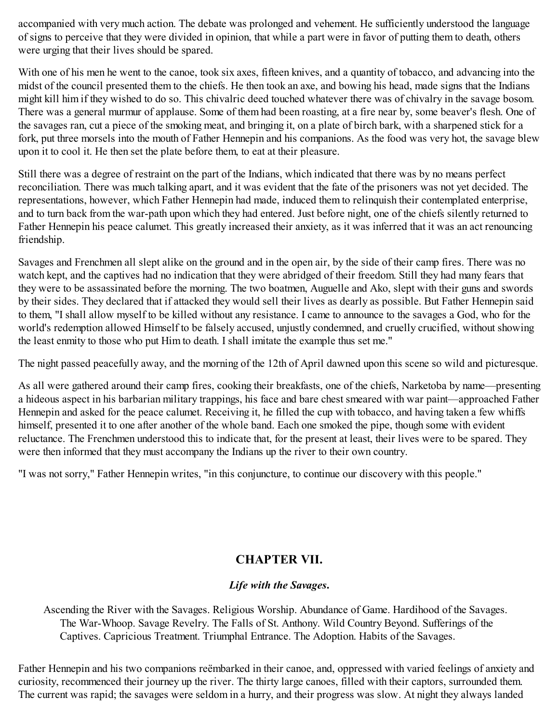accompanied with very much action. The debate was prolonged and vehement. He sufficiently understood the language of signs to perceive that they were divided in opinion, that while a part were in favor of putting them to death, others were urging that their lives should be spared.

With one of his men he went to the canoe, took six axes, fifteen knives, and a quantity of tobacco, and advancing into the midst of the council presented them to the chiefs. He then took an axe, and bowing his head, made signs that the Indians might kill him if they wished to do so. This chivalric deed touched whatever there was of chivalry in the savage bosom. There was a general murmur of applause. Some of them had been roasting, at a fire near by, some beaver's flesh. One of the savages ran, cut a piece of the smoking meat, and bringing it, on a plate of birch bark, with a sharpened stick for a fork, put three morsels into the mouth of Father Hennepin and his companions. As the food was very hot, the savage blew upon it to cool it. He then set the plate before them, to eat at their pleasure.

Still there was a degree of restraint on the part of the Indians, which indicated that there was by no means perfect reconciliation. There was much talking apart, and it was evident that the fate of the prisoners was not yet decided. The representations, however, which Father Hennepin had made, induced them to relinquish their contemplated enterprise, and to turn back from the war-path upon which they had entered. Just before night, one of the chiefs silently returned to Father Hennepin his peace calumet. This greatly increased their anxiety, as it was inferred that it was an act renouncing friendship.

Savages and Frenchmen all slept alike on the ground and in the open air, by the side of their camp fires. There was no watch kept, and the captives had no indication that they were abridged of their freedom. Still they had many fears that they were to be assassinated before the morning. The two boatmen, Auguelle and Ako, slept with their guns and swords by their sides. They declared that if attacked they would sell their lives as dearly as possible. But Father Hennepin said to them, "I shall allow myself to be killed without any resistance. I came to announce to the savages a God, who for the world's redemption allowed Himself to be falsely accused, unjustly condemned, and cruelly crucified, without showing the least enmity to those who put Him to death. I shall imitate the example thus set me."

The night passed peacefully away, and the morning of the 12th of April dawned upon this scene so wild and picturesque.

As all were gathered around their camp fires, cooking their breakfasts, one of the chiefs, Narketoba by name—presenting a hideous aspect in his barbarian military trappings, his face and bare chest smeared with war paint—approached Father Hennepin and asked for the peace calumet. Receiving it, he filled the cup with tobacco, and having taken a few whiffs himself, presented it to one after another of the whole band. Each one smoked the pipe, though some with evident reluctance. The Frenchmen understood this to indicate that, for the present at least, their lives were to be spared. They were then informed that they must accompany the Indians up the river to their own country.

"I was not sorry," Father Hennepin writes, "in this conjuncture, to continue our discovery with this people."

# **CHAPTER VII.**

## *Life with the Savages***.**

Ascending the River with the Savages. Religious Worship. Abundance of Game. Hardihood of the Savages. The War-Whoop. Savage Revelry. The Falls of St. Anthony. Wild Country Beyond. Sufferings of the Captives. Capricious Treatment. Triumphal Entrance. The Adoption. Habits of the Savages.

Father Hennepin and his two companions reëmbarked in their canoe, and, oppressed with varied feelings of anxiety and curiosity, recommenced their journey up the river. The thirty large canoes, filled with their captors, surrounded them. The current was rapid; the savages were seldom in a hurry, and their progress was slow. At night they always landed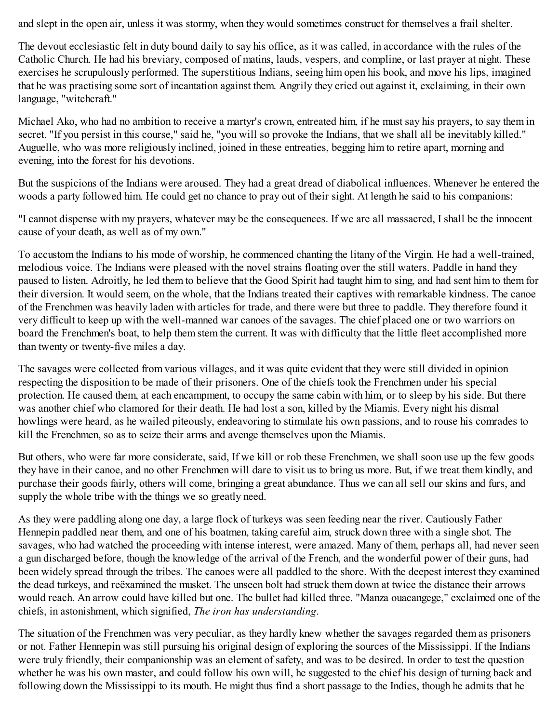and slept in the open air, unless it was stormy, when they would sometimes construct for themselves a frail shelter.

The devout ecclesiastic felt in duty bound daily to say his office, as it was called, in accordance with the rules of the Catholic Church. He had his breviary, composed of matins, lauds, vespers, and compline, or last prayer at night. These exercises he scrupulously performed. The superstitious Indians, seeing him open his book, and move his lips, imagined that he was practising some sort of incantation against them. Angrily they cried out against it, exclaiming, in their own language, "witchcraft."

Michael Ako, who had no ambition to receive a martyr's crown, entreated him, if he must say his prayers, to say them in secret. "If you persist in this course," said he, "you will so provoke the Indians, that we shall all be inevitably killed." Auguelle, who was more religiously inclined, joined in these entreaties, begging him to retire apart, morning and evening, into the forest for his devotions.

But the suspicions of the Indians were aroused. They had a great dread of diabolical influences. Whenever he entered the woods a party followed him. He could get no chance to pray out of their sight. At length he said to his companions:

"I cannot dispense with my prayers, whatever may be the consequences. If we are all massacred, I shall be the innocent cause of your death, as well as of my own."

To accustom the Indians to his mode of worship, he commenced chanting the litany of the Virgin. He had a well-trained, melodious voice. The Indians were pleased with the novel strains floating over the still waters. Paddle in hand they paused to listen. Adroitly, he led them to believe that the Good Spirit had taught him to sing, and had sent him to them for their diversion. It would seem, on the whole, that the Indians treated their captives with remarkable kindness. The canoe of the Frenchmen was heavily laden with articles for trade, and there were but three to paddle. They therefore found it very difficult to keep up with the well-manned war canoes of the savages. The chief placed one or two warriors on board the Frenchmen's boat, to help them stem the current. It was with difficulty that the little fleet accomplished more than twenty or twenty-five miles a day.

The savages were collected from various villages, and it was quite evident that they were still divided in opinion respecting the disposition to be made of their prisoners. One of the chiefs took the Frenchmen under his special protection. He caused them, at each encampment, to occupy the same cabin with him, or to sleep by his side. But there was another chief who clamored for their death. He had lost a son, killed by the Miamis. Every night his dismal howlings were heard, as he wailed piteously, endeavoring to stimulate his own passions, and to rouse his comrades to kill the Frenchmen, so as to seize their arms and avenge themselves upon the Miamis.

But others, who were far more considerate, said, If we kill or rob these Frenchmen, we shall soon use up the few goods they have in their canoe, and no other Frenchmen will dare to visit us to bring us more. But, if we treat them kindly, and purchase their goods fairly, others will come, bringing a great abundance. Thus we can all sell our skins and furs, and supply the whole tribe with the things we so greatly need.

As they were paddling along one day, a large flock of turkeys was seen feeding near the river. Cautiously Father Hennepin paddled near them, and one of his boatmen, taking careful aim, struck down three with a single shot. The savages, who had watched the proceeding with intense interest, were amazed. Many of them, perhaps all, had never seen a gun discharged before, though the knowledge of the arrival of the French, and the wonderful power of their guns, had been widely spread through the tribes. The canoes were all paddled to the shore. With the deepest interest they examined the dead turkeys, and reëxamined the musket. The unseen bolt had struck them down at twice the distance their arrows would reach. An arrow could have killed but one. The bullet had killed three. "Manza ouacangege," exclaimed one of the chiefs, in astonishment, which signified, *The iron has understanding*.

The situation of the Frenchmen was very peculiar, as they hardly knew whether the savages regarded them as prisoners or not. Father Hennepin was still pursuing his original design of exploring the sources of the Mississippi. If the Indians were truly friendly, their companionship was an element of safety, and was to be desired. In order to test the question whether he was his own master, and could follow his own will, he suggested to the chief his design of turning back and following down the Mississippi to its mouth. He might thus find a short passage to the Indies, though he admits that he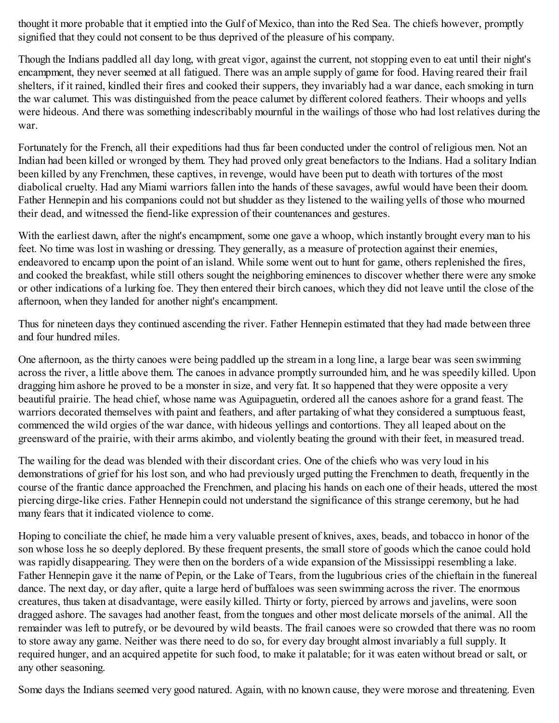thought it more probable that it emptied into the Gulf of Mexico, than into the Red Sea. The chiefs however, promptly signified that they could not consent to be thus deprived of the pleasure of his company.

Though the Indians paddled all day long, with great vigor, against the current, not stopping even to eat until their night's encampment, they never seemed at all fatigued. There was an ample supply of game for food. Having reared their frail shelters, if it rained, kindled their fires and cooked their suppers, they invariably had a war dance, each smoking in turn the war calumet. This was distinguished from the peace calumet by different colored feathers. Their whoops and yells were hideous. And there was something indescribably mournful in the wailings of those who had lost relatives during the war.

Fortunately for the French, all their expeditions had thus far been conducted under the control of religious men. Not an Indian had been killed or wronged by them. They had proved only great benefactors to the Indians. Had a solitary Indian been killed by any Frenchmen, these captives, in revenge, would have been put to death with tortures of the most diabolical cruelty. Had any Miami warriors fallen into the hands of these savages, awful would have been their doom. Father Hennepin and his companions could not but shudder as they listened to the wailing yells of those who mourned their dead, and witnessed the fiend-like expression of their countenances and gestures.

With the earliest dawn, after the night's encampment, some one gave a whoop, which instantly brought every man to his feet. No time was lost in washing or dressing. They generally, as a measure of protection against their enemies, endeavored to encamp upon the point of an island. While some went out to hunt for game, others replenished the fires, and cooked the breakfast, while still others sought the neighboring eminences to discover whether there were any smoke or other indications of a lurking foe. They then entered their birch canoes, which they did not leave until the close of the afternoon, when they landed for another night's encampment.

Thus for nineteen days they continued ascending the river. Father Hennepin estimated that they had made between three and four hundred miles.

One afternoon, as the thirty canoes were being paddled up the stream in a long line, a large bear was seen swimming across the river, a little above them. The canoes in advance promptly surrounded him, and he was speedily killed. Upon dragging him ashore he proved to be a monster in size, and very fat. It so happened that they were opposite a very beautiful prairie. The head chief, whose name was Aguipaguetin, ordered all the canoes ashore for a grand feast. The warriors decorated themselves with paint and feathers, and after partaking of what they considered a sumptuous feast, commenced the wild orgies of the war dance, with hideous yellings and contortions. They all leaped about on the greensward of the prairie, with their arms akimbo, and violently beating the ground with their feet, in measured tread.

The wailing for the dead was blended with their discordant cries. One of the chiefs who was very loud in his demonstrations of grief for his lost son, and who had previously urged putting the Frenchmen to death, frequently in the course of the frantic dance approached the Frenchmen, and placing his hands on each one of their heads, uttered the most piercing dirge-like cries. Father Hennepin could not understand the significance of this strange ceremony, but he had many fears that it indicated violence to come.

Hoping to conciliate the chief, he made him a very valuable present of knives, axes, beads, and tobacco in honor of the son whose loss he so deeply deplored. By these frequent presents, the small store of goods which the canoe could hold was rapidly disappearing. They were then on the borders of a wide expansion of the Mississippi resembling a lake. Father Hennepin gave it the name of Pepin, or the Lake of Tears, from the lugubrious cries of the chieftain in the funereal dance. The next day, or day after, quite a large herd of buffaloes was seen swimming across the river. The enormous creatures, thus taken at disadvantage, were easily killed. Thirty or forty, pierced by arrows and javelins, were soon dragged ashore. The savages had another feast, from the tongues and other most delicate morsels of the animal. All the remainder was left to putrefy, or be devoured by wild beasts. The frail canoes were so crowded that there was no room to store away any game. Neither was there need to do so, for every day brought almost invariably a full supply. It required hunger, and an acquired appetite for such food, to make it palatable; for it was eaten without bread or salt, or any other seasoning.

Some days the Indians seemed very good natured. Again, with no known cause, they were morose and threatening. Even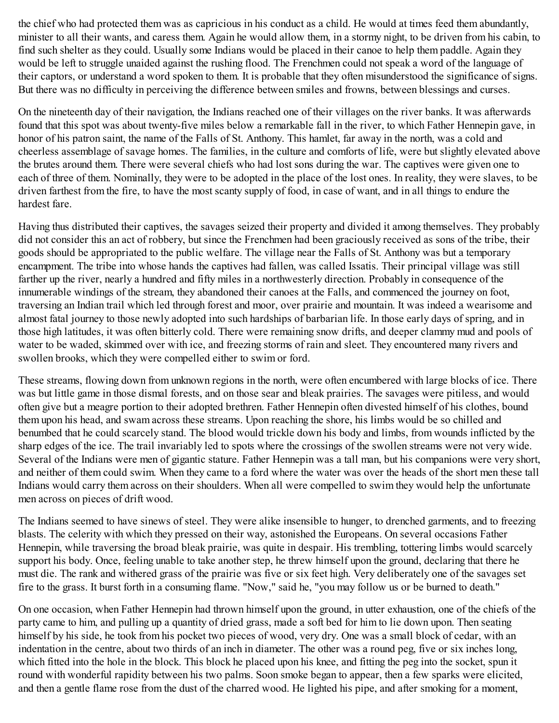the chief who had protected them was as capricious in his conduct as a child. He would at times feed them abundantly, minister to all their wants, and caress them. Again he would allow them, in a stormy night, to be driven from his cabin, to find such shelter as they could. Usually some Indians would be placed in their canoe to help them paddle. Again they would be left to struggle unaided against the rushing flood. The Frenchmen could not speak a word of the language of their captors, or understand a word spoken to them. It is probable that they often misunderstood the significance of signs. But there was no difficulty in perceiving the difference between smiles and frowns, between blessings and curses.

On the nineteenth day of their navigation, the Indians reached one of their villages on the river banks. It was afterwards found that this spot was about twenty-five miles below a remarkable fall in the river, to which Father Hennepin gave, in honor of his patron saint, the name of the Falls of St. Anthony. This hamlet, far away in the north, was a cold and cheerless assemblage of savage homes. The families, in the culture and comforts of life, were but slightly elevated above the brutes around them. There were several chiefs who had lost sons during the war. The captives were given one to each of three of them. Nominally, they were to be adopted in the place of the lost ones. In reality, they were slaves, to be driven farthest from the fire, to have the most scanty supply of food, in case of want, and in all things to endure the hardest fare.

Having thus distributed their captives, the savages seized their property and divided it among themselves. They probably did not consider this an act of robbery, but since the Frenchmen had been graciously received as sons of the tribe, their goods should be appropriated to the public welfare. The village near the Falls of St. Anthony was but a temporary encampment. The tribe into whose hands the captives had fallen, was called Issatis. Their principal village was still farther up the river, nearly a hundred and fifty miles in a northwesterly direction. Probably in consequence of the innumerable windings of the stream, they abandoned their canoes at the Falls, and commenced the journey on foot, traversing an Indian trail which led through forest and moor, over prairie and mountain. It was indeed a wearisome and almost fatal journey to those newly adopted into such hardships of barbarian life. In those early days of spring, and in those high latitudes, it was often bitterly cold. There were remaining snow drifts, and deeper clammy mud and pools of water to be waded, skimmed over with ice, and freezing storms of rain and sleet. They encountered many rivers and swollen brooks, which they were compelled either to swim or ford.

These streams, flowing down from unknown regions in the north, were often encumbered with large blocks of ice. There was but little game in those dismal forests, and on those sear and bleak prairies. The savages were pitiless, and would often give but a meagre portion to their adopted brethren. Father Hennepin often divested himself of his clothes, bound them upon his head, and swam across these streams. Upon reaching the shore, his limbs would be so chilled and benumbed that he could scarcely stand. The blood would trickle down his body and limbs, from wounds inflicted by the sharp edges of the ice. The trail invariably led to spots where the crossings of the swollen streams were not very wide. Several of the Indians were men of gigantic stature. Father Hennepin was a tall man, but his companions were very short, and neither of them could swim. When they came to a ford where the water was over the heads of the short men these tall Indians would carry them across on their shoulders. When all were compelled to swim they would help the unfortunate men across on pieces of drift wood.

The Indians seemed to have sinews of steel. They were alike insensible to hunger, to drenched garments, and to freezing blasts. The celerity with which they pressed on their way, astonished the Europeans. On several occasions Father Hennepin, while traversing the broad bleak prairie, was quite in despair. His trembling, tottering limbs would scarcely support his body. Once, feeling unable to take another step, he threw himself upon the ground, declaring that there he must die. The rank and withered grass of the prairie was five or six feet high. Very deliberately one of the savages set fire to the grass. It burst forth in a consuming flame. "Now," said he, "you may follow us or be burned to death."

On one occasion, when Father Hennepin had thrown himself upon the ground, in utter exhaustion, one of the chiefs of the party came to him, and pulling up a quantity of dried grass, made a soft bed for him to lie down upon. Then seating himself by his side, he took from his pocket two pieces of wood, very dry. One was a small block of cedar, with an indentation in the centre, about two thirds of an inch in diameter. The other was a round peg, five or six inches long, which fitted into the hole in the block. This block he placed upon his knee, and fitting the peg into the socket, spun it round with wonderful rapidity between his two palms. Soon smoke began to appear, then a few sparks were elicited, and then a gentle flame rose from the dust of the charred wood. He lighted his pipe, and after smoking for a moment,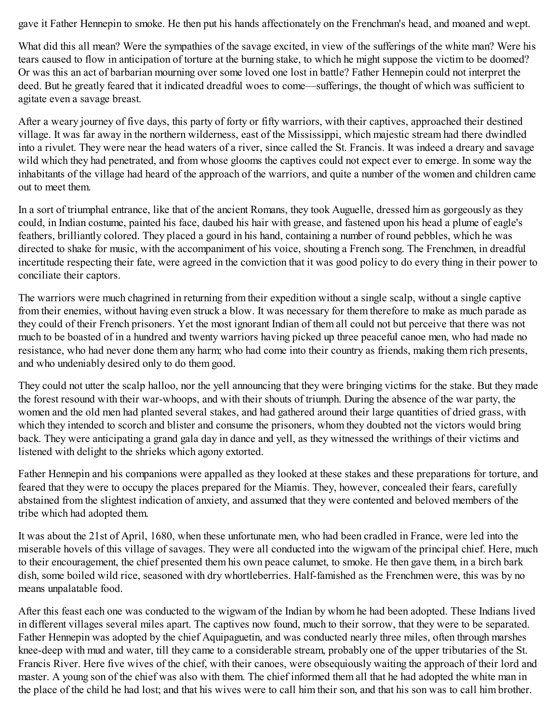gave it Father Hennepin to smoke. He then put his hands affectionately on the Frenchman's head, and moaned and wept.

What did this all mean? Were the sympathies of the savage excited, in view of the sufferings of the white man? Were his tears caused to flow in anticipation of torture at the burning stake, to which he might suppose the victim to be doomed? Or was this an act of barbarian mourning over some loved one lost in battle? Father Hennepin could not interpret the deed. But he greatly feared that it indicated dreadful woes to come—sufferings, the thought of which was sufficient to agitate even a savage breast.

After a weary journey of five days, this party of forty or fifty warriors, with their captives, approached their destined village. It was far away in the northern wilderness, east of the Mississippi, which majestic stream had there dwindled into a rivulet. They were near the head waters of a river, since called the St. Francis. It was indeed a dreary and savage wild which they had penetrated, and from whose glooms the captives could not expect ever to emerge. In some way the inhabitants of the village had heard of the approach of the warriors, and quite a number of the women and children came out to meet them.

In a sort of triumphal entrance, like that of the ancient Romans, they took Auguelle, dressed him as gorgeously as they could, in Indian costume, painted his face, daubed his hair with grease, and fastened upon his head a plume of eagle's feathers, brilliantly colored. They placed a gourd in his hand, containing a number of round pebbles, which he was directed to shake for music, with the accompaniment of his voice, shouting a French song. The Frenchmen, in dreadful incertitude respecting their fate, were agreed in the conviction that it was good policy to do every thing in their power to conciliate their captors.

The warriors were much chagrined in returning from their expedition without a single scalp, without a single captive from their enemies, without having even struck a blow. It was necessary for them therefore to make as much parade as they could of their French prisoners. Yet the most ignorant Indian of them all could not but perceive that there was not much to be boasted of in a hundred and twenty warriors having picked up three peaceful canoe men, who had made no resistance, who had never done them any harm; who had come into their country as friends, making them rich presents, and who undeniably desired only to do them good.

They could not utter the scalp halloo, nor the yell announcing that they were bringing victims for the stake. But they made the forest resound with their war-whoops, and with their shouts of triumph. During the absence of the war party, the women and the old men had planted several stakes, and had gathered around their large quantities of dried grass, with which they intended to scorch and blister and consume the prisoners, whom they doubted not the victors would bring back. They were anticipating a grand gala day in dance and yell, as they witnessed the writhings of their victims and listened with delight to the shrieks which agony extorted.

Father Hennepin and his companions were appalled as they looked at these stakes and these preparations for torture, and feared that they were to occupy the places prepared for the Miamis. They, however, concealed their fears, carefully abstained from the slightest indication of anxiety, and assumed that they were contented and beloved members of the tribe which had adopted them.

It was about the 21st of April, 1680, when these unfortunate men, who had been cradled in France, were led into the miserable hovels of this village of savages. They were all conducted into the wigwam of the principal chief. Here, much to their encouragement, the chief presented them his own peace calumet, to smoke. He then gave them, in a birch bark dish, some boiled wild rice, seasoned with dry whortleberries. Half-famished as the Frenchmen were, this was by no means unpalatable food.

After this feast each one was conducted to the wigwam of the Indian by whom he had been adopted. These Indians lived in different villages several miles apart. The captives now found, much to their sorrow, that they were to be separated. Father Hennepin was adopted by the chief Aquipaguetin, and was conducted nearly three miles, often through marshes knee-deep with mud and water, till they came to a considerable stream, probably one of the upper tributaries of the St. Francis River. Here five wives of the chief, with their canoes, were obsequiously waiting the approach of their lord and master. A young son of the chief was also with them. The chief informed them all that he had adopted the white man in the place of the child he had lost; and that his wives were to call him their son, and that his son was to call him brother.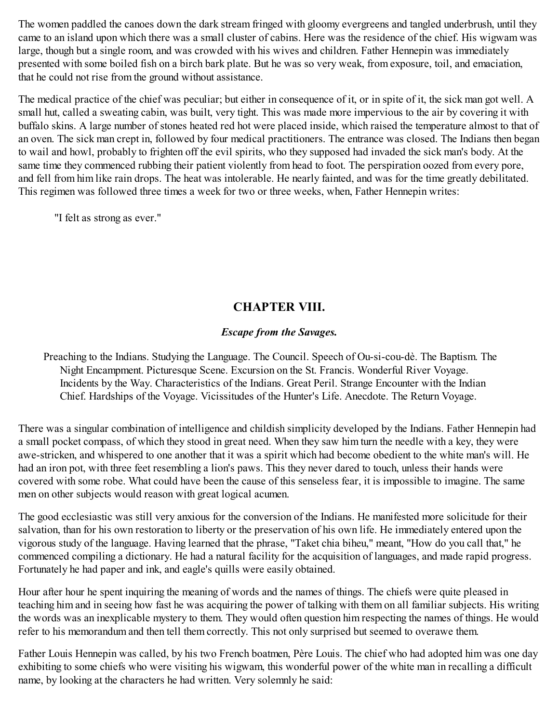The women paddled the canoes down the dark stream fringed with gloomy evergreens and tangled underbrush, until they came to an island upon which there was a small cluster of cabins. Here was the residence of the chief. His wigwam was large, though but a single room, and was crowded with his wives and children. Father Hennepin was immediately presented with some boiled fish on a birch bark plate. But he was so very weak, from exposure, toil, and emaciation, that he could not rise from the ground without assistance.

The medical practice of the chief was peculiar; but either in consequence of it, or in spite of it, the sick man got well. A small hut, called a sweating cabin, was built, very tight. This was made more impervious to the air by covering it with buffalo skins. A large number of stones heated red hot were placed inside, which raised the temperature almost to that of an oven. The sick man crept in, followed by four medical practitioners. The entrance was closed. The Indians then began to wail and howl, probably to frighten off the evil spirits, who they supposed had invaded the sick man's body. At the same time they commenced rubbing their patient violently from head to foot. The perspiration oozed from every pore, and fell from him like rain drops. The heat was intolerable. He nearly fainted, and was for the time greatly debilitated. This regimen was followed three times a week for two or three weeks, when, Father Hennepin writes:

"I felt as strong as ever."

# **CHAPTER VIII.**

## *Escape from the Savages.*

Preaching to the Indians. Studying the Language. The Council. Speech of Ou-si-cou-dè. The Baptism. The Night Encampment. Picturesque Scene. Excursion on the St. Francis. Wonderful River Voyage. Incidents by the Way. Characteristics of the Indians. Great Peril. Strange Encounter with the Indian Chief. Hardships of the Voyage. Vicissitudes of the Hunter's Life. Anecdote. The Return Voyage.

There was a singular combination of intelligence and childish simplicity developed by the Indians. Father Hennepin had a small pocket compass, of which they stood in great need. When they saw him turn the needle with a key, they were awe-stricken, and whispered to one another that it was a spirit which had become obedient to the white man's will. He had an iron pot, with three feet resembling a lion's paws. This they never dared to touch, unless their hands were covered with some robe. What could have been the cause of this senseless fear, it is impossible to imagine. The same men on other subjects would reason with great logical acumen.

The good ecclesiastic was still very anxious for the conversion of the Indians. He manifested more solicitude for their salvation, than for his own restoration to liberty or the preservation of his own life. He immediately entered upon the vigorous study of the language. Having learned that the phrase, "Taket chia biheu," meant, "How do you call that," he commenced compiling a dictionary. He had a natural facility for the acquisition of languages, and made rapid progress. Fortunately he had paper and ink, and eagle's quills were easily obtained.

Hour after hour he spent inquiring the meaning of words and the names of things. The chiefs were quite pleased in teaching him and in seeing how fast he was acquiring the power of talking with them on all familiar subjects. His writing the words was an inexplicable mystery to them. They would often question him respecting the names of things. He would refer to his memorandum and then tell them correctly. This not only surprised but seemed to overawe them.

Father Louis Hennepin was called, by his two French boatmen, Père Louis. The chief who had adopted him was one day exhibiting to some chiefs who were visiting his wigwam, this wonderful power of the white man in recalling a difficult name, by looking at the characters he had written. Very solemnly he said: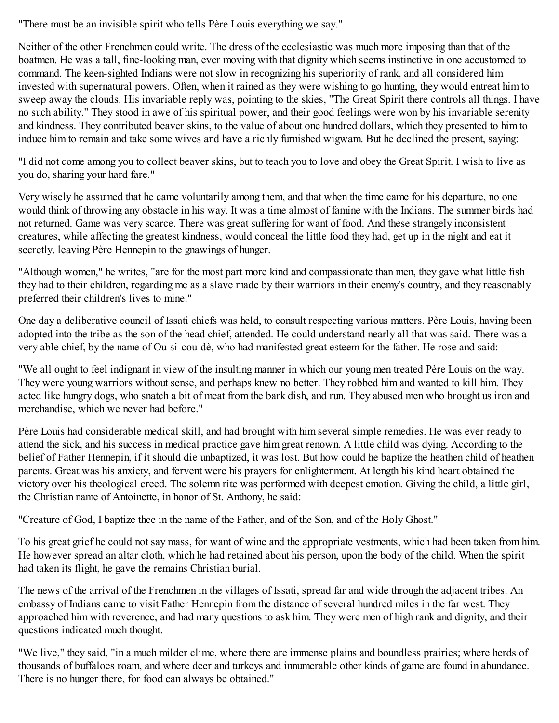"There must be an invisible spirit who tells Père Louis everything we say."

Neither of the other Frenchmen could write. The dress of the ecclesiastic was much more imposing than that of the boatmen. He was a tall, fine-looking man, ever moving with that dignity which seems instinctive in one accustomed to command. The keen-sighted Indians were not slow in recognizing his superiority of rank, and all considered him invested with supernatural powers. Often, when it rained as they were wishing to go hunting, they would entreat him to sweep away the clouds. His invariable reply was, pointing to the skies, "The Great Spirit there controls all things. I have no such ability." They stood in awe of his spiritual power, and their good feelings were won by his invariable serenity and kindness. They contributed beaver skins, to the value of about one hundred dollars, which they presented to him to induce him to remain and take some wives and have a richly furnished wigwam. But he declined the present, saying:

"I did not come among you to collect beaver skins, but to teach you to love and obey the Great Spirit. I wish to live as you do, sharing your hard fare."

Very wisely he assumed that he came voluntarily among them, and that when the time came for his departure, no one would think of throwing any obstacle in his way. It was a time almost of famine with the Indians. The summer birds had not returned. Game was very scarce. There was great suffering for want of food. And these strangely inconsistent creatures, while affecting the greatest kindness, would conceal the little food they had, get up in the night and eat it secretly, leaving Père Hennepin to the gnawings of hunger.

"Although women," he writes, "are for the most part more kind and compassionate than men, they gave what little fish they had to their children, regarding me as a slave made by their warriors in their enemy's country, and they reasonably preferred their children's lives to mine."

One day a deliberative council of Issati chiefs was held, to consult respecting various matters. Père Louis, having been adopted into the tribe as the son of the head chief, attended. He could understand nearly all that was said. There was a very able chief, by the name of Ou-si-cou-dè, who had manifested great esteem for the father. He rose and said:

"We all ought to feel indignant in view of the insulting manner in which our young men treated Père Louis on the way. They were young warriors without sense, and perhaps knew no better. They robbed him and wanted to kill him. They acted like hungry dogs, who snatch a bit of meat from the bark dish, and run. They abused men who brought us iron and merchandise, which we never had before."

Père Louis had considerable medical skill, and had brought with him several simple remedies. He was ever ready to attend the sick, and his success in medical practice gave him great renown. A little child was dying. According to the belief of Father Hennepin, if it should die unbaptized, it was lost. But how could he baptize the heathen child of heathen parents. Great was his anxiety, and fervent were his prayers for enlightenment. At length his kind heart obtained the victory over his theological creed. The solemn rite was performed with deepest emotion. Giving the child, a little girl, the Christian name of Antoinette, in honor of St. Anthony, he said:

"Creature of God, I baptize thee in the name of the Father, and of the Son, and of the Holy Ghost."

To his great grief he could not say mass, for want of wine and the appropriate vestments, which had been taken from him. He however spread an altar cloth, which he had retained about his person, upon the body of the child. When the spirit had taken its flight, he gave the remains Christian burial.

The news of the arrival of the Frenchmen in the villages of Issati, spread far and wide through the adjacent tribes. An embassy of Indians came to visit Father Hennepin from the distance of several hundred miles in the far west. They approached him with reverence, and had many questions to ask him. They were men of high rank and dignity, and their questions indicated much thought.

"We live," they said, "in a much milder clime, where there are immense plains and boundless prairies; where herds of thousands of buffaloes roam, and where deer and turkeys and innumerable other kinds of game are found in abundance. There is no hunger there, for food can always be obtained."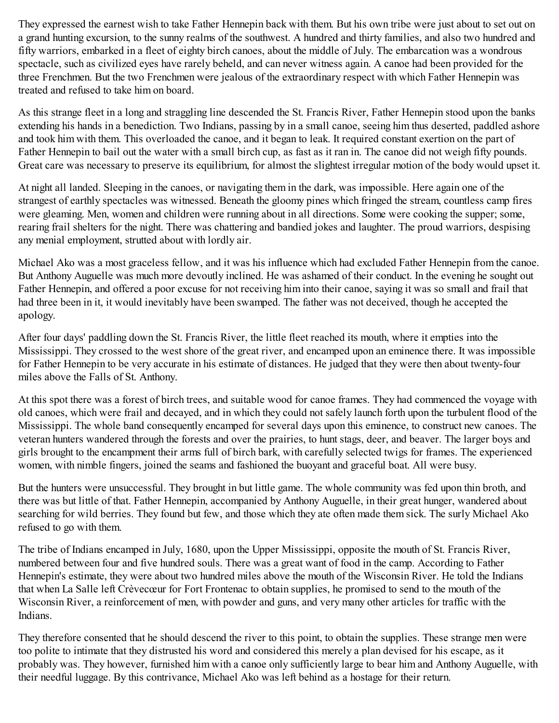They expressed the earnest wish to take Father Hennepin back with them. But his own tribe were just about to set out on a grand hunting excursion, to the sunny realms of the southwest. A hundred and thirty families, and also two hundred and fifty warriors, embarked in a fleet of eighty birch canoes, about the middle of July. The embarcation was a wondrous spectacle, such as civilized eyes have rarely beheld, and can never witness again. A canoe had been provided for the three Frenchmen. But the two Frenchmen were jealous of the extraordinary respect with which Father Hennepin was treated and refused to take him on board.

As this strange fleet in a long and straggling line descended the St. Francis River, Father Hennepin stood upon the banks extending his hands in a benediction. Two Indians, passing by in a small canoe, seeing him thus deserted, paddled ashore and took him with them. This overloaded the canoe, and it began to leak. It required constant exertion on the part of Father Hennepin to bail out the water with a small birch cup, as fast as it ran in. The canoe did not weigh fifty pounds. Great care was necessary to preserve its equilibrium, for almost the slightest irregular motion of the body would upset it.

At night all landed. Sleeping in the canoes, or navigating them in the dark, was impossible. Here again one of the strangest of earthly spectacles was witnessed. Beneath the gloomy pines which fringed the stream, countless camp fires were gleaming. Men, women and children were running about in all directions. Some were cooking the supper; some, rearing frail shelters for the night. There was chattering and bandied jokes and laughter. The proud warriors, despising any menial employment, strutted about with lordly air.

Michael Ako was a most graceless fellow, and it was his influence which had excluded Father Hennepin from the canoe. But Anthony Auguelle was much more devoutly inclined. He was ashamed of their conduct. In the evening he sought out Father Hennepin, and offered a poor excuse for not receiving him into their canoe, saying it was so small and frail that had three been in it, it would inevitably have been swamped. The father was not deceived, though he accepted the apology.

After four days' paddling down the St. Francis River, the little fleet reached its mouth, where it empties into the Mississippi. They crossed to the west shore of the great river, and encamped upon an eminence there. It was impossible for Father Hennepin to be very accurate in his estimate of distances. He judged that they were then about twenty-four miles above the Falls of St. Anthony.

At this spot there was a forest of birch trees, and suitable wood for canoe frames. They had commenced the voyage with old canoes, which were frail and decayed, and in which they could not safely launch forth upon the turbulent flood of the Mississippi. The whole band consequently encamped for several days upon this eminence, to construct new canoes. The veteran hunters wandered through the forests and over the prairies, to hunt stags, deer, and beaver. The larger boys and girls brought to the encampment their arms full of birch bark, with carefully selected twigs for frames. The experienced women, with nimble fingers, joined the seams and fashioned the buoyant and graceful boat. All were busy.

But the hunters were unsuccessful. They brought in but little game. The whole community was fed upon thin broth, and there was but little of that. Father Hennepin, accompanied by Anthony Auguelle, in their great hunger, wandered about searching for wild berries. They found but few, and those which they ate often made them sick. The surly Michael Ako refused to go with them.

The tribe of Indians encamped in July, 1680, upon the Upper Mississippi, opposite the mouth of St. Francis River, numbered between four and five hundred souls. There was a great want of food in the camp. According to Father Hennepin's estimate, they were about two hundred miles above the mouth of the Wisconsin River. He told the Indians that when La Salle left Crèvecœur for Fort Frontenac to obtain supplies, he promised to send to the mouth of the Wisconsin River, a reinforcement of men, with powder and guns, and very many other articles for traffic with the Indians.

They therefore consented that he should descend the river to this point, to obtain the supplies. These strange men were too polite to intimate that they distrusted his word and considered this merely a plan devised for his escape, as it probably was. They however, furnished him with a canoe only sufficiently large to bear him and Anthony Auguelle, with their needful luggage. By this contrivance, Michael Ako was left behind as a hostage for their return.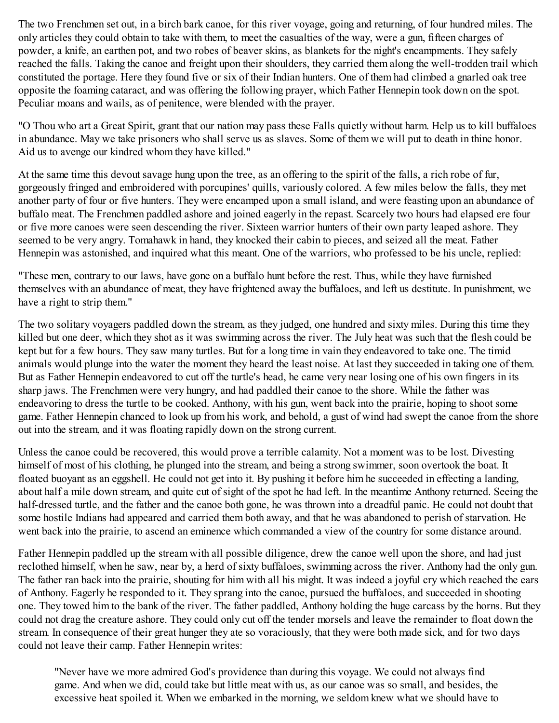The two Frenchmen set out, in a birch bark canoe, for this river voyage, going and returning, of four hundred miles. The only articles they could obtain to take with them, to meet the casualties of the way, were a gun, fifteen charges of powder, a knife, an earthen pot, and two robes of beaver skins, as blankets for the night's encampments. They safely reached the falls. Taking the canoe and freight upon their shoulders, they carried them along the well-trodden trail which constituted the portage. Here they found five or six of their Indian hunters. One of them had climbed a gnarled oak tree opposite the foaming cataract, and was offering the following prayer, which Father Hennepin took down on the spot. Peculiar moans and wails, as of penitence, were blended with the prayer.

"O Thou who art a Great Spirit, grant that our nation may pass these Falls quietly without harm. Help us to kill buffaloes in abundance. May we take prisoners who shall serve us as slaves. Some of them we will put to death in thine honor. Aid us to avenge our kindred whom they have killed."

At the same time this devout savage hung upon the tree, as an offering to the spirit of the falls, a rich robe of fur, gorgeously fringed and embroidered with porcupines' quills, variously colored. A few miles below the falls, they met another party of four or five hunters. They were encamped upon a small island, and were feasting upon an abundance of buffalo meat. The Frenchmen paddled ashore and joined eagerly in the repast. Scarcely two hours had elapsed ere four or five more canoes were seen descending the river. Sixteen warrior hunters of their own party leaped ashore. They seemed to be very angry. Tomahawk in hand, they knocked their cabin to pieces, and seized all the meat. Father Hennepin was astonished, and inquired what this meant. One of the warriors, who professed to be his uncle, replied:

"These men, contrary to our laws, have gone on a buffalo hunt before the rest. Thus, while they have furnished themselves with an abundance of meat, they have frightened away the buffaloes, and left us destitute. In punishment, we have a right to strip them."

The two solitary voyagers paddled down the stream, as they judged, one hundred and sixty miles. During this time they killed but one deer, which they shot as it was swimming across the river. The July heat was such that the flesh could be kept but for a few hours. They saw many turtles. But for a long time in vain they endeavored to take one. The timid animals would plunge into the water the moment they heard the least noise. At last they succeeded in taking one of them. But as Father Hennepin endeavored to cut off the turtle's head, he came very near losing one of his own fingers in its sharp jaws. The Frenchmen were very hungry, and had paddled their canoe to the shore. While the father was endeavoring to dress the turtle to be cooked. Anthony, with his gun, went back into the prairie, hoping to shoot some game. Father Hennepin chanced to look up from his work, and behold, a gust of wind had swept the canoe from the shore out into the stream, and it was floating rapidly down on the strong current.

Unless the canoe could be recovered, this would prove a terrible calamity. Not a moment was to be lost. Divesting himself of most of his clothing, he plunged into the stream, and being a strong swimmer, soon overtook the boat. It floated buoyant as an eggshell. He could not get into it. By pushing it before him he succeeded in effecting a landing, about half a mile down stream, and quite cut of sight of the spot he had left. In the meantime Anthony returned. Seeing the half-dressed turtle, and the father and the canoe both gone, he was thrown into a dreadful panic. He could not doubt that some hostile Indians had appeared and carried them both away, and that he was abandoned to perish of starvation. He went back into the prairie, to ascend an eminence which commanded a view of the country for some distance around.

Father Hennepin paddled up the stream with all possible diligence, drew the canoe well upon the shore, and had just reclothed himself, when he saw, near by, a herd of sixty buffaloes, swimming across the river. Anthony had the only gun. The father ran back into the prairie, shouting for him with all his might. It was indeed a joyful cry which reached the ears of Anthony. Eagerly he responded to it. They sprang into the canoe, pursued the buffaloes, and succeeded in shooting one. They towed him to the bank of the river. The father paddled, Anthony holding the huge carcass by the horns. But they could not drag the creature ashore. They could only cut off the tender morsels and leave the remainder to float down the stream. In consequence of their great hunger they ate so voraciously, that they were both made sick, and for two days could not leave their camp. Father Hennepin writes:

"Never have we more admired God's providence than during this voyage. We could not always find game. And when we did, could take but little meat with us, as our canoe was so small, and besides, the excessive heat spoiled it. When we embarked in the morning, we seldom knew what we should have to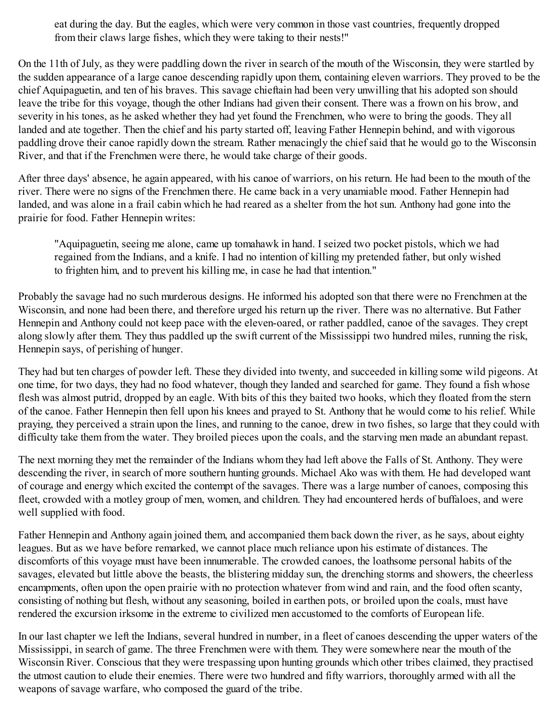eat during the day. But the eagles, which were very common in those vast countries, frequently dropped from their claws large fishes, which they were taking to their nests!"

On the 11th of July, as they were paddling down the river in search of the mouth of the Wisconsin, they were startled by the sudden appearance of a large canoe descending rapidly upon them, containing eleven warriors. They proved to be the chief Aquipaguetin, and ten of his braves. This savage chieftain had been very unwilling that his adopted son should leave the tribe for this voyage, though the other Indians had given their consent. There was a frown on his brow, and severity in his tones, as he asked whether they had yet found the Frenchmen, who were to bring the goods. They all landed and ate together. Then the chief and his party started off, leaving Father Hennepin behind, and with vigorous paddling drove their canoe rapidly down the stream. Rather menacingly the chief said that he would go to the Wisconsin River, and that if the Frenchmen were there, he would take charge of their goods.

After three days' absence, he again appeared, with his canoe of warriors, on his return. He had been to the mouth of the river. There were no signs of the Frenchmen there. He came back in a very unamiable mood. Father Hennepin had landed, and was alone in a frail cabin which he had reared as a shelter from the hot sun. Anthony had gone into the prairie for food. Father Hennepin writes:

"Aquipaguetin, seeing me alone, came up tomahawk in hand. I seized two pocket pistols, which we had regained from the Indians, and a knife. I had no intention of killing my pretended father, but only wished to frighten him, and to prevent his killing me, in case he had that intention."

Probably the savage had no such murderous designs. He informed his adopted son that there were no Frenchmen at the Wisconsin, and none had been there, and therefore urged his return up the river. There was no alternative. But Father Hennepin and Anthony could not keep pace with the eleven-oared, or rather paddled, canoe of the savages. They crept along slowly after them. They thus paddled up the swift current of the Mississippi two hundred miles, running the risk, Hennepin says, of perishing of hunger.

They had but ten charges of powder left. These they divided into twenty, and succeeded in killing some wild pigeons. At one time, for two days, they had no food whatever, though they landed and searched for game. They found a fish whose flesh was almost putrid, dropped by an eagle. With bits of this they baited two hooks, which they floated from the stern of the canoe. Father Hennepin then fell upon his knees and prayed to St. Anthony that he would come to his relief. While praying, they perceived a strain upon the lines, and running to the canoe, drew in two fishes, so large that they could with difficulty take them from the water. They broiled pieces upon the coals, and the starving men made an abundant repast.

The next morning they met the remainder of the Indians whom they had left above the Falls of St. Anthony. They were descending the river, in search of more southern hunting grounds. Michael Ako was with them. He had developed want of courage and energy which excited the contempt of the savages. There was a large number of canoes, composing this fleet, crowded with a motley group of men, women, and children. They had encountered herds of buffaloes, and were well supplied with food.

Father Hennepin and Anthony again joined them, and accompanied them back down the river, as he says, about eighty leagues. But as we have before remarked, we cannot place much reliance upon his estimate of distances. The discomforts of this voyage must have been innumerable. The crowded canoes, the loathsome personal habits of the savages, elevated but little above the beasts, the blistering midday sun, the drenching storms and showers, the cheerless encampments, often upon the open prairie with no protection whatever from wind and rain, and the food often scanty, consisting of nothing but flesh, without any seasoning, boiled in earthen pots, or broiled upon the coals, must have rendered the excursion irksome in the extreme to civilized men accustomed to the comforts of European life.

In our last chapter we left the Indians, several hundred in number, in a fleet of canoes descending the upper waters of the Mississippi, in search of game. The three Frenchmen were with them. They were somewhere near the mouth of the Wisconsin River. Conscious that they were trespassing upon hunting grounds which other tribes claimed, they practised the utmost caution to elude their enemies. There were two hundred and fifty warriors, thoroughly armed with all the weapons of savage warfare, who composed the guard of the tribe.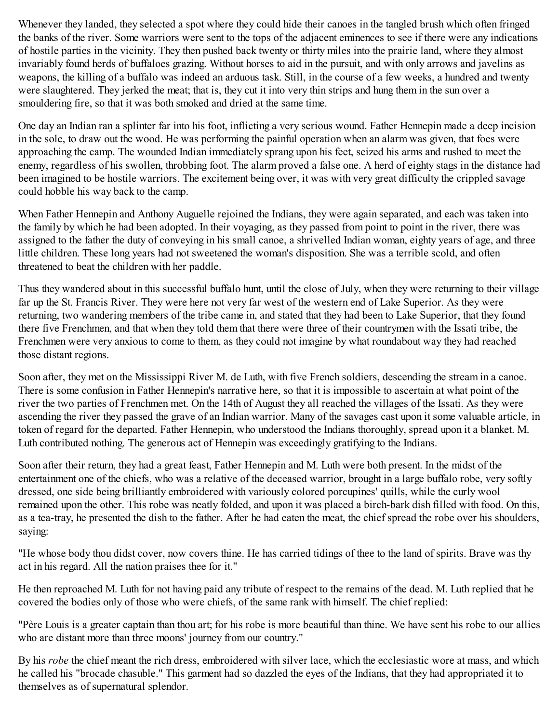Whenever they landed, they selected a spot where they could hide their canoes in the tangled brush which often fringed the banks of the river. Some warriors were sent to the tops of the adjacent eminences to see if there were any indications of hostile parties in the vicinity. They then pushed back twenty or thirty miles into the prairie land, where they almost invariably found herds of buffaloes grazing. Without horses to aid in the pursuit, and with only arrows and javelins as weapons, the killing of a buffalo was indeed an arduous task. Still, in the course of a few weeks, a hundred and twenty were slaughtered. They jerked the meat; that is, they cut it into very thin strips and hung them in the sun over a smouldering fire, so that it was both smoked and dried at the same time.

One day an Indian ran a splinter far into his foot, inflicting a very serious wound. Father Hennepin made a deep incision in the sole, to draw out the wood. He was performing the painful operation when an alarm was given, that foes were approaching the camp. The wounded Indian immediately sprang upon his feet, seized his arms and rushed to meet the enemy, regardless of his swollen, throbbing foot. The alarm proved a false one. A herd of eighty stags in the distance had been imagined to be hostile warriors. The excitement being over, it was with very great difficulty the crippled savage could hobble his way back to the camp.

When Father Hennepin and Anthony Auguelle rejoined the Indians, they were again separated, and each was taken into the family by which he had been adopted. In their voyaging, as they passed from point to point in the river, there was assigned to the father the duty of conveying in his small canoe, a shrivelled Indian woman, eighty years of age, and three little children. These long years had not sweetened the woman's disposition. She was a terrible scold, and often threatened to beat the children with her paddle.

Thus they wandered about in this successful buffalo hunt, until the close of July, when they were returning to their village far up the St. Francis River. They were here not very far west of the western end of Lake Superior. As they were returning, two wandering members of the tribe came in, and stated that they had been to Lake Superior, that they found there five Frenchmen, and that when they told them that there were three of their countrymen with the Issati tribe, the Frenchmen were very anxious to come to them, as they could not imagine by what roundabout way they had reached those distant regions.

Soon after, they met on the Mississippi River M. de Luth, with five French soldiers, descending the stream in a canoe. There is some confusion in Father Hennepin's narrative here, so that it is impossible to ascertain at what point of the river the two parties of Frenchmen met. On the 14th of August they all reached the villages of the Issati. As they were ascending the river they passed the grave of an Indian warrior. Many of the savages cast upon it some valuable article, in token of regard for the departed. Father Hennepin, who understood the Indians thoroughly, spread upon it a blanket. M. Luth contributed nothing. The generous act of Hennepin was exceedingly gratifying to the Indians.

Soon after their return, they had a great feast, Father Hennepin and M. Luth were both present. In the midst of the entertainment one of the chiefs, who was a relative of the deceased warrior, brought in a large buffalo robe, very softly dressed, one side being brilliantly embroidered with variously colored porcupines' quills, while the curly wool remained upon the other. This robe was neatly folded, and upon it was placed a birch-bark dish filled with food. On this, as a tea-tray, he presented the dish to the father. After he had eaten the meat, the chief spread the robe over his shoulders, saying:

"He whose body thou didst cover, now covers thine. He has carried tidings of thee to the land of spirits. Brave was thy act in his regard. All the nation praises thee for it."

He then reproached M. Luth for not having paid any tribute of respect to the remains of the dead. M. Luth replied that he covered the bodies only of those who were chiefs, of the same rank with himself. The chief replied:

"Père Louis is a greater captain than thou art; for his robe is more beautiful than thine. We have sent his robe to our allies who are distant more than three moons' journey from our country."

By his *robe* the chief meant the rich dress, embroidered with silver lace, which the ecclesiastic wore at mass, and which he called his "brocade chasuble." This garment had so dazzled the eyes of the Indians, that they had appropriated it to themselves as of supernatural splendor.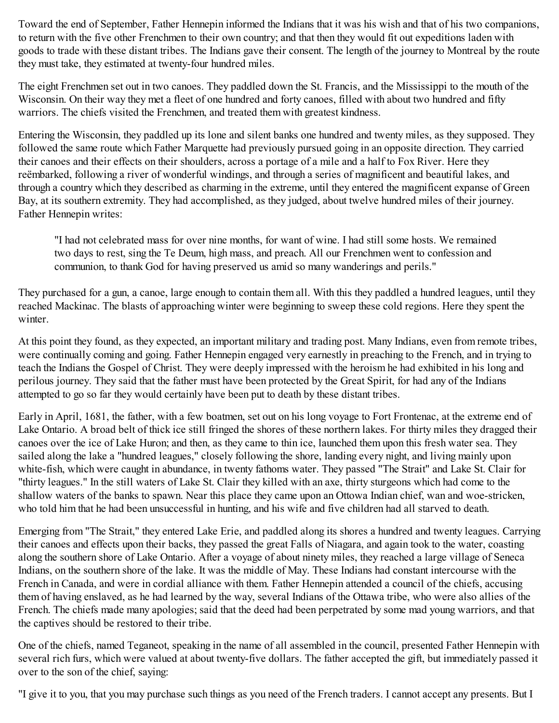Toward the end of September, Father Hennepin informed the Indians that it was his wish and that of his two companions, to return with the five other Frenchmen to their own country; and that then they would fit out expeditions laden with goods to trade with these distant tribes. The Indians gave their consent. The length of the journey to Montreal by the route they must take, they estimated at twenty-four hundred miles.

The eight Frenchmen set out in two canoes. They paddled down the St. Francis, and the Mississippi to the mouth of the Wisconsin. On their way they met a fleet of one hundred and forty canoes, filled with about two hundred and fifty warriors. The chiefs visited the Frenchmen, and treated them with greatest kindness.

Entering the Wisconsin, they paddled up its lone and silent banks one hundred and twenty miles, as they supposed. They followed the same route which Father Marquette had previously pursued going in an opposite direction. They carried their canoes and their effects on their shoulders, across a portage of a mile and a half to Fox River. Here they reëmbarked, following a river of wonderful windings, and through a series of magnificent and beautiful lakes, and through a country which they described as charming in the extreme, until they entered the magnificent expanse of Green Bay, at its southern extremity. They had accomplished, as they judged, about twelve hundred miles of their journey. Father Hennepin writes:

"I had not celebrated mass for over nine months, for want of wine. I had still some hosts. We remained two days to rest, sing the Te Deum, high mass, and preach. All our Frenchmen went to confession and communion, to thank God for having preserved us amid so many wanderings and perils."

They purchased for a gun, a canoe, large enough to contain them all. With this they paddled a hundred leagues, until they reached Mackinac. The blasts of approaching winter were beginning to sweep these cold regions. Here they spent the winter.

At this point they found, as they expected, an important military and trading post. Many Indians, even from remote tribes, were continually coming and going. Father Hennepin engaged very earnestly in preaching to the French, and in trying to teach the Indians the Gospel of Christ. They were deeply impressed with the heroism he had exhibited in his long and perilous journey. They said that the father must have been protected by the Great Spirit, for had any of the Indians attempted to go so far they would certainly have been put to death by these distant tribes.

Early in April, 1681, the father, with a few boatmen, set out on his long voyage to Fort Frontenac, at the extreme end of Lake Ontario. A broad belt of thick ice still fringed the shores of these northern lakes. For thirty miles they dragged their canoes over the ice of Lake Huron; and then, as they came to thin ice, launched them upon this fresh water sea. They sailed along the lake a "hundred leagues," closely following the shore, landing every night, and living mainly upon white-fish, which were caught in abundance, in twenty fathoms water. They passed "The Strait" and Lake St. Clair for "thirty leagues." In the still waters of Lake St. Clair they killed with an axe, thirty sturgeons which had come to the shallow waters of the banks to spawn. Near this place they came upon an Ottowa Indian chief, wan and woe-stricken, who told him that he had been unsuccessful in hunting, and his wife and five children had all starved to death.

Emerging from "The Strait," they entered Lake Erie, and paddled along its shores a hundred and twenty leagues. Carrying their canoes and effects upon their backs, they passed the great Falls of Niagara, and again took to the water, coasting along the southern shore of Lake Ontario. After a voyage of about ninety miles, they reached a large village of Seneca Indians, on the southern shore of the lake. It was the middle of May. These Indians had constant intercourse with the French in Canada, and were in cordial alliance with them. Father Hennepin attended a council of the chiefs, accusing them of having enslaved, as he had learned by the way, several Indians of the Ottawa tribe, who were also allies of the French. The chiefs made many apologies; said that the deed had been perpetrated by some mad young warriors, and that the captives should be restored to their tribe.

One of the chiefs, named Teganeot, speaking in the name of all assembled in the council, presented Father Hennepin with several rich furs, which were valued at about twenty-five dollars. The father accepted the gift, but immediately passed it over to the son of the chief, saying:

"I give it to you, that you may purchase such things as you need of the French traders. I cannot accept any presents. But I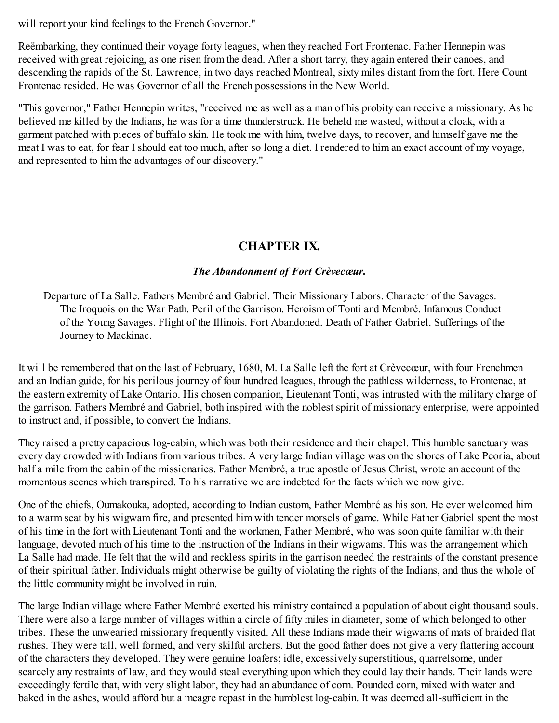will report your kind feelings to the French Governor."

Reëmbarking, they continued their voyage forty leagues, when they reached Fort Frontenac. Father Hennepin was received with great rejoicing, as one risen from the dead. After a short tarry, they again entered their canoes, and descending the rapids of the St. Lawrence, in two days reached Montreal, sixty miles distant from the fort. Here Count Frontenac resided. He was Governor of all the French possessions in the New World.

"This governor," Father Hennepin writes, "received me as well as a man of his probity can receive a missionary. As he believed me killed by the Indians, he was for a time thunderstruck. He beheld me wasted, without a cloak, with a garment patched with pieces of buffalo skin. He took me with him, twelve days, to recover, and himself gave me the meat I was to eat, for fear I should eat too much, after so long a diet. I rendered to him an exact account of my voyage, and represented to him the advantages of our discovery."

## **CHAPTER IX.**

#### *The Abandonment of Fort Crèvecœur.*

Departure of La Salle. Fathers Membré and Gabriel. Their Missionary Labors. Character of the Savages. The Iroquois on the War Path. Peril of the Garrison. Heroism of Tonti and Membré. Infamous Conduct of the Young Savages. Flight of the Illinois. Fort Abandoned. Death of Father Gabriel. Sufferings of the Journey to Mackinac.

It will be remembered that on the last of February, 1680, M. La Salle left the fort at Crèvecœur, with four Frenchmen and an Indian guide, for his perilous journey of four hundred leagues, through the pathless wilderness, to Frontenac, at the eastern extremity of Lake Ontario. His chosen companion, Lieutenant Tonti, was intrusted with the military charge of the garrison. Fathers Membré and Gabriel, both inspired with the noblest spirit of missionary enterprise, were appointed to instruct and, if possible, to convert the Indians.

They raised a pretty capacious log-cabin, which was both their residence and their chapel. This humble sanctuary was every day crowded with Indians from various tribes. A very large Indian village was on the shores of Lake Peoria, about half a mile from the cabin of the missionaries. Father Membré, a true apostle of Jesus Christ, wrote an account of the momentous scenes which transpired. To his narrative we are indebted for the facts which we now give.

One of the chiefs, Oumakouka, adopted, according to Indian custom, Father Membré as his son. He ever welcomed him to a warm seat by his wigwam fire, and presented him with tender morsels of game. While Father Gabriel spent the most of his time in the fort with Lieutenant Tonti and the workmen, Father Membré, who was soon quite familiar with their language, devoted much of his time to the instruction of the Indians in their wigwams. This was the arrangement which La Salle had made. He felt that the wild and reckless spirits in the garrison needed the restraints of the constant presence of their spiritual father. Individuals might otherwise be guilty of violating the rights of the Indians, and thus the whole of the little community might be involved in ruin.

The large Indian village where Father Membré exerted his ministry contained a population of about eight thousand souls. There were also a large number of villages within a circle of fifty miles in diameter, some of which belonged to other tribes. These the unwearied missionary frequently visited. All these Indians made their wigwams of mats of braided flat rushes. They were tall, well formed, and very skilful archers. But the good father does not give a very flattering account of the characters they developed. They were genuine loafers; idle, excessively superstitious, quarrelsome, under scarcely any restraints of law, and they would steal everything upon which they could lay their hands. Their lands were exceedingly fertile that, with very slight labor, they had an abundance of corn. Pounded corn, mixed with water and baked in the ashes, would afford but a meagre repast in the humblest log-cabin. It was deemed all-sufficient in the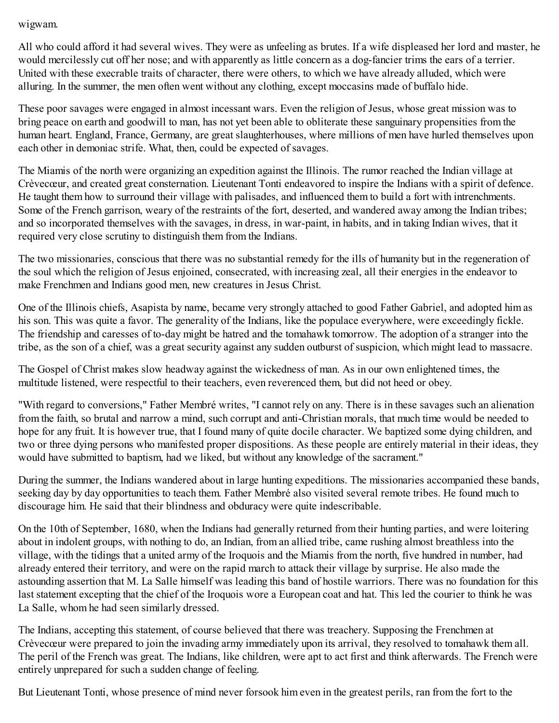#### wigwam.

All who could afford it had several wives. They were as unfeeling as brutes. If a wife displeased her lord and master, he would mercilessly cut off her nose; and with apparently as little concern as a dog-fancier trims the ears of a terrier. United with these execrable traits of character, there were others, to which we have already alluded, which were alluring. In the summer, the men often went without any clothing, except moccasins made of buffalo hide.

These poor savages were engaged in almost incessant wars. Even the religion of Jesus, whose great mission was to bring peace on earth and goodwill to man, has not yet been able to obliterate these sanguinary propensities from the human heart. England, France, Germany, are great slaughterhouses, where millions of men have hurled themselves upon each other in demoniac strife. What, then, could be expected of savages.

The Miamis of the north were organizing an expedition against the Illinois. The rumor reached the Indian village at Crèvecœur, and created great consternation. Lieutenant Tonti endeavored to inspire the Indians with a spirit of defence. He taught them how to surround their village with palisades, and influenced them to build a fort with intrenchments. Some of the French garrison, weary of the restraints of the fort, deserted, and wandered away among the Indian tribes; and so incorporated themselves with the savages, in dress, in war-paint, in habits, and in taking Indian wives, that it required very close scrutiny to distinguish them from the Indians.

The two missionaries, conscious that there was no substantial remedy for the ills of humanity but in the regeneration of the soul which the religion of Jesus enjoined, consecrated, with increasing zeal, all their energies in the endeavor to make Frenchmen and Indians good men, new creatures in Jesus Christ.

One of the Illinois chiefs, Asapista by name, became very strongly attached to good Father Gabriel, and adopted him as his son. This was quite a favor. The generality of the Indians, like the populace everywhere, were exceedingly fickle. The friendship and caresses of to-day might be hatred and the tomahawk tomorrow. The adoption of a stranger into the tribe, as the son of a chief, was a great security against any sudden outburst of suspicion, which might lead to massacre.

The Gospel of Christ makes slow headway against the wickedness of man. As in our own enlightened times, the multitude listened, were respectful to their teachers, even reverenced them, but did not heed or obey.

"With regard to conversions," Father Membré writes, "I cannot rely on any. There is in these savages such an alienation from the faith, so brutal and narrow a mind, such corrupt and anti-Christian morals, that much time would be needed to hope for any fruit. It is however true, that I found many of quite docile character. We baptized some dying children, and two or three dying persons who manifested proper dispositions. As these people are entirely material in their ideas, they would have submitted to baptism, had we liked, but without any knowledge of the sacrament."

During the summer, the Indians wandered about in large hunting expeditions. The missionaries accompanied these bands, seeking day by day opportunities to teach them. Father Membré also visited several remote tribes. He found much to discourage him. He said that their blindness and obduracy were quite indescribable.

On the 10th of September, 1680, when the Indians had generally returned from their hunting parties, and were loitering about in indolent groups, with nothing to do, an Indian, from an allied tribe, came rushing almost breathless into the village, with the tidings that a united army of the Iroquois and the Miamis from the north, five hundred in number, had already entered their territory, and were on the rapid march to attack their village by surprise. He also made the astounding assertion that M. La Salle himself was leading this band of hostile warriors. There was no foundation for this last statement excepting that the chief of the Iroquois wore a European coat and hat. This led the courier to think he was La Salle, whom he had seen similarly dressed.

The Indians, accepting this statement, of course believed that there was treachery. Supposing the Frenchmen at Crèvecœur were prepared to join the invading army immediately upon its arrival, they resolved to tomahawk them all. The peril of the French was great. The Indians, like children, were apt to act first and think afterwards. The French were entirely unprepared for such a sudden change of feeling.

But Lieutenant Tonti, whose presence of mind never forsook him even in the greatest perils, ran from the fort to the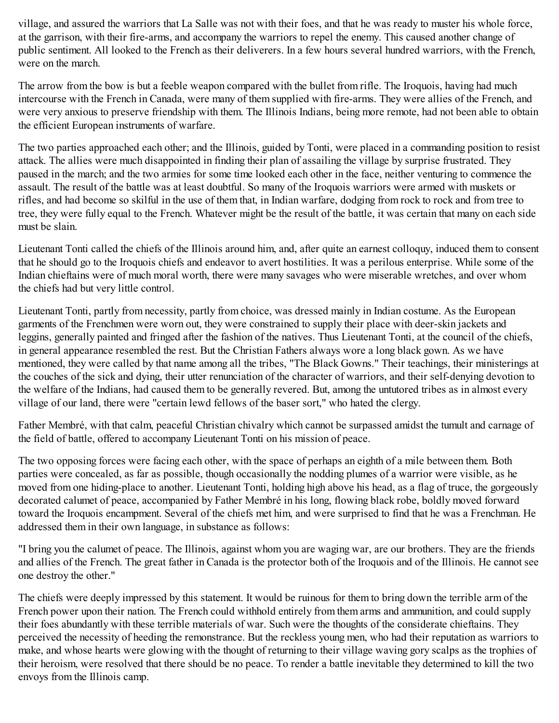village, and assured the warriors that La Salle was not with their foes, and that he was ready to muster his whole force, at the garrison, with their fire-arms, and accompany the warriors to repel the enemy. This caused another change of public sentiment. All looked to the French as their deliverers. In a few hours several hundred warriors, with the French, were on the march.

The arrow from the bow is but a feeble weapon compared with the bullet from rifle. The Iroquois, having had much intercourse with the French in Canada, were many of them supplied with fire-arms. They were allies of the French, and were very anxious to preserve friendship with them. The Illinois Indians, being more remote, had not been able to obtain the efficient European instruments of warfare.

The two parties approached each other; and the Illinois, guided by Tonti, were placed in a commanding position to resist attack. The allies were much disappointed in finding their plan of assailing the village by surprise frustrated. They paused in the march; and the two armies for some time looked each other in the face, neither venturing to commence the assault. The result of the battle was at least doubtful. So many of the Iroquois warriors were armed with muskets or rifles, and had become so skilful in the use of them that, in Indian warfare, dodging from rock to rock and from tree to tree, they were fully equal to the French. Whatever might be the result of the battle, it was certain that many on each side must be slain.

Lieutenant Tonti called the chiefs of the Illinois around him, and, after quite an earnest colloquy, induced them to consent that he should go to the Iroquois chiefs and endeavor to avert hostilities. It was a perilous enterprise. While some of the Indian chieftains were of much moral worth, there were many savages who were miserable wretches, and over whom the chiefs had but very little control.

Lieutenant Tonti, partly from necessity, partly from choice, was dressed mainly in Indian costume. As the European garments of the Frenchmen were worn out, they were constrained to supply their place with deer-skin jackets and leggins, generally painted and fringed after the fashion of the natives. Thus Lieutenant Tonti, at the council of the chiefs, in general appearance resembled the rest. But the Christian Fathers always wore a long black gown. As we have mentioned, they were called by that name among all the tribes, "The Black Gowns." Their teachings, their ministerings at the couches of the sick and dying, their utter renunciation of the character of warriors, and their self-denying devotion to the welfare of the Indians, had caused them to be generally revered. But, among the untutored tribes as in almost every village of our land, there were "certain lewd fellows of the baser sort," who hated the clergy.

Father Membré, with that calm, peaceful Christian chivalry which cannot be surpassed amidst the tumult and carnage of the field of battle, offered to accompany Lieutenant Tonti on his mission of peace.

The two opposing forces were facing each other, with the space of perhaps an eighth of a mile between them. Both parties were concealed, as far as possible, though occasionally the nodding plumes of a warrior were visible, as he moved from one hiding-place to another. Lieutenant Tonti, holding high above his head, as a flag of truce, the gorgeously decorated calumet of peace, accompanied by Father Membré in his long, flowing black robe, boldly moved forward toward the Iroquois encampment. Several of the chiefs met him, and were surprised to find that he was a Frenchman. He addressed them in their own language, in substance as follows:

"I bring you the calumet of peace. The Illinois, against whom you are waging war, are our brothers. They are the friends and allies of the French. The great father in Canada is the protector both of the Iroquois and of the Illinois. He cannot see one destroy the other."

The chiefs were deeply impressed by this statement. It would be ruinous for them to bring down the terrible arm of the French power upon their nation. The French could withhold entirely from them arms and ammunition, and could supply their foes abundantly with these terrible materials of war. Such were the thoughts of the considerate chieftains. They perceived the necessity of heeding the remonstrance. But the reckless young men, who had their reputation as warriors to make, and whose hearts were glowing with the thought of returning to their village waving gory scalps as the trophies of their heroism, were resolved that there should be no peace. To render a battle inevitable they determined to kill the two envoys from the Illinois camp.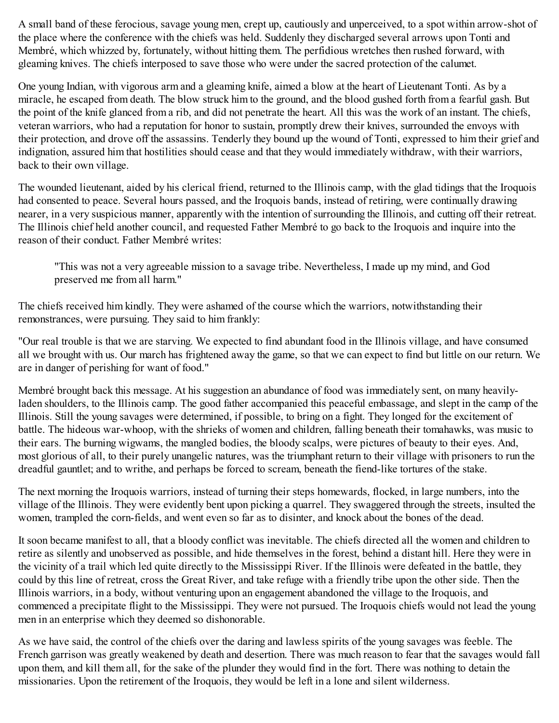A small band of these ferocious, savage young men, crept up, cautiously and unperceived, to a spot within arrow-shot of the place where the conference with the chiefs was held. Suddenly they discharged several arrows upon Tonti and Membré, which whizzed by, fortunately, without hitting them. The perfidious wretches then rushed forward, with gleaming knives. The chiefs interposed to save those who were under the sacred protection of the calumet.

One young Indian, with vigorous arm and a gleaming knife, aimed a blow at the heart of Lieutenant Tonti. As by a miracle, he escaped from death. The blow struck him to the ground, and the blood gushed forth from a fearful gash. But the point of the knife glanced from a rib, and did not penetrate the heart. All this was the work of an instant. The chiefs, veteran warriors, who had a reputation for honor to sustain, promptly drew their knives, surrounded the envoys with their protection, and drove off the assassins. Tenderly they bound up the wound of Tonti, expressed to him their grief and indignation, assured him that hostilities should cease and that they would immediately withdraw, with their warriors, back to their own village.

The wounded lieutenant, aided by his clerical friend, returned to the Illinois camp, with the glad tidings that the Iroquois had consented to peace. Several hours passed, and the Iroquois bands, instead of retiring, were continually drawing nearer, in a very suspicious manner, apparently with the intention of surrounding the Illinois, and cutting off their retreat. The Illinois chief held another council, and requested Father Membré to go back to the Iroquois and inquire into the reason of their conduct. Father Membré writes:

"This was not a very agreeable mission to a savage tribe. Nevertheless, I made up my mind, and God preserved me from all harm."

The chiefs received him kindly. They were ashamed of the course which the warriors, notwithstanding their remonstrances, were pursuing. They said to him frankly:

"Our real trouble is that we are starving. We expected to find abundant food in the Illinois village, and have consumed all we brought with us. Our march has frightened away the game, so that we can expect to find but little on our return. We are in danger of perishing for want of food."

Membré brought back this message. At his suggestion an abundance of food was immediately sent, on many heavilyladen shoulders, to the Illinois camp. The good father accompanied this peaceful embassage, and slept in the camp of the Illinois. Still the young savages were determined, if possible, to bring on a fight. They longed for the excitement of battle. The hideous war-whoop, with the shrieks of women and children, falling beneath their tomahawks, was music to their ears. The burning wigwams, the mangled bodies, the bloody scalps, were pictures of beauty to their eyes. And, most glorious of all, to their purely unangelic natures, was the triumphant return to their village with prisoners to run the dreadful gauntlet; and to writhe, and perhaps be forced to scream, beneath the fiend-like tortures of the stake.

The next morning the Iroquois warriors, instead of turning their steps homewards, flocked, in large numbers, into the village of the Illinois. They were evidently bent upon picking a quarrel. They swaggered through the streets, insulted the women, trampled the corn-fields, and went even so far as to disinter, and knock about the bones of the dead.

It soon became manifest to all, that a bloody conflict was inevitable. The chiefs directed all the women and children to retire as silently and unobserved as possible, and hide themselves in the forest, behind a distant hill. Here they were in the vicinity of a trail which led quite directly to the Mississippi River. If the Illinois were defeated in the battle, they could by this line of retreat, cross the Great River, and take refuge with a friendly tribe upon the other side. Then the Illinois warriors, in a body, without venturing upon an engagement abandoned the village to the Iroquois, and commenced a precipitate flight to the Mississippi. They were not pursued. The Iroquois chiefs would not lead the young men in an enterprise which they deemed so dishonorable.

As we have said, the control of the chiefs over the daring and lawless spirits of the young savages was feeble. The French garrison was greatly weakened by death and desertion. There was much reason to fear that the savages would fall upon them, and kill them all, for the sake of the plunder they would find in the fort. There was nothing to detain the missionaries. Upon the retirement of the Iroquois, they would be left in a lone and silent wilderness.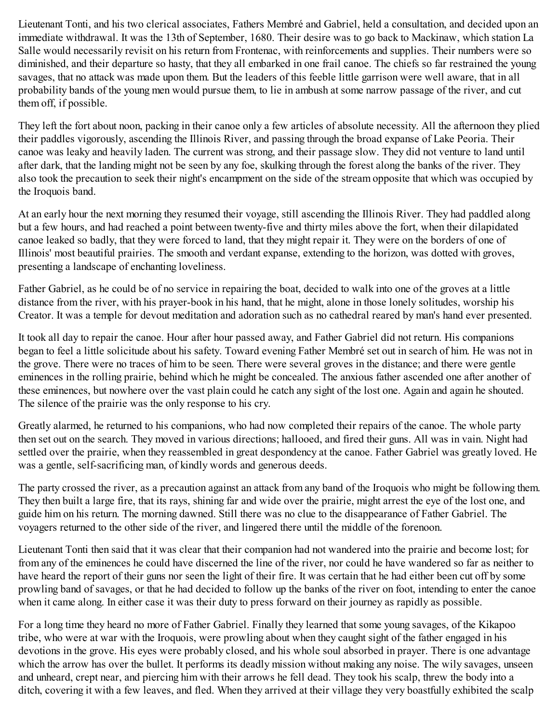Lieutenant Tonti, and his two clerical associates, Fathers Membré and Gabriel, held a consultation, and decided upon an immediate withdrawal. It was the 13th of September, 1680. Their desire was to go back to Mackinaw, which station La Salle would necessarily revisit on his return from Frontenac, with reinforcements and supplies. Their numbers were so diminished, and their departure so hasty, that they all embarked in one frail canoe. The chiefs so far restrained the young savages, that no attack was made upon them. But the leaders of this feeble little garrison were well aware, that in all probability bands of the young men would pursue them, to lie in ambush at some narrow passage of the river, and cut them off, if possible.

They left the fort about noon, packing in their canoe only a few articles of absolute necessity. All the afternoon they plied their paddles vigorously, ascending the Illinois River, and passing through the broad expanse of Lake Peoria. Their canoe was leaky and heavily laden. The current was strong, and their passage slow. They did not venture to land until after dark, that the landing might not be seen by any foe, skulking through the forest along the banks of the river. They also took the precaution to seek their night's encampment on the side of the stream opposite that which was occupied by the Iroquois band.

At an early hour the next morning they resumed their voyage, still ascending the Illinois River. They had paddled along but a few hours, and had reached a point between twenty-five and thirty miles above the fort, when their dilapidated canoe leaked so badly, that they were forced to land, that they might repair it. They were on the borders of one of Illinois' most beautiful prairies. The smooth and verdant expanse, extending to the horizon, was dotted with groves, presenting a landscape of enchanting loveliness.

Father Gabriel, as he could be of no service in repairing the boat, decided to walk into one of the groves at a little distance from the river, with his prayer-book in his hand, that he might, alone in those lonely solitudes, worship his Creator. It was a temple for devout meditation and adoration such as no cathedral reared by man's hand ever presented.

It took all day to repair the canoe. Hour after hour passed away, and Father Gabriel did not return. His companions began to feel a little solicitude about his safety. Toward evening Father Membré set out in search of him. He was not in the grove. There were no traces of him to be seen. There were several groves in the distance; and there were gentle eminences in the rolling prairie, behind which he might be concealed. The anxious father ascended one after another of these eminences, but nowhere over the vast plain could he catch any sight of the lost one. Again and again he shouted. The silence of the prairie was the only response to his cry.

Greatly alarmed, he returned to his companions, who had now completed their repairs of the canoe. The whole party then set out on the search. They moved in various directions; hallooed, and fired their guns. All was in vain. Night had settled over the prairie, when they reassembled in great despondency at the canoe. Father Gabriel was greatly loved. He was a gentle, self-sacrificing man, of kindly words and generous deeds.

The party crossed the river, as a precaution against an attack from any band of the Iroquois who might be following them. They then built a large fire, that its rays, shining far and wide over the prairie, might arrest the eye of the lost one, and guide him on his return. The morning dawned. Still there was no clue to the disappearance of Father Gabriel. The voyagers returned to the other side of the river, and lingered there until the middle of the forenoon.

Lieutenant Tonti then said that it was clear that their companion had not wandered into the prairie and become lost; for from any of the eminences he could have discerned the line of the river, nor could he have wandered so far as neither to have heard the report of their guns nor seen the light of their fire. It was certain that he had either been cut off by some prowling band of savages, or that he had decided to follow up the banks of the river on foot, intending to enter the canoe when it came along. In either case it was their duty to press forward on their journey as rapidly as possible.

For a long time they heard no more of Father Gabriel. Finally they learned that some young savages, of the Kikapoo tribe, who were at war with the Iroquois, were prowling about when they caught sight of the father engaged in his devotions in the grove. His eyes were probably closed, and his whole soul absorbed in prayer. There is one advantage which the arrow has over the bullet. It performs its deadly mission without making any noise. The wily savages, unseen and unheard, crept near, and piercing him with their arrows he fell dead. They took his scalp, threw the body into a ditch, covering it with a few leaves, and fled. When they arrived at their village they very boastfully exhibited the scalp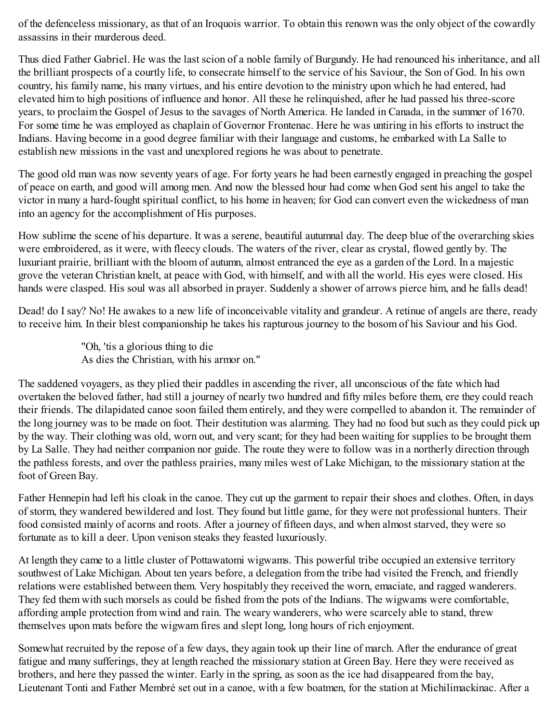of the defenceless missionary, as that of an Iroquois warrior. To obtain this renown was the only object of the cowardly assassins in their murderous deed.

Thus died Father Gabriel. He was the last scion of a noble family of Burgundy. He had renounced his inheritance, and all the brilliant prospects of a courtly life, to consecrate himself to the service of his Saviour, the Son of God. In his own country, his family name, his many virtues, and his entire devotion to the ministry upon which he had entered, had elevated him to high positions of influence and honor. All these he relinquished, after he had passed his three-score years, to proclaim the Gospel of Jesus to the savages of North America. He landed in Canada, in the summer of 1670. For some time he was employed as chaplain of Governor Frontenac. Here he was untiring in his efforts to instruct the Indians. Having become in a good degree familiar with their language and customs, he embarked with La Salle to establish new missions in the vast and unexplored regions he was about to penetrate.

The good old man was now seventy years of age. For forty years he had been earnestly engaged in preaching the gospel of peace on earth, and good will among men. And now the blessed hour had come when God sent his angel to take the victor in many a hard-fought spiritual conflict, to his home in heaven; for God can convert even the wickedness of man into an agency for the accomplishment of His purposes.

How sublime the scene of his departure. It was a serene, beautiful autumnal day. The deep blue of the overarching skies were embroidered, as it were, with fleecy clouds. The waters of the river, clear as crystal, flowed gently by. The luxuriant prairie, brilliant with the bloom of autumn, almost entranced the eye as a garden of the Lord. In a majestic grove the veteran Christian knelt, at peace with God, with himself, and with all the world. His eyes were closed. His hands were clasped. His soul was all absorbed in prayer. Suddenly a shower of arrows pierce him, and he falls dead!

Dead! do I say? No! He awakes to a new life of inconceivable vitality and grandeur. A retinue of angels are there, ready to receive him. In their blest companionship he takes his rapturous journey to the bosom of his Saviour and his God.

> "Oh, 'tis a glorious thing to die As dies the Christian, with his armor on."

The saddened voyagers, as they plied their paddles in ascending the river, all unconscious of the fate which had overtaken the beloved father, had still a journey of nearly two hundred and fifty miles before them, ere they could reach their friends. The dilapidated canoe soon failed them entirely, and they were compelled to abandon it. The remainder of the long journey was to be made on foot. Their destitution was alarming. They had no food but such as they could pick up by the way. Their clothing was old, worn out, and very scant; for they had been waiting for supplies to be brought them by La Salle. They had neither companion nor guide. The route they were to follow was in a northerly direction through the pathless forests, and over the pathless prairies, many miles west of Lake Michigan, to the missionary station at the foot of Green Bay.

Father Hennepin had left his cloak in the canoe. They cut up the garment to repair their shoes and clothes. Often, in days of storm, they wandered bewildered and lost. They found but little game, for they were not professional hunters. Their food consisted mainly of acorns and roots. After a journey of fifteen days, and when almost starved, they were so fortunate as to kill a deer. Upon venison steaks they feasted luxuriously.

At length they came to a little cluster of Pottawatomi wigwams. This powerful tribe occupied an extensive territory southwest of Lake Michigan. About ten years before, a delegation from the tribe had visited the French, and friendly relations were established between them. Very hospitably they received the worn, emaciate, and ragged wanderers. They fed them with such morsels as could be fished from the pots of the Indians. The wigwams were comfortable, affording ample protection from wind and rain. The weary wanderers, who were scarcely able to stand, threw themselves upon mats before the wigwam fires and slept long, long hours of rich enjoyment.

Somewhat recruited by the repose of a few days, they again took up their line of march. After the endurance of great fatigue and many sufferings, they at length reached the missionary station at Green Bay. Here they were received as brothers, and here they passed the winter. Early in the spring, as soon as the ice had disappeared from the bay, Lieutenant Tonti and Father Membré set out in a canoe, with a few boatmen, for the station at Michilimackinac. After a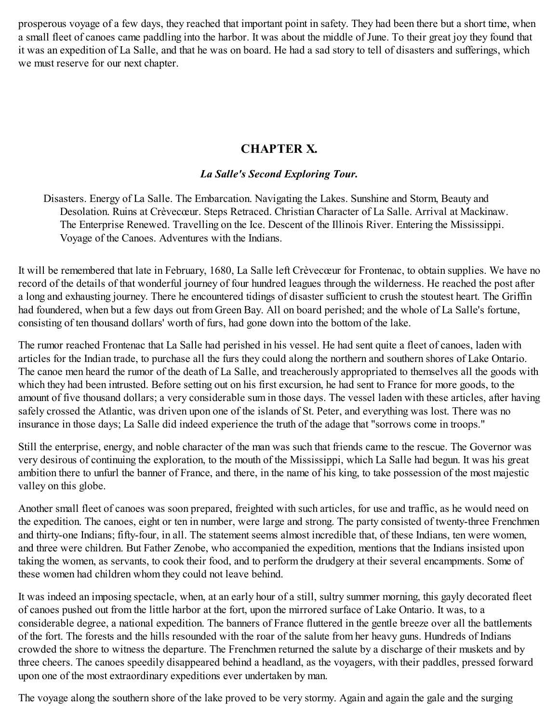prosperous voyage of a few days, they reached that important point in safety. They had been there but a short time, when a small fleet of canoes came paddling into the harbor. It was about the middle of June. To their great joy they found that it was an expedition of La Salle, and that he was on board. He had a sad story to tell of disasters and sufferings, which we must reserve for our next chapter.

## **CHAPTER X.**

## *La Salle's Second Exploring Tour.*

Disasters. Energy of La Salle. The Embarcation. Navigating the Lakes. Sunshine and Storm, Beauty and Desolation. Ruins at Crèvecœur. Steps Retraced. Christian Character of La Salle. Arrival at Mackinaw. The Enterprise Renewed. Travelling on the Ice. Descent of the Illinois River. Entering the Mississippi. Voyage of the Canoes. Adventures with the Indians.

It will be remembered that late in February, 1680, La Salle left Crèvecœur for Frontenac, to obtain supplies. We have no record of the details of that wonderful journey of four hundred leagues through the wilderness. He reached the post after a long and exhausting journey. There he encountered tidings of disaster sufficient to crush the stoutest heart. The Griffin had foundered, when but a few days out from Green Bay. All on board perished; and the whole of La Salle's fortune, consisting of ten thousand dollars' worth of furs, had gone down into the bottom of the lake.

The rumor reached Frontenac that La Salle had perished in his vessel. He had sent quite a fleet of canoes, laden with articles for the Indian trade, to purchase all the furs they could along the northern and southern shores of Lake Ontario. The canoe men heard the rumor of the death of La Salle, and treacherously appropriated to themselves all the goods with which they had been intrusted. Before setting out on his first excursion, he had sent to France for more goods, to the amount of five thousand dollars; a very considerable sum in those days. The vessel laden with these articles, after having safely crossed the Atlantic, was driven upon one of the islands of St. Peter, and everything was lost. There was no insurance in those days; La Salle did indeed experience the truth of the adage that "sorrows come in troops."

Still the enterprise, energy, and noble character of the man was such that friends came to the rescue. The Governor was very desirous of continuing the exploration, to the mouth of the Mississippi, which La Salle had begun. It was his great ambition there to unfurl the banner of France, and there, in the name of his king, to take possession of the most majestic valley on this globe.

Another small fleet of canoes was soon prepared, freighted with such articles, for use and traffic, as he would need on the expedition. The canoes, eight or ten in number, were large and strong. The party consisted of twenty-three Frenchmen and thirty-one Indians; fifty-four, in all. The statement seems almost incredible that, of these Indians, ten were women, and three were children. But Father Zenobe, who accompanied the expedition, mentions that the Indians insisted upon taking the women, as servants, to cook their food, and to perform the drudgery at their several encampments. Some of these women had children whom they could not leave behind.

It was indeed an imposing spectacle, when, at an early hour of a still, sultry summer morning, this gayly decorated fleet of canoes pushed out from the little harbor at the fort, upon the mirrored surface of Lake Ontario. It was, to a considerable degree, a national expedition. The banners of France fluttered in the gentle breeze over all the battlements of the fort. The forests and the hills resounded with the roar of the salute from her heavy guns. Hundreds of Indians crowded the shore to witness the departure. The Frenchmen returned the salute by a discharge of their muskets and by three cheers. The canoes speedily disappeared behind a headland, as the voyagers, with their paddles, pressed forward upon one of the most extraordinary expeditions ever undertaken by man.

The voyage along the southern shore of the lake proved to be very stormy. Again and again the gale and the surging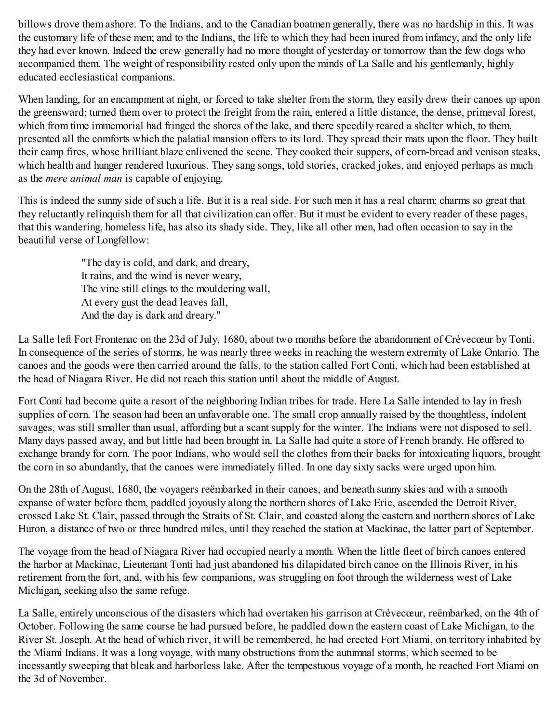billows drove them ashore. To the Indians, and to the Canadian boatmen generally, there was no hardship in this. It was the customary life of these men; and to the Indians, the life to which they had been inured from infancy, and the only life they had ever known. Indeed the crew generally had no more thought of yesterday or tomorrow than the few dogs who accompanied them. The weight of responsibility rested only upon the minds of La Salle and his gentlemanly, highly educated ecclesiastical companions.

When landing, for an encampment at night, or forced to take shelter from the storm, they easily drew their canoes up upon the greensward; turned them over to protect the freight from the rain, entered a little distance, the dense, primeval forest, which from time immemorial had fringed the shores of the lake, and there speedily reared a shelter which, to them, presented all the comforts which the palatial mansion offers to its lord. They spread their mats upon the floor. They built their camp fires, whose brilliant blaze enlivened the scene. They cooked their suppers, of corn-bread and venison steaks, which health and hunger rendered luxurious. They sang songs, told stories, cracked jokes, and enjoyed perhaps as much as the *mere animal man* is capable of enjoying.

This is indeed the sunny side of such a life. But it is a real side. For such men it has a real charm; charms so great that they reluctantly relinquish them for all that civilization can offer. But it must be evident to every reader of these pages, that this wandering, homeless life, has also its shady side. They, like all other men, had often occasion to say in the beautiful verse of Longfellow:

> "The day is cold, and dark, and dreary, It rains, and the wind is never weary, The vine still clings to the mouldering wall, At every gust the dead leaves fall, And the day is dark and dreary."

La Salle left Fort Frontenac on the 23d of July, 1680, about two months before the abandonment of Crèvecœur by Tonti. In consequence of the series of storms, he was nearly three weeks in reaching the western extremity of Lake Ontario. The canoes and the goods were then carried around the falls, to the station called Fort Conti, which had been established at the head of Niagara River. He did not reach this station until about the middle of August.

Fort Conti had become quite a resort of the neighboring Indian tribes for trade. Here La Salle intended to lay in fresh supplies of corn. The season had been an unfavorable one. The small crop annually raised by the thoughtless, indolent savages, was still smaller than usual, affording but a scant supply for the winter. The Indians were not disposed to sell. Many days passed away, and but little had been brought in. La Salle had quite a store of French brandy. He offered to exchange brandy for corn. The poor Indians, who would sell the clothes from their backs for intoxicating liquors, brought the corn in so abundantly, that the canoes were immediately filled. In one day sixty sacks were urged upon him.

On the 28th of August, 1680, the voyagers reëmbarked in their canoes, and beneath sunny skies and with a smooth expanse of water before them, paddled joyously along the northern shores of Lake Erie, ascended the Detroit River, crossed Lake St. Clair, passed through the Straits of St. Clair, and coasted along the eastern and northern shores of Lake Huron, a distance of two or three hundred miles, until they reached the station at Mackinac, the latter part of September.

The voyage from the head of Niagara River had occupied nearly a month. When the little fleet of birch canoes entered the harbor at Mackinac, Lieutenant Tonti had just abandoned his dilapidated birch canoe on the Illinois River, in his retirement from the fort, and, with his few companions, was struggling on foot through the wilderness west of Lake Michigan, seeking also the same refuge.

La Salle, entirely unconscious of the disasters which had overtaken his garrison at Crèvecœur, reëmbarked, on the 4th of October. Following the same course he had pursued before, he paddled down the eastern coast of Lake Michigan, to the River St. Joseph. At the head of which river, it will be remembered, he had erected Fort Miami, on territory inhabited by the Miami Indians. It was a long voyage, with many obstructions from the autumnal storms, which seemed to be incessantly sweeping that bleak and harborless lake. After the tempestuous voyage of a month, he reached Fort Miami on the 3d of November.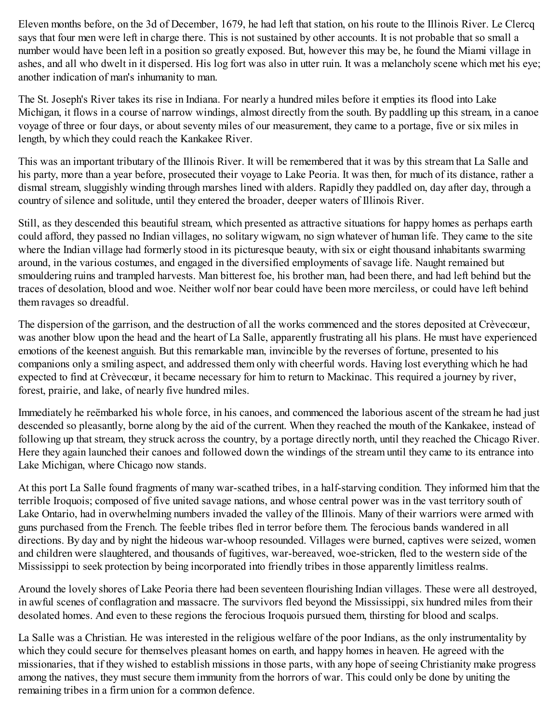Eleven months before, on the 3d of December, 1679, he had left that station, on his route to the Illinois River. Le Clercq says that four men were left in charge there. This is not sustained by other accounts. It is not probable that so small a number would have been left in a position so greatly exposed. But, however this may be, he found the Miami village in ashes, and all who dwelt in it dispersed. His log fort was also in utter ruin. It was a melancholy scene which met his eye; another indication of man's inhumanity to man.

The St. Joseph's River takes its rise in Indiana. For nearly a hundred miles before it empties its flood into Lake Michigan, it flows in a course of narrow windings, almost directly from the south. By paddling up this stream, in a canoe voyage of three or four days, or about seventy miles of our measurement, they came to a portage, five or six miles in length, by which they could reach the Kankakee River.

This was an important tributary of the Illinois River. It will be remembered that it was by this stream that La Salle and his party, more than a year before, prosecuted their voyage to Lake Peoria. It was then, for much of its distance, rather a dismal stream, sluggishly winding through marshes lined with alders. Rapidly they paddled on, day after day, through a country of silence and solitude, until they entered the broader, deeper waters of Illinois River.

Still, as they descended this beautiful stream, which presented as attractive situations for happy homes as perhaps earth could afford, they passed no Indian villages, no solitary wigwam, no sign whatever of human life. They came to the site where the Indian village had formerly stood in its picturesque beauty, with six or eight thousand inhabitants swarming around, in the various costumes, and engaged in the diversified employments of savage life. Naught remained but smouldering ruins and trampled harvests. Man bitterest foe, his brother man, had been there, and had left behind but the traces of desolation, blood and woe. Neither wolf nor bear could have been more merciless, or could have left behind them ravages so dreadful.

The dispersion of the garrison, and the destruction of all the works commenced and the stores deposited at Crèvecœur, was another blow upon the head and the heart of La Salle, apparently frustrating all his plans. He must have experienced emotions of the keenest anguish. But this remarkable man, invincible by the reverses of fortune, presented to his companions only a smiling aspect, and addressed them only with cheerful words. Having lost everything which he had expected to find at Crèvecœur, it became necessary for him to return to Mackinac. This required a journey by river, forest, prairie, and lake, of nearly five hundred miles.

Immediately he reëmbarked his whole force, in his canoes, and commenced the laborious ascent of the stream he had just descended so pleasantly, borne along by the aid of the current. When they reached the mouth of the Kankakee, instead of following up that stream, they struck across the country, by a portage directly north, until they reached the Chicago River. Here they again launched their canoes and followed down the windings of the stream until they came to its entrance into Lake Michigan, where Chicago now stands.

At this port La Salle found fragments of many war-scathed tribes, in a half-starving condition. They informed him that the terrible Iroquois; composed of five united savage nations, and whose central power was in the vast territory south of Lake Ontario, had in overwhelming numbers invaded the valley of the Illinois. Many of their warriors were armed with guns purchased from the French. The feeble tribes fled in terror before them. The ferocious bands wandered in all directions. By day and by night the hideous war-whoop resounded. Villages were burned, captives were seized, women and children were slaughtered, and thousands of fugitives, war-bereaved, woe-stricken, fled to the western side of the Mississippi to seek protection by being incorporated into friendly tribes in those apparently limitless realms.

Around the lovely shores of Lake Peoria there had been seventeen flourishing Indian villages. These were all destroyed, in awful scenes of conflagration and massacre. The survivors fled beyond the Mississippi, six hundred miles from their desolated homes. And even to these regions the ferocious Iroquois pursued them, thirsting for blood and scalps.

La Salle was a Christian. He was interested in the religious welfare of the poor Indians, as the only instrumentality by which they could secure for themselves pleasant homes on earth, and happy homes in heaven. He agreed with the missionaries, that if they wished to establish missions in those parts, with any hope of seeing Christianity make progress among the natives, they must secure them immunity from the horrors of war. This could only be done by uniting the remaining tribes in a firm union for a common defence.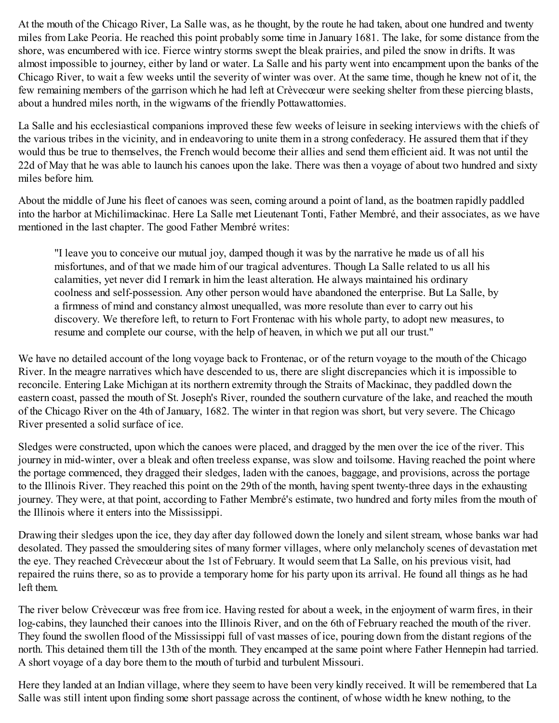At the mouth of the Chicago River, La Salle was, as he thought, by the route he had taken, about one hundred and twenty miles from Lake Peoria. He reached this point probably some time in January 1681. The lake, for some distance from the shore, was encumbered with ice. Fierce wintry storms swept the bleak prairies, and piled the snow in drifts. It was almost impossible to journey, either by land or water. La Salle and his party went into encampment upon the banks of the Chicago River, to wait a few weeks until the severity of winter was over. At the same time, though he knew not of it, the few remaining members of the garrison which he had left at Crèvecœur were seeking shelter from these piercing blasts, about a hundred miles north, in the wigwams of the friendly Pottawattomies.

La Salle and his ecclesiastical companions improved these few weeks of leisure in seeking interviews with the chiefs of the various tribes in the vicinity, and in endeavoring to unite them in a strong confederacy. He assured them that if they would thus be true to themselves, the French would become their allies and send them efficient aid. It was not until the 22d of May that he was able to launch his canoes upon the lake. There was then a voyage of about two hundred and sixty miles before him.

About the middle of June his fleet of canoes was seen, coming around a point of land, as the boatmen rapidly paddled into the harbor at Michilimackinac. Here La Salle met Lieutenant Tonti, Father Membré, and their associates, as we have mentioned in the last chapter. The good Father Membré writes:

"I leave you to conceive our mutual joy, damped though it was by the narrative he made us of all his misfortunes, and of that we made him of our tragical adventures. Though La Salle related to us all his calamities, yet never did I remark in him the least alteration. He always maintained his ordinary coolness and self-possession. Any other person would have abandoned the enterprise. But La Salle, by a firmness of mind and constancy almost unequalled, was more resolute than ever to carry out his discovery. We therefore left, to return to Fort Frontenac with his whole party, to adopt new measures, to resume and complete our course, with the help of heaven, in which we put all our trust."

We have no detailed account of the long voyage back to Frontenac, or of the return voyage to the mouth of the Chicago River. In the meagre narratives which have descended to us, there are slight discrepancies which it is impossible to reconcile. Entering Lake Michigan at its northern extremity through the Straits of Mackinac, they paddled down the eastern coast, passed the mouth of St. Joseph's River, rounded the southern curvature of the lake, and reached the mouth of the Chicago River on the 4th of January, 1682. The winter in that region was short, but very severe. The Chicago River presented a solid surface of ice.

Sledges were constructed, upon which the canoes were placed, and dragged by the men over the ice of the river. This journey in mid-winter, over a bleak and often treeless expanse, was slow and toilsome. Having reached the point where the portage commenced, they dragged their sledges, laden with the canoes, baggage, and provisions, across the portage to the Illinois River. They reached this point on the 29th of the month, having spent twenty-three days in the exhausting journey. They were, at that point, according to Father Membré's estimate, two hundred and forty miles from the mouth of the Illinois where it enters into the Mississippi.

Drawing their sledges upon the ice, they day after day followed down the lonely and silent stream, whose banks war had desolated. They passed the smouldering sites of many former villages, where only melancholy scenes of devastation met the eye. They reached Crèvecœur about the 1st of February. It would seem that La Salle, on his previous visit, had repaired the ruins there, so as to provide a temporary home for his party upon its arrival. He found all things as he had left them.

The river below Crèvecœur was free from ice. Having rested for about a week, in the enjoyment of warm fires, in their log-cabins, they launched their canoes into the Illinois River, and on the 6th of February reached the mouth of the river. They found the swollen flood of the Mississippi full of vast masses of ice, pouring down from the distant regions of the north. This detained them till the 13th of the month. They encamped at the same point where Father Hennepin had tarried. A short voyage of a day bore them to the mouth of turbid and turbulent Missouri.

Here they landed at an Indian village, where they seem to have been very kindly received. It will be remembered that La Salle was still intent upon finding some short passage across the continent, of whose width he knew nothing, to the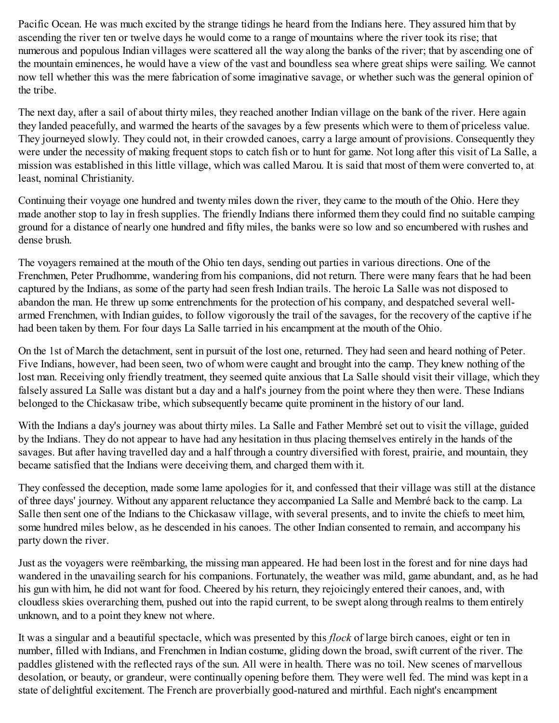Pacific Ocean. He was much excited by the strange tidings he heard from the Indians here. They assured him that by ascending the river ten or twelve days he would come to a range of mountains where the river took its rise; that numerous and populous Indian villages were scattered all the way along the banks of the river; that by ascending one of the mountain eminences, he would have a view of the vast and boundless sea where great ships were sailing. We cannot now tell whether this was the mere fabrication of some imaginative savage, or whether such was the general opinion of the tribe.

The next day, after a sail of about thirty miles, they reached another Indian village on the bank of the river. Here again they landed peacefully, and warmed the hearts of the savages by a few presents which were to them of priceless value. They journeyed slowly. They could not, in their crowded canoes, carry a large amount of provisions. Consequently they were under the necessity of making frequent stops to catch fish or to hunt for game. Not long after this visit of La Salle, a mission was established in this little village, which was called Marou. It is said that most of them were converted to, at least, nominal Christianity.

Continuing their voyage one hundred and twenty miles down the river, they came to the mouth of the Ohio. Here they made another stop to lay in fresh supplies. The friendly Indians there informed them they could find no suitable camping ground for a distance of nearly one hundred and fifty miles, the banks were so low and so encumbered with rushes and dense brush.

The voyagers remained at the mouth of the Ohio ten days, sending out parties in various directions. One of the Frenchmen, Peter Prudhomme, wandering from his companions, did not return. There were many fears that he had been captured by the Indians, as some of the party had seen fresh Indian trails. The heroic La Salle was not disposed to abandon the man. He threw up some entrenchments for the protection of his company, and despatched several wellarmed Frenchmen, with Indian guides, to follow vigorously the trail of the savages, for the recovery of the captive if he had been taken by them. For four days La Salle tarried in his encampment at the mouth of the Ohio.

On the 1st of March the detachment, sent in pursuit of the lost one, returned. They had seen and heard nothing of Peter. Five Indians, however, had been seen, two of whom were caught and brought into the camp. They knew nothing of the lost man. Receiving only friendly treatment, they seemed quite anxious that La Salle should visit their village, which they falsely assured La Salle was distant but a day and a half's journey from the point where they then were. These Indians belonged to the Chickasaw tribe, which subsequently became quite prominent in the history of our land.

With the Indians a day's journey was about thirty miles. La Salle and Father Membré set out to visit the village, guided by the Indians. They do not appear to have had any hesitation in thus placing themselves entirely in the hands of the savages. But after having travelled day and a half through a country diversified with forest, prairie, and mountain, they became satisfied that the Indians were deceiving them, and charged them with it.

They confessed the deception, made some lame apologies for it, and confessed that their village was still at the distance of three days' journey. Without any apparent reluctance they accompanied La Salle and Membré back to the camp. La Salle then sent one of the Indians to the Chickasaw village, with several presents, and to invite the chiefs to meet him, some hundred miles below, as he descended in his canoes. The other Indian consented to remain, and accompany his party down the river.

Just as the voyagers were reëmbarking, the missing man appeared. He had been lost in the forest and for nine days had wandered in the unavailing search for his companions. Fortunately, the weather was mild, game abundant, and, as he had his gun with him, he did not want for food. Cheered by his return, they rejoicingly entered their canoes, and, with cloudless skies overarching them, pushed out into the rapid current, to be swept along through realms to them entirely unknown, and to a point they knew not where.

It was a singular and a beautiful spectacle, which was presented by this *flock* of large birch canoes, eight or ten in number, filled with Indians, and Frenchmen in Indian costume, gliding down the broad, swift current of the river. The paddles glistened with the reflected rays of the sun. All were in health. There was no toil. New scenes of marvellous desolation, or beauty, or grandeur, were continually opening before them. They were well fed. The mind was kept in a state of delightful excitement. The French are proverbially good-natured and mirthful. Each night's encampment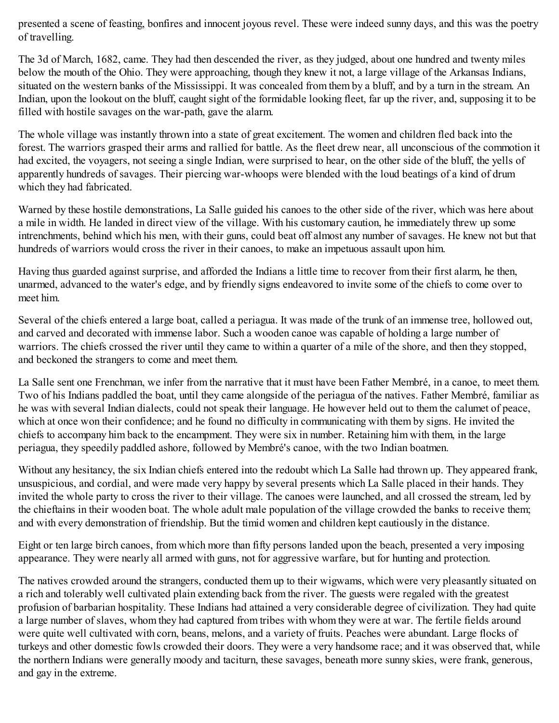presented a scene of feasting, bonfires and innocent joyous revel. These were indeed sunny days, and this was the poetry of travelling.

The 3d of March, 1682, came. They had then descended the river, as they judged, about one hundred and twenty miles below the mouth of the Ohio. They were approaching, though they knew it not, a large village of the Arkansas Indians, situated on the western banks of the Mississippi. It was concealed from them by a bluff, and by a turn in the stream. An Indian, upon the lookout on the bluff, caught sight of the formidable looking fleet, far up the river, and, supposing it to be filled with hostile savages on the war-path, gave the alarm.

The whole village was instantly thrown into a state of great excitement. The women and children fled back into the forest. The warriors grasped their arms and rallied for battle. As the fleet drew near, all unconscious of the commotion it had excited, the voyagers, not seeing a single Indian, were surprised to hear, on the other side of the bluff, the yells of apparently hundreds of savages. Their piercing war-whoops were blended with the loud beatings of a kind of drum which they had fabricated.

Warned by these hostile demonstrations, La Salle guided his canoes to the other side of the river, which was here about a mile in width. He landed in direct view of the village. With his customary caution, he immediately threw up some intrenchments, behind which his men, with their guns, could beat off almost any number of savages. He knew not but that hundreds of warriors would cross the river in their canoes, to make an impetuous assault upon him.

Having thus guarded against surprise, and afforded the Indians a little time to recover from their first alarm, he then, unarmed, advanced to the water's edge, and by friendly signs endeavored to invite some of the chiefs to come over to meet him.

Several of the chiefs entered a large boat, called a periagua. It was made of the trunk of an immense tree, hollowed out, and carved and decorated with immense labor. Such a wooden canoe was capable of holding a large number of warriors. The chiefs crossed the river until they came to within a quarter of a mile of the shore, and then they stopped, and beckoned the strangers to come and meet them.

La Salle sent one Frenchman, we infer from the narrative that it must have been Father Membré, in a canoe, to meet them. Two of his Indians paddled the boat, until they came alongside of the periagua of the natives. Father Membré, familiar as he was with several Indian dialects, could not speak their language. He however held out to them the calumet of peace, which at once won their confidence; and he found no difficulty in communicating with them by signs. He invited the chiefs to accompany him back to the encampment. They were six in number. Retaining him with them, in the large periagua, they speedily paddled ashore, followed by Membré's canoe, with the two Indian boatmen.

Without any hesitancy, the six Indian chiefs entered into the redoubt which La Salle had thrown up. They appeared frank, unsuspicious, and cordial, and were made very happy by several presents which La Salle placed in their hands. They invited the whole party to cross the river to their village. The canoes were launched, and all crossed the stream, led by the chieftains in their wooden boat. The whole adult male population of the village crowded the banks to receive them; and with every demonstration of friendship. But the timid women and children kept cautiously in the distance.

Eight or ten large birch canoes, from which more than fifty persons landed upon the beach, presented a very imposing appearance. They were nearly all armed with guns, not for aggressive warfare, but for hunting and protection.

The natives crowded around the strangers, conducted them up to their wigwams, which were very pleasantly situated on a rich and tolerably well cultivated plain extending back from the river. The guests were regaled with the greatest profusion of barbarian hospitality. These Indians had attained a very considerable degree of civilization. They had quite a large number of slaves, whom they had captured from tribes with whom they were at war. The fertile fields around were quite well cultivated with corn, beans, melons, and a variety of fruits. Peaches were abundant. Large flocks of turkeys and other domestic fowls crowded their doors. They were a very handsome race; and it was observed that, while the northern Indians were generally moody and taciturn, these savages, beneath more sunny skies, were frank, generous, and gay in the extreme.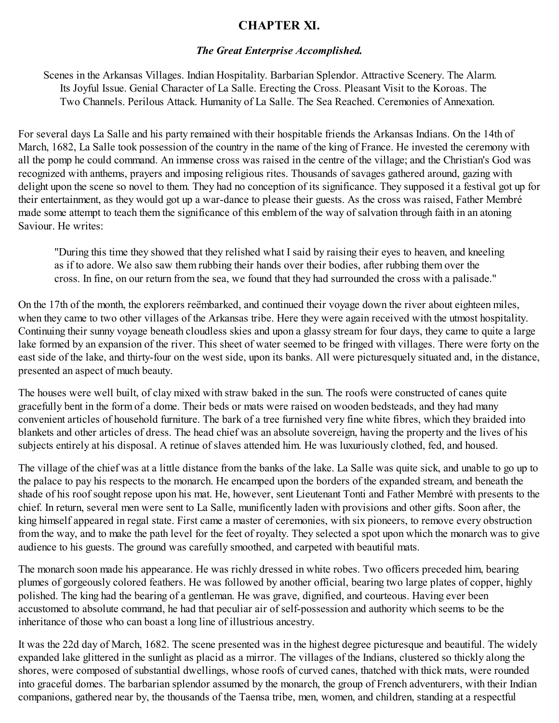### **CHAPTER XI.**

#### *The Great Enterprise Accomplished.*

Scenes in the Arkansas Villages. Indian Hospitality. Barbarian Splendor. Attractive Scenery. The Alarm. Its Joyful Issue. Genial Character of La Salle. Erecting the Cross. Pleasant Visit to the Koroas. The Two Channels. Perilous Attack. Humanity of La Salle. The Sea Reached. Ceremonies of Annexation.

For several days La Salle and his party remained with their hospitable friends the Arkansas Indians. On the 14th of March, 1682, La Salle took possession of the country in the name of the king of France. He invested the ceremony with all the pomp he could command. An immense cross was raised in the centre of the village; and the Christian's God was recognized with anthems, prayers and imposing religious rites. Thousands of savages gathered around, gazing with delight upon the scene so novel to them. They had no conception of its significance. They supposed it a festival got up for their entertainment, as they would got up a war-dance to please their guests. As the cross was raised, Father Membré made some attempt to teach them the significance of this emblem of the way of salvation through faith in an atoning Saviour. He writes:

"During this time they showed that they relished what I said by raising their eyes to heaven, and kneeling as if to adore. We also saw them rubbing their hands over their bodies, after rubbing them over the cross. In fine, on our return from the sea, we found that they had surrounded the cross with a palisade."

On the 17th of the month, the explorers reëmbarked, and continued their voyage down the river about eighteen miles, when they came to two other villages of the Arkansas tribe. Here they were again received with the utmost hospitality. Continuing their sunny voyage beneath cloudless skies and upon a glassy stream for four days, they came to quite a large lake formed by an expansion of the river. This sheet of water seemed to be fringed with villages. There were forty on the east side of the lake, and thirty-four on the west side, upon its banks. All were picturesquely situated and, in the distance, presented an aspect of much beauty.

The houses were well built, of clay mixed with straw baked in the sun. The roofs were constructed of canes quite gracefully bent in the form of a dome. Their beds or mats were raised on wooden bedsteads, and they had many convenient articles of household furniture. The bark of a tree furnished very fine white fibres, which they braided into blankets and other articles of dress. The head chief was an absolute sovereign, having the property and the lives of his subjects entirely at his disposal. A retinue of slaves attended him. He was luxuriously clothed, fed, and housed.

The village of the chief was at a little distance from the banks of the lake. La Salle was quite sick, and unable to go up to the palace to pay his respects to the monarch. He encamped upon the borders of the expanded stream, and beneath the shade of his roof sought repose upon his mat. He, however, sent Lieutenant Tonti and Father Membré with presents to the chief. In return, several men were sent to La Salle, munificently laden with provisions and other gifts. Soon after, the king himself appeared in regal state. First came a master of ceremonies, with six pioneers, to remove every obstruction from the way, and to make the path level for the feet of royalty. They selected a spot upon which the monarch was to give audience to his guests. The ground was carefully smoothed, and carpeted with beautiful mats.

The monarch soon made his appearance. He was richly dressed in white robes. Two officers preceded him, bearing plumes of gorgeously colored feathers. He was followed by another official, bearing two large plates of copper, highly polished. The king had the bearing of a gentleman. He was grave, dignified, and courteous. Having ever been accustomed to absolute command, he had that peculiar air of self-possession and authority which seems to be the inheritance of those who can boast a long line of illustrious ancestry.

It was the 22d day of March, 1682. The scene presented was in the highest degree picturesque and beautiful. The widely expanded lake glittered in the sunlight as placid as a mirror. The villages of the Indians, clustered so thickly along the shores, were composed of substantial dwellings, whose roofs of curved canes, thatched with thick mats, were rounded into graceful domes. The barbarian splendor assumed by the monarch, the group of French adventurers, with their Indian companions, gathered near by, the thousands of the Taensa tribe, men, women, and children, standing at a respectful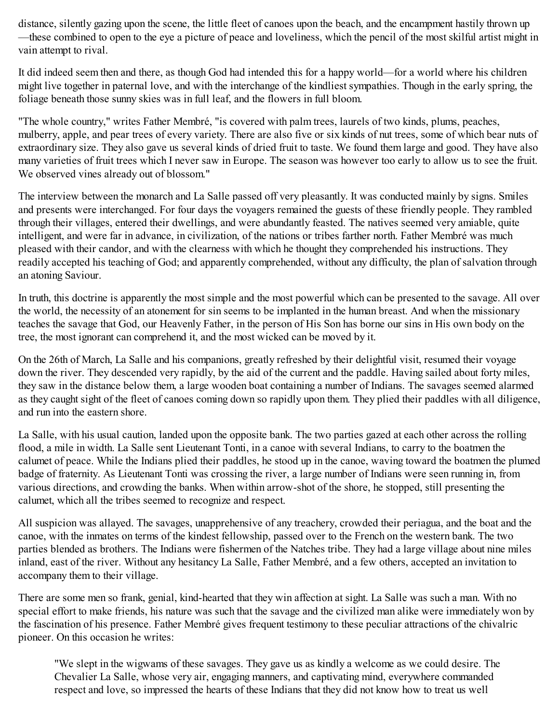distance, silently gazing upon the scene, the little fleet of canoes upon the beach, and the encampment hastily thrown up —these combined to open to the eye a picture of peace and loveliness, which the pencil of the most skilful artist might in vain attempt to rival.

It did indeed seem then and there, as though God had intended this for a happy world—for a world where his children might live together in paternal love, and with the interchange of the kindliest sympathies. Though in the early spring, the foliage beneath those sunny skies was in full leaf, and the flowers in full bloom.

"The whole country," writes Father Membré, "is covered with palm trees, laurels of two kinds, plums, peaches, mulberry, apple, and pear trees of every variety. There are also five or six kinds of nut trees, some of which bear nuts of extraordinary size. They also gave us several kinds of dried fruit to taste. We found them large and good. They have also many varieties of fruit trees which I never saw in Europe. The season was however too early to allow us to see the fruit. We observed vines already out of blossom."

The interview between the monarch and La Salle passed off very pleasantly. It was conducted mainly by signs. Smiles and presents were interchanged. For four days the voyagers remained the guests of these friendly people. They rambled through their villages, entered their dwellings, and were abundantly feasted. The natives seemed very amiable, quite intelligent, and were far in advance, in civilization, of the nations or tribes farther north. Father Membré was much pleased with their candor, and with the clearness with which he thought they comprehended his instructions. They readily accepted his teaching of God; and apparently comprehended, without any difficulty, the plan of salvation through an atoning Saviour.

In truth, this doctrine is apparently the most simple and the most powerful which can be presented to the savage. All over the world, the necessity of an atonement for sin seems to be implanted in the human breast. And when the missionary teaches the savage that God, our Heavenly Father, in the person of His Son has borne our sins in His own body on the tree, the most ignorant can comprehend it, and the most wicked can be moved by it.

On the 26th of March, La Salle and his companions, greatly refreshed by their delightful visit, resumed their voyage down the river. They descended very rapidly, by the aid of the current and the paddle. Having sailed about forty miles, they saw in the distance below them, a large wooden boat containing a number of Indians. The savages seemed alarmed as they caught sight of the fleet of canoes coming down so rapidly upon them. They plied their paddles with all diligence, and run into the eastern shore.

La Salle, with his usual caution, landed upon the opposite bank. The two parties gazed at each other across the rolling flood, a mile in width. La Salle sent Lieutenant Tonti, in a canoe with several Indians, to carry to the boatmen the calumet of peace. While the Indians plied their paddles, he stood up in the canoe, waving toward the boatmen the plumed badge of fraternity. As Lieutenant Tonti was crossing the river, a large number of Indians were seen running in, from various directions, and crowding the banks. When within arrow-shot of the shore, he stopped, still presenting the calumet, which all the tribes seemed to recognize and respect.

All suspicion was allayed. The savages, unapprehensive of any treachery, crowded their periagua, and the boat and the canoe, with the inmates on terms of the kindest fellowship, passed over to the French on the western bank. The two parties blended as brothers. The Indians were fishermen of the Natches tribe. They had a large village about nine miles inland, east of the river. Without any hesitancy La Salle, Father Membré, and a few others, accepted an invitation to accompany them to their village.

There are some men so frank, genial, kind-hearted that they win affection at sight. La Salle was such a man. With no special effort to make friends, his nature was such that the savage and the civilized man alike were immediately won by the fascination of his presence. Father Membré gives frequent testimony to these peculiar attractions of the chivalric pioneer. On this occasion he writes:

"We slept in the wigwams of these savages. They gave us as kindly a welcome as we could desire. The Chevalier La Salle, whose very air, engaging manners, and captivating mind, everywhere commanded respect and love, so impressed the hearts of these Indians that they did not know how to treat us well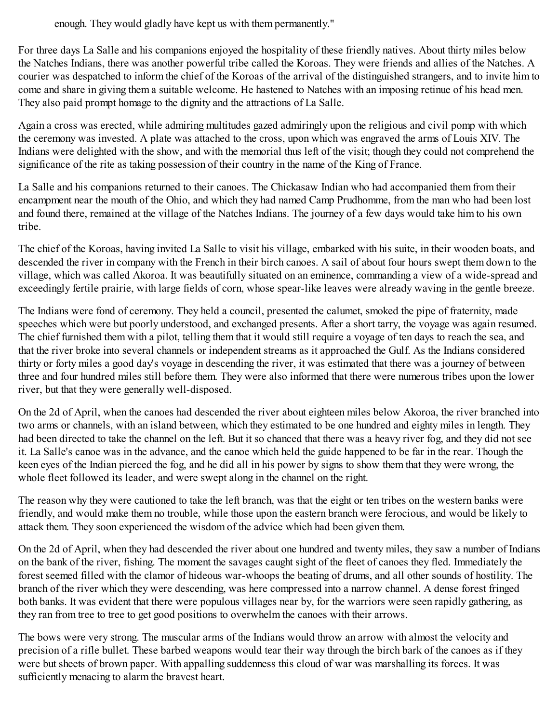enough. They would gladly have kept us with them permanently."

For three days La Salle and his companions enjoyed the hospitality of these friendly natives. About thirty miles below the Natches Indians, there was another powerful tribe called the Koroas. They were friends and allies of the Natches. A courier was despatched to inform the chief of the Koroas of the arrival of the distinguished strangers, and to invite him to come and share in giving them a suitable welcome. He hastened to Natches with an imposing retinue of his head men. They also paid prompt homage to the dignity and the attractions of La Salle.

Again a cross was erected, while admiring multitudes gazed admiringly upon the religious and civil pomp with which the ceremony was invested. A plate was attached to the cross, upon which was engraved the arms of Louis XIV. The Indians were delighted with the show, and with the memorial thus left of the visit; though they could not comprehend the significance of the rite as taking possession of their country in the name of the King of France.

La Salle and his companions returned to their canoes. The Chickasaw Indian who had accompanied them from their encampment near the mouth of the Ohio, and which they had named Camp Prudhomme, from the man who had been lost and found there, remained at the village of the Natches Indians. The journey of a few days would take him to his own tribe.

The chief of the Koroas, having invited La Salle to visit his village, embarked with his suite, in their wooden boats, and descended the river in company with the French in their birch canoes. A sail of about four hours swept them down to the village, which was called Akoroa. It was beautifully situated on an eminence, commanding a view of a wide-spread and exceedingly fertile prairie, with large fields of corn, whose spear-like leaves were already waving in the gentle breeze.

The Indians were fond of ceremony. They held a council, presented the calumet, smoked the pipe of fraternity, made speeches which were but poorly understood, and exchanged presents. After a short tarry, the voyage was again resumed. The chief furnished them with a pilot, telling them that it would still require a voyage of ten days to reach the sea, and that the river broke into several channels or independent streams as it approached the Gulf. As the Indians considered thirty or forty miles a good day's voyage in descending the river, it was estimated that there was a journey of between three and four hundred miles still before them. They were also informed that there were numerous tribes upon the lower river, but that they were generally well-disposed.

On the 2d of April, when the canoes had descended the river about eighteen miles below Akoroa, the river branched into two arms or channels, with an island between, which they estimated to be one hundred and eighty miles in length. They had been directed to take the channel on the left. But it so chanced that there was a heavy river fog, and they did not see it. La Salle's canoe was in the advance, and the canoe which held the guide happened to be far in the rear. Though the keen eyes of the Indian pierced the fog, and he did all in his power by signs to show them that they were wrong, the whole fleet followed its leader, and were swept along in the channel on the right.

The reason why they were cautioned to take the left branch, was that the eight or ten tribes on the western banks were friendly, and would make them no trouble, while those upon the eastern branch were ferocious, and would be likely to attack them. They soon experienced the wisdom of the advice which had been given them.

On the 2d of April, when they had descended the river about one hundred and twenty miles, they saw a number of Indians on the bank of the river, fishing. The moment the savages caught sight of the fleet of canoes they fled. Immediately the forest seemed filled with the clamor of hideous war-whoops the beating of drums, and all other sounds of hostility. The branch of the river which they were descending, was here compressed into a narrow channel. A dense forest fringed both banks. It was evident that there were populous villages near by, for the warriors were seen rapidly gathering, as they ran from tree to tree to get good positions to overwhelm the canoes with their arrows.

The bows were very strong. The muscular arms of the Indians would throw an arrow with almost the velocity and precision of a rifle bullet. These barbed weapons would tear their way through the birch bark of the canoes as if they were but sheets of brown paper. With appalling suddenness this cloud of war was marshalling its forces. It was sufficiently menacing to alarm the bravest heart.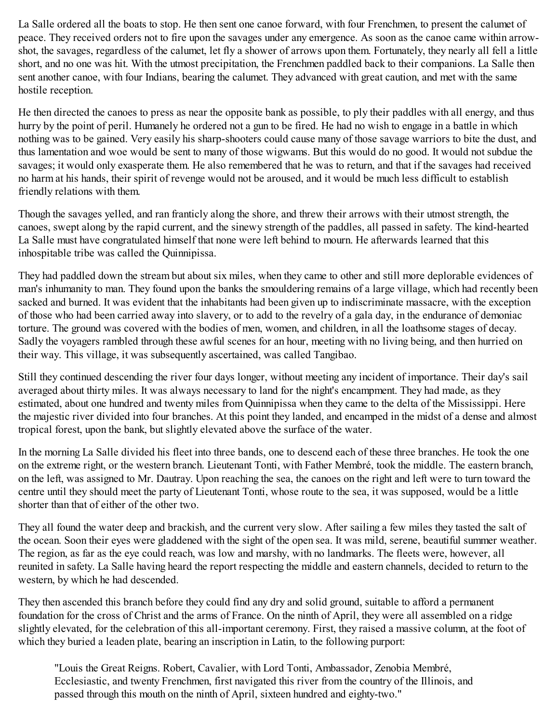La Salle ordered all the boats to stop. He then sent one canoe forward, with four Frenchmen, to present the calumet of peace. They received orders not to fire upon the savages under any emergence. As soon as the canoe came within arrowshot, the savages, regardless of the calumet, let fly a shower of arrows upon them. Fortunately, they nearly all fell a little short, and no one was hit. With the utmost precipitation, the Frenchmen paddled back to their companions. La Salle then sent another canoe, with four Indians, bearing the calumet. They advanced with great caution, and met with the same hostile reception.

He then directed the canoes to press as near the opposite bank as possible, to ply their paddles with all energy, and thus hurry by the point of peril. Humanely he ordered not a gun to be fired. He had no wish to engage in a battle in which nothing was to be gained. Very easily his sharp-shooters could cause many of those savage warriors to bite the dust, and thus lamentation and woe would be sent to many of those wigwams. But this would do no good. It would not subdue the savages; it would only exasperate them. He also remembered that he was to return, and that if the savages had received no harm at his hands, their spirit of revenge would not be aroused, and it would be much less difficult to establish friendly relations with them.

Though the savages yelled, and ran franticly along the shore, and threw their arrows with their utmost strength, the canoes, swept along by the rapid current, and the sinewy strength of the paddles, all passed in safety. The kind-hearted La Salle must have congratulated himself that none were left behind to mourn. He afterwards learned that this inhospitable tribe was called the Quinnipissa.

They had paddled down the stream but about six miles, when they came to other and still more deplorable evidences of man's inhumanity to man. They found upon the banks the smouldering remains of a large village, which had recently been sacked and burned. It was evident that the inhabitants had been given up to indiscriminate massacre, with the exception of those who had been carried away into slavery, or to add to the revelry of a gala day, in the endurance of demoniac torture. The ground was covered with the bodies of men, women, and children, in all the loathsome stages of decay. Sadly the voyagers rambled through these awful scenes for an hour, meeting with no living being, and then hurried on their way. This village, it was subsequently ascertained, was called Tangibao.

Still they continued descending the river four days longer, without meeting any incident of importance. Their day's sail averaged about thirty miles. It was always necessary to land for the night's encampment. They had made, as they estimated, about one hundred and twenty miles from Quinnipissa when they came to the delta of the Mississippi. Here the majestic river divided into four branches. At this point they landed, and encamped in the midst of a dense and almost tropical forest, upon the bank, but slightly elevated above the surface of the water.

In the morning La Salle divided his fleet into three bands, one to descend each of these three branches. He took the one on the extreme right, or the western branch. Lieutenant Tonti, with Father Membré, took the middle. The eastern branch, on the left, was assigned to Mr. Dautray. Upon reaching the sea, the canoes on the right and left were to turn toward the centre until they should meet the party of Lieutenant Tonti, whose route to the sea, it was supposed, would be a little shorter than that of either of the other two.

They all found the water deep and brackish, and the current very slow. After sailing a few miles they tasted the salt of the ocean. Soon their eyes were gladdened with the sight of the open sea. It was mild, serene, beautiful summer weather. The region, as far as the eye could reach, was low and marshy, with no landmarks. The fleets were, however, all reunited in safety. La Salle having heard the report respecting the middle and eastern channels, decided to return to the western, by which he had descended.

They then ascended this branch before they could find any dry and solid ground, suitable to afford a permanent foundation for the cross of Christ and the arms of France. On the ninth of April, they were all assembled on a ridge slightly elevated, for the celebration of this all-important ceremony. First, they raised a massive column, at the foot of which they buried a leaden plate, bearing an inscription in Latin, to the following purport:

"Louis the Great Reigns. Robert, Cavalier, with Lord Tonti, Ambassador, Zenobia Membré, Ecclesiastic, and twenty Frenchmen, first navigated this river from the country of the Illinois, and passed through this mouth on the ninth of April, sixteen hundred and eighty-two."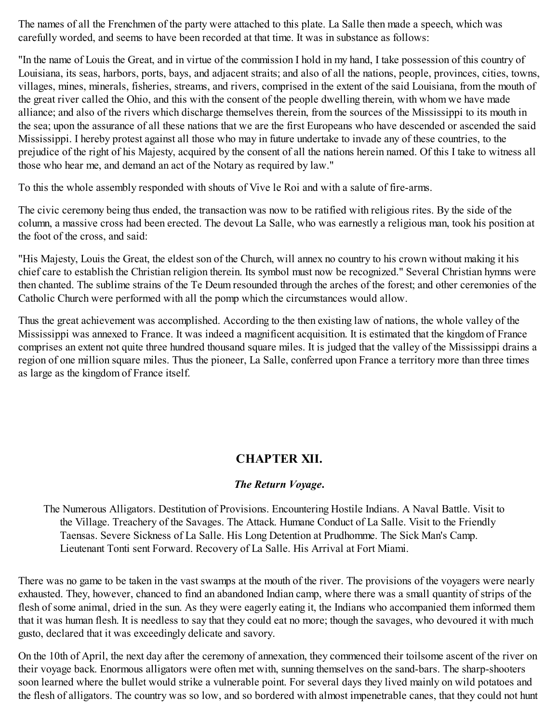The names of all the Frenchmen of the party were attached to this plate. La Salle then made a speech, which was carefully worded, and seems to have been recorded at that time. It was in substance as follows:

"In the name of Louis the Great, and in virtue of the commission I hold in my hand, I take possession of this country of Louisiana, its seas, harbors, ports, bays, and adjacent straits; and also of all the nations, people, provinces, cities, towns, villages, mines, minerals, fisheries, streams, and rivers, comprised in the extent of the said Louisiana, from the mouth of the great river called the Ohio, and this with the consent of the people dwelling therein, with whom we have made alliance; and also of the rivers which discharge themselves therein, from the sources of the Mississippi to its mouth in the sea; upon the assurance of all these nations that we are the first Europeans who have descended or ascended the said Mississippi. I hereby protest against all those who may in future undertake to invade any of these countries, to the prejudice of the right of his Majesty, acquired by the consent of all the nations herein named. Of this I take to witness all those who hear me, and demand an act of the Notary as required by law."

To this the whole assembly responded with shouts of Vive le Roi and with a salute of fire-arms.

The civic ceremony being thus ended, the transaction was now to be ratified with religious rites. By the side of the column, a massive cross had been erected. The devout La Salle, who was earnestly a religious man, took his position at the foot of the cross, and said:

"His Majesty, Louis the Great, the eldest son of the Church, will annex no country to his crown without making it his chief care to establish the Christian religion therein. Its symbol must now be recognized." Several Christian hymns were then chanted. The sublime strains of the Te Deum resounded through the arches of the forest; and other ceremonies of the Catholic Church were performed with all the pomp which the circumstances would allow.

Thus the great achievement was accomplished. According to the then existing law of nations, the whole valley of the Mississippi was annexed to France. It was indeed a magnificent acquisition. It is estimated that the kingdom of France comprises an extent not quite three hundred thousand square miles. It is judged that the valley of the Mississippi drains a region of one million square miles. Thus the pioneer, La Salle, conferred upon France a territory more than three times as large as the kingdom of France itself.

# **CHAPTER XII.**

## *The Return Voyage***.**

The Numerous Alligators. Destitution of Provisions. Encountering Hostile Indians. A Naval Battle. Visit to the Village. Treachery of the Savages. The Attack. Humane Conduct of La Salle. Visit to the Friendly Taensas. Severe Sickness of La Salle. His Long Detention at Prudhomme. The Sick Man's Camp. Lieutenant Tonti sent Forward. Recovery of La Salle. His Arrival at Fort Miami.

There was no game to be taken in the vast swamps at the mouth of the river. The provisions of the voyagers were nearly exhausted. They, however, chanced to find an abandoned Indian camp, where there was a small quantity of strips of the flesh of some animal, dried in the sun. As they were eagerly eating it, the Indians who accompanied them informed them that it was human flesh. It is needless to say that they could eat no more; though the savages, who devoured it with much gusto, declared that it was exceedingly delicate and savory.

On the 10th of April, the next day after the ceremony of annexation, they commenced their toilsome ascent of the river on their voyage back. Enormous alligators were often met with, sunning themselves on the sand-bars. The sharp-shooters soon learned where the bullet would strike a vulnerable point. For several days they lived mainly on wild potatoes and the flesh of alligators. The country was so low, and so bordered with almost impenetrable canes, that they could not hunt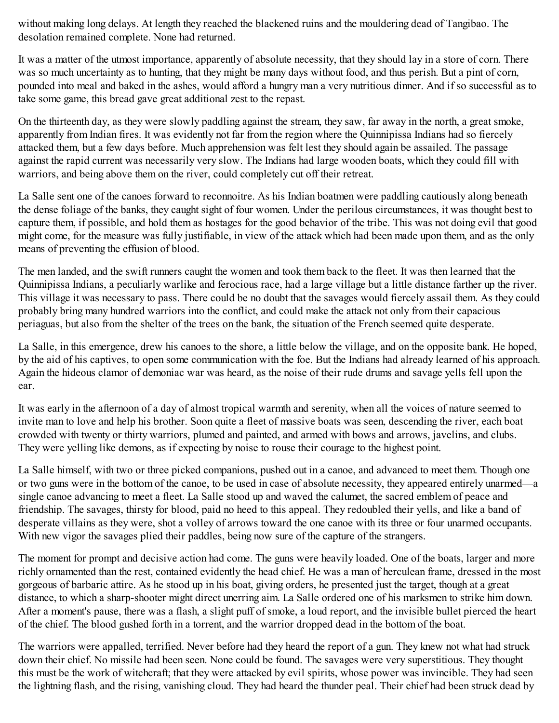without making long delays. At length they reached the blackened ruins and the mouldering dead of Tangibao. The desolation remained complete. None had returned.

It was a matter of the utmost importance, apparently of absolute necessity, that they should lay in a store of corn. There was so much uncertainty as to hunting, that they might be many days without food, and thus perish. But a pint of corn, pounded into meal and baked in the ashes, would afford a hungry man a very nutritious dinner. And if so successful as to take some game, this bread gave great additional zest to the repast.

On the thirteenth day, as they were slowly paddling against the stream, they saw, far away in the north, a great smoke, apparently from Indian fires. It was evidently not far from the region where the Quinnipissa Indians had so fiercely attacked them, but a few days before. Much apprehension was felt lest they should again be assailed. The passage against the rapid current was necessarily very slow. The Indians had large wooden boats, which they could fill with warriors, and being above them on the river, could completely cut off their retreat.

La Salle sent one of the canoes forward to reconnoitre. As his Indian boatmen were paddling cautiously along beneath the dense foliage of the banks, they caught sight of four women. Under the perilous circumstances, it was thought best to capture them, if possible, and hold them as hostages for the good behavior of the tribe. This was not doing evil that good might come, for the measure was fully justifiable, in view of the attack which had been made upon them, and as the only means of preventing the effusion of blood.

The men landed, and the swift runners caught the women and took them back to the fleet. It was then learned that the Quinnipissa Indians, a peculiarly warlike and ferocious race, had a large village but a little distance farther up the river. This village it was necessary to pass. There could be no doubt that the savages would fiercely assail them. As they could probably bring many hundred warriors into the conflict, and could make the attack not only from their capacious periaguas, but also from the shelter of the trees on the bank, the situation of the French seemed quite desperate.

La Salle, in this emergence, drew his canoes to the shore, a little below the village, and on the opposite bank. He hoped, by the aid of his captives, to open some communication with the foe. But the Indians had already learned of his approach. Again the hideous clamor of demoniac war was heard, as the noise of their rude drums and savage yells fell upon the ear.

It was early in the afternoon of a day of almost tropical warmth and serenity, when all the voices of nature seemed to invite man to love and help his brother. Soon quite a fleet of massive boats was seen, descending the river, each boat crowded with twenty or thirty warriors, plumed and painted, and armed with bows and arrows, javelins, and clubs. They were yelling like demons, as if expecting by noise to rouse their courage to the highest point.

La Salle himself, with two or three picked companions, pushed out in a canoe, and advanced to meet them. Though one or two guns were in the bottom of the canoe, to be used in case of absolute necessity, they appeared entirely unarmed—a single canoe advancing to meet a fleet. La Salle stood up and waved the calumet, the sacred emblem of peace and friendship. The savages, thirsty for blood, paid no heed to this appeal. They redoubled their yells, and like a band of desperate villains as they were, shot a volley of arrows toward the one canoe with its three or four unarmed occupants. With new vigor the savages plied their paddles, being now sure of the capture of the strangers.

The moment for prompt and decisive action had come. The guns were heavily loaded. One of the boats, larger and more richly ornamented than the rest, contained evidently the head chief. He was a man of herculean frame, dressed in the most gorgeous of barbaric attire. As he stood up in his boat, giving orders, he presented just the target, though at a great distance, to which a sharp-shooter might direct unerring aim. La Salle ordered one of his marksmen to strike him down. After a moment's pause, there was a flash, a slight puff of smoke, a loud report, and the invisible bullet pierced the heart of the chief. The blood gushed forth in a torrent, and the warrior dropped dead in the bottom of the boat.

The warriors were appalled, terrified. Never before had they heard the report of a gun. They knew not what had struck down their chief. No missile had been seen. None could be found. The savages were very superstitious. They thought this must be the work of witchcraft; that they were attacked by evil spirits, whose power was invincible. They had seen the lightning flash, and the rising, vanishing cloud. They had heard the thunder peal. Their chief had been struck dead by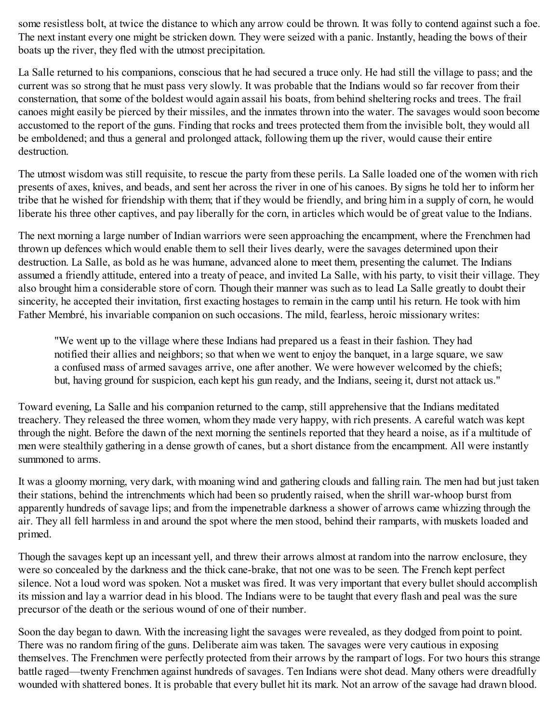some resistless bolt, at twice the distance to which any arrow could be thrown. It was folly to contend against such a foe. The next instant every one might be stricken down. They were seized with a panic. Instantly, heading the bows of their boats up the river, they fled with the utmost precipitation.

La Salle returned to his companions, conscious that he had secured a truce only. He had still the village to pass; and the current was so strong that he must pass very slowly. It was probable that the Indians would so far recover from their consternation, that some of the boldest would again assail his boats, from behind sheltering rocks and trees. The frail canoes might easily be pierced by their missiles, and the inmates thrown into the water. The savages would soon become accustomed to the report of the guns. Finding that rocks and trees protected them from the invisible bolt, they would all be emboldened; and thus a general and prolonged attack, following them up the river, would cause their entire destruction.

The utmost wisdom was still requisite, to rescue the party from these perils. La Salle loaded one of the women with rich presents of axes, knives, and beads, and sent her across the river in one of his canoes. By signs he told her to inform her tribe that he wished for friendship with them; that if they would be friendly, and bring him in a supply of corn, he would liberate his three other captives, and pay liberally for the corn, in articles which would be of great value to the Indians.

The next morning a large number of Indian warriors were seen approaching the encampment, where the Frenchmen had thrown up defences which would enable them to sell their lives dearly, were the savages determined upon their destruction. La Salle, as bold as he was humane, advanced alone to meet them, presenting the calumet. The Indians assumed a friendly attitude, entered into a treaty of peace, and invited La Salle, with his party, to visit their village. They also brought him a considerable store of corn. Though their manner was such as to lead La Salle greatly to doubt their sincerity, he accepted their invitation, first exacting hostages to remain in the camp until his return. He took with him Father Membré, his invariable companion on such occasions. The mild, fearless, heroic missionary writes:

"We went up to the village where these Indians had prepared us a feast in their fashion. They had notified their allies and neighbors; so that when we went to enjoy the banquet, in a large square, we saw a confused mass of armed savages arrive, one after another. We were however welcomed by the chiefs; but, having ground for suspicion, each kept his gun ready, and the Indians, seeing it, durst not attack us."

Toward evening, La Salle and his companion returned to the camp, still apprehensive that the Indians meditated treachery. They released the three women, whom they made very happy, with rich presents. A careful watch was kept through the night. Before the dawn of the next morning the sentinels reported that they heard a noise, as if a multitude of men were stealthily gathering in a dense growth of canes, but a short distance from the encampment. All were instantly summoned to arms.

It was a gloomy morning, very dark, with moaning wind and gathering clouds and falling rain. The men had but just taken their stations, behind the intrenchments which had been so prudently raised, when the shrill war-whoop burst from apparently hundreds of savage lips; and from the impenetrable darkness a shower of arrows came whizzing through the air. They all fell harmless in and around the spot where the men stood, behind their ramparts, with muskets loaded and primed.

Though the savages kept up an incessant yell, and threw their arrows almost at random into the narrow enclosure, they were so concealed by the darkness and the thick cane-brake, that not one was to be seen. The French kept perfect silence. Not a loud word was spoken. Not a musket was fired. It was very important that every bullet should accomplish its mission and lay a warrior dead in his blood. The Indians were to be taught that every flash and peal was the sure precursor of the death or the serious wound of one of their number.

Soon the day began to dawn. With the increasing light the savages were revealed, as they dodged from point to point. There was no random firing of the guns. Deliberate aim was taken. The savages were very cautious in exposing themselves. The Frenchmen were perfectly protected from their arrows by the rampart of logs. For two hours this strange battle raged—twenty Frenchmen against hundreds of savages. Ten Indians were shot dead. Many others were dreadfully wounded with shattered bones. It is probable that every bullet hit its mark. Not an arrow of the savage had drawn blood.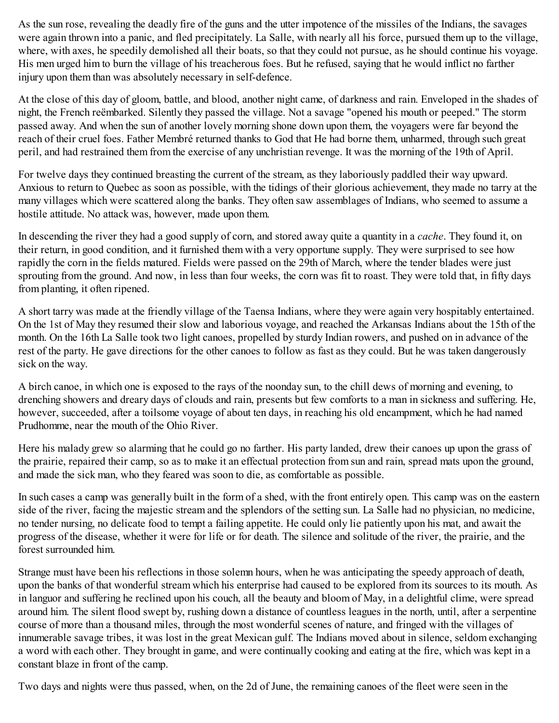As the sun rose, revealing the deadly fire of the guns and the utter impotence of the missiles of the Indians, the savages were again thrown into a panic, and fled precipitately. La Salle, with nearly all his force, pursued them up to the village, where, with axes, he speedily demolished all their boats, so that they could not pursue, as he should continue his voyage. His men urged him to burn the village of his treacherous foes. But he refused, saying that he would inflict no farther injury upon them than was absolutely necessary in self-defence.

At the close of this day of gloom, battle, and blood, another night came, of darkness and rain. Enveloped in the shades of night, the French reëmbarked. Silently they passed the village. Not a savage "opened his mouth or peeped." The storm passed away. And when the sun of another lovely morning shone down upon them, the voyagers were far beyond the reach of their cruel foes. Father Membré returned thanks to God that He had borne them, unharmed, through such great peril, and had restrained them from the exercise of any unchristian revenge. It was the morning of the 19th of April.

For twelve days they continued breasting the current of the stream, as they laboriously paddled their way upward. Anxious to return to Quebec as soon as possible, with the tidings of their glorious achievement, they made no tarry at the many villages which were scattered along the banks. They often saw assemblages of Indians, who seemed to assume a hostile attitude. No attack was, however, made upon them.

In descending the river they had a good supply of corn, and stored away quite a quantity in a *cache*. They found it, on their return, in good condition, and it furnished them with a very opportune supply. They were surprised to see how rapidly the corn in the fields matured. Fields were passed on the 29th of March, where the tender blades were just sprouting from the ground. And now, in less than four weeks, the corn was fit to roast. They were told that, in fifty days from planting, it often ripened.

A short tarry was made at the friendly village of the Taensa Indians, where they were again very hospitably entertained. On the 1st of May they resumed their slow and laborious voyage, and reached the Arkansas Indians about the 15th of the month. On the 16th La Salle took two light canoes, propelled by sturdy Indian rowers, and pushed on in advance of the rest of the party. He gave directions for the other canoes to follow as fast as they could. But he was taken dangerously sick on the way.

A birch canoe, in which one is exposed to the rays of the noonday sun, to the chill dews of morning and evening, to drenching showers and dreary days of clouds and rain, presents but few comforts to a man in sickness and suffering. He, however, succeeded, after a toilsome voyage of about ten days, in reaching his old encampment, which he had named Prudhomme, near the mouth of the Ohio River.

Here his malady grew so alarming that he could go no farther. His party landed, drew their canoes up upon the grass of the prairie, repaired their camp, so as to make it an effectual protection from sun and rain, spread mats upon the ground, and made the sick man, who they feared was soon to die, as comfortable as possible.

In such cases a camp was generally built in the form of a shed, with the front entirely open. This camp was on the eastern side of the river, facing the majestic stream and the splendors of the setting sun. La Salle had no physician, no medicine, no tender nursing, no delicate food to tempt a failing appetite. He could only lie patiently upon his mat, and await the progress of the disease, whether it were for life or for death. The silence and solitude of the river, the prairie, and the forest surrounded him.

Strange must have been his reflections in those solemn hours, when he was anticipating the speedy approach of death, upon the banks of that wonderful stream which his enterprise had caused to be explored from its sources to its mouth. As in languor and suffering he reclined upon his couch, all the beauty and bloom of May, in a delightful clime, were spread around him. The silent flood swept by, rushing down a distance of countless leagues in the north, until, after a serpentine course of more than a thousand miles, through the most wonderful scenes of nature, and fringed with the villages of innumerable savage tribes, it was lost in the great Mexican gulf. The Indians moved about in silence, seldom exchanging a word with each other. They brought in game, and were continually cooking and eating at the fire, which was kept in a constant blaze in front of the camp.

Two days and nights were thus passed, when, on the 2d of June, the remaining canoes of the fleet were seen in the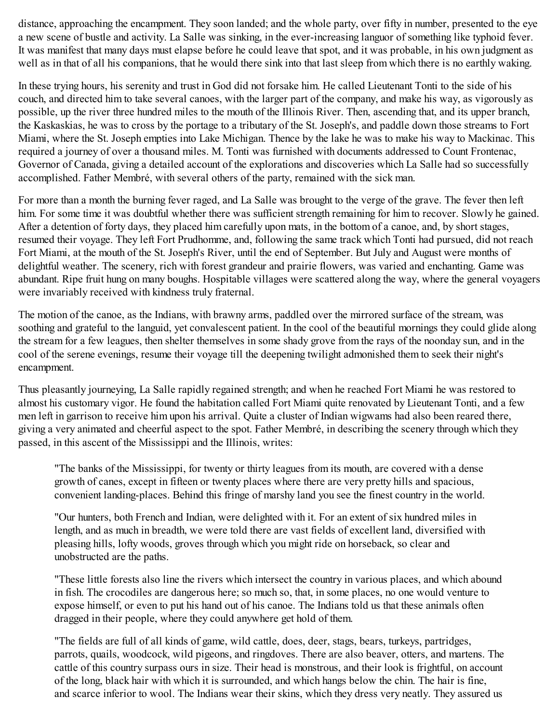distance, approaching the encampment. They soon landed; and the whole party, over fifty in number, presented to the eye a new scene of bustle and activity. La Salle was sinking, in the ever-increasing languor of something like typhoid fever. It was manifest that many days must elapse before he could leave that spot, and it was probable, in his own judgment as well as in that of all his companions, that he would there sink into that last sleep from which there is no earthly waking.

In these trying hours, his serenity and trust in God did not forsake him. He called Lieutenant Tonti to the side of his couch, and directed him to take several canoes, with the larger part of the company, and make his way, as vigorously as possible, up the river three hundred miles to the mouth of the Illinois River. Then, ascending that, and its upper branch, the Kaskaskias, he was to cross by the portage to a tributary of the St. Joseph's, and paddle down those streams to Fort Miami, where the St. Joseph empties into Lake Michigan. Thence by the lake he was to make his way to Mackinac. This required a journey of over a thousand miles. M. Tonti was furnished with documents addressed to Count Frontenac, Governor of Canada, giving a detailed account of the explorations and discoveries which La Salle had so successfully accomplished. Father Membré, with several others of the party, remained with the sick man.

For more than a month the burning fever raged, and La Salle was brought to the verge of the grave. The fever then left him. For some time it was doubtful whether there was sufficient strength remaining for him to recover. Slowly he gained. After a detention of forty days, they placed him carefully upon mats, in the bottom of a canoe, and, by short stages, resumed their voyage. They left Fort Prudhomme, and, following the same track which Tonti had pursued, did not reach Fort Miami, at the mouth of the St. Joseph's River, until the end of September. But July and August were months of delightful weather. The scenery, rich with forest grandeur and prairie flowers, was varied and enchanting. Game was abundant. Ripe fruit hung on many boughs. Hospitable villages were scattered along the way, where the general voyagers were invariably received with kindness truly fraternal.

The motion of the canoe, as the Indians, with brawny arms, paddled over the mirrored surface of the stream, was soothing and grateful to the languid, yet convalescent patient. In the cool of the beautiful mornings they could glide along the stream for a few leagues, then shelter themselves in some shady grove from the rays of the noonday sun, and in the cool of the serene evenings, resume their voyage till the deepening twilight admonished them to seek their night's encampment.

Thus pleasantly journeying, La Salle rapidly regained strength; and when he reached Fort Miami he was restored to almost his customary vigor. He found the habitation called Fort Miami quite renovated by Lieutenant Tonti, and a few men left in garrison to receive him upon his arrival. Quite a cluster of Indian wigwams had also been reared there, giving a very animated and cheerful aspect to the spot. Father Membré, in describing the scenery through which they passed, in this ascent of the Mississippi and the Illinois, writes:

"The banks of the Mississippi, for twenty or thirty leagues from its mouth, are covered with a dense growth of canes, except in fifteen or twenty places where there are very pretty hills and spacious, convenient landing-places. Behind this fringe of marshy land you see the finest country in the world.

"Our hunters, both French and Indian, were delighted with it. For an extent of six hundred miles in length, and as much in breadth, we were told there are vast fields of excellent land, diversified with pleasing hills, lofty woods, groves through which you might ride on horseback, so clear and unobstructed are the paths.

"These little forests also line the rivers which intersect the country in various places, and which abound in fish. The crocodiles are dangerous here; so much so, that, in some places, no one would venture to expose himself, or even to put his hand out of his canoe. The Indians told us that these animals often dragged in their people, where they could anywhere get hold of them.

"The fields are full of all kinds of game, wild cattle, does, deer, stags, bears, turkeys, partridges, parrots, quails, woodcock, wild pigeons, and ringdoves. There are also beaver, otters, and martens. The cattle of this country surpass ours in size. Their head is monstrous, and their look is frightful, on account of the long, black hair with which it is surrounded, and which hangs below the chin. The hair is fine, and scarce inferior to wool. The Indians wear their skins, which they dress very neatly. They assured us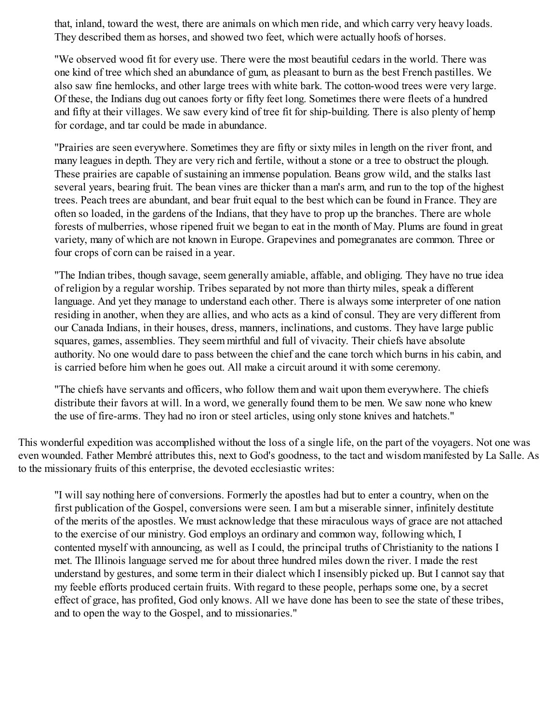that, inland, toward the west, there are animals on which men ride, and which carry very heavy loads. They described them as horses, and showed two feet, which were actually hoofs of horses.

"We observed wood fit for every use. There were the most beautiful cedars in the world. There was one kind of tree which shed an abundance of gum, as pleasant to burn as the best French pastilles. We also saw fine hemlocks, and other large trees with white bark. The cotton-wood trees were very large. Of these, the Indians dug out canoes forty or fifty feet long. Sometimes there were fleets of a hundred and fifty at their villages. We saw every kind of tree fit for ship-building. There is also plenty of hemp for cordage, and tar could be made in abundance.

"Prairies are seen everywhere. Sometimes they are fifty or sixty miles in length on the river front, and many leagues in depth. They are very rich and fertile, without a stone or a tree to obstruct the plough. These prairies are capable of sustaining an immense population. Beans grow wild, and the stalks last several years, bearing fruit. The bean vines are thicker than a man's arm, and run to the top of the highest trees. Peach trees are abundant, and bear fruit equal to the best which can be found in France. They are often so loaded, in the gardens of the Indians, that they have to prop up the branches. There are whole forests of mulberries, whose ripened fruit we began to eat in the month of May. Plums are found in great variety, many of which are not known in Europe. Grapevines and pomegranates are common. Three or four crops of corn can be raised in a year.

"The Indian tribes, though savage, seem generally amiable, affable, and obliging. They have no true idea of religion by a regular worship. Tribes separated by not more than thirty miles, speak a different language. And yet they manage to understand each other. There is always some interpreter of one nation residing in another, when they are allies, and who acts as a kind of consul. They are very different from our Canada Indians, in their houses, dress, manners, inclinations, and customs. They have large public squares, games, assemblies. They seem mirthful and full of vivacity. Their chiefs have absolute authority. No one would dare to pass between the chief and the cane torch which burns in his cabin, and is carried before him when he goes out. All make a circuit around it with some ceremony.

"The chiefs have servants and officers, who follow them and wait upon them everywhere. The chiefs distribute their favors at will. In a word, we generally found them to be men. We saw none who knew the use of fire-arms. They had no iron or steel articles, using only stone knives and hatchets."

This wonderful expedition was accomplished without the loss of a single life, on the part of the voyagers. Not one was even wounded. Father Membré attributes this, next to God's goodness, to the tact and wisdom manifested by La Salle. As to the missionary fruits of this enterprise, the devoted ecclesiastic writes:

"I will say nothing here of conversions. Formerly the apostles had but to enter a country, when on the first publication of the Gospel, conversions were seen. I am but a miserable sinner, infinitely destitute of the merits of the apostles. We must acknowledge that these miraculous ways of grace are not attached to the exercise of our ministry. God employs an ordinary and common way, following which, I contented myself with announcing, as well as I could, the principal truths of Christianity to the nations I met. The Illinois language served me for about three hundred miles down the river. I made the rest understand by gestures, and some term in their dialect which I insensibly picked up. But I cannot say that my feeble efforts produced certain fruits. With regard to these people, perhaps some one, by a secret effect of grace, has profited, God only knows. All we have done has been to see the state of these tribes, and to open the way to the Gospel, and to missionaries."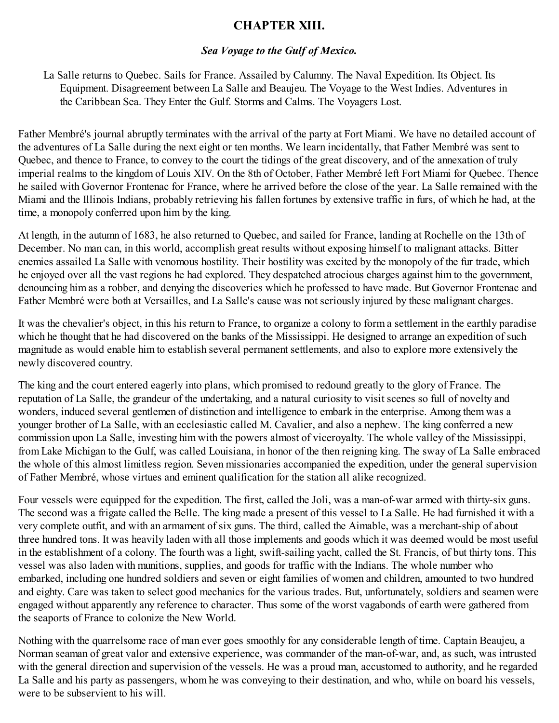## **CHAPTER XIII.**

### *Sea Voyage to the Gulf of Mexico.*

La Salle returns to Quebec. Sails for France. Assailed by Calumny. The Naval Expedition. Its Object. Its Equipment. Disagreement between La Salle and Beaujeu. The Voyage to the West Indies. Adventures in the Caribbean Sea. They Enter the Gulf. Storms and Calms. The Voyagers Lost.

Father Membré's journal abruptly terminates with the arrival of the party at Fort Miami. We have no detailed account of the adventures of La Salle during the next eight or ten months. We learn incidentally, that Father Membré was sent to Quebec, and thence to France, to convey to the court the tidings of the great discovery, and of the annexation of truly imperial realms to the kingdom of Louis XIV. On the 8th of October, Father Membré left Fort Miami for Quebec. Thence he sailed with Governor Frontenac for France, where he arrived before the close of the year. La Salle remained with the Miami and the Illinois Indians, probably retrieving his fallen fortunes by extensive traffic in furs, of which he had, at the time, a monopoly conferred upon him by the king.

At length, in the autumn of 1683, he also returned to Quebec, and sailed for France, landing at Rochelle on the 13th of December. No man can, in this world, accomplish great results without exposing himself to malignant attacks. Bitter enemies assailed La Salle with venomous hostility. Their hostility was excited by the monopoly of the fur trade, which he enjoyed over all the vast regions he had explored. They despatched atrocious charges against him to the government, denouncing him as a robber, and denying the discoveries which he professed to have made. But Governor Frontenac and Father Membré were both at Versailles, and La Salle's cause was not seriously injured by these malignant charges.

It was the chevalier's object, in this his return to France, to organize a colony to form a settlement in the earthly paradise which he thought that he had discovered on the banks of the Mississippi. He designed to arrange an expedition of such magnitude as would enable him to establish several permanent settlements, and also to explore more extensively the newly discovered country.

The king and the court entered eagerly into plans, which promised to redound greatly to the glory of France. The reputation of La Salle, the grandeur of the undertaking, and a natural curiosity to visit scenes so full of novelty and wonders, induced several gentlemen of distinction and intelligence to embark in the enterprise. Among them was a younger brother of La Salle, with an ecclesiastic called M. Cavalier, and also a nephew. The king conferred a new commission upon La Salle, investing him with the powers almost of viceroyalty. The whole valley of the Mississippi, from Lake Michigan to the Gulf, was called Louisiana, in honor of the then reigning king. The sway of La Salle embraced the whole of this almost limitless region. Seven missionaries accompanied the expedition, under the general supervision of Father Membré, whose virtues and eminent qualification for the station all alike recognized.

Four vessels were equipped for the expedition. The first, called the Joli, was a man-of-war armed with thirty-six guns. The second was a frigate called the Belle. The king made a present of this vessel to La Salle. He had furnished it with a very complete outfit, and with an armament of six guns. The third, called the Aimable, was a merchant-ship of about three hundred tons. It was heavily laden with all those implements and goods which it was deemed would be most useful in the establishment of a colony. The fourth was a light, swift-sailing yacht, called the St. Francis, of but thirty tons. This vessel was also laden with munitions, supplies, and goods for traffic with the Indians. The whole number who embarked, including one hundred soldiers and seven or eight families of women and children, amounted to two hundred and eighty. Care was taken to select good mechanics for the various trades. But, unfortunately, soldiers and seamen were engaged without apparently any reference to character. Thus some of the worst vagabonds of earth were gathered from the seaports of France to colonize the New World.

Nothing with the quarrelsome race of man ever goes smoothly for any considerable length of time. Captain Beaujeu, a Norman seaman of great valor and extensive experience, was commander of the man-of-war, and, as such, was intrusted with the general direction and supervision of the vessels. He was a proud man, accustomed to authority, and he regarded La Salle and his party as passengers, whom he was conveying to their destination, and who, while on board his vessels, were to be subservient to his will.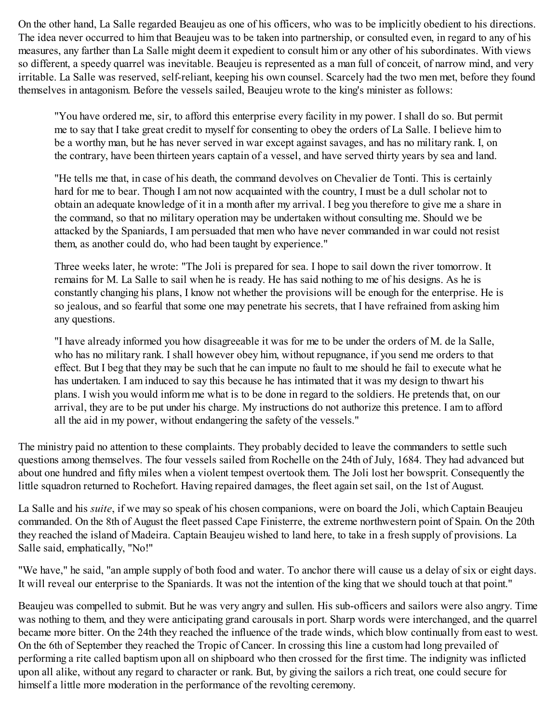On the other hand, La Salle regarded Beaujeu as one of his officers, who was to be implicitly obedient to his directions. The idea never occurred to him that Beaujeu was to be taken into partnership, or consulted even, in regard to any of his measures, any farther than La Salle might deem it expedient to consult him or any other of his subordinates. With views so different, a speedy quarrel was inevitable. Beaujeu is represented as a man full of conceit, of narrow mind, and very irritable. La Salle was reserved, self-reliant, keeping his own counsel. Scarcely had the two men met, before they found themselves in antagonism. Before the vessels sailed, Beaujeu wrote to the king's minister as follows:

"You have ordered me, sir, to afford this enterprise every facility in my power. I shall do so. But permit me to say that I take great credit to myself for consenting to obey the orders of La Salle. I believe him to be a worthy man, but he has never served in war except against savages, and has no military rank. I, on the contrary, have been thirteen years captain of a vessel, and have served thirty years by sea and land.

"He tells me that, in case of his death, the command devolves on Chevalier de Tonti. This is certainly hard for me to bear. Though I am not now acquainted with the country, I must be a dull scholar not to obtain an adequate knowledge of it in a month after my arrival. I beg you therefore to give me a share in the command, so that no military operation may be undertaken without consulting me. Should we be attacked by the Spaniards, I am persuaded that men who have never commanded in war could not resist them, as another could do, who had been taught by experience."

Three weeks later, he wrote: "The Joli is prepared for sea. I hope to sail down the river tomorrow. It remains for M. La Salle to sail when he is ready. He has said nothing to me of his designs. As he is constantly changing his plans, I know not whether the provisions will be enough for the enterprise. He is so jealous, and so fearful that some one may penetrate his secrets, that I have refrained from asking him any questions.

"I have already informed you how disagreeable it was for me to be under the orders of M. de la Salle, who has no military rank. I shall however obey him, without repugnance, if you send me orders to that effect. But I beg that they may be such that he can impute no fault to me should he fail to execute what he has undertaken. I am induced to say this because he has intimated that it was my design to thwart his plans. I wish you would inform me what is to be done in regard to the soldiers. He pretends that, on our arrival, they are to be put under his charge. My instructions do not authorize this pretence. I am to afford all the aid in my power, without endangering the safety of the vessels."

The ministry paid no attention to these complaints. They probably decided to leave the commanders to settle such questions among themselves. The four vessels sailed from Rochelle on the 24th of July, 1684. They had advanced but about one hundred and fifty miles when a violent tempest overtook them. The Joli lost her bowsprit. Consequently the little squadron returned to Rochefort. Having repaired damages, the fleet again set sail, on the 1st of August.

La Salle and his *suite*, if we may so speak of his chosen companions, were on board the Joli, which Captain Beaujeu commanded. On the 8th of August the fleet passed Cape Finisterre, the extreme northwestern point of Spain. On the 20th they reached the island of Madeira. Captain Beaujeu wished to land here, to take in a fresh supply of provisions. La Salle said, emphatically, "No!"

"We have," he said, "an ample supply of both food and water. To anchor there will cause us a delay of six or eight days. It will reveal our enterprise to the Spaniards. It was not the intention of the king that we should touch at that point."

Beaujeu was compelled to submit. But he was very angry and sullen. His sub-officers and sailors were also angry. Time was nothing to them, and they were anticipating grand carousals in port. Sharp words were interchanged, and the quarrel became more bitter. On the 24th they reached the influence of the trade winds, which blow continually from east to west. On the 6th of September they reached the Tropic of Cancer. In crossing this line a custom had long prevailed of performing a rite called baptism upon all on shipboard who then crossed for the first time. The indignity was inflicted upon all alike, without any regard to character or rank. But, by giving the sailors a rich treat, one could secure for himself a little more moderation in the performance of the revolting ceremony.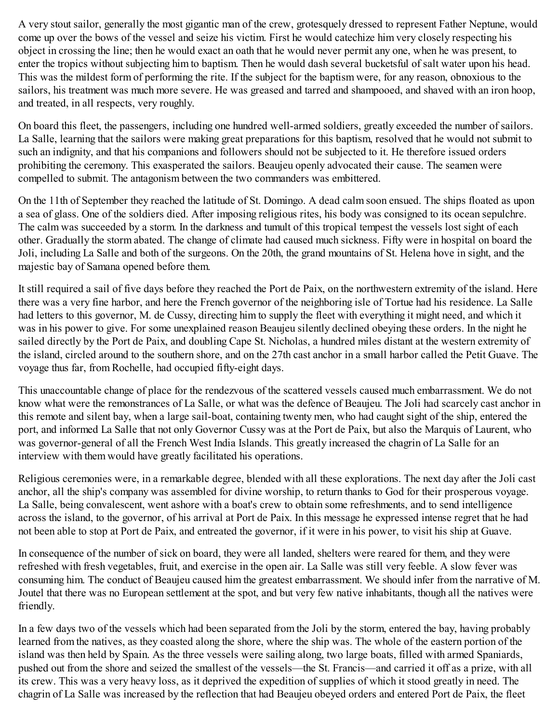A very stout sailor, generally the most gigantic man of the crew, grotesquely dressed to represent Father Neptune, would come up over the bows of the vessel and seize his victim. First he would catechize him very closely respecting his object in crossing the line; then he would exact an oath that he would never permit any one, when he was present, to enter the tropics without subjecting him to baptism. Then he would dash several bucketsful of salt water upon his head. This was the mildest form of performing the rite. If the subject for the baptism were, for any reason, obnoxious to the sailors, his treatment was much more severe. He was greased and tarred and shampooed, and shaved with an iron hoop, and treated, in all respects, very roughly.

On board this fleet, the passengers, including one hundred well-armed soldiers, greatly exceeded the number of sailors. La Salle, learning that the sailors were making great preparations for this baptism, resolved that he would not submit to such an indignity, and that his companions and followers should not be subjected to it. He therefore issued orders prohibiting the ceremony. This exasperated the sailors. Beaujeu openly advocated their cause. The seamen were compelled to submit. The antagonism between the two commanders was embittered.

On the 11th of September they reached the latitude of St. Domingo. A dead calm soon ensued. The ships floated as upon a sea of glass. One of the soldiers died. After imposing religious rites, his body was consigned to its ocean sepulchre. The calm was succeeded by a storm. In the darkness and tumult of this tropical tempest the vessels lost sight of each other. Gradually the storm abated. The change of climate had caused much sickness. Fifty were in hospital on board the Joli, including La Salle and both of the surgeons. On the 20th, the grand mountains of St. Helena hove in sight, and the majestic bay of Samana opened before them.

It still required a sail of five days before they reached the Port de Paix, on the northwestern extremity of the island. Here there was a very fine harbor, and here the French governor of the neighboring isle of Tortue had his residence. La Salle had letters to this governor, M. de Cussy, directing him to supply the fleet with everything it might need, and which it was in his power to give. For some unexplained reason Beaujeu silently declined obeying these orders. In the night he sailed directly by the Port de Paix, and doubling Cape St. Nicholas, a hundred miles distant at the western extremity of the island, circled around to the southern shore, and on the 27th cast anchor in a small harbor called the Petit Guave. The voyage thus far, from Rochelle, had occupied fifty-eight days.

This unaccountable change of place for the rendezvous of the scattered vessels caused much embarrassment. We do not know what were the remonstrances of La Salle, or what was the defence of Beaujeu. The Joli had scarcely cast anchor in this remote and silent bay, when a large sail-boat, containing twenty men, who had caught sight of the ship, entered the port, and informed La Salle that not only Governor Cussy was at the Port de Paix, but also the Marquis of Laurent, who was governor-general of all the French West India Islands. This greatly increased the chagrin of La Salle for an interview with them would have greatly facilitated his operations.

Religious ceremonies were, in a remarkable degree, blended with all these explorations. The next day after the Joli cast anchor, all the ship's company was assembled for divine worship, to return thanks to God for their prosperous voyage. La Salle, being convalescent, went ashore with a boat's crew to obtain some refreshments, and to send intelligence across the island, to the governor, of his arrival at Port de Paix. In this message he expressed intense regret that he had not been able to stop at Port de Paix, and entreated the governor, if it were in his power, to visit his ship at Guave.

In consequence of the number of sick on board, they were all landed, shelters were reared for them, and they were refreshed with fresh vegetables, fruit, and exercise in the open air. La Salle was still very feeble. A slow fever was consuming him. The conduct of Beaujeu caused him the greatest embarrassment. We should infer from the narrative of M. Joutel that there was no European settlement at the spot, and but very few native inhabitants, though all the natives were friendly.

In a few days two of the vessels which had been separated from the Joli by the storm, entered the bay, having probably learned from the natives, as they coasted along the shore, where the ship was. The whole of the eastern portion of the island was then held by Spain. As the three vessels were sailing along, two large boats, filled with armed Spaniards, pushed out from the shore and seized the smallest of the vessels—the St. Francis—and carried it off as a prize, with all its crew. This was a very heavy loss, as it deprived the expedition of supplies of which it stood greatly in need. The chagrin of La Salle was increased by the reflection that had Beaujeu obeyed orders and entered Port de Paix, the fleet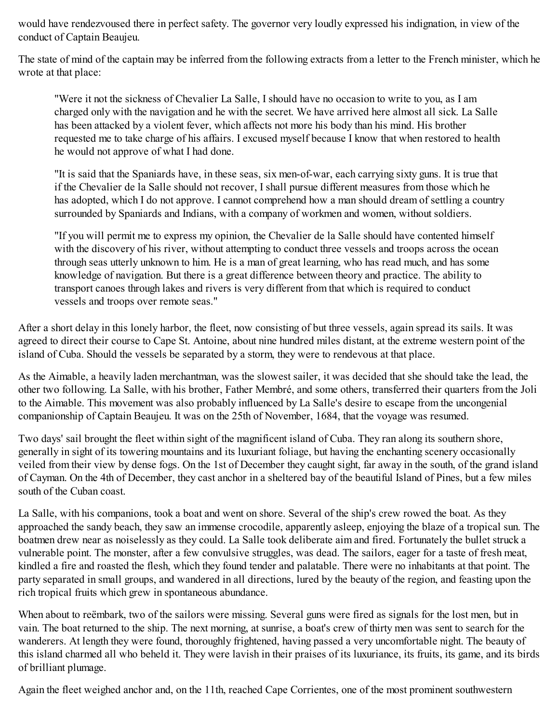would have rendezvoused there in perfect safety. The governor very loudly expressed his indignation, in view of the conduct of Captain Beaujeu.

The state of mind of the captain may be inferred from the following extracts from a letter to the French minister, which he wrote at that place:

"Were it not the sickness of Chevalier La Salle, I should have no occasion to write to you, as I am charged only with the navigation and he with the secret. We have arrived here almost all sick. La Salle has been attacked by a violent fever, which affects not more his body than his mind. His brother requested me to take charge of his affairs. I excused myself because I know that when restored to health he would not approve of what I had done.

"It is said that the Spaniards have, in these seas, six men-of-war, each carrying sixty guns. It is true that if the Chevalier de la Salle should not recover, I shall pursue different measures from those which he has adopted, which I do not approve. I cannot comprehend how a man should dream of settling a country surrounded by Spaniards and Indians, with a company of workmen and women, without soldiers.

"If you will permit me to express my opinion, the Chevalier de la Salle should have contented himself with the discovery of his river, without attempting to conduct three vessels and troops across the ocean through seas utterly unknown to him. He is a man of great learning, who has read much, and has some knowledge of navigation. But there is a great difference between theory and practice. The ability to transport canoes through lakes and rivers is very different from that which is required to conduct vessels and troops over remote seas."

After a short delay in this lonely harbor, the fleet, now consisting of but three vessels, again spread its sails. It was agreed to direct their course to Cape St. Antoine, about nine hundred miles distant, at the extreme western point of the island of Cuba. Should the vessels be separated by a storm, they were to rendevous at that place.

As the Aimable, a heavily laden merchantman, was the slowest sailer, it was decided that she should take the lead, the other two following. La Salle, with his brother, Father Membré, and some others, transferred their quarters from the Joli to the Aimable. This movement was also probably influenced by La Salle's desire to escape from the uncongenial companionship of Captain Beaujeu. It was on the 25th of November, 1684, that the voyage was resumed.

Two days' sail brought the fleet within sight of the magnificent island of Cuba. They ran along its southern shore, generally in sight of its towering mountains and its luxuriant foliage, but having the enchanting scenery occasionally veiled from their view by dense fogs. On the 1st of December they caught sight, far away in the south, of the grand island of Cayman. On the 4th of December, they cast anchor in a sheltered bay of the beautiful Island of Pines, but a few miles south of the Cuban coast.

La Salle, with his companions, took a boat and went on shore. Several of the ship's crew rowed the boat. As they approached the sandy beach, they saw an immense crocodile, apparently asleep, enjoying the blaze of a tropical sun. The boatmen drew near as noiselessly as they could. La Salle took deliberate aim and fired. Fortunately the bullet struck a vulnerable point. The monster, after a few convulsive struggles, was dead. The sailors, eager for a taste of fresh meat, kindled a fire and roasted the flesh, which they found tender and palatable. There were no inhabitants at that point. The party separated in small groups, and wandered in all directions, lured by the beauty of the region, and feasting upon the rich tropical fruits which grew in spontaneous abundance.

When about to reëmbark, two of the sailors were missing. Several guns were fired as signals for the lost men, but in vain. The boat returned to the ship. The next morning, at sunrise, a boat's crew of thirty men was sent to search for the wanderers. At length they were found, thoroughly frightened, having passed a very uncomfortable night. The beauty of this island charmed all who beheld it. They were lavish in their praises of its luxuriance, its fruits, its game, and its birds of brilliant plumage.

Again the fleet weighed anchor and, on the 11th, reached Cape Corrientes, one of the most prominent southwestern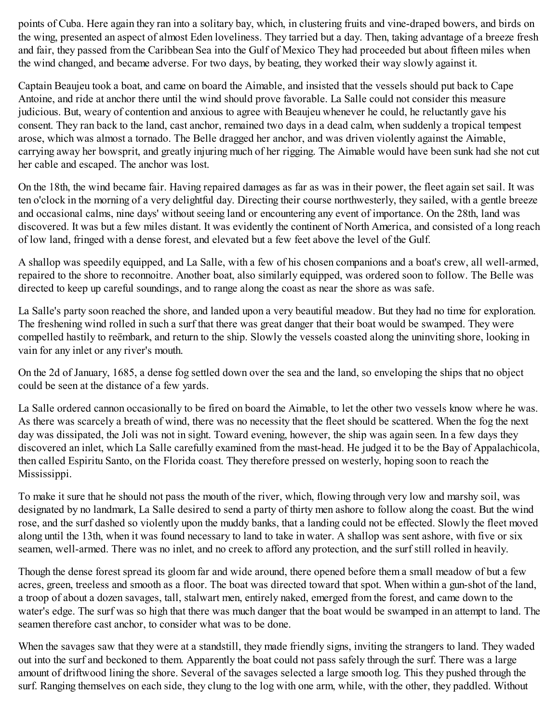points of Cuba. Here again they ran into a solitary bay, which, in clustering fruits and vine-draped bowers, and birds on the wing, presented an aspect of almost Eden loveliness. They tarried but a day. Then, taking advantage of a breeze fresh and fair, they passed from the Caribbean Sea into the Gulf of Mexico They had proceeded but about fifteen miles when the wind changed, and became adverse. For two days, by beating, they worked their way slowly against it.

Captain Beaujeu took a boat, and came on board the Aimable, and insisted that the vessels should put back to Cape Antoine, and ride at anchor there until the wind should prove favorable. La Salle could not consider this measure judicious. But, weary of contention and anxious to agree with Beaujeu whenever he could, he reluctantly gave his consent. They ran back to the land, cast anchor, remained two days in a dead calm, when suddenly a tropical tempest arose, which was almost a tornado. The Belle dragged her anchor, and was driven violently against the Aimable, carrying away her bowsprit, and greatly injuring much of her rigging. The Aimable would have been sunk had she not cut her cable and escaped. The anchor was lost.

On the 18th, the wind became fair. Having repaired damages as far as was in their power, the fleet again set sail. It was ten o'clock in the morning of a very delightful day. Directing their course northwesterly, they sailed, with a gentle breeze and occasional calms, nine days' without seeing land or encountering any event of importance. On the 28th, land was discovered. It was but a few miles distant. It was evidently the continent of North America, and consisted of a long reach of low land, fringed with a dense forest, and elevated but a few feet above the level of the Gulf.

A shallop was speedily equipped, and La Salle, with a few of his chosen companions and a boat's crew, all well-armed, repaired to the shore to reconnoitre. Another boat, also similarly equipped, was ordered soon to follow. The Belle was directed to keep up careful soundings, and to range along the coast as near the shore as was safe.

La Salle's party soon reached the shore, and landed upon a very beautiful meadow. But they had no time for exploration. The freshening wind rolled in such a surf that there was great danger that their boat would be swamped. They were compelled hastily to reëmbark, and return to the ship. Slowly the vessels coasted along the uninviting shore, looking in vain for any inlet or any river's mouth.

On the 2d of January, 1685, a dense fog settled down over the sea and the land, so enveloping the ships that no object could be seen at the distance of a few yards.

La Salle ordered cannon occasionally to be fired on board the Aimable, to let the other two vessels know where he was. As there was scarcely a breath of wind, there was no necessity that the fleet should be scattered. When the fog the next day was dissipated, the Joli was not in sight. Toward evening, however, the ship was again seen. In a few days they discovered an inlet, which La Salle carefully examined from the mast-head. He judged it to be the Bay of Appalachicola, then called Espiritu Santo, on the Florida coast. They therefore pressed on westerly, hoping soon to reach the Mississippi.

To make it sure that he should not pass the mouth of the river, which, flowing through very low and marshy soil, was designated by no landmark, La Salle desired to send a party of thirty men ashore to follow along the coast. But the wind rose, and the surf dashed so violently upon the muddy banks, that a landing could not be effected. Slowly the fleet moved along until the 13th, when it was found necessary to land to take in water. A shallop was sent ashore, with five or six seamen, well-armed. There was no inlet, and no creek to afford any protection, and the surf still rolled in heavily.

Though the dense forest spread its gloom far and wide around, there opened before them a small meadow of but a few acres, green, treeless and smooth as a floor. The boat was directed toward that spot. When within a gun-shot of the land, a troop of about a dozen savages, tall, stalwart men, entirely naked, emerged from the forest, and came down to the water's edge. The surf was so high that there was much danger that the boat would be swamped in an attempt to land. The seamen therefore cast anchor, to consider what was to be done.

When the savages saw that they were at a standstill, they made friendly signs, inviting the strangers to land. They waded out into the surf and beckoned to them. Apparently the boat could not pass safely through the surf. There was a large amount of driftwood lining the shore. Several of the savages selected a large smooth log. This they pushed through the surf. Ranging themselves on each side, they clung to the log with one arm, while, with the other, they paddled. Without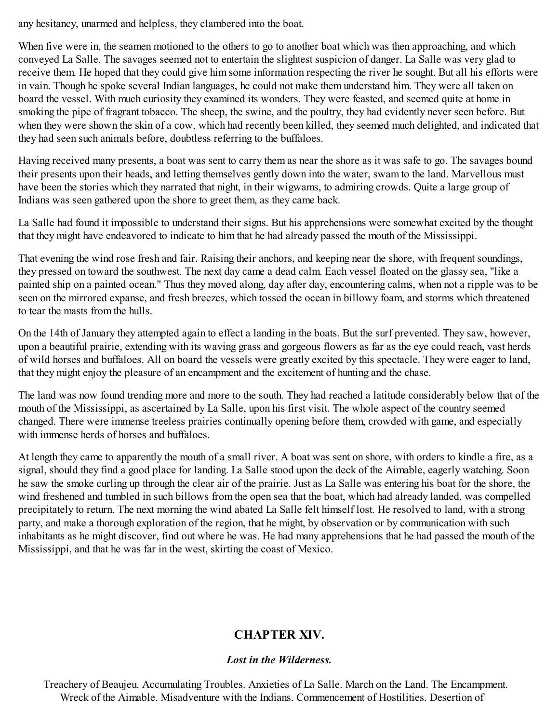any hesitancy, unarmed and helpless, they clambered into the boat.

When five were in, the seamen motioned to the others to go to another boat which was then approaching, and which conveyed La Salle. The savages seemed not to entertain the slightest suspicion of danger. La Salle was very glad to receive them. He hoped that they could give him some information respecting the river he sought. But all his efforts were in vain. Though he spoke several Indian languages, he could not make them understand him. They were all taken on board the vessel. With much curiosity they examined its wonders. They were feasted, and seemed quite at home in smoking the pipe of fragrant tobacco. The sheep, the swine, and the poultry, they had evidently never seen before. But when they were shown the skin of a cow, which had recently been killed, they seemed much delighted, and indicated that they had seen such animals before, doubtless referring to the buffaloes.

Having received many presents, a boat was sent to carry them as near the shore as it was safe to go. The savages bound their presents upon their heads, and letting themselves gently down into the water, swam to the land. Marvellous must have been the stories which they narrated that night, in their wigwams, to admiring crowds. Quite a large group of Indians was seen gathered upon the shore to greet them, as they came back.

La Salle had found it impossible to understand their signs. But his apprehensions were somewhat excited by the thought that they might have endeavored to indicate to him that he had already passed the mouth of the Mississippi.

That evening the wind rose fresh and fair. Raising their anchors, and keeping near the shore, with frequent soundings, they pressed on toward the southwest. The next day came a dead calm. Each vessel floated on the glassy sea, "like a painted ship on a painted ocean." Thus they moved along, day after day, encountering calms, when not a ripple was to be seen on the mirrored expanse, and fresh breezes, which tossed the ocean in billowy foam, and storms which threatened to tear the masts from the hulls.

On the 14th of January they attempted again to effect a landing in the boats. But the surf prevented. They saw, however, upon a beautiful prairie, extending with its waving grass and gorgeous flowers as far as the eye could reach, vast herds of wild horses and buffaloes. All on board the vessels were greatly excited by this spectacle. They were eager to land, that they might enjoy the pleasure of an encampment and the excitement of hunting and the chase.

The land was now found trending more and more to the south. They had reached a latitude considerably below that of the mouth of the Mississippi, as ascertained by La Salle, upon his first visit. The whole aspect of the country seemed changed. There were immense treeless prairies continually opening before them, crowded with game, and especially with immense herds of horses and buffaloes

At length they came to apparently the mouth of a small river. A boat was sent on shore, with orders to kindle a fire, as a signal, should they find a good place for landing. La Salle stood upon the deck of the Aimable, eagerly watching. Soon he saw the smoke curling up through the clear air of the prairie. Just as La Salle was entering his boat for the shore, the wind freshened and tumbled in such billows from the open sea that the boat, which had already landed, was compelled precipitately to return. The next morning the wind abated La Salle felt himself lost. He resolved to land, with a strong party, and make a thorough exploration of the region, that he might, by observation or by communication with such inhabitants as he might discover, find out where he was. He had many apprehensions that he had passed the mouth of the Mississippi, and that he was far in the west, skirting the coast of Mexico.

# **CHAPTER XIV.**

### *Lost in the Wilderness.*

Treachery of Beaujeu. Accumulating Troubles. Anxieties of La Salle. March on the Land. The Encampment. Wreck of the Aimable. Misadventure with the Indians. Commencement of Hostilities. Desertion of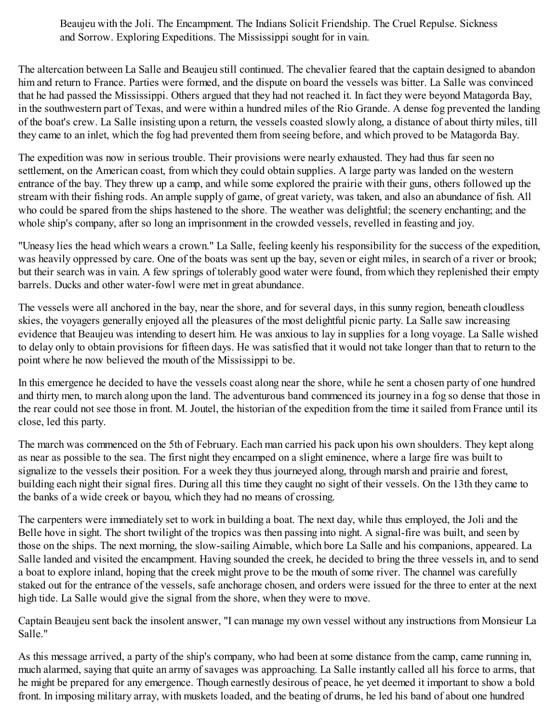Beaujeu with the Joli. The Encampment. The Indians Solicit Friendship. The Cruel Repulse. Sickness and Sorrow. Exploring Expeditions. The Mississippi sought for in vain.

The altercation between La Salle and Beaujeu still continued. The chevalier feared that the captain designed to abandon him and return to France. Parties were formed, and the dispute on board the vessels was bitter. La Salle was convinced that he had passed the Mississippi. Others argued that they had not reached it. In fact they were beyond Matagorda Bay, in the southwestern part of Texas, and were within a hundred miles of the Rio Grande. A dense fog prevented the landing of the boat's crew. La Salle insisting upon a return, the vessels coasted slowly along, a distance of about thirty miles, till they came to an inlet, which the fog had prevented them from seeing before, and which proved to be Matagorda Bay.

The expedition was now in serious trouble. Their provisions were nearly exhausted. They had thus far seen no settlement, on the American coast, from which they could obtain supplies. A large party was landed on the western entrance of the bay. They threw up a camp, and while some explored the prairie with their guns, others followed up the stream with their fishing rods. An ample supply of game, of great variety, was taken, and also an abundance of fish. All who could be spared from the ships hastened to the shore. The weather was delightful; the scenery enchanting; and the whole ship's company, after so long an imprisonment in the crowded vessels, revelled in feasting and joy.

"Uneasy lies the head which wears a crown." La Salle, feeling keenly his responsibility for the success of the expedition, was heavily oppressed by care. One of the boats was sent up the bay, seven or eight miles, in search of a river or brook; but their search was in vain. A few springs of tolerably good water were found, from which they replenished their empty barrels. Ducks and other water-fowl were met in great abundance.

The vessels were all anchored in the bay, near the shore, and for several days, in this sunny region, beneath cloudless skies, the voyagers generally enjoyed all the pleasures of the most delightful picnic party. La Salle saw increasing evidence that Beaujeu was intending to desert him. He was anxious to lay in supplies for a long voyage. La Salle wished to delay only to obtain provisions for fifteen days. He was satisfied that it would not take longer than that to return to the point where he now believed the mouth of the Mississippi to be.

In this emergence he decided to have the vessels coast along near the shore, while he sent a chosen party of one hundred and thirty men, to march along upon the land. The adventurous band commenced its journey in a fog so dense that those in the rear could not see those in front. M. Joutel, the historian of the expedition from the time it sailed from France until its close, led this party.

The march was commenced on the 5th of February. Each man carried his pack upon his own shoulders. They kept along as near as possible to the sea. The first night they encamped on a slight eminence, where a large fire was built to signalize to the vessels their position. For a week they thus journeyed along, through marsh and prairie and forest, building each night their signal fires. During all this time they caught no sight of their vessels. On the 13th they came to the banks of a wide creek or bayou, which they had no means of crossing.

The carpenters were immediately set to work in building a boat. The next day, while thus employed, the Joli and the Belle hove in sight. The short twilight of the tropics was then passing into night. A signal-fire was built, and seen by those on the ships. The next morning, the slow-sailing Aimable, which bore La Salle and his companions, appeared. La Salle landed and visited the encampment. Having sounded the creek, he decided to bring the three vessels in, and to send a boat to explore inland, hoping that the creek might prove to be the mouth of some river. The channel was carefully staked out for the entrance of the vessels, safe anchorage chosen, and orders were issued for the three to enter at the next high tide. La Salle would give the signal from the shore, when they were to move.

Captain Beaujeu sent back the insolent answer, "I can manage my own vessel without any instructions from Monsieur La Salle."

As this message arrived, a party of the ship's company, who had been at some distance from the camp, came running in, much alarmed, saying that quite an army of savages was approaching. La Salle instantly called all his force to arms, that he might be prepared for any emergence. Though earnestly desirous of peace, he yet deemed it important to show a bold front. In imposing military array, with muskets loaded, and the beating of drums, he led his band of about one hundred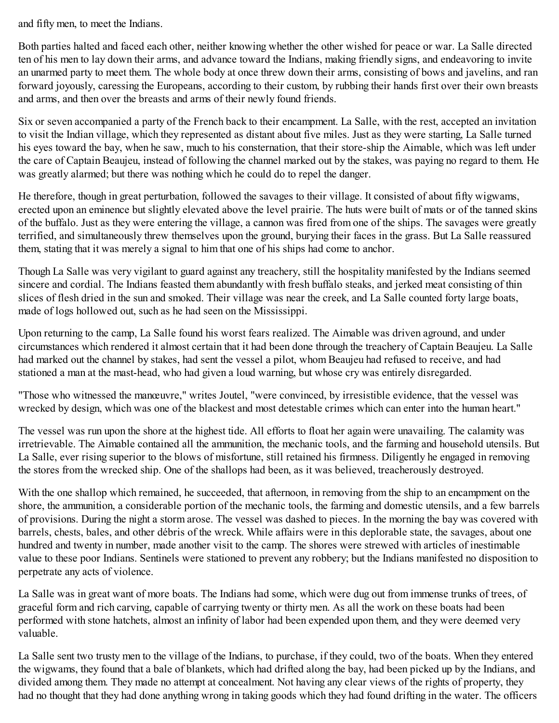and fifty men, to meet the Indians.

Both parties halted and faced each other, neither knowing whether the other wished for peace or war. La Salle directed ten of his men to lay down their arms, and advance toward the Indians, making friendly signs, and endeavoring to invite an unarmed party to meet them. The whole body at once threw down their arms, consisting of bows and javelins, and ran forward joyously, caressing the Europeans, according to their custom, by rubbing their hands first over their own breasts and arms, and then over the breasts and arms of their newly found friends.

Six or seven accompanied a party of the French back to their encampment. La Salle, with the rest, accepted an invitation to visit the Indian village, which they represented as distant about five miles. Just as they were starting, La Salle turned his eyes toward the bay, when he saw, much to his consternation, that their store-ship the Aimable, which was left under the care of Captain Beaujeu, instead of following the channel marked out by the stakes, was paying no regard to them. He was greatly alarmed; but there was nothing which he could do to repel the danger.

He therefore, though in great perturbation, followed the savages to their village. It consisted of about fifty wigwams, erected upon an eminence but slightly elevated above the level prairie. The huts were built of mats or of the tanned skins of the buffalo. Just as they were entering the village, a cannon was fired from one of the ships. The savages were greatly terrified, and simultaneously threw themselves upon the ground, burying their faces in the grass. But La Salle reassured them, stating that it was merely a signal to him that one of his ships had come to anchor.

Though La Salle was very vigilant to guard against any treachery, still the hospitality manifested by the Indians seemed sincere and cordial. The Indians feasted them abundantly with fresh buffalo steaks, and jerked meat consisting of thin slices of flesh dried in the sun and smoked. Their village was near the creek, and La Salle counted forty large boats, made of logs hollowed out, such as he had seen on the Mississippi.

Upon returning to the camp, La Salle found his worst fears realized. The Aimable was driven aground, and under circumstances which rendered it almost certain that it had been done through the treachery of Captain Beaujeu. La Salle had marked out the channel by stakes, had sent the vessel a pilot, whom Beaujeu had refused to receive, and had stationed a man at the mast-head, who had given a loud warning, but whose cry was entirely disregarded.

"Those who witnessed the manœuvre," writes Joutel, "were convinced, by irresistible evidence, that the vessel was wrecked by design, which was one of the blackest and most detestable crimes which can enter into the human heart."

The vessel was run upon the shore at the highest tide. All efforts to float her again were unavailing. The calamity was irretrievable. The Aimable contained all the ammunition, the mechanic tools, and the farming and household utensils. But La Salle, ever rising superior to the blows of misfortune, still retained his firmness. Diligently he engaged in removing the stores from the wrecked ship. One of the shallops had been, as it was believed, treacherously destroyed.

With the one shallop which remained, he succeeded, that afternoon, in removing from the ship to an encampment on the shore, the ammunition, a considerable portion of the mechanic tools, the farming and domestic utensils, and a few barrels of provisions. During the night a storm arose. The vessel was dashed to pieces. In the morning the bay was covered with barrels, chests, bales, and other débris of the wreck. While affairs were in this deplorable state, the savages, about one hundred and twenty in number, made another visit to the camp. The shores were strewed with articles of inestimable value to these poor Indians. Sentinels were stationed to prevent any robbery; but the Indians manifested no disposition to perpetrate any acts of violence.

La Salle was in great want of more boats. The Indians had some, which were dug out from immense trunks of trees, of graceful form and rich carving, capable of carrying twenty or thirty men. As all the work on these boats had been performed with stone hatchets, almost an infinity of labor had been expended upon them, and they were deemed very valuable.

La Salle sent two trusty men to the village of the Indians, to purchase, if they could, two of the boats. When they entered the wigwams, they found that a bale of blankets, which had drifted along the bay, had been picked up by the Indians, and divided among them. They made no attempt at concealment. Not having any clear views of the rights of property, they had no thought that they had done anything wrong in taking goods which they had found drifting in the water. The officers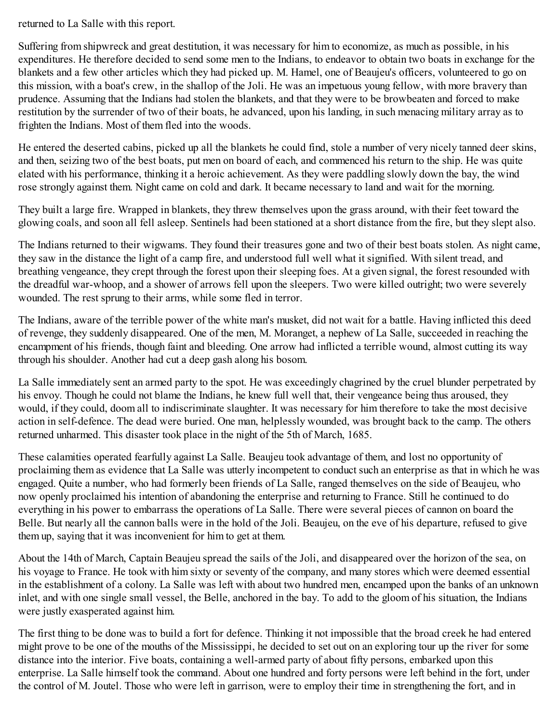returned to La Salle with this report.

Suffering from shipwreck and great destitution, it was necessary for him to economize, as much as possible, in his expenditures. He therefore decided to send some men to the Indians, to endeavor to obtain two boats in exchange for the blankets and a few other articles which they had picked up. M. Hamel, one of Beaujeu's officers, volunteered to go on this mission, with a boat's crew, in the shallop of the Joli. He was an impetuous young fellow, with more bravery than prudence. Assuming that the Indians had stolen the blankets, and that they were to be browbeaten and forced to make restitution by the surrender of two of their boats, he advanced, upon his landing, in such menacing military array as to frighten the Indians. Most of them fled into the woods.

He entered the deserted cabins, picked up all the blankets he could find, stole a number of very nicely tanned deer skins, and then, seizing two of the best boats, put men on board of each, and commenced his return to the ship. He was quite elated with his performance, thinking it a heroic achievement. As they were paddling slowly down the bay, the wind rose strongly against them. Night came on cold and dark. It became necessary to land and wait for the morning.

They built a large fire. Wrapped in blankets, they threw themselves upon the grass around, with their feet toward the glowing coals, and soon all fell asleep. Sentinels had been stationed at a short distance from the fire, but they slept also.

The Indians returned to their wigwams. They found their treasures gone and two of their best boats stolen. As night came, they saw in the distance the light of a camp fire, and understood full well what it signified. With silent tread, and breathing vengeance, they crept through the forest upon their sleeping foes. At a given signal, the forest resounded with the dreadful war-whoop, and a shower of arrows fell upon the sleepers. Two were killed outright; two were severely wounded. The rest sprung to their arms, while some fled in terror.

The Indians, aware of the terrible power of the white man's musket, did not wait for a battle. Having inflicted this deed of revenge, they suddenly disappeared. One of the men, M. Moranget, a nephew of La Salle, succeeded in reaching the encampment of his friends, though faint and bleeding. One arrow had inflicted a terrible wound, almost cutting its way through his shoulder. Another had cut a deep gash along his bosom.

La Salle immediately sent an armed party to the spot. He was exceedingly chagrined by the cruel blunder perpetrated by his envoy. Though he could not blame the Indians, he knew full well that, their vengeance being thus aroused, they would, if they could, doom all to indiscriminate slaughter. It was necessary for him therefore to take the most decisive action in self-defence. The dead were buried. One man, helplessly wounded, was brought back to the camp. The others returned unharmed. This disaster took place in the night of the 5th of March, 1685.

These calamities operated fearfully against La Salle. Beaujeu took advantage of them, and lost no opportunity of proclaiming them as evidence that La Salle was utterly incompetent to conduct such an enterprise as that in which he was engaged. Quite a number, who had formerly been friends of La Salle, ranged themselves on the side of Beaujeu, who now openly proclaimed his intention of abandoning the enterprise and returning to France. Still he continued to do everything in his power to embarrass the operations of La Salle. There were several pieces of cannon on board the Belle. But nearly all the cannon balls were in the hold of the Joli. Beaujeu, on the eve of his departure, refused to give them up, saying that it was inconvenient for him to get at them.

About the 14th of March, Captain Beaujeu spread the sails of the Joli, and disappeared over the horizon of the sea, on his voyage to France. He took with him sixty or seventy of the company, and many stores which were deemed essential in the establishment of a colony. La Salle was left with about two hundred men, encamped upon the banks of an unknown inlet, and with one single small vessel, the Belle, anchored in the bay. To add to the gloom of his situation, the Indians were justly exasperated against him.

The first thing to be done was to build a fort for defence. Thinking it not impossible that the broad creek he had entered might prove to be one of the mouths of the Mississippi, he decided to set out on an exploring tour up the river for some distance into the interior. Five boats, containing a well-armed party of about fifty persons, embarked upon this enterprise. La Salle himself took the command. About one hundred and forty persons were left behind in the fort, under the control of M. Joutel. Those who were left in garrison, were to employ their time in strengthening the fort, and in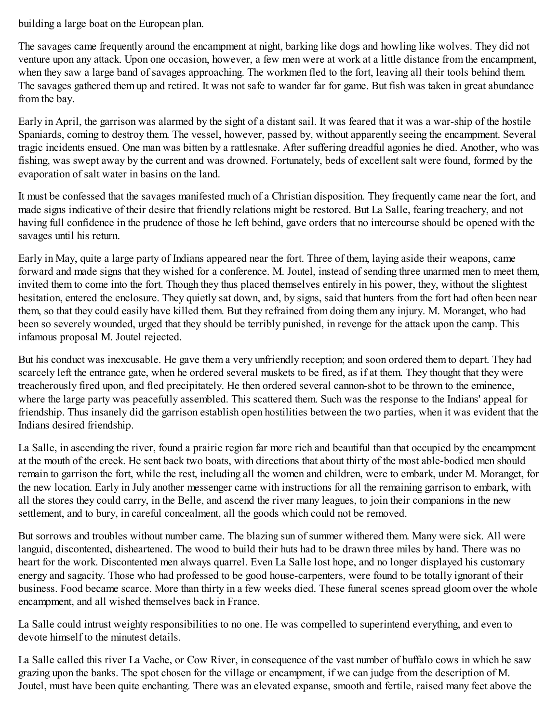building a large boat on the European plan.

The savages came frequently around the encampment at night, barking like dogs and howling like wolves. They did not venture upon any attack. Upon one occasion, however, a few men were at work at a little distance from the encampment, when they saw a large band of savages approaching. The workmen fled to the fort, leaving all their tools behind them. The savages gathered them up and retired. It was not safe to wander far for game. But fish was taken in great abundance from the bay.

Early in April, the garrison was alarmed by the sight of a distant sail. It was feared that it was a war-ship of the hostile Spaniards, coming to destroy them. The vessel, however, passed by, without apparently seeing the encampment. Several tragic incidents ensued. One man was bitten by a rattlesnake. After suffering dreadful agonies he died. Another, who was fishing, was swept away by the current and was drowned. Fortunately, beds of excellent salt were found, formed by the evaporation of salt water in basins on the land.

It must be confessed that the savages manifested much of a Christian disposition. They frequently came near the fort, and made signs indicative of their desire that friendly relations might be restored. But La Salle, fearing treachery, and not having full confidence in the prudence of those he left behind, gave orders that no intercourse should be opened with the savages until his return.

Early in May, quite a large party of Indians appeared near the fort. Three of them, laying aside their weapons, came forward and made signs that they wished for a conference. M. Joutel, instead of sending three unarmed men to meet them, invited them to come into the fort. Though they thus placed themselves entirely in his power, they, without the slightest hesitation, entered the enclosure. They quietly sat down, and, by signs, said that hunters from the fort had often been near them, so that they could easily have killed them. But they refrained from doing them any injury. M. Moranget, who had been so severely wounded, urged that they should be terribly punished, in revenge for the attack upon the camp. This infamous proposal M. Joutel rejected.

But his conduct was inexcusable. He gave them a very unfriendly reception; and soon ordered them to depart. They had scarcely left the entrance gate, when he ordered several muskets to be fired, as if at them. They thought that they were treacherously fired upon, and fled precipitately. He then ordered several cannon-shot to be thrown to the eminence, where the large party was peacefully assembled. This scattered them. Such was the response to the Indians' appeal for friendship. Thus insanely did the garrison establish open hostilities between the two parties, when it was evident that the Indians desired friendship.

La Salle, in ascending the river, found a prairie region far more rich and beautiful than that occupied by the encampment at the mouth of the creek. He sent back two boats, with directions that about thirty of the most able-bodied men should remain to garrison the fort, while the rest, including all the women and children, were to embark, under M. Moranget, for the new location. Early in July another messenger came with instructions for all the remaining garrison to embark, with all the stores they could carry, in the Belle, and ascend the river many leagues, to join their companions in the new settlement, and to bury, in careful concealment, all the goods which could not be removed.

But sorrows and troubles without number came. The blazing sun of summer withered them. Many were sick. All were languid, discontented, disheartened. The wood to build their huts had to be drawn three miles by hand. There was no heart for the work. Discontented men always quarrel. Even La Salle lost hope, and no longer displayed his customary energy and sagacity. Those who had professed to be good house-carpenters, were found to be totally ignorant of their business. Food became scarce. More than thirty in a few weeks died. These funeral scenes spread gloom over the whole encampment, and all wished themselves back in France.

La Salle could intrust weighty responsibilities to no one. He was compelled to superintend everything, and even to devote himself to the minutest details.

La Salle called this river La Vache, or Cow River, in consequence of the vast number of buffalo cows in which he saw grazing upon the banks. The spot chosen for the village or encampment, if we can judge from the description of M. Joutel, must have been quite enchanting. There was an elevated expanse, smooth and fertile, raised many feet above the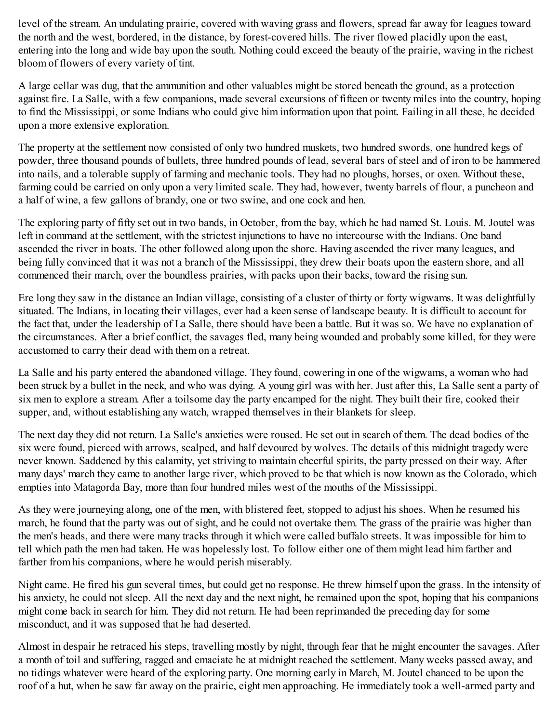level of the stream. An undulating prairie, covered with waving grass and flowers, spread far away for leagues toward the north and the west, bordered, in the distance, by forest-covered hills. The river flowed placidly upon the east, entering into the long and wide bay upon the south. Nothing could exceed the beauty of the prairie, waving in the richest bloom of flowers of every variety of tint.

A large cellar was dug, that the ammunition and other valuables might be stored beneath the ground, as a protection against fire. La Salle, with a few companions, made several excursions of fifteen or twenty miles into the country, hoping to find the Mississippi, or some Indians who could give him information upon that point. Failing in all these, he decided upon a more extensive exploration.

The property at the settlement now consisted of only two hundred muskets, two hundred swords, one hundred kegs of powder, three thousand pounds of bullets, three hundred pounds of lead, several bars of steel and of iron to be hammered into nails, and a tolerable supply of farming and mechanic tools. They had no ploughs, horses, or oxen. Without these, farming could be carried on only upon a very limited scale. They had, however, twenty barrels of flour, a puncheon and a half of wine, a few gallons of brandy, one or two swine, and one cock and hen.

The exploring party of fifty set out in two bands, in October, from the bay, which he had named St. Louis. M. Joutel was left in command at the settlement, with the strictest injunctions to have no intercourse with the Indians. One band ascended the river in boats. The other followed along upon the shore. Having ascended the river many leagues, and being fully convinced that it was not a branch of the Mississippi, they drew their boats upon the eastern shore, and all commenced their march, over the boundless prairies, with packs upon their backs, toward the rising sun.

Ere long they saw in the distance an Indian village, consisting of a cluster of thirty or forty wigwams. It was delightfully situated. The Indians, in locating their villages, ever had a keen sense of landscape beauty. It is difficult to account for the fact that, under the leadership of La Salle, there should have been a battle. But it was so. We have no explanation of the circumstances. After a brief conflict, the savages fled, many being wounded and probably some killed, for they were accustomed to carry their dead with them on a retreat.

La Salle and his party entered the abandoned village. They found, cowering in one of the wigwams, a woman who had been struck by a bullet in the neck, and who was dying. A young girl was with her. Just after this, La Salle sent a party of six men to explore a stream. After a toilsome day the party encamped for the night. They built their fire, cooked their supper, and, without establishing any watch, wrapped themselves in their blankets for sleep.

The next day they did not return. La Salle's anxieties were roused. He set out in search of them. The dead bodies of the six were found, pierced with arrows, scalped, and half devoured by wolves. The details of this midnight tragedy were never known. Saddened by this calamity, yet striving to maintain cheerful spirits, the party pressed on their way. After many days' march they came to another large river, which proved to be that which is now known as the Colorado, which empties into Matagorda Bay, more than four hundred miles west of the mouths of the Mississippi.

As they were journeying along, one of the men, with blistered feet, stopped to adjust his shoes. When he resumed his march, he found that the party was out of sight, and he could not overtake them. The grass of the prairie was higher than the men's heads, and there were many tracks through it which were called buffalo streets. It was impossible for him to tell which path the men had taken. He was hopelessly lost. To follow either one of them might lead him farther and farther from his companions, where he would perish miserably.

Night came. He fired his gun several times, but could get no response. He threw himself upon the grass. In the intensity of his anxiety, he could not sleep. All the next day and the next night, he remained upon the spot, hoping that his companions might come back in search for him. They did not return. He had been reprimanded the preceding day for some misconduct, and it was supposed that he had deserted.

Almost in despair he retraced his steps, travelling mostly by night, through fear that he might encounter the savages. After a month of toil and suffering, ragged and emaciate he at midnight reached the settlement. Many weeks passed away, and no tidings whatever were heard of the exploring party. One morning early in March, M. Joutel chanced to be upon the roof of a hut, when he saw far away on the prairie, eight men approaching. He immediately took a well-armed party and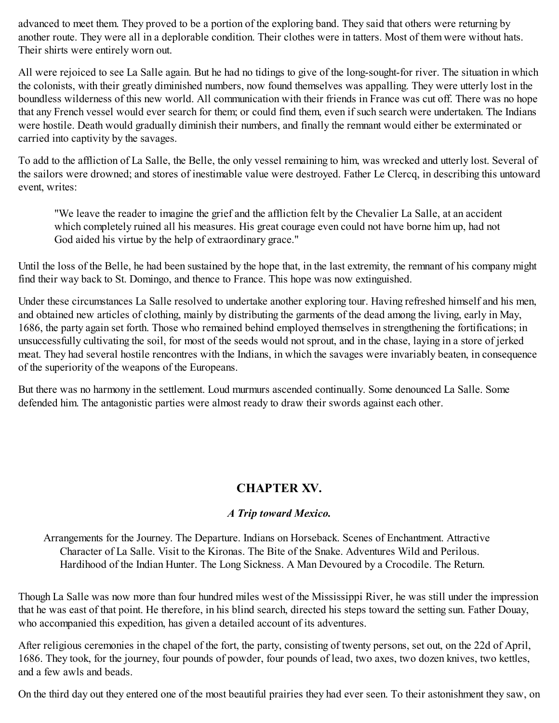advanced to meet them. They proved to be a portion of the exploring band. They said that others were returning by another route. They were all in a deplorable condition. Their clothes were in tatters. Most of them were without hats. Their shirts were entirely worn out.

All were rejoiced to see La Salle again. But he had no tidings to give of the long-sought-for river. The situation in which the colonists, with their greatly diminished numbers, now found themselves was appalling. They were utterly lost in the boundless wilderness of this new world. All communication with their friends in France was cut off. There was no hope that any French vessel would ever search for them; or could find them, even if such search were undertaken. The Indians were hostile. Death would gradually diminish their numbers, and finally the remnant would either be exterminated or carried into captivity by the savages.

To add to the affliction of La Salle, the Belle, the only vessel remaining to him, was wrecked and utterly lost. Several of the sailors were drowned; and stores of inestimable value were destroyed. Father Le Clercq, in describing this untoward event, writes:

"We leave the reader to imagine the grief and the affliction felt by the Chevalier La Salle, at an accident which completely ruined all his measures. His great courage even could not have borne him up, had not God aided his virtue by the help of extraordinary grace."

Until the loss of the Belle, he had been sustained by the hope that, in the last extremity, the remnant of his company might find their way back to St. Domingo, and thence to France. This hope was now extinguished.

Under these circumstances La Salle resolved to undertake another exploring tour. Having refreshed himself and his men, and obtained new articles of clothing, mainly by distributing the garments of the dead among the living, early in May, 1686, the party again set forth. Those who remained behind employed themselves in strengthening the fortifications; in unsuccessfully cultivating the soil, for most of the seeds would not sprout, and in the chase, laying in a store of jerked meat. They had several hostile rencontres with the Indians, in which the savages were invariably beaten, in consequence of the superiority of the weapons of the Europeans.

But there was no harmony in the settlement. Loud murmurs ascended continually. Some denounced La Salle. Some defended him. The antagonistic parties were almost ready to draw their swords against each other.

# **CHAPTER XV.**

## *A Trip toward Mexico.*

Arrangements for the Journey. The Departure. Indians on Horseback. Scenes of Enchantment. Attractive Character of La Salle. Visit to the Kironas. The Bite of the Snake. Adventures Wild and Perilous. Hardihood of the Indian Hunter. The Long Sickness. A Man Devoured by a Crocodile. The Return.

Though La Salle was now more than four hundred miles west of the Mississippi River, he was still under the impression that he was east of that point. He therefore, in his blind search, directed his steps toward the setting sun. Father Douay, who accompanied this expedition, has given a detailed account of its adventures.

After religious ceremonies in the chapel of the fort, the party, consisting of twenty persons, set out, on the 22d of April, 1686. They took, for the journey, four pounds of powder, four pounds of lead, two axes, two dozen knives, two kettles, and a few awls and beads.

On the third day out they entered one of the most beautiful prairies they had ever seen. To their astonishment they saw, on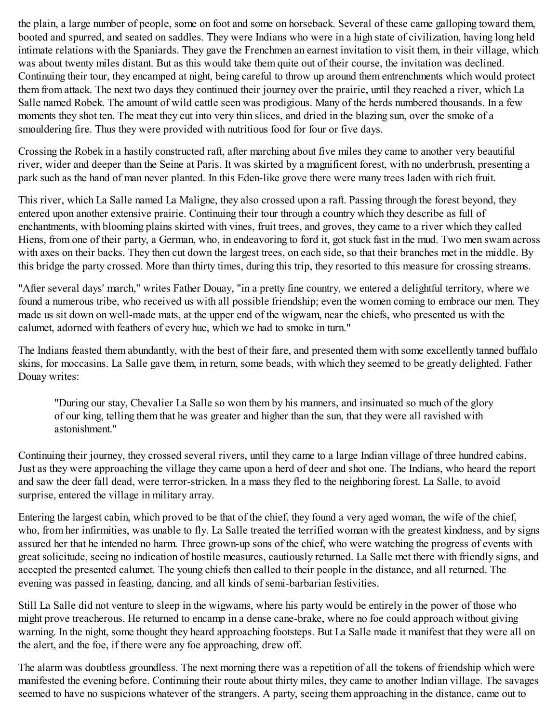the plain, a large number of people, some on foot and some on horseback. Several of these came galloping toward them, booted and spurred, and seated on saddles. They were Indians who were in a high state of civilization, having long held intimate relations with the Spaniards. They gave the Frenchmen an earnest invitation to visit them, in their village, which was about twenty miles distant. But as this would take them quite out of their course, the invitation was declined. Continuing their tour, they encamped at night, being careful to throw up around them entrenchments which would protect them from attack. The next two days they continued their journey over the prairie, until they reached a river, which La Salle named Robek. The amount of wild cattle seen was prodigious. Many of the herds numbered thousands. In a few moments they shot ten. The meat they cut into very thin slices, and dried in the blazing sun, over the smoke of a smouldering fire. Thus they were provided with nutritious food for four or five days.

Crossing the Robek in a hastily constructed raft, after marching about five miles they came to another very beautiful river, wider and deeper than the Seine at Paris. It was skirted by a magnificent forest, with no underbrush, presenting a park such as the hand of man never planted. In this Eden-like grove there were many trees laden with rich fruit.

This river, which La Salle named La Maligne, they also crossed upon a raft. Passing through the forest beyond, they entered upon another extensive prairie. Continuing their tour through a country which they describe as full of enchantments, with blooming plains skirted with vines, fruit trees, and groves, they came to a river which they called Hiens, from one of their party, a German, who, in endeavoring to ford it, got stuck fast in the mud. Two men swam across with axes on their backs. They then cut down the largest trees, on each side, so that their branches met in the middle. By this bridge the party crossed. More than thirty times, during this trip, they resorted to this measure for crossing streams.

"After several days' march," writes Father Douay, "in a pretty fine country, we entered a delightful territory, where we found a numerous tribe, who received us with all possible friendship; even the women coming to embrace our men. They made us sit down on well-made mats, at the upper end of the wigwam, near the chiefs, who presented us with the calumet, adorned with feathers of every hue, which we had to smoke in turn."

The Indians feasted them abundantly, with the best of their fare, and presented them with some excellently tanned buffalo skins, for moccasins. La Salle gave them, in return, some beads, with which they seemed to be greatly delighted. Father Douay writes:

"During our stay, Chevalier La Salle so won them by his manners, and insinuated so much of the glory of our king, telling them that he was greater and higher than the sun, that they were all ravished with astonishment."

Continuing their journey, they crossed several rivers, until they came to a large Indian village of three hundred cabins. Just as they were approaching the village they came upon a herd of deer and shot one. The Indians, who heard the report and saw the deer fall dead, were terror-stricken. In a mass they fled to the neighboring forest. La Salle, to avoid surprise, entered the village in military array.

Entering the largest cabin, which proved to be that of the chief, they found a very aged woman, the wife of the chief, who, from her infirmities, was unable to fly. La Salle treated the terrified woman with the greatest kindness, and by signs assured her that he intended no harm. Three grown-up sons of the chief, who were watching the progress of events with great solicitude, seeing no indication of hostile measures, cautiously returned. La Salle met there with friendly signs, and accepted the presented calumet. The young chiefs then called to their people in the distance, and all returned. The evening was passed in feasting, dancing, and all kinds of semi-barbarian festivities.

Still La Salle did not venture to sleep in the wigwams, where his party would be entirely in the power of those who might prove treacherous. He returned to encamp in a dense cane-brake, where no foe could approach without giving warning. In the night, some thought they heard approaching footsteps. But La Salle made it manifest that they were all on the alert, and the foe, if there were any foe approaching, drew off.

The alarm was doubtless groundless. The next morning there was a repetition of all the tokens of friendship which were manifested the evening before. Continuing their route about thirty miles, they came to another Indian village. The savages seemed to have no suspicions whatever of the strangers. A party, seeing them approaching in the distance, came out to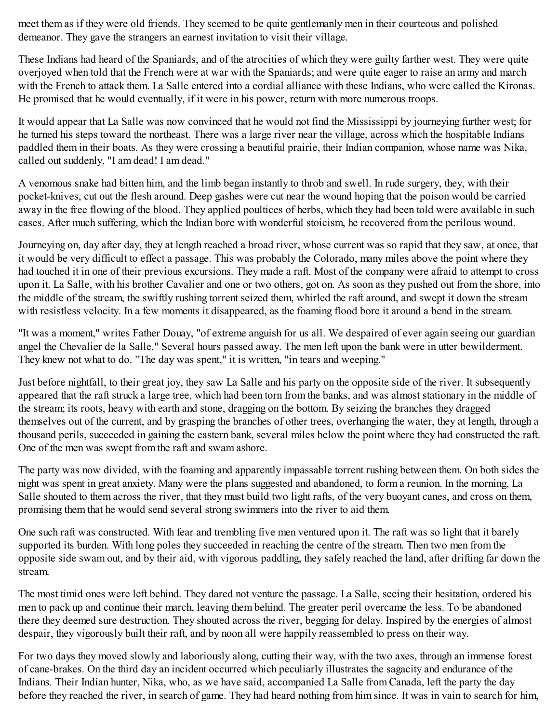meet them as if they were old friends. They seemed to be quite gentlemanly men in their courteous and polished demeanor. They gave the strangers an earnest invitation to visit their village.

These Indians had heard of the Spaniards, and of the atrocities of which they were guilty farther west. They were quite overjoyed when told that the French were at war with the Spaniards; and were quite eager to raise an army and march with the French to attack them. La Salle entered into a cordial alliance with these Indians, who were called the Kironas. He promised that he would eventually, if it were in his power, return with more numerous troops.

It would appear that La Salle was now convinced that he would not find the Mississippi by journeying further west; for he turned his steps toward the northeast. There was a large river near the village, across which the hospitable Indians paddled them in their boats. As they were crossing a beautiful prairie, their Indian companion, whose name was Nika, called out suddenly, "I am dead! I am dead."

A venomous snake had bitten him, and the limb began instantly to throb and swell. In rude surgery, they, with their pocket-knives, cut out the flesh around. Deep gashes were cut near the wound hoping that the poison would be carried away in the free flowing of the blood. They applied poultices of herbs, which they had been told were available in such cases. After much suffering, which the Indian bore with wonderful stoicism, he recovered from the perilous wound.

Journeying on, day after day, they at length reached a broad river, whose current was so rapid that they saw, at once, that it would be very difficult to effect a passage. This was probably the Colorado, many miles above the point where they had touched it in one of their previous excursions. They made a raft. Most of the company were afraid to attempt to cross upon it. La Salle, with his brother Cavalier and one or two others, got on. As soon as they pushed out from the shore, into the middle of the stream, the swiftly rushing torrent seized them, whirled the raft around, and swept it down the stream with resistless velocity. In a few moments it disappeared, as the foaming flood bore it around a bend in the stream.

"It was a moment," writes Father Douay, "of extreme anguish for us all. We despaired of ever again seeing our guardian angel the Chevalier de la Salle." Several hours passed away. The men left upon the bank were in utter bewilderment. They knew not what to do. "The day was spent," it is written, "in tears and weeping."

Just before nightfall, to their great joy, they saw La Salle and his party on the opposite side of the river. It subsequently appeared that the raft struck a large tree, which had been torn from the banks, and was almost stationary in the middle of the stream; its roots, heavy with earth and stone, dragging on the bottom. By seizing the branches they dragged themselves out of the current, and by grasping the branches of other trees, overhanging the water, they at length, through a thousand perils, succeeded in gaining the eastern bank, several miles below the point where they had constructed the raft. One of the men was swept from the raft and swam ashore.

The party was now divided, with the foaming and apparently impassable torrent rushing between them. On both sides the night was spent in great anxiety. Many were the plans suggested and abandoned, to form a reunion. In the morning, La Salle shouted to them across the river, that they must build two light rafts, of the very buoyant canes, and cross on them, promising them that he would send several strong swimmers into the river to aid them.

One such raft was constructed. With fear and trembling five men ventured upon it. The raft was so light that it barely supported its burden. With long poles they succeeded in reaching the centre of the stream. Then two men from the opposite side swam out, and by their aid, with vigorous paddling, they safely reached the land, after drifting far down the stream.

The most timid ones were left behind. They dared not venture the passage. La Salle, seeing their hesitation, ordered his men to pack up and continue their march, leaving them behind. The greater peril overcame the less. To be abandoned there they deemed sure destruction. They shouted across the river, begging for delay. Inspired by the energies of almost despair, they vigorously built their raft, and by noon all were happily reassembled to press on their way.

For two days they moved slowly and laboriously along, cutting their way, with the two axes, through an immense forest of cane-brakes. On the third day an incident occurred which peculiarly illustrates the sagacity and endurance of the Indians. Their Indian hunter, Nika, who, as we have said, accompanied La Salle from Canada, left the party the day before they reached the river, in search of game. They had heard nothing from him since. It was in vain to search for him,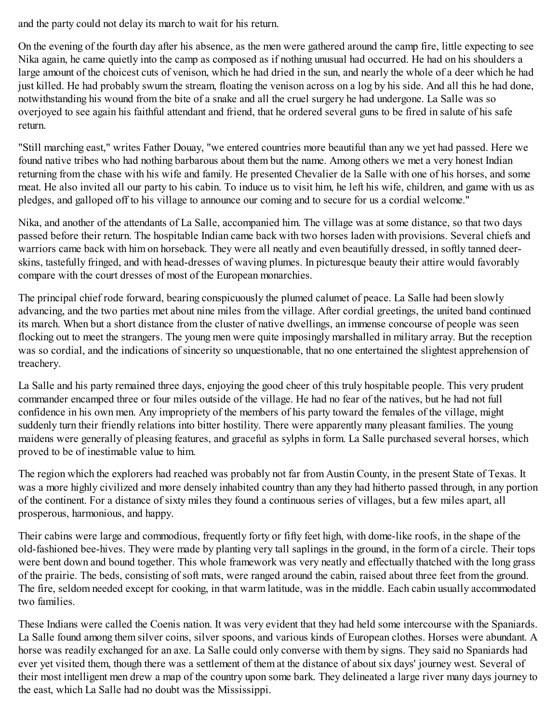and the party could not delay its march to wait for his return.

On the evening of the fourth day after his absence, as the men were gathered around the camp fire, little expecting to see Nika again, he came quietly into the camp as composed as if nothing unusual had occurred. He had on his shoulders a large amount of the choicest cuts of venison, which he had dried in the sun, and nearly the whole of a deer which he had just killed. He had probably swum the stream, floating the venison across on a log by his side. And all this he had done, notwithstanding his wound from the bite of a snake and all the cruel surgery he had undergone. La Salle was so overjoyed to see again his faithful attendant and friend, that he ordered several guns to be fired in salute of his safe return.

"Still marching east," writes Father Douay, "we entered countries more beautiful than any we yet had passed. Here we found native tribes who had nothing barbarous about them but the name. Among others we met a very honest Indian returning from the chase with his wife and family. He presented Chevalier de la Salle with one of his horses, and some meat. He also invited all our party to his cabin. To induce us to visit him, he left his wife, children, and game with us as pledges, and galloped off to his village to announce our coming and to secure for us a cordial welcome."

Nika, and another of the attendants of La Salle, accompanied him. The village was at some distance, so that two days passed before their return. The hospitable Indian came back with two horses laden with provisions. Several chiefs and warriors came back with him on horseback. They were all neatly and even beautifully dressed, in softly tanned deerskins, tastefully fringed, and with head-dresses of waving plumes. In picturesque beauty their attire would favorably compare with the court dresses of most of the European monarchies.

The principal chief rode forward, bearing conspicuously the plumed calumet of peace. La Salle had been slowly advancing, and the two parties met about nine miles from the village. After cordial greetings, the united band continued its march. When but a short distance from the cluster of native dwellings, an immense concourse of people was seen flocking out to meet the strangers. The young men were quite imposingly marshalled in military array. But the reception was so cordial, and the indications of sincerity so unquestionable, that no one entertained the slightest apprehension of treachery.

La Salle and his party remained three days, enjoying the good cheer of this truly hospitable people. This very prudent commander encamped three or four miles outside of the village. He had no fear of the natives, but he had not full confidence in his own men. Any impropriety of the members of his party toward the females of the village, might suddenly turn their friendly relations into bitter hostility. There were apparently many pleasant families. The young maidens were generally of pleasing features, and graceful as sylphs in form. La Salle purchased several horses, which proved to be of inestimable value to him.

The region which the explorers had reached was probably not far from Austin County, in the present State of Texas. It was a more highly civilized and more densely inhabited country than any they had hitherto passed through, in any portion of the continent. For a distance of sixty miles they found a continuous series of villages, but a few miles apart, all prosperous, harmonious, and happy.

Their cabins were large and commodious, frequently forty or fifty feet high, with dome-like roofs, in the shape of the old-fashioned bee-hives. They were made by planting very tall saplings in the ground, in the form of a circle. Their tops were bent down and bound together. This whole framework was very neatly and effectually thatched with the long grass of the prairie. The beds, consisting of soft mats, were ranged around the cabin, raised about three feet from the ground. The fire, seldom needed except for cooking, in that warm latitude, was in the middle. Each cabin usually accommodated two families.

These Indians were called the Coenis nation. It was very evident that they had held some intercourse with the Spaniards. La Salle found among them silver coins, silver spoons, and various kinds of European clothes. Horses were abundant. A horse was readily exchanged for an axe. La Salle could only converse with them by signs. They said no Spaniards had ever yet visited them, though there was a settlement of them at the distance of about six days' journey west. Several of their most intelligent men drew a map of the country upon some bark. They delineated a large river many days journey to the east, which La Salle had no doubt was the Mississippi.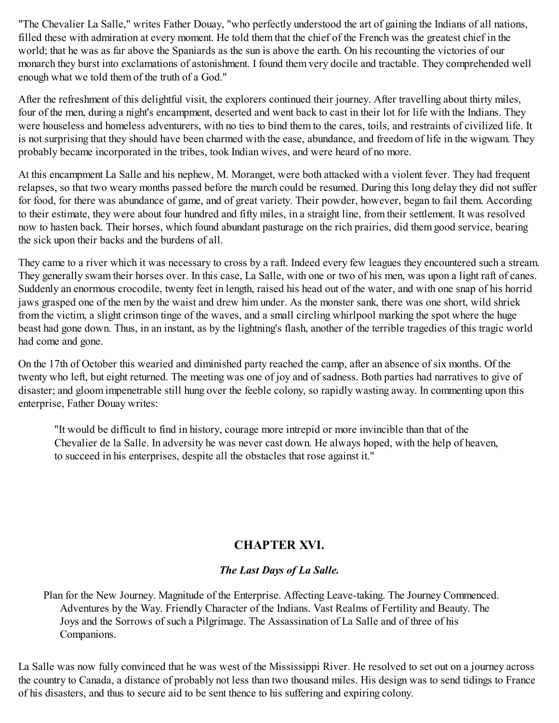"The Chevalier La Salle," writes Father Douay, "who perfectly understood the art of gaining the Indians of all nations, filled these with admiration at every moment. He told them that the chief of the French was the greatest chief in the world; that he was as far above the Spaniards as the sun is above the earth. On his recounting the victories of our monarch they burst into exclamations of astonishment. I found them very docile and tractable. They comprehended well enough what we told them of the truth of a God."

After the refreshment of this delightful visit, the explorers continued their journey. After travelling about thirty miles, four of the men, during a night's encampment, deserted and went back to cast in their lot for life with the Indians. They were houseless and homeless adventurers, with no ties to bind them to the cares, toils, and restraints of civilized life. It is not surprising that they should have been charmed with the ease, abundance, and freedom of life in the wigwam. They probably became incorporated in the tribes, took Indian wives, and were heard of no more.

At this encampment La Salle and his nephew, M. Moranget, were both attacked with a violent fever. They had frequent relapses, so that two weary months passed before the march could be resumed. During this long delay they did not suffer for food, for there was abundance of game, and of great variety. Their powder, however, began to fail them. According to their estimate, they were about four hundred and fifty miles, in a straight line, from their settlement. It was resolved now to hasten back. Their horses, which found abundant pasturage on the rich prairies, did them good service, bearing the sick upon their backs and the burdens of all.

They came to a river which it was necessary to cross by a raft. Indeed every few leagues they encountered such a stream. They generally swam their horses over. In this case, La Salle, with one or two of his men, was upon a light raft of canes. Suddenly an enormous crocodile, twenty feet in length, raised his head out of the water, and with one snap of his horrid jaws grasped one of the men by the waist and drew him under. As the monster sank, there was one short, wild shriek from the victim, a slight crimson tinge of the waves, and a small circling whirlpool marking the spot where the huge beast had gone down. Thus, in an instant, as by the lightning's flash, another of the terrible tragedies of this tragic world had come and gone.

On the 17th of October this wearied and diminished party reached the camp, after an absence of six months. Of the twenty who left, but eight returned. The meeting was one of joy and of sadness. Both parties had narratives to give of disaster; and gloom impenetrable still hung over the feeble colony, so rapidly wasting away. In commenting upon this enterprise, Father Douay writes:

"It would be difficult to find in history, courage more intrepid or more invincible than that of the Chevalier de la Salle. In adversity he was never cast down. He always hoped, with the help of heaven, to succeed in his enterprises, despite all the obstacles that rose against it."

# **CHAPTER XVI.**

## *The Last Days of La Salle.*

Plan for the New Journey. Magnitude of the Enterprise. Affecting Leave-taking. The Journey Commenced. Adventures by the Way. Friendly Character of the Indians. Vast Realms of Fertility and Beauty. The Joys and the Sorrows of such a Pilgrimage. The Assassination of La Salle and of three of his Companions.

La Salle was now fully convinced that he was west of the Mississippi River. He resolved to set out on a journey across the country to Canada, a distance of probably not less than two thousand miles. His design was to send tidings to France of his disasters, and thus to secure aid to be sent thence to his suffering and expiring colony.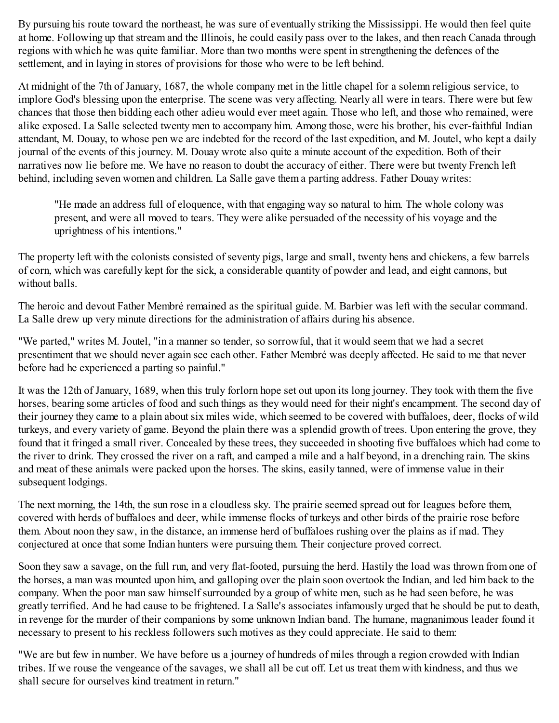By pursuing his route toward the northeast, he was sure of eventually striking the Mississippi. He would then feel quite at home. Following up that stream and the Illinois, he could easily pass over to the lakes, and then reach Canada through regions with which he was quite familiar. More than two months were spent in strengthening the defences of the settlement, and in laying in stores of provisions for those who were to be left behind.

At midnight of the 7th of January, 1687, the whole company met in the little chapel for a solemn religious service, to implore God's blessing upon the enterprise. The scene was very affecting. Nearly all were in tears. There were but few chances that those then bidding each other adieu would ever meet again. Those who left, and those who remained, were alike exposed. La Salle selected twenty men to accompany him. Among those, were his brother, his ever-faithful Indian attendant, M. Douay, to whose pen we are indebted for the record of the last expedition, and M. Joutel, who kept a daily journal of the events of this journey. M. Douay wrote also quite a minute account of the expedition. Both of their narratives now lie before me. We have no reason to doubt the accuracy of either. There were but twenty French left behind, including seven women and children. La Salle gave them a parting address. Father Douay writes:

"He made an address full of eloquence, with that engaging way so natural to him. The whole colony was present, and were all moved to tears. They were alike persuaded of the necessity of his voyage and the uprightness of his intentions."

The property left with the colonists consisted of seventy pigs, large and small, twenty hens and chickens, a few barrels of corn, which was carefully kept for the sick, a considerable quantity of powder and lead, and eight cannons, but without balls.

The heroic and devout Father Membré remained as the spiritual guide. M. Barbier was left with the secular command. La Salle drew up very minute directions for the administration of affairs during his absence.

"We parted," writes M. Joutel, "in a manner so tender, so sorrowful, that it would seem that we had a secret presentiment that we should never again see each other. Father Membré was deeply affected. He said to me that never before had he experienced a parting so painful."

It was the 12th of January, 1689, when this truly forlorn hope set out upon its long journey. They took with them the five horses, bearing some articles of food and such things as they would need for their night's encampment. The second day of their journey they came to a plain about six miles wide, which seemed to be covered with buffaloes, deer, flocks of wild turkeys, and every variety of game. Beyond the plain there was a splendid growth of trees. Upon entering the grove, they found that it fringed a small river. Concealed by these trees, they succeeded in shooting five buffaloes which had come to the river to drink. They crossed the river on a raft, and camped a mile and a half beyond, in a drenching rain. The skins and meat of these animals were packed upon the horses. The skins, easily tanned, were of immense value in their subsequent lodgings.

The next morning, the 14th, the sun rose in a cloudless sky. The prairie seemed spread out for leagues before them, covered with herds of buffaloes and deer, while immense flocks of turkeys and other birds of the prairie rose before them. About noon they saw, in the distance, an immense herd of buffaloes rushing over the plains as if mad. They conjectured at once that some Indian hunters were pursuing them. Their conjecture proved correct.

Soon they saw a savage, on the full run, and very flat-footed, pursuing the herd. Hastily the load was thrown from one of the horses, a man was mounted upon him, and galloping over the plain soon overtook the Indian, and led him back to the company. When the poor man saw himself surrounded by a group of white men, such as he had seen before, he was greatly terrified. And he had cause to be frightened. La Salle's associates infamously urged that he should be put to death, in revenge for the murder of their companions by some unknown Indian band. The humane, magnanimous leader found it necessary to present to his reckless followers such motives as they could appreciate. He said to them:

"We are but few in number. We have before us a journey of hundreds of miles through a region crowded with Indian tribes. If we rouse the vengeance of the savages, we shall all be cut off. Let us treat them with kindness, and thus we shall secure for ourselves kind treatment in return."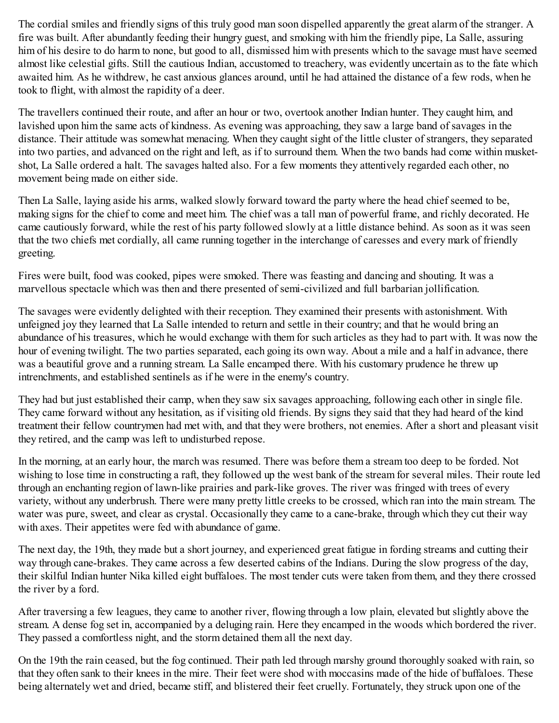The cordial smiles and friendly signs of this truly good man soon dispelled apparently the great alarm of the stranger. A fire was built. After abundantly feeding their hungry guest, and smoking with him the friendly pipe, La Salle, assuring him of his desire to do harm to none, but good to all, dismissed him with presents which to the savage must have seemed almost like celestial gifts. Still the cautious Indian, accustomed to treachery, was evidently uncertain as to the fate which awaited him. As he withdrew, he cast anxious glances around, until he had attained the distance of a few rods, when he took to flight, with almost the rapidity of a deer.

The travellers continued their route, and after an hour or two, overtook another Indian hunter. They caught him, and lavished upon him the same acts of kindness. As evening was approaching, they saw a large band of savages in the distance. Their attitude was somewhat menacing. When they caught sight of the little cluster of strangers, they separated into two parties, and advanced on the right and left, as if to surround them. When the two bands had come within musketshot, La Salle ordered a halt. The savages halted also. For a few moments they attentively regarded each other, no movement being made on either side.

Then La Salle, laying aside his arms, walked slowly forward toward the party where the head chief seemed to be, making signs for the chief to come and meet him. The chief was a tall man of powerful frame, and richly decorated. He came cautiously forward, while the rest of his party followed slowly at a little distance behind. As soon as it was seen that the two chiefs met cordially, all came running together in the interchange of caresses and every mark of friendly greeting.

Fires were built, food was cooked, pipes were smoked. There was feasting and dancing and shouting. It was a marvellous spectacle which was then and there presented of semi-civilized and full barbarian jollification.

The savages were evidently delighted with their reception. They examined their presents with astonishment. With unfeigned joy they learned that La Salle intended to return and settle in their country; and that he would bring an abundance of his treasures, which he would exchange with them for such articles as they had to part with. It was now the hour of evening twilight. The two parties separated, each going its own way. About a mile and a half in advance, there was a beautiful grove and a running stream. La Salle encamped there. With his customary prudence he threw up intrenchments, and established sentinels as if he were in the enemy's country.

They had but just established their camp, when they saw six savages approaching, following each other in single file. They came forward without any hesitation, as if visiting old friends. By signs they said that they had heard of the kind treatment their fellow countrymen had met with, and that they were brothers, not enemies. After a short and pleasant visit they retired, and the camp was left to undisturbed repose.

In the morning, at an early hour, the march was resumed. There was before them a stream too deep to be forded. Not wishing to lose time in constructing a raft, they followed up the west bank of the stream for several miles. Their route led through an enchanting region of lawn-like prairies and park-like groves. The river was fringed with trees of every variety, without any underbrush. There were many pretty little creeks to be crossed, which ran into the main stream. The water was pure, sweet, and clear as crystal. Occasionally they came to a cane-brake, through which they cut their way with axes. Their appetites were fed with abundance of game.

The next day, the 19th, they made but a short journey, and experienced great fatigue in fording streams and cutting their way through cane-brakes. They came across a few deserted cabins of the Indians. During the slow progress of the day, their skilful Indian hunter Nika killed eight buffaloes. The most tender cuts were taken from them, and they there crossed the river by a ford.

After traversing a few leagues, they came to another river, flowing through a low plain, elevated but slightly above the stream. A dense fog set in, accompanied by a deluging rain. Here they encamped in the woods which bordered the river. They passed a comfortless night, and the storm detained them all the next day.

On the 19th the rain ceased, but the fog continued. Their path led through marshy ground thoroughly soaked with rain, so that they often sank to their knees in the mire. Their feet were shod with moccasins made of the hide of buffaloes. These being alternately wet and dried, became stiff, and blistered their feet cruelly. Fortunately, they struck upon one of the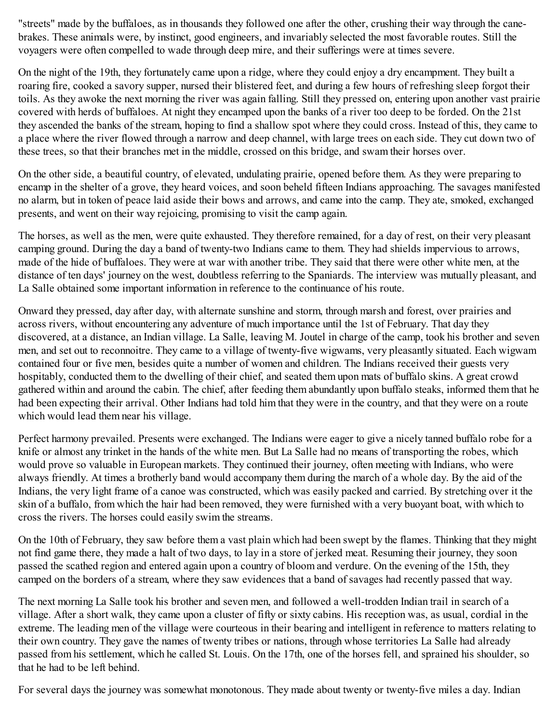"streets" made by the buffaloes, as in thousands they followed one after the other, crushing their way through the canebrakes. These animals were, by instinct, good engineers, and invariably selected the most favorable routes. Still the voyagers were often compelled to wade through deep mire, and their sufferings were at times severe.

On the night of the 19th, they fortunately came upon a ridge, where they could enjoy a dry encampment. They built a roaring fire, cooked a savory supper, nursed their blistered feet, and during a few hours of refreshing sleep forgot their toils. As they awoke the next morning the river was again falling. Still they pressed on, entering upon another vast prairie covered with herds of buffaloes. At night they encamped upon the banks of a river too deep to be forded. On the 21st they ascended the banks of the stream, hoping to find a shallow spot where they could cross. Instead of this, they came to a place where the river flowed through a narrow and deep channel, with large trees on each side. They cut down two of these trees, so that their branches met in the middle, crossed on this bridge, and swam their horses over.

On the other side, a beautiful country, of elevated, undulating prairie, opened before them. As they were preparing to encamp in the shelter of a grove, they heard voices, and soon beheld fifteen Indians approaching. The savages manifested no alarm, but in token of peace laid aside their bows and arrows, and came into the camp. They ate, smoked, exchanged presents, and went on their way rejoicing, promising to visit the camp again.

The horses, as well as the men, were quite exhausted. They therefore remained, for a day of rest, on their very pleasant camping ground. During the day a band of twenty-two Indians came to them. They had shields impervious to arrows, made of the hide of buffaloes. They were at war with another tribe. They said that there were other white men, at the distance of ten days' journey on the west, doubtless referring to the Spaniards. The interview was mutually pleasant, and La Salle obtained some important information in reference to the continuance of his route.

Onward they pressed, day after day, with alternate sunshine and storm, through marsh and forest, over prairies and across rivers, without encountering any adventure of much importance until the 1st of February. That day they discovered, at a distance, an Indian village. La Salle, leaving M. Joutel in charge of the camp, took his brother and seven men, and set out to reconnoitre. They came to a village of twenty-five wigwams, very pleasantly situated. Each wigwam contained four or five men, besides quite a number of women and children. The Indians received their guests very hospitably, conducted them to the dwelling of their chief, and seated them upon mats of buffalo skins. A great crowd gathered within and around the cabin. The chief, after feeding them abundantly upon buffalo steaks, informed them that he had been expecting their arrival. Other Indians had told him that they were in the country, and that they were on a route which would lead them near his village.

Perfect harmony prevailed. Presents were exchanged. The Indians were eager to give a nicely tanned buffalo robe for a knife or almost any trinket in the hands of the white men. But La Salle had no means of transporting the robes, which would prove so valuable in European markets. They continued their journey, often meeting with Indians, who were always friendly. At times a brotherly band would accompany them during the march of a whole day. By the aid of the Indians, the very light frame of a canoe was constructed, which was easily packed and carried. By stretching over it the skin of a buffalo, from which the hair had been removed, they were furnished with a very buoyant boat, with which to cross the rivers. The horses could easily swim the streams.

On the 10th of February, they saw before them a vast plain which had been swept by the flames. Thinking that they might not find game there, they made a halt of two days, to lay in a store of jerked meat. Resuming their journey, they soon passed the scathed region and entered again upon a country of bloom and verdure. On the evening of the 15th, they camped on the borders of a stream, where they saw evidences that a band of savages had recently passed that way.

The next morning La Salle took his brother and seven men, and followed a well-trodden Indian trail in search of a village. After a short walk, they came upon a cluster of fifty or sixty cabins. His reception was, as usual, cordial in the extreme. The leading men of the village were courteous in their bearing and intelligent in reference to matters relating to their own country. They gave the names of twenty tribes or nations, through whose territories La Salle had already passed from his settlement, which he called St. Louis. On the 17th, one of the horses fell, and sprained his shoulder, so that he had to be left behind.

For several days the journey was somewhat monotonous. They made about twenty or twenty-five miles a day. Indian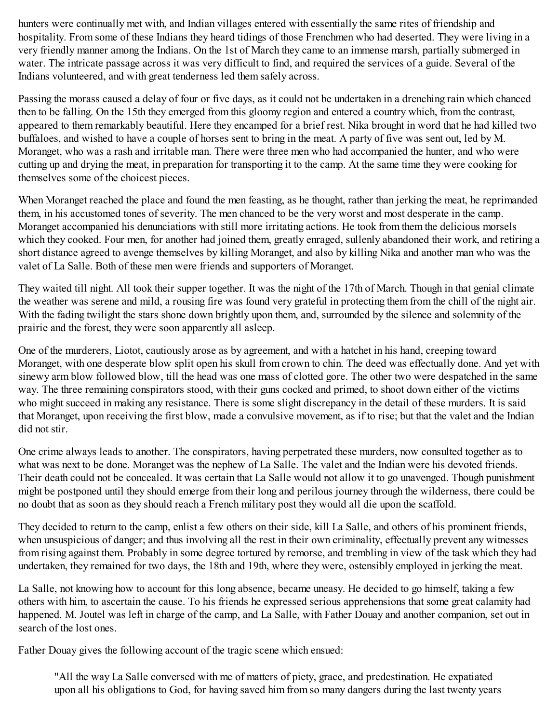hunters were continually met with, and Indian villages entered with essentially the same rites of friendship and hospitality. From some of these Indians they heard tidings of those Frenchmen who had deserted. They were living in a very friendly manner among the Indians. On the 1st of March they came to an immense marsh, partially submerged in water. The intricate passage across it was very difficult to find, and required the services of a guide. Several of the Indians volunteered, and with great tenderness led them safely across.

Passing the morass caused a delay of four or five days, as it could not be undertaken in a drenching rain which chanced then to be falling. On the 15th they emerged from this gloomy region and entered a country which, from the contrast, appeared to them remarkably beautiful. Here they encamped for a brief rest. Nika brought in word that he had killed two buffaloes, and wished to have a couple of horses sent to bring in the meat. A party of five was sent out, led by M. Moranget, who was a rash and irritable man. There were three men who had accompanied the hunter, and who were cutting up and drying the meat, in preparation for transporting it to the camp. At the same time they were cooking for themselves some of the choicest pieces.

When Moranget reached the place and found the men feasting, as he thought, rather than jerking the meat, he reprimanded them, in his accustomed tones of severity. The men chanced to be the very worst and most desperate in the camp. Moranget accompanied his denunciations with still more irritating actions. He took from them the delicious morsels which they cooked. Four men, for another had joined them, greatly enraged, sullenly abandoned their work, and retiring a short distance agreed to avenge themselves by killing Moranget, and also by killing Nika and another man who was the valet of La Salle. Both of these men were friends and supporters of Moranget.

They waited till night. All took their supper together. It was the night of the 17th of March. Though in that genial climate the weather was serene and mild, a rousing fire was found very grateful in protecting them from the chill of the night air. With the fading twilight the stars shone down brightly upon them, and, surrounded by the silence and solemnity of the prairie and the forest, they were soon apparently all asleep.

One of the murderers, Liotot, cautiously arose as by agreement, and with a hatchet in his hand, creeping toward Moranget, with one desperate blow split open his skull from crown to chin. The deed was effectually done. And yet with sinewy arm blow followed blow, till the head was one mass of clotted gore. The other two were despatched in the same way. The three remaining conspirators stood, with their guns cocked and primed, to shoot down either of the victims who might succeed in making any resistance. There is some slight discrepancy in the detail of these murders. It is said that Moranget, upon receiving the first blow, made a convulsive movement, as if to rise; but that the valet and the Indian did not stir.

One crime always leads to another. The conspirators, having perpetrated these murders, now consulted together as to what was next to be done. Moranget was the nephew of La Salle. The valet and the Indian were his devoted friends. Their death could not be concealed. It was certain that La Salle would not allow it to go unavenged. Though punishment might be postponed until they should emerge from their long and perilous journey through the wilderness, there could be no doubt that as soon as they should reach a French military post they would all die upon the scaffold.

They decided to return to the camp, enlist a few others on their side, kill La Salle, and others of his prominent friends, when unsuspicious of danger; and thus involving all the rest in their own criminality, effectually prevent any witnesses from rising against them. Probably in some degree tortured by remorse, and trembling in view of the task which they had undertaken, they remained for two days, the 18th and 19th, where they were, ostensibly employed in jerking the meat.

La Salle, not knowing how to account for this long absence, became uneasy. He decided to go himself, taking a few others with him, to ascertain the cause. To his friends he expressed serious apprehensions that some great calamity had happened. M. Joutel was left in charge of the camp, and La Salle, with Father Douay and another companion, set out in search of the lost ones.

Father Douay gives the following account of the tragic scene which ensued:

"All the way La Salle conversed with me of matters of piety, grace, and predestination. He expatiated upon all his obligations to God, for having saved him from so many dangers during the last twenty years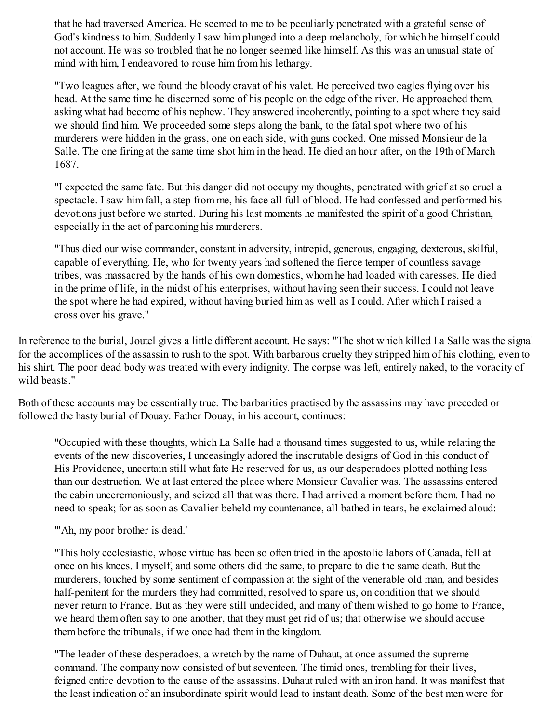that he had traversed America. He seemed to me to be peculiarly penetrated with a grateful sense of God's kindness to him. Suddenly I saw him plunged into a deep melancholy, for which he himself could not account. He was so troubled that he no longer seemed like himself. As this was an unusual state of mind with him, I endeavored to rouse him from his lethargy.

"Two leagues after, we found the bloody cravat of his valet. He perceived two eagles flying over his head. At the same time he discerned some of his people on the edge of the river. He approached them, asking what had become of his nephew. They answered incoherently, pointing to a spot where they said we should find him. We proceeded some steps along the bank, to the fatal spot where two of his murderers were hidden in the grass, one on each side, with guns cocked. One missed Monsieur de la Salle. The one firing at the same time shot him in the head. He died an hour after, on the 19th of March 1687.

"I expected the same fate. But this danger did not occupy my thoughts, penetrated with grief at so cruel a spectacle. I saw him fall, a step from me, his face all full of blood. He had confessed and performed his devotions just before we started. During his last moments he manifested the spirit of a good Christian, especially in the act of pardoning his murderers.

"Thus died our wise commander, constant in adversity, intrepid, generous, engaging, dexterous, skilful, capable of everything. He, who for twenty years had softened the fierce temper of countless savage tribes, was massacred by the hands of his own domestics, whom he had loaded with caresses. He died in the prime of life, in the midst of his enterprises, without having seen their success. I could not leave the spot where he had expired, without having buried him as well as I could. After which I raised a cross over his grave."

In reference to the burial, Joutel gives a little different account. He says: "The shot which killed La Salle was the signal for the accomplices of the assassin to rush to the spot. With barbarous cruelty they stripped him of his clothing, even to his shirt. The poor dead body was treated with every indignity. The corpse was left, entirely naked, to the voracity of wild beasts."

Both of these accounts may be essentially true. The barbarities practised by the assassins may have preceded or followed the hasty burial of Douay. Father Douay, in his account, continues:

"Occupied with these thoughts, which La Salle had a thousand times suggested to us, while relating the events of the new discoveries, I unceasingly adored the inscrutable designs of God in this conduct of His Providence, uncertain still what fate He reserved for us, as our desperadoes plotted nothing less than our destruction. We at last entered the place where Monsieur Cavalier was. The assassins entered the cabin unceremoniously, and seized all that was there. I had arrived a moment before them. I had no need to speak; for as soon as Cavalier beheld my countenance, all bathed in tears, he exclaimed aloud:

""Ah, my poor brother is dead."

"This holy ecclesiastic, whose virtue has been so often tried in the apostolic labors of Canada, fell at once on his knees. I myself, and some others did the same, to prepare to die the same death. But the murderers, touched by some sentiment of compassion at the sight of the venerable old man, and besides half-penitent for the murders they had committed, resolved to spare us, on condition that we should never return to France. But as they were still undecided, and many of them wished to go home to France, we heard them often say to one another, that they must get rid of us; that otherwise we should accuse them before the tribunals, if we once had them in the kingdom.

"The leader of these desperadoes, a wretch by the name of Duhaut, at once assumed the supreme command. The company now consisted of but seventeen. The timid ones, trembling for their lives, feigned entire devotion to the cause of the assassins. Duhaut ruled with an iron hand. It was manifest that the least indication of an insubordinate spirit would lead to instant death. Some of the best men were for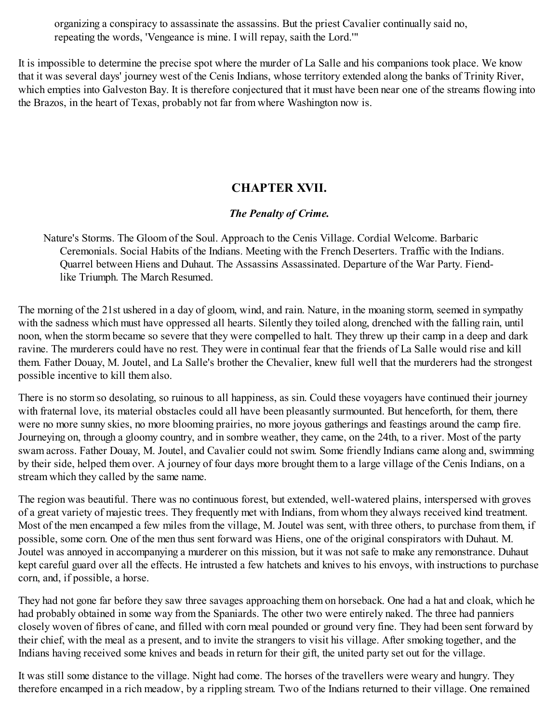organizing a conspiracy to assassinate the assassins. But the priest Cavalier continually said no, repeating the words, 'Vengeance is mine. I will repay, saith the Lord.'"

It is impossible to determine the precise spot where the murder of La Salle and his companions took place. We know that it was several days' journey west of the Cenis Indians, whose territory extended along the banks of Trinity River, which empties into Galveston Bay. It is therefore conjectured that it must have been near one of the streams flowing into the Brazos, in the heart of Texas, probably not far from where Washington now is.

# **CHAPTER XVII.**

## *The Penalty of Crime.*

Nature's Storms. The Gloom of the Soul. Approach to the Cenis Village. Cordial Welcome. Barbaric Ceremonials. Social Habits of the Indians. Meeting with the French Deserters. Traffic with the Indians. Quarrel between Hiens and Duhaut. The Assassins Assassinated. Departure of the War Party. Fiendlike Triumph. The March Resumed.

The morning of the 21st ushered in a day of gloom, wind, and rain. Nature, in the moaning storm, seemed in sympathy with the sadness which must have oppressed all hearts. Silently they toiled along, drenched with the falling rain, until noon, when the storm became so severe that they were compelled to halt. They threw up their camp in a deep and dark ravine. The murderers could have no rest. They were in continual fear that the friends of La Salle would rise and kill them. Father Douay, M. Joutel, and La Salle's brother the Chevalier, knew full well that the murderers had the strongest possible incentive to kill them also.

There is no storm so desolating, so ruinous to all happiness, as sin. Could these voyagers have continued their journey with fraternal love, its material obstacles could all have been pleasantly surmounted. But henceforth, for them, there were no more sunny skies, no more blooming prairies, no more joyous gatherings and feastings around the camp fire. Journeying on, through a gloomy country, and in sombre weather, they came, on the 24th, to a river. Most of the party swam across. Father Douay, M. Joutel, and Cavalier could not swim. Some friendly Indians came along and, swimming by their side, helped them over. A journey of four days more brought them to a large village of the Cenis Indians, on a stream which they called by the same name.

The region was beautiful. There was no continuous forest, but extended, well-watered plains, interspersed with groves of a great variety of majestic trees. They frequently met with Indians, from whom they always received kind treatment. Most of the men encamped a few miles from the village, M. Joutel was sent, with three others, to purchase from them, if possible, some corn. One of the men thus sent forward was Hiens, one of the original conspirators with Duhaut. M. Joutel was annoyed in accompanying a murderer on this mission, but it was not safe to make any remonstrance. Duhaut kept careful guard over all the effects. He intrusted a few hatchets and knives to his envoys, with instructions to purchase corn, and, if possible, a horse.

They had not gone far before they saw three savages approaching them on horseback. One had a hat and cloak, which he had probably obtained in some way from the Spaniards. The other two were entirely naked. The three had panniers closely woven of fibres of cane, and filled with corn meal pounded or ground very fine. They had been sent forward by their chief, with the meal as a present, and to invite the strangers to visit his village. After smoking together, and the Indians having received some knives and beads in return for their gift, the united party set out for the village.

It was still some distance to the village. Night had come. The horses of the travellers were weary and hungry. They therefore encamped in a rich meadow, by a rippling stream. Two of the Indians returned to their village. One remained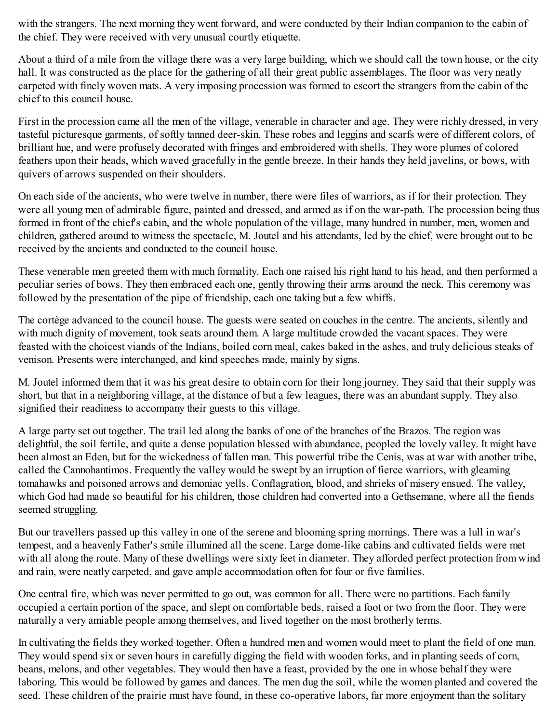with the strangers. The next morning they went forward, and were conducted by their Indian companion to the cabin of the chief. They were received with very unusual courtly etiquette.

About a third of a mile from the village there was a very large building, which we should call the town house, or the city hall. It was constructed as the place for the gathering of all their great public assemblages. The floor was very neatly carpeted with finely woven mats. A very imposing procession was formed to escort the strangers from the cabin of the chief to this council house.

First in the procession came all the men of the village, venerable in character and age. They were richly dressed, in very tasteful picturesque garments, of softly tanned deer-skin. These robes and leggins and scarfs were of different colors, of brilliant hue, and were profusely decorated with fringes and embroidered with shells. They wore plumes of colored feathers upon their heads, which waved gracefully in the gentle breeze. In their hands they held javelins, or bows, with quivers of arrows suspended on their shoulders.

On each side of the ancients, who were twelve in number, there were files of warriors, as if for their protection. They were all young men of admirable figure, painted and dressed, and armed as if on the war-path. The procession being thus formed in front of the chief's cabin, and the whole population of the village, many hundred in number, men, women and children, gathered around to witness the spectacle, M. Joutel and his attendants, led by the chief, were brought out to be received by the ancients and conducted to the council house.

These venerable men greeted them with much formality. Each one raised his right hand to his head, and then performed a peculiar series of bows. They then embraced each one, gently throwing their arms around the neck. This ceremony was followed by the presentation of the pipe of friendship, each one taking but a few whiffs.

The cortège advanced to the council house. The guests were seated on couches in the centre. The ancients, silently and with much dignity of movement, took seats around them. A large multitude crowded the vacant spaces. They were feasted with the choicest viands of the Indians, boiled corn meal, cakes baked in the ashes, and truly delicious steaks of venison. Presents were interchanged, and kind speeches made, mainly by signs.

M. Joutel informed them that it was his great desire to obtain corn for their long journey. They said that their supply was short, but that in a neighboring village, at the distance of but a few leagues, there was an abundant supply. They also signified their readiness to accompany their guests to this village.

A large party set out together. The trail led along the banks of one of the branches of the Brazos. The region was delightful, the soil fertile, and quite a dense population blessed with abundance, peopled the lovely valley. It might have been almost an Eden, but for the wickedness of fallen man. This powerful tribe the Cenis, was at war with another tribe, called the Cannohantimos. Frequently the valley would be swept by an irruption of fierce warriors, with gleaming tomahawks and poisoned arrows and demoniac yells. Conflagration, blood, and shrieks of misery ensued. The valley, which God had made so beautiful for his children, those children had converted into a Gethsemane, where all the fiends seemed struggling.

But our travellers passed up this valley in one of the serene and blooming spring mornings. There was a lull in war's tempest, and a heavenly Father's smile illumined all the scene. Large dome-like cabins and cultivated fields were met with all along the route. Many of these dwellings were sixty feet in diameter. They afforded perfect protection from wind and rain, were neatly carpeted, and gave ample accommodation often for four or five families.

One central fire, which was never permitted to go out, was common for all. There were no partitions. Each family occupied a certain portion of the space, and slept on comfortable beds, raised a foot or two from the floor. They were naturally a very amiable people among themselves, and lived together on the most brotherly terms.

In cultivating the fields they worked together. Often a hundred men and women would meet to plant the field of one man. They would spend six or seven hours in carefully digging the field with wooden forks, and in planting seeds of corn, beans, melons, and other vegetables. They would then have a feast, provided by the one in whose behalf they were laboring. This would be followed by games and dances. The men dug the soil, while the women planted and covered the seed. These children of the prairie must have found, in these co-operative labors, far more enjoyment than the solitary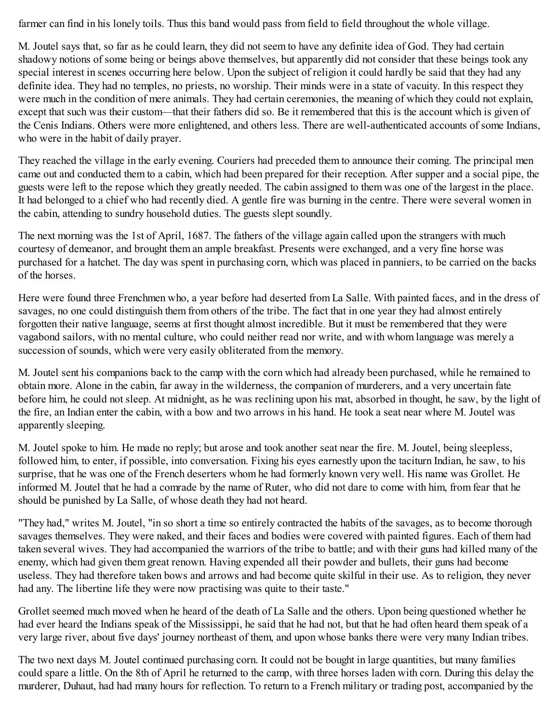farmer can find in his lonely toils. Thus this band would pass from field to field throughout the whole village.

M. Joutel says that, so far as he could learn, they did not seem to have any definite idea of God. They had certain shadowy notions of some being or beings above themselves, but apparently did not consider that these beings took any special interest in scenes occurring here below. Upon the subject of religion it could hardly be said that they had any definite idea. They had no temples, no priests, no worship. Their minds were in a state of vacuity. In this respect they were much in the condition of mere animals. They had certain ceremonies, the meaning of which they could not explain, except that such was their custom—that their fathers did so. Be it remembered that this is the account which is given of the Cenis Indians. Others were more enlightened, and others less. There are well-authenticated accounts of some Indians, who were in the habit of daily prayer.

They reached the village in the early evening. Couriers had preceded them to announce their coming. The principal men came out and conducted them to a cabin, which had been prepared for their reception. After supper and a social pipe, the guests were left to the repose which they greatly needed. The cabin assigned to them was one of the largest in the place. It had belonged to a chief who had recently died. A gentle fire was burning in the centre. There were several women in the cabin, attending to sundry household duties. The guests slept soundly.

The next morning was the 1st of April, 1687. The fathers of the village again called upon the strangers with much courtesy of demeanor, and brought them an ample breakfast. Presents were exchanged, and a very fine horse was purchased for a hatchet. The day was spent in purchasing corn, which was placed in panniers, to be carried on the backs of the horses.

Here were found three Frenchmen who, a year before had deserted from La Salle. With painted faces, and in the dress of savages, no one could distinguish them from others of the tribe. The fact that in one year they had almost entirely forgotten their native language, seems at first thought almost incredible. But it must be remembered that they were vagabond sailors, with no mental culture, who could neither read nor write, and with whom language was merely a succession of sounds, which were very easily obliterated from the memory.

M. Joutel sent his companions back to the camp with the corn which had already been purchased, while he remained to obtain more. Alone in the cabin, far away in the wilderness, the companion of murderers, and a very uncertain fate before him, he could not sleep. At midnight, as he was reclining upon his mat, absorbed in thought, he saw, by the light of the fire, an Indian enter the cabin, with a bow and two arrows in his hand. He took a seat near where M. Joutel was apparently sleeping.

M. Joutel spoke to him. He made no reply; but arose and took another seat near the fire. M. Joutel, being sleepless, followed him, to enter, if possible, into conversation. Fixing his eyes earnestly upon the taciturn Indian, he saw, to his surprise, that he was one of the French deserters whom he had formerly known very well. His name was Grollet. He informed M. Joutel that he had a comrade by the name of Ruter, who did not dare to come with him, from fear that he should be punished by La Salle, of whose death they had not heard.

"They had," writes M. Joutel, "in so short a time so entirely contracted the habits of the savages, as to become thorough savages themselves. They were naked, and their faces and bodies were covered with painted figures. Each of them had taken several wives. They had accompanied the warriors of the tribe to battle; and with their guns had killed many of the enemy, which had given them great renown. Having expended all their powder and bullets, their guns had become useless. They had therefore taken bows and arrows and had become quite skilful in their use. As to religion, they never had any. The libertine life they were now practising was quite to their taste."

Grollet seemed much moved when he heard of the death of La Salle and the others. Upon being questioned whether he had ever heard the Indians speak of the Mississippi, he said that he had not, but that he had often heard them speak of a very large river, about five days' journey northeast of them, and upon whose banks there were very many Indian tribes.

The two next days M. Joutel continued purchasing corn. It could not be bought in large quantities, but many families could spare a little. On the 8th of April he returned to the camp, with three horses laden with corn. During this delay the murderer, Duhaut, had had many hours for reflection. To return to a French military or trading post, accompanied by the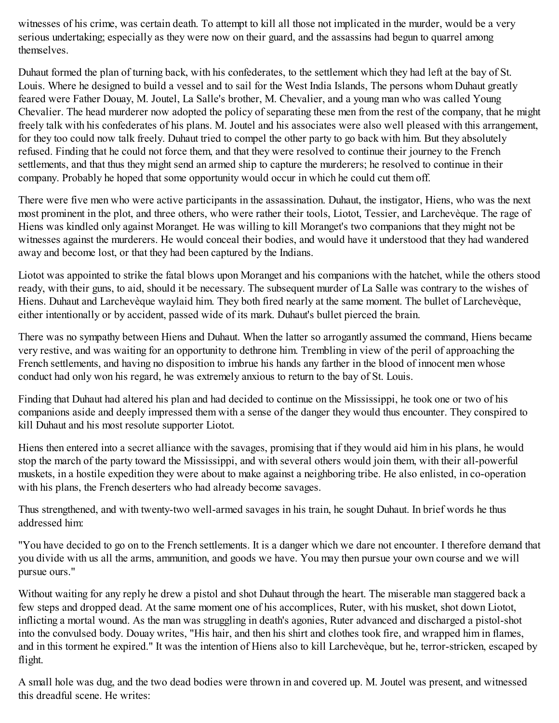witnesses of his crime, was certain death. To attempt to kill all those not implicated in the murder, would be a very serious undertaking; especially as they were now on their guard, and the assassins had begun to quarrel among themselves.

Duhaut formed the plan of turning back, with his confederates, to the settlement which they had left at the bay of St. Louis. Where he designed to build a vessel and to sail for the West India Islands, The persons whom Duhaut greatly feared were Father Douay, M. Joutel, La Salle's brother, M. Chevalier, and a young man who was called Young Chevalier. The head murderer now adopted the policy of separating these men from the rest of the company, that he might freely talk with his confederates of his plans. M. Joutel and his associates were also well pleased with this arrangement, for they too could now talk freely. Duhaut tried to compel the other party to go back with him. But they absolutely refused. Finding that he could not force them, and that they were resolved to continue their journey to the French settlements, and that thus they might send an armed ship to capture the murderers; he resolved to continue in their company. Probably he hoped that some opportunity would occur in which he could cut them off.

There were five men who were active participants in the assassination. Duhaut, the instigator, Hiens, who was the next most prominent in the plot, and three others, who were rather their tools, Liotot, Tessier, and Larchevèque. The rage of Hiens was kindled only against Moranget. He was willing to kill Moranget's two companions that they might not be witnesses against the murderers. He would conceal their bodies, and would have it understood that they had wandered away and become lost, or that they had been captured by the Indians.

Liotot was appointed to strike the fatal blows upon Moranget and his companions with the hatchet, while the others stood ready, with their guns, to aid, should it be necessary. The subsequent murder of La Salle was contrary to the wishes of Hiens. Duhaut and Larchevèque waylaid him. They both fired nearly at the same moment. The bullet of Larchevèque, either intentionally or by accident, passed wide of its mark. Duhaut's bullet pierced the brain.

There was no sympathy between Hiens and Duhaut. When the latter so arrogantly assumed the command, Hiens became very restive, and was waiting for an opportunity to dethrone him. Trembling in view of the peril of approaching the French settlements, and having no disposition to imbrue his hands any farther in the blood of innocent men whose conduct had only won his regard, he was extremely anxious to return to the bay of St. Louis.

Finding that Duhaut had altered his plan and had decided to continue on the Mississippi, he took one or two of his companions aside and deeply impressed them with a sense of the danger they would thus encounter. They conspired to kill Duhaut and his most resolute supporter Liotot.

Hiens then entered into a secret alliance with the savages, promising that if they would aid him in his plans, he would stop the march of the party toward the Mississippi, and with several others would join them, with their all-powerful muskets, in a hostile expedition they were about to make against a neighboring tribe. He also enlisted, in co-operation with his plans, the French deserters who had already become savages.

Thus strengthened, and with twenty-two well-armed savages in his train, he sought Duhaut. In brief words he thus addressed him:

"You have decided to go on to the French settlements. It is a danger which we dare not encounter. I therefore demand that you divide with us all the arms, ammunition, and goods we have. You may then pursue your own course and we will pursue ours."

Without waiting for any reply he drew a pistol and shot Duhaut through the heart. The miserable man staggered back a few steps and dropped dead. At the same moment one of his accomplices, Ruter, with his musket, shot down Liotot, inflicting a mortal wound. As the man was struggling in death's agonies, Ruter advanced and discharged a pistol-shot into the convulsed body. Douay writes, "His hair, and then his shirt and clothes took fire, and wrapped him in flames, and in this torment he expired." It was the intention of Hiens also to kill Larchevèque, but he, terror-stricken, escaped by flight.

A small hole was dug, and the two dead bodies were thrown in and covered up. M. Joutel was present, and witnessed this dreadful scene. He writes: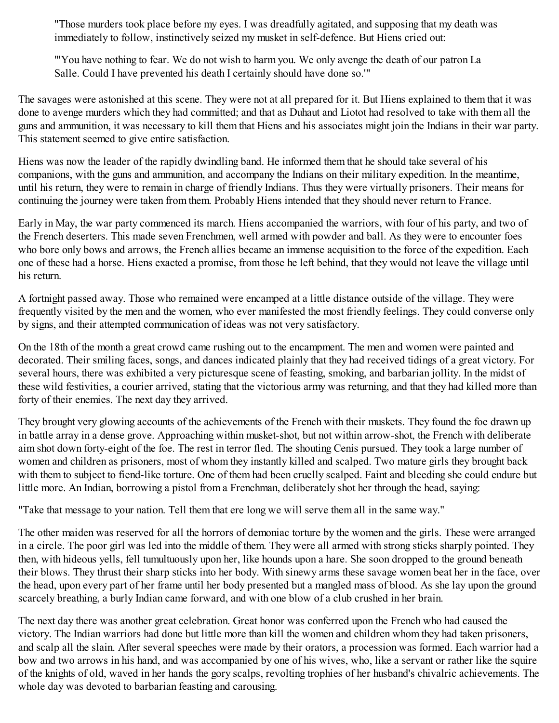"Those murders took place before my eyes. I was dreadfully agitated, and supposing that my death was immediately to follow, instinctively seized my musket in self-defence. But Hiens cried out:

"'You have nothing to fear. We do not wish to harm you. We only avenge the death of our patron La Salle. Could I have prevented his death I certainly should have done so.'"

The savages were astonished at this scene. They were not at all prepared for it. But Hiens explained to them that it was done to avenge murders which they had committed; and that as Duhaut and Liotot had resolved to take with them all the guns and ammunition, it was necessary to kill them that Hiens and his associates might join the Indians in their war party. This statement seemed to give entire satisfaction.

Hiens was now the leader of the rapidly dwindling band. He informed them that he should take several of his companions, with the guns and ammunition, and accompany the Indians on their military expedition. In the meantime, until his return, they were to remain in charge of friendly Indians. Thus they were virtually prisoners. Their means for continuing the journey were taken from them. Probably Hiens intended that they should never return to France.

Early in May, the war party commenced its march. Hiens accompanied the warriors, with four of his party, and two of the French deserters. This made seven Frenchmen, well armed with powder and ball. As they were to encounter foes who bore only bows and arrows, the French allies became an immense acquisition to the force of the expedition. Each one of these had a horse. Hiens exacted a promise, from those he left behind, that they would not leave the village until his return.

A fortnight passed away. Those who remained were encamped at a little distance outside of the village. They were frequently visited by the men and the women, who ever manifested the most friendly feelings. They could converse only by signs, and their attempted communication of ideas was not very satisfactory.

On the 18th of the month a great crowd came rushing out to the encampment. The men and women were painted and decorated. Their smiling faces, songs, and dances indicated plainly that they had received tidings of a great victory. For several hours, there was exhibited a very picturesque scene of feasting, smoking, and barbarian jollity. In the midst of these wild festivities, a courier arrived, stating that the victorious army was returning, and that they had killed more than forty of their enemies. The next day they arrived.

They brought very glowing accounts of the achievements of the French with their muskets. They found the foe drawn up in battle array in a dense grove. Approaching within musket-shot, but not within arrow-shot, the French with deliberate aim shot down forty-eight of the foe. The rest in terror fled. The shouting Cenis pursued. They took a large number of women and children as prisoners, most of whom they instantly killed and scalped. Two mature girls they brought back with them to subject to fiend-like torture. One of them had been cruelly scalped. Faint and bleeding she could endure but little more. An Indian, borrowing a pistol from a Frenchman, deliberately shot her through the head, saying:

"Take that message to your nation. Tell them that ere long we will serve them all in the same way."

The other maiden was reserved for all the horrors of demoniac torture by the women and the girls. These were arranged in a circle. The poor girl was led into the middle of them. They were all armed with strong sticks sharply pointed. They then, with hideous yells, fell tumultuously upon her, like hounds upon a hare. She soon dropped to the ground beneath their blows. They thrust their sharp sticks into her body. With sinewy arms these savage women beat her in the face, over the head, upon every part of her frame until her body presented but a mangled mass of blood. As she lay upon the ground scarcely breathing, a burly Indian came forward, and with one blow of a club crushed in her brain.

The next day there was another great celebration. Great honor was conferred upon the French who had caused the victory. The Indian warriors had done but little more than kill the women and children whom they had taken prisoners, and scalp all the slain. After several speeches were made by their orators, a procession was formed. Each warrior had a bow and two arrows in his hand, and was accompanied by one of his wives, who, like a servant or rather like the squire of the knights of old, waved in her hands the gory scalps, revolting trophies of her husband's chivalric achievements. The whole day was devoted to barbarian feasting and carousing.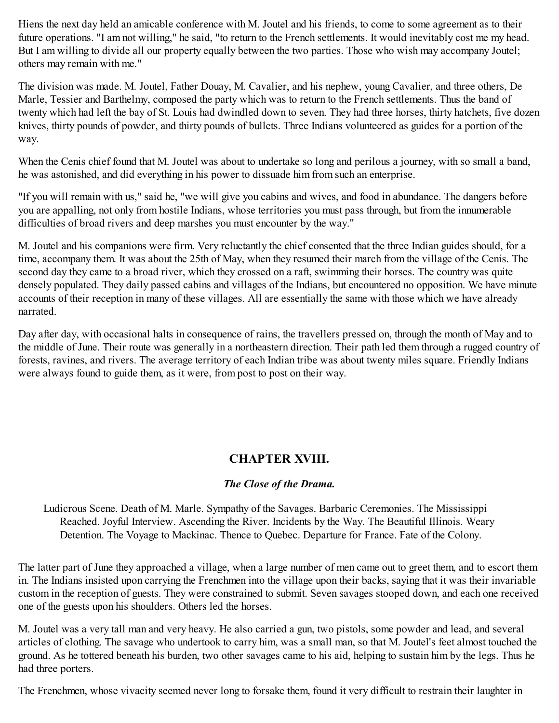Hiens the next day held an amicable conference with M. Joutel and his friends, to come to some agreement as to their future operations. "I am not willing," he said, "to return to the French settlements. It would inevitably cost me my head. But I am willing to divide all our property equally between the two parties. Those who wish may accompany Joutel; others may remain with me."

The division was made. M. Joutel, Father Douay, M. Cavalier, and his nephew, young Cavalier, and three others, De Marle, Tessier and Barthelmy, composed the party which was to return to the French settlements. Thus the band of twenty which had left the bay of St. Louis had dwindled down to seven. They had three horses, thirty hatchets, five dozen knives, thirty pounds of powder, and thirty pounds of bullets. Three Indians volunteered as guides for a portion of the way.

When the Cenis chief found that M. Joutel was about to undertake so long and perilous a journey, with so small a band, he was astonished, and did everything in his power to dissuade him from such an enterprise.

"If you will remain with us," said he, "we will give you cabins and wives, and food in abundance. The dangers before you are appalling, not only from hostile Indians, whose territories you must pass through, but from the innumerable difficulties of broad rivers and deep marshes you must encounter by the way."

M. Joutel and his companions were firm. Very reluctantly the chief consented that the three Indian guides should, for a time, accompany them. It was about the 25th of May, when they resumed their march from the village of the Cenis. The second day they came to a broad river, which they crossed on a raft, swimming their horses. The country was quite densely populated. They daily passed cabins and villages of the Indians, but encountered no opposition. We have minute accounts of their reception in many of these villages. All are essentially the same with those which we have already narrated.

Day after day, with occasional halts in consequence of rains, the travellers pressed on, through the month of May and to the middle of June. Their route was generally in a northeastern direction. Their path led them through a rugged country of forests, ravines, and rivers. The average territory of each Indian tribe was about twenty miles square. Friendly Indians were always found to guide them, as it were, from post to post on their way.

# **CHAPTER XVIII.**

### *The Close of the Drama.*

Ludicrous Scene. Death of M. Marle. Sympathy of the Savages. Barbaric Ceremonies. The Mississippi Reached. Joyful Interview. Ascending the River. Incidents by the Way. The Beautiful Illinois. Weary Detention. The Voyage to Mackinac. Thence to Quebec. Departure for France. Fate of the Colony.

The latter part of June they approached a village, when a large number of men came out to greet them, and to escort them in. The Indians insisted upon carrying the Frenchmen into the village upon their backs, saying that it was their invariable custom in the reception of guests. They were constrained to submit. Seven savages stooped down, and each one received one of the guests upon his shoulders. Others led the horses.

M. Joutel was a very tall man and very heavy. He also carried a gun, two pistols, some powder and lead, and several articles of clothing. The savage who undertook to carry him, was a small man, so that M. Joutel's feet almost touched the ground. As he tottered beneath his burden, two other savages came to his aid, helping to sustain him by the legs. Thus he had three porters.

The Frenchmen, whose vivacity seemed never long to forsake them, found it very difficult to restrain their laughter in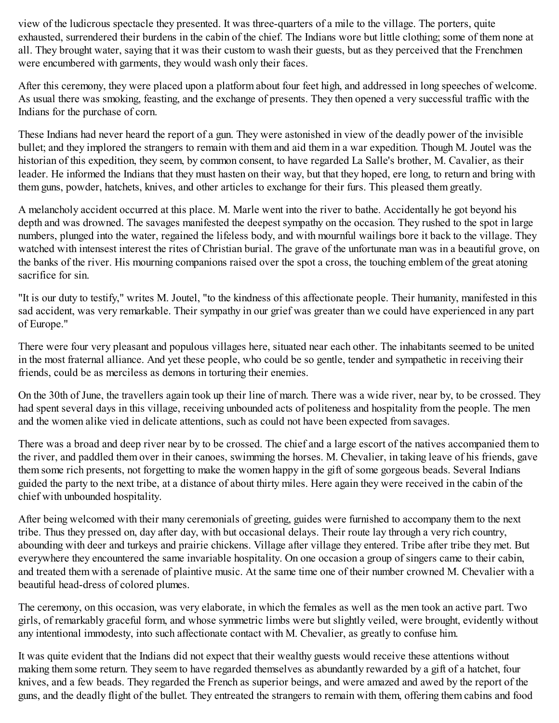view of the ludicrous spectacle they presented. It was three-quarters of a mile to the village. The porters, quite exhausted, surrendered their burdens in the cabin of the chief. The Indians wore but little clothing; some of them none at all. They brought water, saying that it was their custom to wash their guests, but as they perceived that the Frenchmen were encumbered with garments, they would wash only their faces.

After this ceremony, they were placed upon a platform about four feet high, and addressed in long speeches of welcome. As usual there was smoking, feasting, and the exchange of presents. They then opened a very successful traffic with the Indians for the purchase of corn.

These Indians had never heard the report of a gun. They were astonished in view of the deadly power of the invisible bullet; and they implored the strangers to remain with them and aid them in a war expedition. Though M. Joutel was the historian of this expedition, they seem, by common consent, to have regarded La Salle's brother, M. Cavalier, as their leader. He informed the Indians that they must hasten on their way, but that they hoped, ere long, to return and bring with them guns, powder, hatchets, knives, and other articles to exchange for their furs. This pleased them greatly.

A melancholy accident occurred at this place. M. Marle went into the river to bathe. Accidentally he got beyond his depth and was drowned. The savages manifested the deepest sympathy on the occasion. They rushed to the spot in large numbers, plunged into the water, regained the lifeless body, and with mournful wailings bore it back to the village. They watched with intensest interest the rites of Christian burial. The grave of the unfortunate man was in a beautiful grove, on the banks of the river. His mourning companions raised over the spot a cross, the touching emblem of the great atoning sacrifice for sin.

"It is our duty to testify," writes M. Joutel, "to the kindness of this affectionate people. Their humanity, manifested in this sad accident, was very remarkable. Their sympathy in our grief was greater than we could have experienced in any part of Europe."

There were four very pleasant and populous villages here, situated near each other. The inhabitants seemed to be united in the most fraternal alliance. And yet these people, who could be so gentle, tender and sympathetic in receiving their friends, could be as merciless as demons in torturing their enemies.

On the 30th of June, the travellers again took up their line of march. There was a wide river, near by, to be crossed. They had spent several days in this village, receiving unbounded acts of politeness and hospitality from the people. The men and the women alike vied in delicate attentions, such as could not have been expected from savages.

There was a broad and deep river near by to be crossed. The chief and a large escort of the natives accompanied them to the river, and paddled them over in their canoes, swimming the horses. M. Chevalier, in taking leave of his friends, gave them some rich presents, not forgetting to make the women happy in the gift of some gorgeous beads. Several Indians guided the party to the next tribe, at a distance of about thirty miles. Here again they were received in the cabin of the chief with unbounded hospitality.

After being welcomed with their many ceremonials of greeting, guides were furnished to accompany them to the next tribe. Thus they pressed on, day after day, with but occasional delays. Their route lay through a very rich country, abounding with deer and turkeys and prairie chickens. Village after village they entered. Tribe after tribe they met. But everywhere they encountered the same invariable hospitality. On one occasion a group of singers came to their cabin, and treated them with a serenade of plaintive music. At the same time one of their number crowned M. Chevalier with a beautiful head-dress of colored plumes.

The ceremony, on this occasion, was very elaborate, in which the females as well as the men took an active part. Two girls, of remarkably graceful form, and whose symmetric limbs were but slightly veiled, were brought, evidently without any intentional immodesty, into such affectionate contact with M. Chevalier, as greatly to confuse him.

It was quite evident that the Indians did not expect that their wealthy guests would receive these attentions without making them some return. They seem to have regarded themselves as abundantly rewarded by a gift of a hatchet, four knives, and a few beads. They regarded the French as superior beings, and were amazed and awed by the report of the guns, and the deadly flight of the bullet. They entreated the strangers to remain with them, offering them cabins and food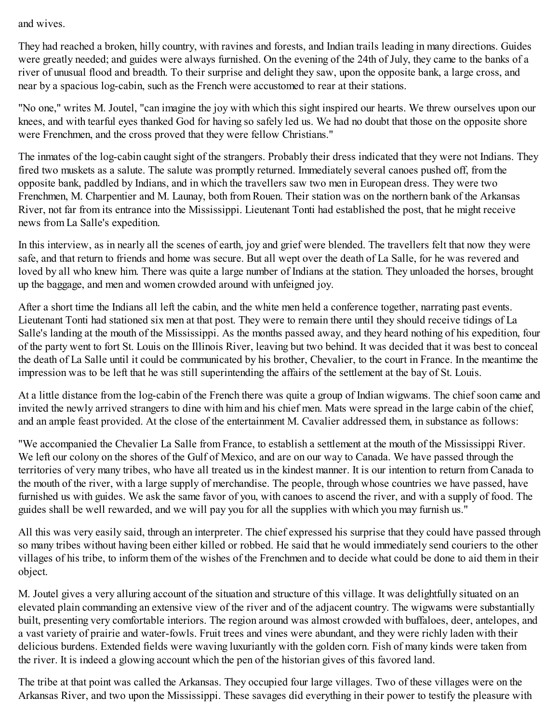and wives.

They had reached a broken, hilly country, with ravines and forests, and Indian trails leading in many directions. Guides were greatly needed; and guides were always furnished. On the evening of the 24th of July, they came to the banks of a river of unusual flood and breadth. To their surprise and delight they saw, upon the opposite bank, a large cross, and near by a spacious log-cabin, such as the French were accustomed to rear at their stations.

"No one," writes M. Joutel, "can imagine the joy with which this sight inspired our hearts. We threw ourselves upon our knees, and with tearful eyes thanked God for having so safely led us. We had no doubt that those on the opposite shore were Frenchmen, and the cross proved that they were fellow Christians."

The inmates of the log-cabin caught sight of the strangers. Probably their dress indicated that they were not Indians. They fired two muskets as a salute. The salute was promptly returned. Immediately several canoes pushed off, from the opposite bank, paddled by Indians, and in which the travellers saw two men in European dress. They were two Frenchmen, M. Charpentier and M. Launay, both from Rouen. Their station was on the northern bank of the Arkansas River, not far from its entrance into the Mississippi. Lieutenant Tonti had established the post, that he might receive news from La Salle's expedition.

In this interview, as in nearly all the scenes of earth, joy and grief were blended. The travellers felt that now they were safe, and that return to friends and home was secure. But all wept over the death of La Salle, for he was revered and loved by all who knew him. There was quite a large number of Indians at the station. They unloaded the horses, brought up the baggage, and men and women crowded around with unfeigned joy.

After a short time the Indians all left the cabin, and the white men held a conference together, narrating past events. Lieutenant Tonti had stationed six men at that post. They were to remain there until they should receive tidings of La Salle's landing at the mouth of the Mississippi. As the months passed away, and they heard nothing of his expedition, four of the party went to fort St. Louis on the Illinois River, leaving but two behind. It was decided that it was best to conceal the death of La Salle until it could be communicated by his brother, Chevalier, to the court in France. In the meantime the impression was to be left that he was still superintending the affairs of the settlement at the bay of St. Louis.

At a little distance from the log-cabin of the French there was quite a group of Indian wigwams. The chief soon came and invited the newly arrived strangers to dine with him and his chief men. Mats were spread in the large cabin of the chief, and an ample feast provided. At the close of the entertainment M. Cavalier addressed them, in substance as follows:

"We accompanied the Chevalier La Salle from France, to establish a settlement at the mouth of the Mississippi River. We left our colony on the shores of the Gulf of Mexico, and are on our way to Canada. We have passed through the territories of very many tribes, who have all treated us in the kindest manner. It is our intention to return from Canada to the mouth of the river, with a large supply of merchandise. The people, through whose countries we have passed, have furnished us with guides. We ask the same favor of you, with canoes to ascend the river, and with a supply of food. The guides shall be well rewarded, and we will pay you for all the supplies with which you may furnish us."

All this was very easily said, through an interpreter. The chief expressed his surprise that they could have passed through so many tribes without having been either killed or robbed. He said that he would immediately send couriers to the other villages of his tribe, to inform them of the wishes of the Frenchmen and to decide what could be done to aid them in their object.

M. Joutel gives a very alluring account of the situation and structure of this village. It was delightfully situated on an elevated plain commanding an extensive view of the river and of the adjacent country. The wigwams were substantially built, presenting very comfortable interiors. The region around was almost crowded with buffaloes, deer, antelopes, and a vast variety of prairie and water-fowls. Fruit trees and vines were abundant, and they were richly laden with their delicious burdens. Extended fields were waving luxuriantly with the golden corn. Fish of many kinds were taken from the river. It is indeed a glowing account which the pen of the historian gives of this favored land.

The tribe at that point was called the Arkansas. They occupied four large villages. Two of these villages were on the Arkansas River, and two upon the Mississippi. These savages did everything in their power to testify the pleasure with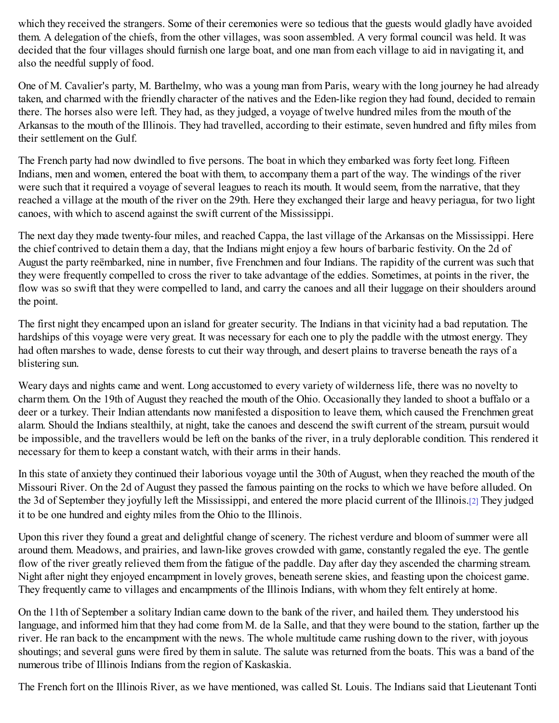which they received the strangers. Some of their ceremonies were so tedious that the guests would gladly have avoided them. A delegation of the chiefs, from the other villages, was soon assembled. A very formal council was held. It was decided that the four villages should furnish one large boat, and one man from each village to aid in navigating it, and also the needful supply of food.

One of M. Cavalier's party, M. Barthelmy, who was a young man from Paris, weary with the long journey he had already taken, and charmed with the friendly character of the natives and the Eden-like region they had found, decided to remain there. The horses also were left. They had, as they judged, a voyage of twelve hundred miles from the mouth of the Arkansas to the mouth of the Illinois. They had travelled, according to their estimate, seven hundred and fifty miles from their settlement on the Gulf.

The French party had now dwindled to five persons. The boat in which they embarked was forty feet long. Fifteen Indians, men and women, entered the boat with them, to accompany them a part of the way. The windings of the river were such that it required a voyage of several leagues to reach its mouth. It would seem, from the narrative, that they reached a village at the mouth of the river on the 29th. Here they exchanged their large and heavy periagua, for two light canoes, with which to ascend against the swift current of the Mississippi.

The next day they made twenty-four miles, and reached Cappa, the last village of the Arkansas on the Mississippi. Here the chief contrived to detain them a day, that the Indians might enjoy a few hours of barbaric festivity. On the 2d of August the party reëmbarked, nine in number, five Frenchmen and four Indians. The rapidity of the current was such that they were frequently compelled to cross the river to take advantage of the eddies. Sometimes, at points in the river, the flow was so swift that they were compelled to land, and carry the canoes and all their luggage on their shoulders around the point.

The first night they encamped upon an island for greater security. The Indians in that vicinity had a bad reputation. The hardships of this voyage were very great. It was necessary for each one to ply the paddle with the utmost energy. They had often marshes to wade, dense forests to cut their way through, and desert plains to traverse beneath the rays of a blistering sun.

Weary days and nights came and went. Long accustomed to every variety of wilderness life, there was no novelty to charm them. On the 19th of August they reached the mouth of the Ohio. Occasionally they landed to shoot a buffalo or a deer or a turkey. Their Indian attendants now manifested a disposition to leave them, which caused the Frenchmen great alarm. Should the Indians stealthily, at night, take the canoes and descend the swift current of the stream, pursuit would be impossible, and the travellers would be left on the banks of the river, in a truly deplorable condition. This rendered it necessary for them to keep a constant watch, with their arms in their hands.

<span id="page-104-0"></span>In this state of anxiety they continued their laborious voyage until the 30th of August, when they reached the mouth of the Missouri River. On the 2d of August they passed the famous painting on the rocks to which we have before alluded. On the 3d of September they joyfully left the Mississippi, and entered the more placid current of the Illinois.[\[2\]](#page-105-0) They judged it to be one hundred and eighty miles from the Ohio to the Illinois.

Upon this river they found a great and delightful change of scenery. The richest verdure and bloom of summer were all around them. Meadows, and prairies, and lawn-like groves crowded with game, constantly regaled the eye. The gentle flow of the river greatly relieved them from the fatigue of the paddle. Day after day they ascended the charming stream. Night after night they enjoyed encampment in lovely groves, beneath serene skies, and feasting upon the choicest game. They frequently came to villages and encampments of the Illinois Indians, with whom they felt entirely at home.

On the 11th of September a solitary Indian came down to the bank of the river, and hailed them. They understood his language, and informed him that they had come from M. de la Salle, and that they were bound to the station, farther up the river. He ran back to the encampment with the news. The whole multitude came rushing down to the river, with joyous shoutings; and several guns were fired by them in salute. The salute was returned from the boats. This was a band of the numerous tribe of Illinois Indians from the region of Kaskaskia.

The French fort on the Illinois River, as we have mentioned, was called St. Louis. The Indians said that Lieutenant Tonti